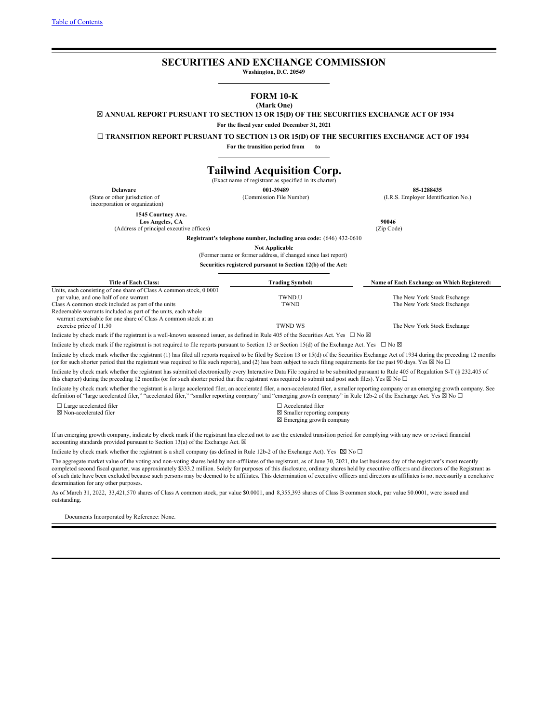# **SECURITIES AND EXCHANGE COMMISSION**

**Washington, D.C. 20549**

# **FORM 10-K**

**(Mark One)**

<span id="page-0-0"></span>☒ **ANNUAL REPORT PURSUANT TO SECTION 13 OR 15(D) OF THE SECURITIES EXCHANGE ACT OF 1934**

**For the fiscal year ended December 31, 2021**

☐ **TRANSITION REPORT PURSUANT TO SECTION 13 OR 15(D) OF THE SECURITIES EXCHANGE ACT OF 1934**

**For the transition period from to**

# **Tailwind Acquisition Corp.**

(Exact name of registrant as specified in its charter) **Delaware 001-39489 85-1288435**

(Commission File Number) (I.R.S. Employer Identification No.)

incorporation or organization) **1545 Courtney Ave.**

(State or other jurisdiction of

**Los Angeles, CA 90046 of** principal executive offices) (Zip Code) **(2ip Code)** (Address of principal executive offices)

**Registrant's telephone number, including area code:** (646) 432-0610

**Not Applicable**

(Former name or former address, if changed since last report)

**Securities registered pursuant to Section 12(b) of the Act:**

| Units, each consisting of one share of Class A common stock, 0.0001                                                                                                                                                                                                                                                                                                                   |                |                             |  |  |
|---------------------------------------------------------------------------------------------------------------------------------------------------------------------------------------------------------------------------------------------------------------------------------------------------------------------------------------------------------------------------------------|----------------|-----------------------------|--|--|
| par value, and one half of one warrant                                                                                                                                                                                                                                                                                                                                                | <b>TWND.U</b>  | The New York Stock Exchange |  |  |
| Class A common stock included as part of the units                                                                                                                                                                                                                                                                                                                                    | <b>TWND</b>    | The New York Stock Exchange |  |  |
| Redeemable warrants included as part of the units, each whole                                                                                                                                                                                                                                                                                                                         |                |                             |  |  |
| warrant exercisable for one share of Class A common stock at an                                                                                                                                                                                                                                                                                                                       |                |                             |  |  |
| exercise price of 11.50                                                                                                                                                                                                                                                                                                                                                               | <b>TWND WS</b> | The New York Stock Exchange |  |  |
| Indicate by check mark if the registrant is a well-known seasoned issuer, as defined in Rule 405 of the Securities Act. Yes $\Box$ No $\boxtimes$                                                                                                                                                                                                                                     |                |                             |  |  |
| Indicate by check mark if the registrant is not required to file reports pursuant to Section 13 or Section 15(d) of the Exchange Act. Yes $\Box$ No $\boxtimes$                                                                                                                                                                                                                       |                |                             |  |  |
| Indicate by check mark whether the registrant (1) has filed all reports required to be filed by Section 13 or 15(d) of the Securities Exchange Act of 1934 during the preceding 12 months<br>(or for such shorter period that the registrant was required to file such reports), and (2) has been subject to such filing requirements for the past 90 days. Yes $\boxtimes$ No $\Box$ |                |                             |  |  |
| Indicate by check mark whother the positront has submitted cleatronically avony Internative Data Eile required to be submitted pursuant to Dule 405 of Desulation 8 T (8.222.405 of                                                                                                                                                                                                   |                |                             |  |  |

Indicate by check mark whether the registrant has submitted electronically every Interactive Data File required to be submitted pursuant to Rule 405 of Regulation S-T (§ 232.405 of<br>this chapter) during the preceding 12 mo

Indicate by check mark whether the registrant is a large accelerated filer, an accelerated filer, a non-accelerated filer, a smaller reporting company or an emerging growth company. See definition of "large accelerated filer," "accelerated filer," "smaller reporting company" and "emerging growth company" in Rule 12b-2 of the Exchange Act. Yes ⊠ No □

 $\Box$  Large accelerated filer  $\Box$  Accelerated filer  $\Box$  Accelerated filer  $\Box$  Accelerated filer  $\Box$  Accelerated filer

 $\boxtimes$  Smaller reporting company ☒ Emerging growth company

If an emerging growth company, indicate by check mark if the registrant has elected not to use the extended transition period for complying with any new or revised financial accounting standards provided pursuant to Section 13(a) of the Exchange Act.  $\boxtimes$ 

Indicate by check mark whether the registrant is a shell company (as defined in Rule 12b-2 of the Exchange Act). Yes  $\boxtimes$  No  $\Box$ 

The aggregate market value of the voting and non-voting shares held by non-affiliates of the registrant, as of June 30, 2021, the last business day of the registrant's most recently completed second fiscal quarter, was approximately \$333.2 million. Solely for purposes of this disclosure, ordinary shares held by executive officers and directors of the Registrant as of such date have been excluded because such persons may be deemed to be affiliates. This determination of executive officers and directors as affiliates is not necessarily a conclusive determination for any other purposes.

As of March 31, 2022, 33,421,570 shares of Class A common stock, par value \$0.0001, and 8,355,393 shares of Class B common stock, par value \$0.0001, were issued and outstanding.

Documents Incorporated by Reference: None.

**Title of Each Class: Trading Symbol: Name of Each Exchange on Which Registered:**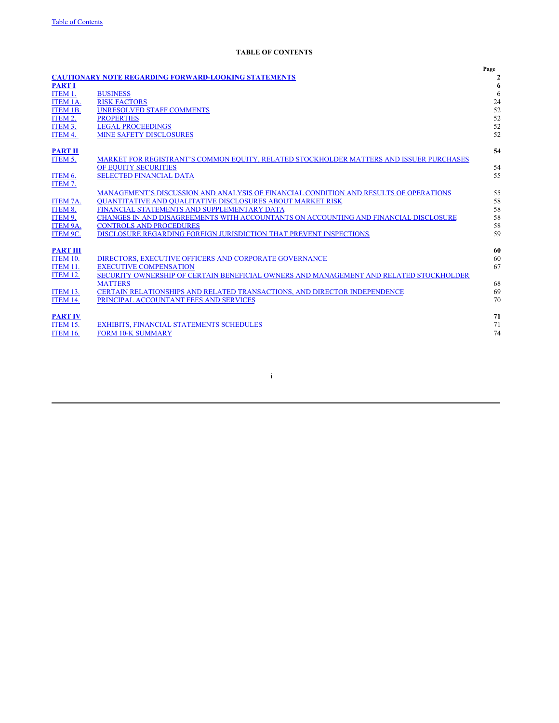## **TABLE OF CONTENTS**

|                 |                                                                                         | Page |
|-----------------|-----------------------------------------------------------------------------------------|------|
|                 | <b>CAUTIONARY NOTE REGARDING FORWARD-LOOKING STATEMENTS</b>                             | 2    |
| <b>PART I</b>   |                                                                                         | 6    |
| ITEM 1.         | <b>BUSINESS</b>                                                                         | 6    |
| ITEM 1A.        | <b>RISK FACTORS</b>                                                                     | 24   |
| <b>ITEM 1B.</b> | <b>UNRESOLVED STAFF COMMENTS</b>                                                        | 52   |
| ITEM 2.         | <b>PROPERTIES</b>                                                                       | 52   |
| ITEM 3.         | <b>LEGAL PROCEEDINGS</b>                                                                | 52   |
| ITEM 4.         | <b>MINE SAFETY DISCLOSURES</b>                                                          | 52   |
| <b>PART II</b>  |                                                                                         | 54   |
| ITEM 5.         | MARKET FOR REGISTRANT'S COMMON EQUITY, RELATED STOCKHOLDER MATTERS AND ISSUER PURCHASES |      |
|                 | OF EQUITY SECURITIES                                                                    | 54   |
| ITEM 6.         | <b>SELECTED FINANCIAL DATA</b>                                                          | 55   |
| ITEM 7.         |                                                                                         |      |
|                 | MANAGEMENT'S DISCUSSION AND ANALYSIS OF FINANCIAL CONDITION AND RESULTS OF OPERATIONS   | 55   |
| ITEM 7A.        | <b>OUANTITATIVE AND OUALITATIVE DISCLOSURES ABOUT MARKET RISK</b>                       | 58   |
| ITEM 8.         | FINANCIAL STATEMENTS AND SUPPLEMENTARY DATA                                             | 58   |
| ITEM 9.         | CHANGES IN AND DISAGREEMENTS WITH ACCOUNTANTS ON ACCOUNTING AND FINANCIAL DISCLOSURE    | 58   |
| ITEM 9A.        | <b>CONTROLS AND PROCEDURES</b>                                                          | 58   |
| ITEM 9C.        | DISCLOSURE REGARDING FOREIGN JURISDICTION THAT PREVENT INSPECTIONS.                     | 59   |
| <b>PART III</b> |                                                                                         | 60   |
| <b>ITEM 10.</b> | DIRECTORS, EXECUTIVE OFFICERS AND CORPORATE GOVERNANCE                                  | 60   |
| ITEM 11.        | <b>EXECUTIVE COMPENSATION</b>                                                           | 67   |
| <b>ITEM 12.</b> | SECURITY OWNERSHIP OF CERTAIN BENEFICIAL OWNERS AND MANAGEMENT AND RELATED STOCKHOLDER  |      |
|                 | <b>MATTERS</b>                                                                          | 68   |
| ITEM 13.        | CERTAIN RELATIONSHIPS AND RELATED TRANSACTIONS, AND DIRECTOR INDEPENDENCE               | 69   |
| ITEM 14.        | PRINCIPAL ACCOUNTANT FEES AND SERVICES                                                  | 70   |
| <b>PART IV</b>  |                                                                                         | 71   |
| <b>ITEM 15.</b> | <b>EXHIBITS, FINANCIAL STATEMENTS SCHEDULES</b>                                         | 71   |
| <b>ITEM 16.</b> | <b>FORM 10-K SUMMARY</b>                                                                | 74   |
|                 |                                                                                         |      |

i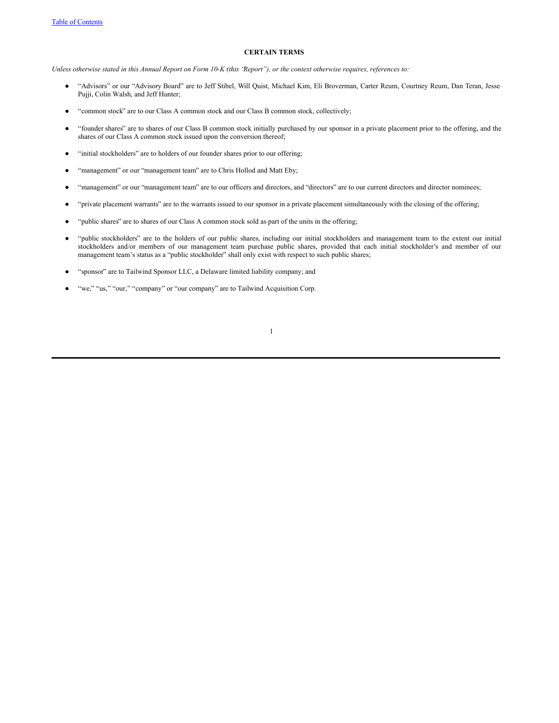## **CERTAIN TERMS**

Unless otherwise stated in this Annual Report on Form 10-K (this 'Report"), or the context otherwise requires, references to:

- "Advisors" or our "Advisory Board" are to Jeff Stibel, Will Quist, Michael Kim, Eli Broverman, Carter Reum, Courtney Reum, Dan Teran, Jesse Pujji, Colin Walsh, and Jeff Hunter;
- "common stock" are to our Class A common stock and our Class B common stock, collectively;
- "founder shares" are to shares of our Class B common stock initially purchased by our sponsor in a private placement prior to the offering, and the shares of our Class A common stock issued upon the conversion thereof;
- "initial stockholders" are to holders of our founder shares prior to our offering;
- "management" or our "management team" are to Chris Hollod and Matt Eby;
- "management" or our "management team" are to our officers and directors, and "directors" are to our current directors and director nominees;
- "private placement warrants" are to the warrants issued to our sponsor in a private placement simultaneously with the closing of the offering;
- "public shares" are to shares of our Class A common stock sold as part of the units in the offering;
- "public stockholders" are to the holders of our public shares, including our initial stockholders and management team to the extent our initial stockholders and/or members of our management team purchase public shares, provided that each initial stockholder's and member of our management team's status as a "public stockholder" shall only exist with respect to such public shares;
- "sponsor" are to Tailwind Sponsor LLC, a Delaware limited liability company; and
- "we," "us," "our," "company" or "our company" are to Tailwind Acquisition Corp.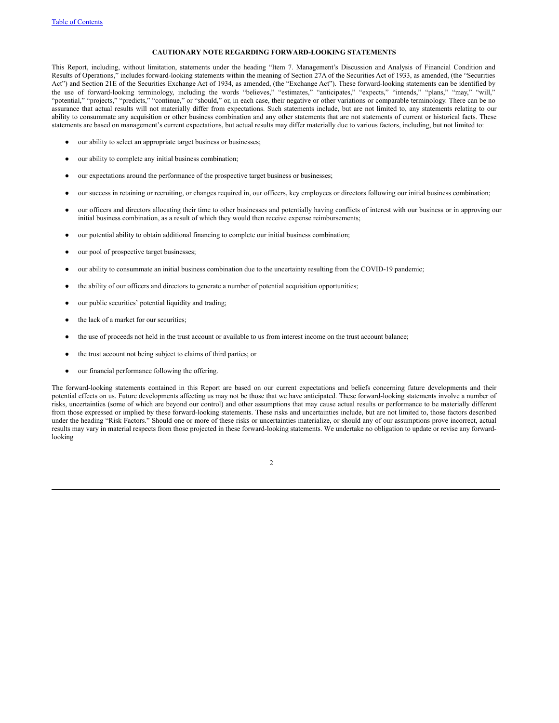#### **CAUTIONARY NOTE REGARDING FORWARD-LOOKING STATEMENTS**

This Report, including, without limitation, statements under the heading "Item 7. Management's Discussion and Analysis of Financial Condition and Results of Operations," includes forward-looking statements within the meaning of Section 27A of the Securities Act of 1933, as amended, (the "Securities Act") and Section 21E of the Securities Exchange Act of 1934, as amended, (the "Exchange Act"). These forward-looking statements can be identified by the use of forward-looking terminology, including the words "believes," "estimates," "anticipates," "expects," "intends," "plans," "may," "will," "potential," "projects," "predicts," "continue," or "should," or, in each case, their negative or other variations or comparable terminology. There can be no assurance that actual results will not materially differ from expectations. Such statements include, but are not limited to, any statements relating to our ability to consummate any acquisition or other business combination and any other statements that are not statements of current or historical facts. These statements are based on management's current expectations, but actual results may differ materially due to various factors, including, but not limited to:

- our ability to select an appropriate target business or businesses;
- our ability to complete any initial business combination;
- our expectations around the performance of the prospective target business or businesses;
- our success in retaining or recruiting, or changes required in, our officers, key employees or directors following our initial business combination;
- our officers and directors allocating their time to other businesses and potentially having conflicts of interest with our business or in approving our initial business combination, as a result of which they would then receive expense reimbursements;
- our potential ability to obtain additional financing to complete our initial business combination;
- our pool of prospective target businesses;
- our ability to consummate an initial business combination due to the uncertainty resulting from the COVID-19 pandemic;
- the ability of our officers and directors to generate a number of potential acquisition opportunities;
- our public securities' potential liquidity and trading;
- the lack of a market for our securities;
- the use of proceeds not held in the trust account or available to us from interest income on the trust account balance;
- the trust account not being subject to claims of third parties; or
- our financial performance following the offering.

The forward-looking statements contained in this Report are based on our current expectations and beliefs concerning future developments and their potential effects on us. Future developments affecting us may not be those that we have anticipated. These forward-looking statements involve a number of risks, uncertainties (some of which are beyond our control) and other assumptions that may cause actual results or performance to be materially different from those expressed or implied by these forward-looking statements. These risks and uncertainties include, but are not limited to, those factors described under the heading "Risk Factors." Should one or more of these risks or uncertainties materialize, or should any of our assumptions prove incorrect, actual results may vary in material respects from those projected in these forward-looking statements. We undertake no obligation to update or revise any forwardlooking

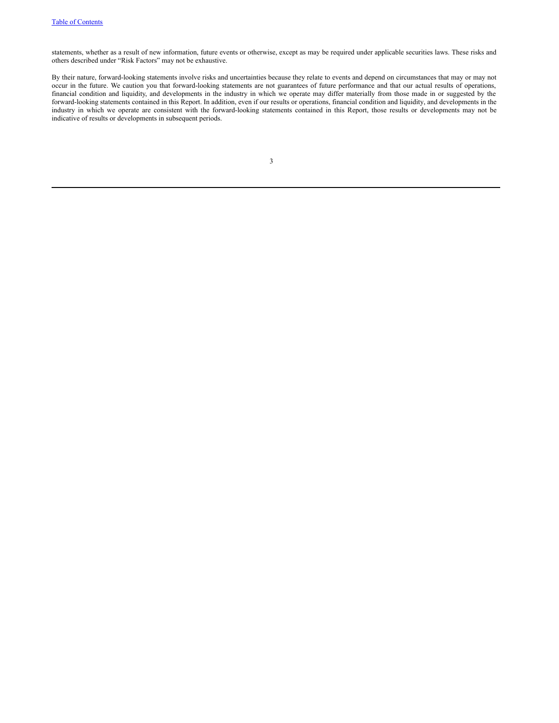statements, whether as a result of new information, future events or otherwise, except as may be required under applicable securities laws. These risks and others described under "Risk Factors" may not be exhaustive.

By their nature, forward-looking statements involve risks and uncertainties because they relate to events and depend on circumstances that may or may not occur in the future. We caution you that forward-looking statements are not guarantees of future performance and that our actual results of operations, financial condition and liquidity, and developments in the industry in which we operate may differ materially from those made in or suggested by the forward-looking statements contained in this Report. In addition, even if our results or operations, financial condition and liquidity, and developments in the industry in which we operate are consistent with the forward-looking statements contained in this Report, those results or developments may not be indicative of results or developments in subsequent periods.

| ı      |
|--------|
| ı<br>× |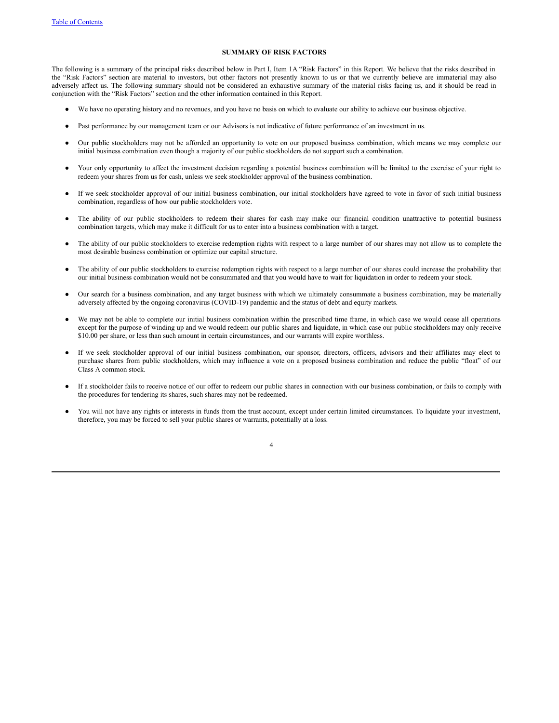#### **SUMMARY OF RISK FACTORS**

The following is a summary of the principal risks described below in Part I, Item 1A "Risk Factors" in this Report. We believe that the risks described in the "Risk Factors" section are material to investors, but other factors not presently known to us or that we currently believe are immaterial may also adversely affect us. The following summary should not be considered an exhaustive summary of the material risks facing us, and it should be read in conjunction with the "Risk Factors" section and the other information contained in this Report.

- We have no operating history and no revenues, and you have no basis on which to evaluate our ability to achieve our business objective.
- Past performance by our management team or our Advisors is not indicative of future performance of an investment in us.
- Our public stockholders may not be afforded an opportunity to vote on our proposed business combination, which means we may complete our initial business combination even though a majority of our public stockholders do not support such a combination.
- Your only opportunity to affect the investment decision regarding a potential business combination will be limited to the exercise of your right to redeem your shares from us for cash, unless we seek stockholder approval of the business combination.
- If we seek stockholder approval of our initial business combination, our initial stockholders have agreed to vote in favor of such initial business combination, regardless of how our public stockholders vote.
- The ability of our public stockholders to redeem their shares for cash may make our financial condition unattractive to potential business combination targets, which may make it difficult for us to enter into a business combination with a target.
- The ability of our public stockholders to exercise redemption rights with respect to a large number of our shares may not allow us to complete the most desirable business combination or optimize our capital structure.
- The ability of our public stockholders to exercise redemption rights with respect to a large number of our shares could increase the probability that our initial business combination would not be consummated and that you would have to wait for liquidation in order to redeem your stock.
- Our search for a business combination, and any target business with which we ultimately consummate a business combination, may be materially adversely affected by the ongoing coronavirus (COVID-19) pandemic and the status of debt and equity markets.
- We may not be able to complete our initial business combination within the prescribed time frame, in which case we would cease all operations except for the purpose of winding up and we would redeem our public shares and liquidate, in which case our public stockholders may only receive \$10.00 per share, or less than such amount in certain circumstances, and our warrants will expire worthless.
- If we seek stockholder approval of our initial business combination, our sponsor, directors, officers, advisors and their affiliates may elect to purchase shares from public stockholders, which may influence a vote on a proposed business combination and reduce the public "float" of our Class A common stock.
- If a stockholder fails to receive notice of our offer to redeem our public shares in connection with our business combination, or fails to comply with the procedures for tendering its shares, such shares may not be redeemed.
- You will not have any rights or interests in funds from the trust account, except under certain limited circumstances. To liquidate your investment, therefore, you may be forced to sell your public shares or warrants, potentially at a loss.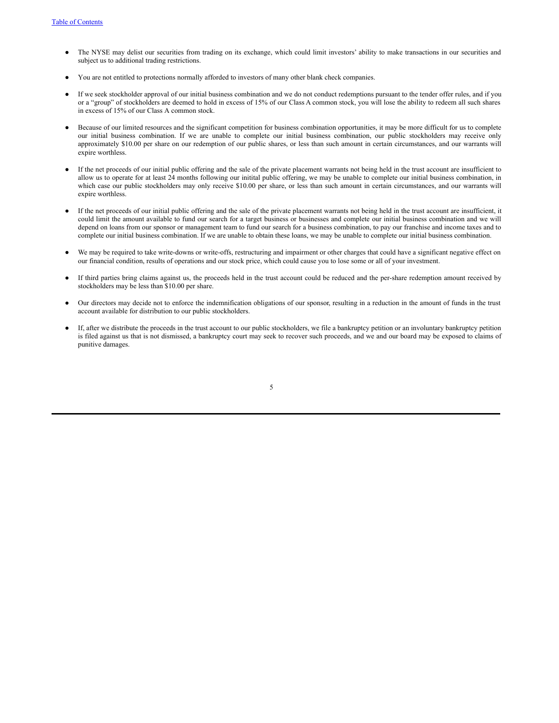- The NYSE may delist our securities from trading on its exchange, which could limit investors' ability to make transactions in our securities and subject us to additional trading restrictions.
- You are not entitled to protections normally afforded to investors of many other blank check companies.
- If we seek stockholder approval of our initial business combination and we do not conduct redemptions pursuant to the tender offer rules, and if you or a "group" of stockholders are deemed to hold in excess of 15% of our Class A common stock, you will lose the ability to redeem all such shares in excess of 15% of our Class A common stock.
- Because of our limited resources and the significant competition for business combination opportunities, it may be more difficult for us to complete our initial business combination. If we are unable to complete our initial business combination, our public stockholders may receive only approximately \$10.00 per share on our redemption of our public shares, or less than such amount in certain circumstances, and our warrants will expire worthless.
- If the net proceeds of our initial public offering and the sale of the private placement warrants not being held in the trust account are insufficient to allow us to operate for at least 24 months following our initital public offering, we may be unable to complete our initial business combination, in which case our public stockholders may only receive \$10.00 per share, or less than such amount in certain circumstances, and our warrants will expire worthless.
- If the net proceeds of our initial public offering and the sale of the private placement warrants not being held in the trust account are insufficient, it could limit the amount available to fund our search for a target business or businesses and complete our initial business combination and we will depend on loans from our sponsor or management team to fund our search for a business combination, to pay our franchise and income taxes and to complete our initial business combination. If we are unable to obtain these loans, we may be unable to complete our initial business combination.
- We may be required to take write-downs or write-offs, restructuring and impairment or other charges that could have a significant negative effect on our financial condition, results of operations and our stock price, which could cause you to lose some or all of your investment.
- If third parties bring claims against us, the proceeds held in the trust account could be reduced and the per-share redemption amount received by stockholders may be less than \$10.00 per share.
- Our directors may decide not to enforce the indemnification obligations of our sponsor, resulting in a reduction in the amount of funds in the trust account available for distribution to our public stockholders.
- If, after we distribute the proceeds in the trust account to our public stockholders, we file a bankruptcy petition or an involuntary bankruptcy petition is filed against us that is not dismissed, a bankruptcy court may seek to recover such proceeds, and we and our board may be exposed to claims of punitive damages.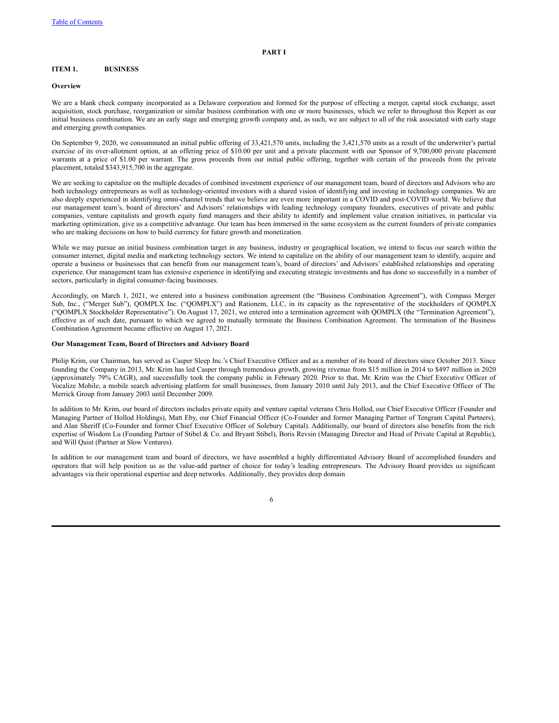#### **PART I**

## **ITEM 1. BUSINESS**

## **Overview**

We are a blank check company incorporated as a Delaware corporation and formed for the purpose of effecting a merger, capital stock exchange, asset acquisition, stock purchase, reorganization or similar business combination with one or more businesses, which we refer to throughout this Report as our initial business combination. We are an early stage and emerging growth company and, as such, we are subject to all of the risk associated with early stage and emerging growth companies.

On September 9, 2020, we consummated an initial public offering of 33,421,570 units, including the 3,421,570 units as a result of the underwriter's partial exercise of its over-allotment option, at an offering price of \$10.00 per unit and a private placement with our Sponsor of 9,700,000 private placement warrants at a price of \$1.00 per warrant. The gross proceeds from our initial public offering, together with certain of the proceeds from the private placement, totaled \$343,915,700 in the aggregate.

We are seeking to capitalize on the multiple decades of combined investment experience of our management team, board of directors and Advisors who are both technology entrepreneurs as well as technology-oriented investors with a shared vision of identifying and investing in technology companies. We are also deeply experienced in identifying omni-channel trends that we believe are even more important in a COVID and post-COVID world. We believe that our management team's, board of directors' and Advisors' relationships with leading technology company founders, executives of private and public companies, venture capitalists and growth equity fund managers and their ability to identify and implement value creation initiatives, in particular via marketing optimization, give us a competitive advantage. Our team has been immersed in the same ecosystem as the current founders of private companies who are making decisions on how to build currency for future growth and monetization.

While we may pursue an initial business combination target in any business, industry or geographical location, we intend to focus our search within the consumer internet, digital media and marketing technology sectors. We intend to capitalize on the ability of our management team to identify, acquire and operate a business or businesses that can benefit from our management team's, board of directors' and Advisors' established relationships and operating experience. Our management team has extensive experience in identifying and executing strategic investments and has done so successfully in a number of sectors, particularly in digital consumer-facing businesses.

Accordingly, on March 1, 2021, we entered into a business combination agreement (the "Business Combination Agreement"), with Compass Merger Sub, Inc., ("Merger Sub"), QOMPLX Inc. ("QOMPLX") and Rationem, LLC, in its capacity as the representative of the stockholders of QOMPLX ("QOMPLX Stockholder Representative"). On August 17, 2021, we entered into a termination agreement with QOMPLX (the "Termination Agreement"), effective as of such date, pursuant to which we agreed to mutually terminate the Business Combination Agreement. The termination of the Business Combination Agreement became effective on August 17, 2021.

#### **Our Management Team, Board of Directors and Advisory Board**

Philip Krim, our Chairman, has served as Casper Sleep Inc.'s Chief Executive Officer and as a member of its board of directors since October 2013. Since founding the Company in 2013, Mr. Krim has led Casper through tremendous growth, growing revenue from \$15 million in 2014 to \$497 million in 2020 (approximately 79% CAGR), and successfully took the company public in February 2020. Prior to that, Mr. Krim was the Chief Executive Officer of Vocalize Mobile, a mobile search advertising platform for small businesses, from January 2010 until July 2013, and the Chief Executive Officer of The Merrick Group from January 2003 until December 2009.

In addition to Mr. Krim, our board of directors includes private equity and venture capital veterans Chris Hollod, our Chief Executive Officer (Founder and Managing Partner of Hollod Holdings), Matt Eby, our Chief Financial Officer (Co-Founder and former Managing Partner of Tengram Capital Partners), and Alan Sheriff (Co-Founder and former Chief Executive Officer of Solebury Capital). Additionally, our board of directors also benefits from the rich expertise of Wisdom Lu (Founding Partner of Stibel & Co. and Bryant Stibel), Boris Revsin (Managing Director and Head of Private Capital at Republic), and Will Quist (Partner at Slow Ventures).

In addition to our management team and board of directors, we have assembled a highly differentiated Advisory Board of accomplished founders and operators that will help position us as the value-add partner of choice for today's leading entrepreneurs. The Advisory Board provides us significant advantages via their operational expertise and deep networks. Additionally, they provides deep domain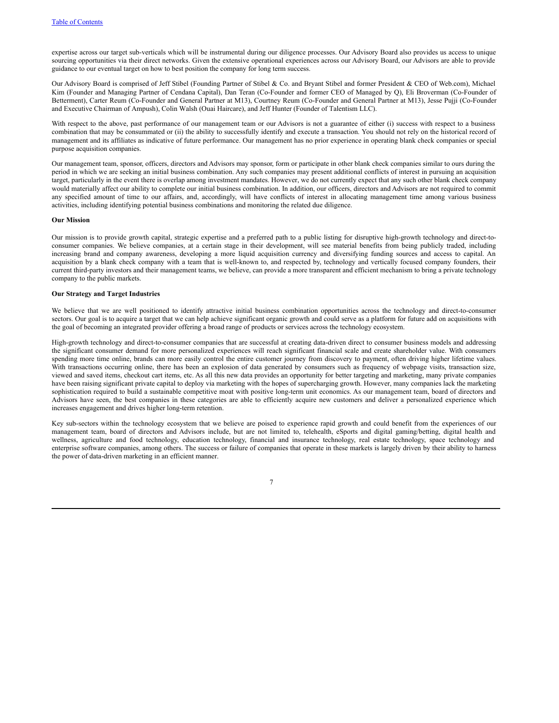expertise across our target sub-verticals which will be instrumental during our diligence processes. Our Advisory Board also provides us access to unique sourcing opportunities via their direct networks. Given the extensive operational experiences across our Advisory Board, our Advisors are able to provide guidance to our eventual target on how to best position the company for long term success.

Our Advisory Board is comprised of Jeff Stibel (Founding Partner of Stibel & Co. and Bryant Stibel and former President & CEO of Web.com), Michael Kim (Founder and Managing Partner of Cendana Capital), Dan Teran (Co-Founder and former CEO of Managed by Q), Eli Broverman (Co-Founder of Betterment), Carter Reum (Co-Founder and General Partner at M13), Courtney Reum (Co-Founder and General Partner at M13), Jesse Pujji (Co-Founder and Executive Chairman of Ampush), Colin Walsh (Ouai Haircare), and Jeff Hunter (Founder of Talentism LLC).

With respect to the above, past performance of our management team or our Advisors is not a guarantee of either (i) success with respect to a business combination that may be consummated or (ii) the ability to successfully identify and execute a transaction. You should not rely on the historical record of management and its affiliates as indicative of future performance. Our management has no prior experience in operating blank check companies or special purpose acquisition companies.

Our management team, sponsor, officers, directors and Advisors may sponsor, form or participate in other blank check companies similar to ours during the period in which we are seeking an initial business combination. Any such companies may present additional conflicts of interest in pursuing an acquisition target, particularly in the event there is overlap among investment mandates. However, we do not currently expect that any such other blank check company would materially affect our ability to complete our initial business combination. In addition, our officers, directors and Advisors are not required to commit any specified amount of time to our affairs, and, accordingly, will have conflicts of interest in allocating management time among various business activities, including identifying potential business combinations and monitoring the related due diligence.

## **Our Mission**

Our mission is to provide growth capital, strategic expertise and a preferred path to a public listing for disruptive high-growth technology and direct-toconsumer companies. We believe companies, at a certain stage in their development, will see material benefits from being publicly traded, including increasing brand and company awareness, developing a more liquid acquisition currency and diversifying funding sources and access to capital. An acquisition by a blank check company with a team that is well-known to, and respected by, technology and vertically focused company founders, their current third-party investors and their management teams, we believe, can provide a more transparent and efficient mechanism to bring a private technology company to the public markets.

#### **Our Strategy and Target Industries**

We believe that we are well positioned to identify attractive initial business combination opportunities across the technology and direct-to-consumer sectors. Our goal is to acquire a target that we can help achieve significant organic growth and could serve as a platform for future add on acquisitions with the goal of becoming an integrated provider offering a broad range of products or services across the technology ecosystem.

High-growth technology and direct-to-consumer companies that are successful at creating data-driven direct to consumer business models and addressing the significant consumer demand for more personalized experiences will reach significant financial scale and create shareholder value. With consumers spending more time online, brands can more easily control the entire customer journey from discovery to payment, often driving higher lifetime values. With transactions occurring online, there has been an explosion of data generated by consumers such as frequency of webpage visits, transaction size, viewed and saved items, checkout cart items, etc. As all this new data provides an opportunity for better targeting and marketing, many private companies have been raising significant private capital to deploy via marketing with the hopes of supercharging growth. However, many companies lack the marketing sophistication required to build a sustainable competitive moat with positive long-term unit economics. As our management team, board of directors and Advisors have seen, the best companies in these categories are able to efficiently acquire new customers and deliver a personalized experience which increases engagement and drives higher long-term retention.

Key sub-sectors within the technology ecosystem that we believe are poised to experience rapid growth and could benefit from the experiences of our management team, board of directors and Advisors include, but are not limited to, telehealth, eSports and digital gaming/betting, digital health and wellness, agriculture and food technology, education technology, financial and insurance technology, real estate technology, space technology and enterprise software companies, among others. The success or failure of companies that operate in these markets is largely driven by their ability to harness the power of data-driven marketing in an efficient manner.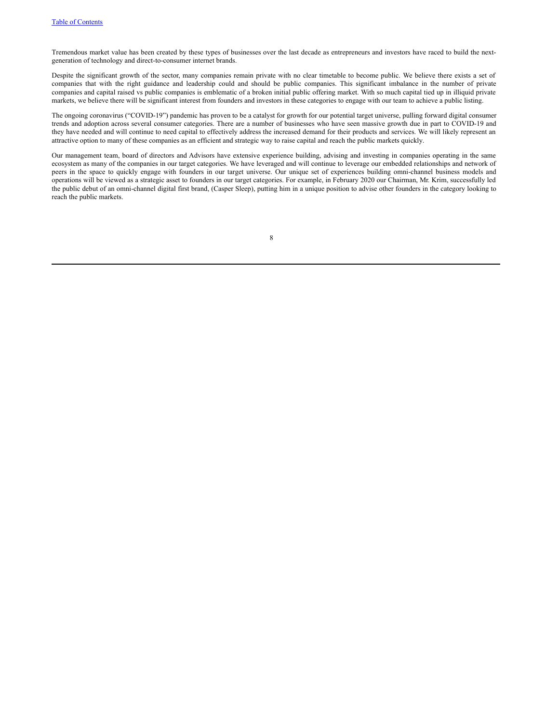Tremendous market value has been created by these types of businesses over the last decade as entrepreneurs and investors have raced to build the nextgeneration of technology and direct-to-consumer internet brands.

Despite the significant growth of the sector, many companies remain private with no clear timetable to become public. We believe there exists a set of companies that with the right guidance and leadership could and should be public companies. This significant imbalance in the number of private companies and capital raised vs public companies is emblematic of a broken initial public offering market. With so much capital tied up in illiquid private markets, we believe there will be significant interest from founders and investors in these categories to engage with our team to achieve a public listing.

The ongoing coronavirus ("COVID-19") pandemic has proven to be a catalyst for growth for our potential target universe, pulling forward digital consumer trends and adoption across several consumer categories. There are a number of businesses who have seen massive growth due in part to COVID-19 and they have needed and will continue to need capital to effectively address the increased demand for their products and services. We will likely represent an attractive option to many of these companies as an efficient and strategic way to raise capital and reach the public markets quickly.

Our management team, board of directors and Advisors have extensive experience building, advising and investing in companies operating in the same ecosystem as many of the companies in our target categories. We have leveraged and will continue to leverage our embedded relationships and network of peers in the space to quickly engage with founders in our target universe. Our unique set of experiences building omni-channel business models and operations will be viewed as a strategic asset to founders in our target categories. For example, in February 2020 our Chairman, Mr. Krim, successfully led the public debut of an omni-channel digital first brand, (Casper Sleep), putting him in a unique position to advise other founders in the category looking to reach the public markets.

| I |  |
|---|--|
|   |  |
|   |  |
|   |  |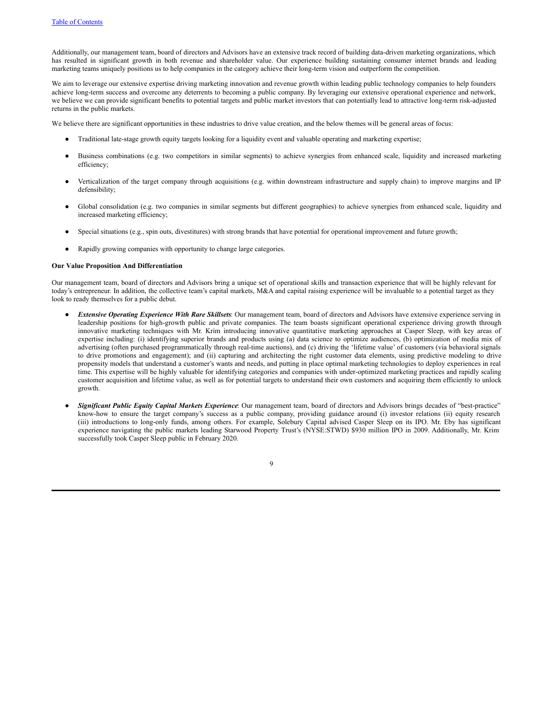Additionally, our management team, board of directors and Advisors have an extensive track record of building data-driven marketing organizations, which has resulted in significant growth in both revenue and shareholder value. Our experience building sustaining consumer internet brands and leading marketing teams uniquely positions us to help companies in the category achieve their long-term vision and outperform the competition.

We aim to leverage our extensive expertise driving marketing innovation and revenue growth within leading public technology companies to help founders achieve long-term success and overcome any deterrents to becoming a public company. By leveraging our extensive operational experience and network, we believe we can provide significant benefits to potential targets and public market investors that can potentially lead to attractive long-term risk-adjusted returns in the public markets.

We believe there are significant opportunities in these industries to drive value creation, and the below themes will be general areas of focus:

- Traditional late-stage growth equity targets looking for a liquidity event and valuable operating and marketing expertise;
- Business combinations (e.g. two competitors in similar segments) to achieve synergies from enhanced scale, liquidity and increased marketing efficiency;
- Verticalization of the target company through acquisitions (e.g. within downstream infrastructure and supply chain) to improve margins and IP defensibility;
- Global consolidation (e.g. two companies in similar segments but different geographies) to achieve synergies from enhanced scale, liquidity and increased marketing efficiency;
- Special situations (e.g., spin outs, divestitures) with strong brands that have potential for operational improvement and future growth;
- Rapidly growing companies with opportunity to change large categories.

## **Our Value Proposition And Differentiation**

Our management team, board of directors and Advisors bring a unique set of operational skills and transaction experience that will be highly relevant for today's entrepreneur. In addition, the collective team's capital markets, M&A and capital raising experience will be invaluable to a potential target as they look to ready themselves for a public debut.

- *Extensive Operating Experience With Rare Skillsets*: Our management team, board of directors and Advisors have extensive experience serving in leadership positions for high-growth public and private companies. The team boasts significant operational experience driving growth through innovative marketing techniques with Mr. Krim introducing innovative quantitative marketing approaches at Casper Sleep, with key areas of expertise including: (i) identifying superior brands and products using (a) data science to optimize audiences, (b) optimization of media mix of advertising (often purchased programmatically through real-time auctions), and (c) driving the 'lifetime value' of customers (via behavioral signals to drive promotions and engagement); and (ii) capturing and architecting the right customer data elements, using predictive modeling to drive propensity models that understand a customer's wants and needs, and putting in place optimal marketing technologies to deploy experiences in real time. This expertise will be highly valuable for identifying categories and companies with under-optimized marketing practices and rapidly scaling customer acquisition and lifetime value, as well as for potential targets to understand their own customers and acquiring them efficiently to unlock growth.
- *Significant Public Equity Capital Markets Experience*: Our management team, board of directors and Advisors brings decades of "best-practice" know-how to ensure the target company's success as a public company, providing guidance around (i) investor relations (ii) equity research (iii) introductions to long-only funds, among others. For example, Solebury Capital advised Casper Sleep on its IPO. Mr. Eby has significant experience navigating the public markets leading Starwood Property Trust's (NYSE:STWD) \$930 million IPO in 2009. Additionally, Mr. Krim successfully took Casper Sleep public in February 2020.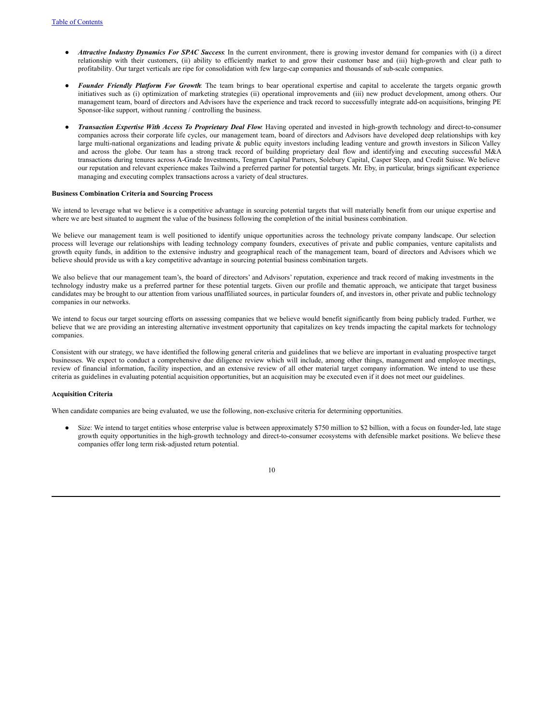- *Attractive Industry Dynamics For SPAC Success*: In the current environment, there is growing investor demand for companies with (i) a direct relationship with their customers, (ii) ability to efficiently market to and grow their customer base and (iii) high-growth and clear path to profitability. Our target verticals are ripe for consolidation with few large-cap companies and thousands of sub-scale companies.
- **Founder Friendly Platform For Growth**: The team brings to bear operational expertise and capital to accelerate the targets organic growth initiatives such as (i) optimization of marketing strategies (ii) operational improvements and (iii) new product development, among others. Our management team, board of directors and Advisors have the experience and track record to successfully integrate add-on acquisitions, bringing PE Sponsor-like support, without running / controlling the business.
- *Transaction Expertise With Access To Proprietary Deal Flow*: Having operated and invested in high-growth technology and direct-to-consumer companies across their corporate life cycles, our management team, board of directors and Advisors have developed deep relationships with key large multi-national organizations and leading private & public equity investors including leading venture and growth investors in Silicon Valley and across the globe. Our team has a strong track record of building proprietary deal flow and identifying and executing successful M&A transactions during tenures across A-Grade Investments, Tengram Capital Partners, Solebury Capital, Casper Sleep, and Credit Suisse. We believe our reputation and relevant experience makes Tailwind a preferred partner for potential targets. Mr. Eby, in particular, brings significant experience managing and executing complex transactions across a variety of deal structures.

#### **Business Combination Criteria and Sourcing Process**

We intend to leverage what we believe is a competitive advantage in sourcing potential targets that will materially benefit from our unique expertise and where we are best situated to augment the value of the business following the completion of the initial business combination.

We believe our management team is well positioned to identify unique opportunities across the technology private company landscape. Our selection process will leverage our relationships with leading technology company founders, executives of private and public companies, venture capitalists and growth equity funds, in addition to the extensive industry and geographical reach of the management team, board of directors and Advisors which we believe should provide us with a key competitive advantage in sourcing potential business combination targets.

We also believe that our management team's, the board of directors' and Advisors' reputation, experience and track record of making investments in the technology industry make us a preferred partner for these potential targets. Given our profile and thematic approach, we anticipate that target business candidates may be brought to our attention from various unaffiliated sources, in particular founders of, and investors in, other private and public technology companies in our networks.

We intend to focus our target sourcing efforts on assessing companies that we believe would benefit significantly from being publicly traded. Further, we believe that we are providing an interesting alternative investment opportunity that capitalizes on key trends impacting the capital markets for technology companies.

Consistent with our strategy, we have identified the following general criteria and guidelines that we believe are important in evaluating prospective target businesses. We expect to conduct a comprehensive due diligence review which will include, among other things, management and employee meetings, review of financial information, facility inspection, and an extensive review of all other material target company information. We intend to use these criteria as guidelines in evaluating potential acquisition opportunities, but an acquisition may be executed even if it does not meet our guidelines.

#### **Acquisition Criteria**

When candidate companies are being evaluated, we use the following, non-exclusive criteria for determining opportunities.

● Size: We intend to target entities whose enterprise value is between approximately \$750 million to \$2 billion, with a focus on founder-led, late stage growth equity opportunities in the high-growth technology and direct-to-consumer ecosystems with defensible market positions. We believe these companies offer long term risk-adjusted return potential.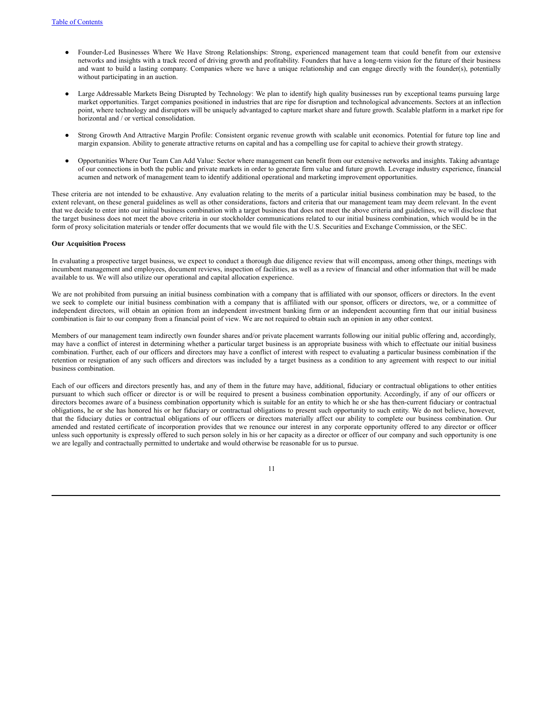- Founder-Led Businesses Where We Have Strong Relationships: Strong, experienced management team that could benefit from our extensive networks and insights with a track record of driving growth and profitability. Founders that have a long-term vision for the future of their business and want to build a lasting company. Companies where we have a unique relationship and can engage directly with the founder(s), potentially without participating in an auction.
- Large Addressable Markets Being Disrupted by Technology: We plan to identify high quality businesses run by exceptional teams pursuing large market opportunities. Target companies positioned in industries that are ripe for disruption and technological advancements. Sectors at an inflection point, where technology and disruptors will be uniquely advantaged to capture market share and future growth. Scalable platform in a market ripe for horizontal and / or vertical consolidation.
- Strong Growth And Attractive Margin Profile: Consistent organic revenue growth with scalable unit economics. Potential for future top line and margin expansion. Ability to generate attractive returns on capital and has a compelling use for capital to achieve their growth strategy.
- Opportunities Where Our Team Can Add Value: Sector where management can benefit from our extensive networks and insights. Taking advantage of our connections in both the public and private markets in order to generate firm value and future growth. Leverage industry experience, financial acumen and network of management team to identify additional operational and marketing improvement opportunities.

These criteria are not intended to be exhaustive. Any evaluation relating to the merits of a particular initial business combination may be based, to the extent relevant, on these general guidelines as well as other considerations, factors and criteria that our management team may deem relevant. In the event that we decide to enter into our initial business combination with a target business that does not meet the above criteria and guidelines, we will disclose that the target business does not meet the above criteria in our stockholder communications related to our initial business combination, which would be in the form of proxy solicitation materials or tender offer documents that we would file with the U.S. Securities and Exchange Commission, or the SEC.

#### **Our Acquisition Process**

In evaluating a prospective target business, we expect to conduct a thorough due diligence review that will encompass, among other things, meetings with incumbent management and employees, document reviews, inspection of facilities, as well as a review of financial and other information that will be made available to us. We will also utilize our operational and capital allocation experience.

We are not prohibited from pursuing an initial business combination with a company that is affiliated with our sponsor, officers or directors. In the event we seek to complete our initial business combination with a company that is affiliated with our sponsor, officers or directors, we, or a committee of independent directors, will obtain an opinion from an independent investment banking firm or an independent accounting firm that our initial business combination is fair to our company from a financial point of view. We are not required to obtain such an opinion in any other context.

Members of our management team indirectly own founder shares and/or private placement warrants following our initial public offering and, accordingly, may have a conflict of interest in determining whether a particular target business is an appropriate business with which to effectuate our initial business combination. Further, each of our officers and directors may have a conflict of interest with respect to evaluating a particular business combination if the retention or resignation of any such officers and directors was included by a target business as a condition to any agreement with respect to our initial business combination.

Each of our officers and directors presently has, and any of them in the future may have, additional, fiduciary or contractual obligations to other entities pursuant to which such officer or director is or will be required to present a business combination opportunity. Accordingly, if any of our officers or directors becomes aware of a business combination opportunity which is suitable for an entity to which he or she has then-current fiduciary or contractual obligations, he or she has honored his or her fiduciary or contractual obligations to present such opportunity to such entity. We do not believe, however, that the fiduciary duties or contractual obligations of our officers or directors materially affect our ability to complete our business combination. Our amended and restated certificate of incorporation provides that we renounce our interest in any corporate opportunity offered to any director or officer unless such opportunity is expressly offered to such person solely in his or her capacity as a director or officer of our company and such opportunity is one we are legally and contractually permitted to undertake and would otherwise be reasonable for us to pursue.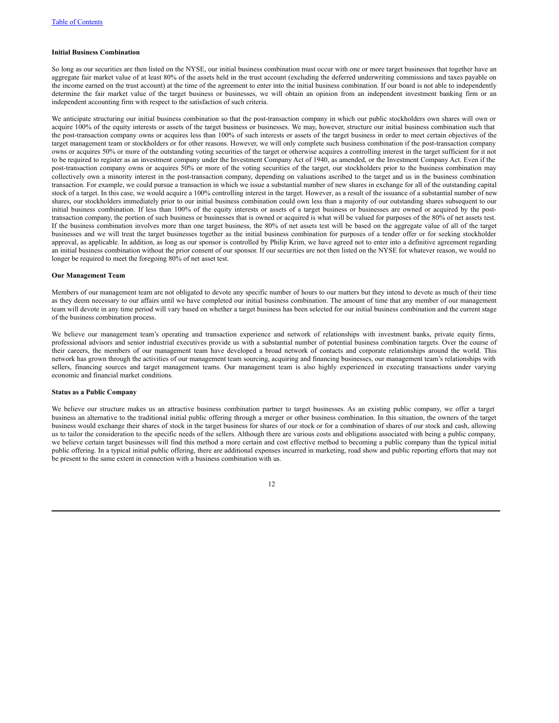#### **Initial Business Combination**

So long as our securities are then listed on the NYSE, our initial business combination must occur with one or more target businesses that together have an aggregate fair market value of at least 80% of the assets held in the trust account (excluding the deferred underwriting commissions and taxes payable on the income earned on the trust account) at the time of the agreement to enter into the initial business combination. If our board is not able to independently determine the fair market value of the target business or businesses, we will obtain an opinion from an independent investment banking firm or an independent accounting firm with respect to the satisfaction of such criteria.

We anticipate structuring our initial business combination so that the post-transaction company in which our public stockholders own shares will own or acquire 100% of the equity interests or assets of the target business or businesses. We may, however, structure our initial business combination such that the post-transaction company owns or acquires less than 100% of such interests or assets of the target business in order to meet certain objectives of the target management team or stockholders or for other reasons. However, we will only complete such business combination if the post-transaction company owns or acquires 50% or more of the outstanding voting securities of the target or otherwise acquires a controlling interest in the target sufficient for it not to be required to register as an investment company under the Investment Company Act of 1940, as amended, or the Investment Company Act. Even if the post-transaction company owns or acquires 50% or more of the voting securities of the target, our stockholders prior to the business combination may collectively own a minority interest in the post-transaction company, depending on valuations ascribed to the target and us in the business combination transaction. For example, we could pursue a transaction in which we issue a substantial number of new shares in exchange for all of the outstanding capital stock of a target. In this case, we would acquire a 100% controlling interest in the target. However, as a result of the issuance of a substantial number of new shares, our stockholders immediately prior to our initial business combination could own less than a majority of our outstanding shares subsequent to our initial business combination. If less than 100% of the equity interests or assets of a target business or businesses are owned or acquired by the posttransaction company, the portion of such business or businesses that is owned or acquired is what will be valued for purposes of the 80% of net assets test. If the business combination involves more than one target business, the 80% of net assets test will be based on the aggregate value of all of the target businesses and we will treat the target businesses together as the initial business combination for purposes of a tender offer or for seeking stockholder approval, as applicable. In addition, as long as our sponsor is controlled by Philip Krim, we have agreed not to enter into a definitive agreement regarding an initial business combination without the prior consent of our sponsor. If our securities are not then listed on the NYSE for whatever reason, we would no longer be required to meet the foregoing 80% of net asset test.

## **Our Management Team**

Members of our management team are not obligated to devote any specific number of hours to our matters but they intend to devote as much of their time as they deem necessary to our affairs until we have completed our initial business combination. The amount of time that any member of our management team will devote in any time period will vary based on whether a target business has been selected for our initial business combination and the current stage of the business combination process.

We believe our management team's operating and transaction experience and network of relationships with investment banks, private equity firms, professional advisors and senior industrial executives provide us with a substantial number of potential business combination targets. Over the course of their careers, the members of our management team have developed a broad network of contacts and corporate relationships around the world. This network has grown through the activities of our management team sourcing, acquiring and financing businesses, our management team's relationships with sellers, financing sources and target management teams. Our management team is also highly experienced in executing transactions under varying economic and financial market conditions.

## **Status as a Public Company**

We believe our structure makes us an attractive business combination partner to target businesses. As an existing public company, we offer a target business an alternative to the traditional initial public offering through a merger or other business combination. In this situation, the owners of the target business would exchange their shares of stock in the target business for shares of our stock or for a combination of shares of our stock and cash, allowing us to tailor the consideration to the specific needs of the sellers. Although there are various costs and obligations associated with being a public company, we believe certain target businesses will find this method a more certain and cost effective method to becoming a public company than the typical initial public offering. In a typical initial public offering, there are additional expenses incurred in marketing, road show and public reporting efforts that may not be present to the same extent in connection with a business combination with us.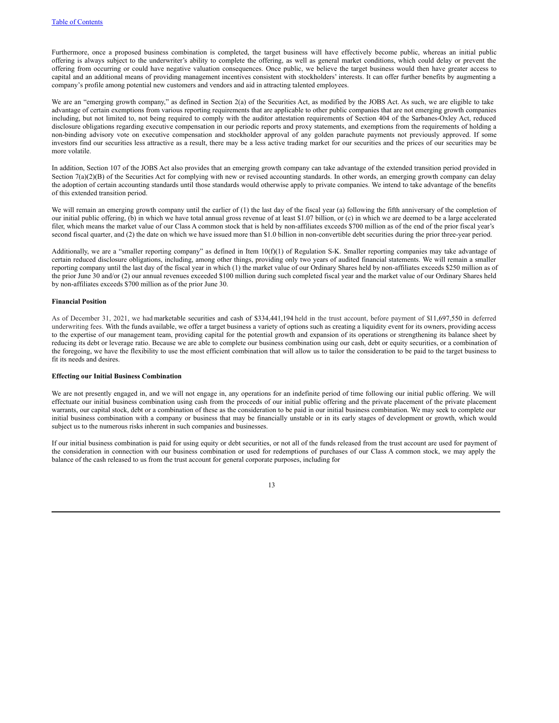Furthermore, once a proposed business combination is completed, the target business will have effectively become public, whereas an initial public offering is always subject to the underwriter's ability to complete the offering, as well as general market conditions, which could delay or prevent the offering from occurring or could have negative valuation consequences. Once public, we believe the target business would then have greater access to capital and an additional means of providing management incentives consistent with stockholders' interests. It can offer further benefits by augmenting a company's profile among potential new customers and vendors and aid in attracting talented employees.

We are an "emerging growth company," as defined in Section 2(a) of the Securities Act, as modified by the JOBS Act. As such, we are eligible to take advantage of certain exemptions from various reporting requirements that are applicable to other public companies that are not emerging growth companies including, but not limited to, not being required to comply with the auditor attestation requirements of Section 404 of the Sarbanes-Oxley Act, reduced disclosure obligations regarding executive compensation in our periodic reports and proxy statements, and exemptions from the requirements of holding a non-binding advisory vote on executive compensation and stockholder approval of any golden parachute payments not previously approved. If some investors find our securities less attractive as a result, there may be a less active trading market for our securities and the prices of our securities may be more volatile.

In addition, Section 107 of the JOBS Act also provides that an emerging growth company can take advantage of the extended transition period provided in Section 7(a)(2)(B) of the Securities Act for complying with new or revised accounting standards. In other words, an emerging growth company can delay the adoption of certain accounting standards until those standards would otherwise apply to private companies. We intend to take advantage of the benefits of this extended transition period.

We will remain an emerging growth company until the earlier of (1) the last day of the fiscal year (a) following the fifth anniversary of the completion of our initial public offering, (b) in which we have total annual gross revenue of at least \$1.07 billion, or (c) in which we are deemed to be a large accelerated filer, which means the market value of our Class A common stock that is held by non-affiliates exceeds \$700 million as of the end of the prior fiscal year's second fiscal quarter, and (2) the date on which we have issued more than \$1.0 billion in non-convertible debt securities during the prior three-year period.

Additionally, we are a "smaller reporting company" as defined in Item 10(f)(1) of Regulation S-K. Smaller reporting companies may take advantage of certain reduced disclosure obligations, including, among other things, providing only two years of audited financial statements. We will remain a smaller reporting company until the last day of the fiscal year in which (1) the market value of our Ordinary Shares held by non-affiliates exceeds \$250 million as of the prior June 30 and/or (2) our annual revenues exceeded \$100 million during such completed fiscal year and the market value of our Ordinary Shares held by non-affiliates exceeds \$700 million as of the prior June 30.

## **Financial Position**

As of December 31, 2021, we had marketable securities and cash of \$334,441,194 held in the trust account, before payment of \$11,697,550 in deferred underwriting fees. With the funds available, we offer a target business a variety of options such as creating a liquidity event for its owners, providing access to the expertise of our management team, providing capital for the potential growth and expansion of its operations or strengthening its balance sheet by reducing its debt or leverage ratio. Because we are able to complete our business combination using our cash, debt or equity securities, or a combination of the foregoing, we have the flexibility to use the most efficient combination that will allow us to tailor the consideration to be paid to the target business to fit its needs and desires.

## **Effecting our Initial Business Combination**

We are not presently engaged in, and we will not engage in, any operations for an indefinite period of time following our initial public offering. We will effectuate our initial business combination using cash from the proceeds of our initial public offering and the private placement of the private placement warrants, our capital stock, debt or a combination of these as the consideration to be paid in our initial business combination. We may seek to complete our initial business combination with a company or business that may be financially unstable or in its early stages of development or growth, which would subject us to the numerous risks inherent in such companies and businesses.

If our initial business combination is paid for using equity or debt securities, or not all of the funds released from the trust account are used for payment of the consideration in connection with our business combination or used for redemptions of purchases of our Class A common stock, we may apply the balance of the cash released to us from the trust account for general corporate purposes, including for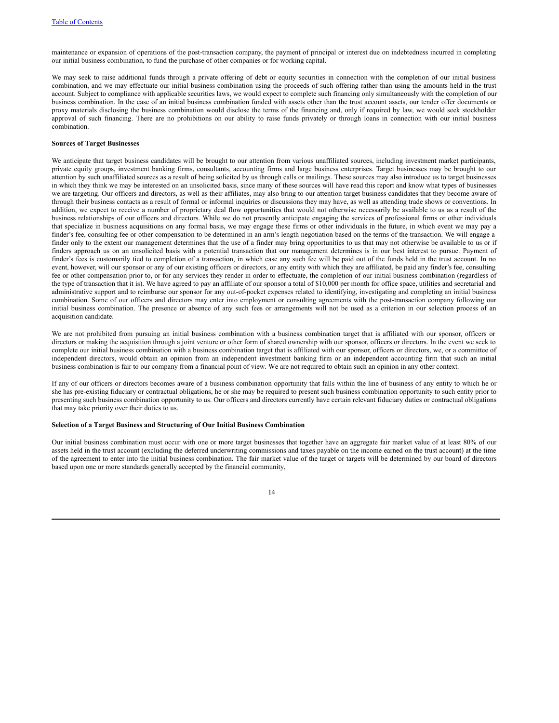maintenance or expansion of operations of the post-transaction company, the payment of principal or interest due on indebtedness incurred in completing our initial business combination, to fund the purchase of other companies or for working capital.

We may seek to raise additional funds through a private offering of debt or equity securities in connection with the completion of our initial business combination, and we may effectuate our initial business combination using the proceeds of such offering rather than using the amounts held in the trust account. Subject to compliance with applicable securities laws, we would expect to complete such financing only simultaneously with the completion of our business combination. In the case of an initial business combination funded with assets other than the trust account assets, our tender offer documents or proxy materials disclosing the business combination would disclose the terms of the financing and, only if required by law, we would seek stockholder approval of such financing. There are no prohibitions on our ability to raise funds privately or through loans in connection with our initial business combination.

#### **Sources of Target Businesses**

We anticipate that target business candidates will be brought to our attention from various unaffiliated sources, including investment market participants, private equity groups, investment banking firms, consultants, accounting firms and large business enterprises. Target businesses may be brought to our attention by such unaffiliated sources as a result of being solicited by us through calls or mailings. These sources may also introduce us to target businesses in which they think we may be interested on an unsolicited basis, since many of these sources will have read this report and know what types of businesses we are targeting. Our officers and directors, as well as their affiliates, may also bring to our attention target business candidates that they become aware of through their business contacts as a result of formal or informal inquiries or discussions they may have, as well as attending trade shows or conventions. In addition, we expect to receive a number of proprietary deal flow opportunities that would not otherwise necessarily be available to us as a result of the business relationships of our officers and directors. While we do not presently anticipate engaging the services of professional firms or other individuals that specialize in business acquisitions on any formal basis, we may engage these firms or other individuals in the future, in which event we may pay a finder's fee, consulting fee or other compensation to be determined in an arm's length negotiation based on the terms of the transaction. We will engage a finder only to the extent our management determines that the use of a finder may bring opportunities to us that may not otherwise be available to us or if finders approach us on an unsolicited basis with a potential transaction that our management determines is in our best interest to pursue. Payment of finder's fees is customarily tied to completion of a transaction, in which case any such fee will be paid out of the funds held in the trust account. In no event, however, will our sponsor or any of our existing officers or directors, or any entity with which they are affiliated, be paid any finder's fee, consulting fee or other compensation prior to, or for any services they render in order to effectuate, the completion of our initial business combination (regardless of the type of transaction that it is). We have agreed to pay an affiliate of our sponsor a total of \$10,000 per month for office space, utilities and secretarial and administrative support and to reimburse our sponsor for any out-of-pocket expenses related to identifying, investigating and completing an initial business combination. Some of our officers and directors may enter into employment or consulting agreements with the post-transaction company following our initial business combination. The presence or absence of any such fees or arrangements will not be used as a criterion in our selection process of an acquisition candidate.

We are not prohibited from pursuing an initial business combination with a business combination target that is affiliated with our sponsor, officers or directors or making the acquisition through a joint venture or other form of shared ownership with our sponsor, officers or directors. In the event we seek to complete our initial business combination with a business combination target that is affiliated with our sponsor, officers or directors, we, or a committee of independent directors, would obtain an opinion from an independent investment banking firm or an independent accounting firm that such an initial business combination is fair to our company from a financial point of view. We are not required to obtain such an opinion in any other context.

If any of our officers or directors becomes aware of a business combination opportunity that falls within the line of business of any entity to which he or she has pre-existing fiduciary or contractual obligations, he or she may be required to present such business combination opportunity to such entity prior to presenting such business combination opportunity to us. Our officers and directors currently have certain relevant fiduciary duties or contractual obligations that may take priority over their duties to us.

#### **Selection of a Target Business and Structuring of Our Initial Business Combination**

Our initial business combination must occur with one or more target businesses that together have an aggregate fair market value of at least 80% of our assets held in the trust account (excluding the deferred underwriting commissions and taxes payable on the income earned on the trust account) at the time of the agreement to enter into the initial business combination. The fair market value of the target or targets will be determined by our board of directors based upon one or more standards generally accepted by the financial community,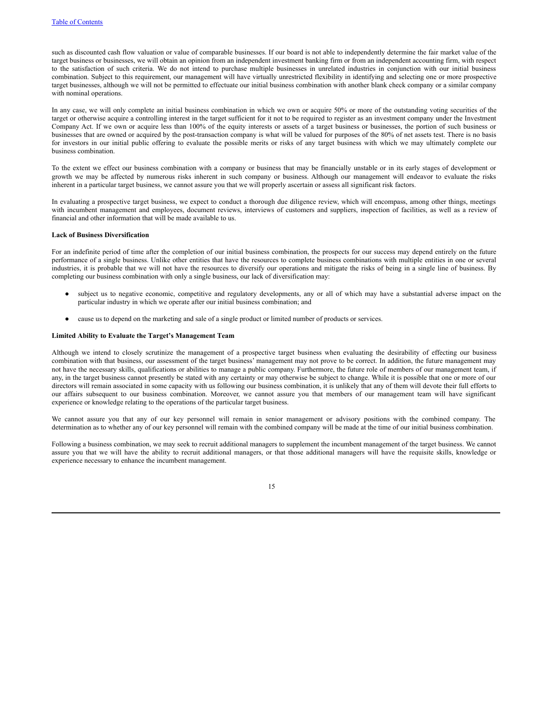such as discounted cash flow valuation or value of comparable businesses. If our board is not able to independently determine the fair market value of the target business or businesses, we will obtain an opinion from an independent investment banking firm or from an independent accounting firm, with respect to the satisfaction of such criteria. We do not intend to purchase multiple businesses in unrelated industries in conjunction with our initial business combination. Subject to this requirement, our management will have virtually unrestricted flexibility in identifying and selecting one or more prospective target businesses, although we will not be permitted to effectuate our initial business combination with another blank check company or a similar company with nominal operations.

In any case, we will only complete an initial business combination in which we own or acquire 50% or more of the outstanding voting securities of the target or otherwise acquire a controlling interest in the target sufficient for it not to be required to register as an investment company under the Investment Company Act. If we own or acquire less than 100% of the equity interests or assets of a target business or businesses, the portion of such business or businesses that are owned or acquired by the post-transaction company is what will be valued for purposes of the 80% of net assets test. There is no basis for investors in our initial public offering to evaluate the possible merits or risks of any target business with which we may ultimately complete our business combination.

To the extent we effect our business combination with a company or business that may be financially unstable or in its early stages of development or growth we may be affected by numerous risks inherent in such company or business. Although our management will endeavor to evaluate the risks inherent in a particular target business, we cannot assure you that we will properly ascertain or assess all significant risk factors.

In evaluating a prospective target business, we expect to conduct a thorough due diligence review, which will encompass, among other things, meetings with incumbent management and employees, document reviews, interviews of customers and suppliers, inspection of facilities, as well as a review of financial and other information that will be made available to us.

#### **Lack of Business Diversification**

For an indefinite period of time after the completion of our initial business combination, the prospects for our success may depend entirely on the future performance of a single business. Unlike other entities that have the resources to complete business combinations with multiple entities in one or several industries, it is probable that we will not have the resources to diversify our operations and mitigate the risks of being in a single line of business. By completing our business combination with only a single business, our lack of diversification may:

- subject us to negative economic, competitive and regulatory developments, any or all of which may have a substantial adverse impact on the particular industry in which we operate after our initial business combination; and
- cause us to depend on the marketing and sale of a single product or limited number of products or services.

## **Limited Ability to Evaluate the Target's Management Team**

Although we intend to closely scrutinize the management of a prospective target business when evaluating the desirability of effecting our business combination with that business, our assessment of the target business' management may not prove to be correct. In addition, the future management may not have the necessary skills, qualifications or abilities to manage a public company. Furthermore, the future role of members of our management team, if any, in the target business cannot presently be stated with any certainty or may otherwise be subject to change. While it is possible that one or more of our directors will remain associated in some capacity with us following our business combination, it is unlikely that any of them will devote their full efforts to our affairs subsequent to our business combination. Moreover, we cannot assure you that members of our management team will have significant experience or knowledge relating to the operations of the particular target business.

We cannot assure you that any of our key personnel will remain in senior management or advisory positions with the combined company. The determination as to whether any of our key personnel will remain with the combined company will be made at the time of our initial business combination.

Following a business combination, we may seek to recruit additional managers to supplement the incumbent management of the target business. We cannot assure you that we will have the ability to recruit additional managers, or that those additional managers will have the requisite skills, knowledge or experience necessary to enhance the incumbent management.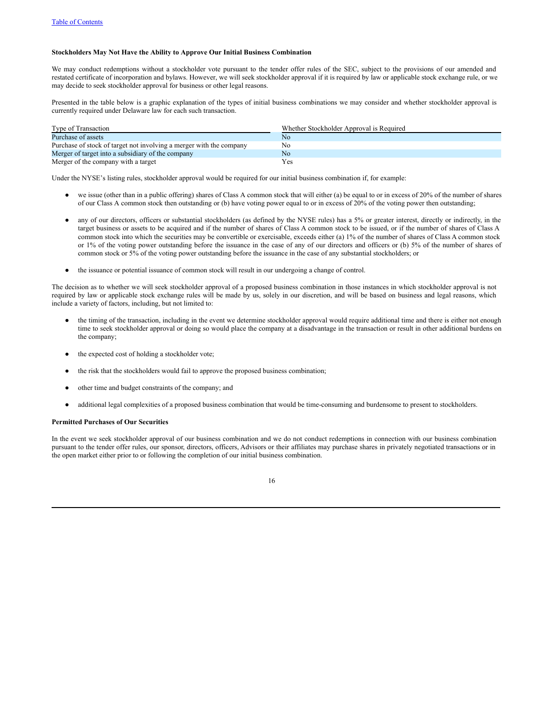## **Stockholders May Not Have the Ability to Approve Our Initial Business Combination**

We may conduct redemptions without a stockholder vote pursuant to the tender offer rules of the SEC, subject to the provisions of our amended and restated certificate of incorporation and bylaws. However, we will seek stockholder approval if it is required by law or applicable stock exchange rule, or we may decide to seek stockholder approval for business or other legal reasons.

Presented in the table below is a graphic explanation of the types of initial business combinations we may consider and whether stockholder approval is currently required under Delaware law for each such transaction.

| Type of Transaction                                                 | Whether Stockholder Approval is Required |
|---------------------------------------------------------------------|------------------------------------------|
| Purchase of assets                                                  | No                                       |
| Purchase of stock of target not involving a merger with the company | N <sub>0</sub>                           |
| Merger of target into a subsidiary of the company                   | No                                       |
| Merger of the company with a target                                 | Yes                                      |

Under the NYSE's listing rules, stockholder approval would be required for our initial business combination if, for example:

- we issue (other than in a public offering) shares of Class A common stock that will either (a) be equal to or in excess of 20% of the number of shares of our Class A common stock then outstanding or (b) have voting power equal to or in excess of 20% of the voting power then outstanding;
- any of our directors, officers or substantial stockholders (as defined by the NYSE rules) has a 5% or greater interest, directly or indirectly, in the target business or assets to be acquired and if the number of shares of Class A common stock to be issued, or if the number of shares of Class A common stock into which the securities may be convertible or exercisable, exceeds either (a) 1% of the number of shares of Class A common stock or 1% of the voting power outstanding before the issuance in the case of any of our directors and officers or (b) 5% of the number of shares of common stock or 5% of the voting power outstanding before the issuance in the case of any substantial stockholders; or
- the issuance or potential issuance of common stock will result in our undergoing a change of control.

The decision as to whether we will seek stockholder approval of a proposed business combination in those instances in which stockholder approval is not required by law or applicable stock exchange rules will be made by us, solely in our discretion, and will be based on business and legal reasons, which include a variety of factors, including, but not limited to:

- the timing of the transaction, including in the event we determine stockholder approval would require additional time and there is either not enough time to seek stockholder approval or doing so would place the company at a disadvantage in the transaction or result in other additional burdens on the company;
- the expected cost of holding a stockholder vote;
- the risk that the stockholders would fail to approve the proposed business combination;
- other time and budget constraints of the company; and
- additional legal complexities of a proposed business combination that would be time-consuming and burdensome to present to stockholders.

## **Permitted Purchases of Our Securities**

In the event we seek stockholder approval of our business combination and we do not conduct redemptions in connection with our business combination pursuant to the tender offer rules, our sponsor, directors, officers, Advisors or their affiliates may purchase shares in privately negotiated transactions or in the open market either prior to or following the completion of our initial business combination.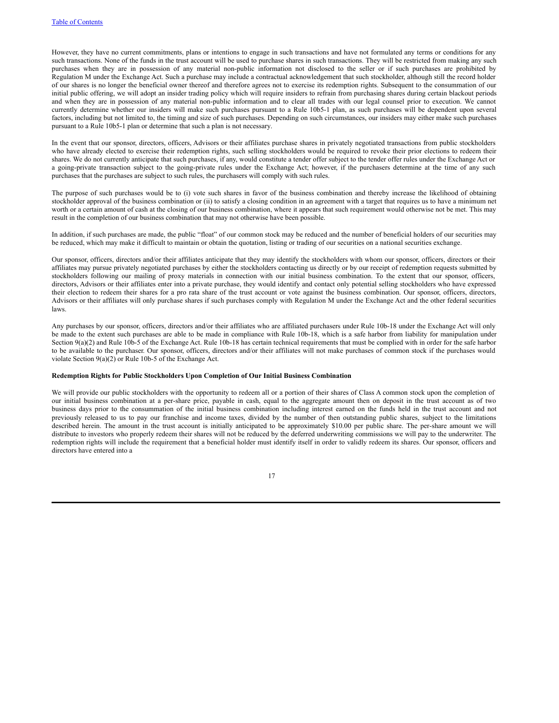However, they have no current commitments, plans or intentions to engage in such transactions and have not formulated any terms or conditions for any such transactions. None of the funds in the trust account will be used to purchase shares in such transactions. They will be restricted from making any such purchases when they are in possession of any material non-public information not disclosed to the seller or if such purchases are prohibited by Regulation M under the Exchange Act. Such a purchase may include a contractual acknowledgement that such stockholder, although still the record holder of our shares is no longer the beneficial owner thereof and therefore agrees not to exercise its redemption rights. Subsequent to the consummation of our initial public offering, we will adopt an insider trading policy which will require insiders to refrain from purchasing shares during certain blackout periods and when they are in possession of any material non-public information and to clear all trades with our legal counsel prior to execution. We cannot currently determine whether our insiders will make such purchases pursuant to a Rule 10b5-1 plan, as such purchases will be dependent upon several factors, including but not limited to, the timing and size of such purchases. Depending on such circumstances, our insiders may either make such purchases pursuant to a Rule 10b5-1 plan or determine that such a plan is not necessary.

In the event that our sponsor, directors, officers, Advisors or their affiliates purchase shares in privately negotiated transactions from public stockholders who have already elected to exercise their redemption rights, such selling stockholders would be required to revoke their prior elections to redeem their shares. We do not currently anticipate that such purchases, if any, would constitute a tender offer subject to the tender offer rules under the Exchange Act or a going-private transaction subject to the going-private rules under the Exchange Act; however, if the purchasers determine at the time of any such purchases that the purchases are subject to such rules, the purchasers will comply with such rules.

The purpose of such purchases would be to (i) vote such shares in favor of the business combination and thereby increase the likelihood of obtaining stockholder approval of the business combination or (ii) to satisfy a closing condition in an agreement with a target that requires us to have a minimum net worth or a certain amount of cash at the closing of our business combination, where it appears that such requirement would otherwise not be met. This may result in the completion of our business combination that may not otherwise have been possible.

In addition, if such purchases are made, the public "float" of our common stock may be reduced and the number of beneficial holders of our securities may be reduced, which may make it difficult to maintain or obtain the quotation, listing or trading of our securities on a national securities exchange.

Our sponsor, officers, directors and/or their affiliates anticipate that they may identify the stockholders with whom our sponsor, officers, directors or their affiliates may pursue privately negotiated purchases by either the stockholders contacting us directly or by our receipt of redemption requests submitted by stockholders following our mailing of proxy materials in connection with our initial business combination. To the extent that our sponsor, officers, directors, Advisors or their affiliates enter into a private purchase, they would identify and contact only potential selling stockholders who have expressed their election to redeem their shares for a pro rata share of the trust account or vote against the business combination. Our sponsor, officers, directors, Advisors or their affiliates will only purchase shares if such purchases comply with Regulation M under the Exchange Act and the other federal securities laws.

Any purchases by our sponsor, officers, directors and/or their affiliates who are affiliated purchasers under Rule 10b-18 under the Exchange Act will only be made to the extent such purchases are able to be made in compliance with Rule 10b-18, which is a safe harbor from liability for manipulation under Section 9(a)(2) and Rule 10b-5 of the Exchange Act. Rule 10b-18 has certain technical requirements that must be complied with in order for the safe harbor to be available to the purchaser. Our sponsor, officers, directors and/or their affiliates will not make purchases of common stock if the purchases would violate Section 9(a)(2) or Rule 10b-5 of the Exchange Act.

## **Redemption Rights for Public Stockholders Upon Completion of Our Initial Business Combination**

We will provide our public stockholders with the opportunity to redeem all or a portion of their shares of Class A common stock upon the completion of our initial business combination at a per-share price, payable in cash, equal to the aggregate amount then on deposit in the trust account as of two business days prior to the consummation of the initial business combination including interest earned on the funds held in the trust account and not previously released to us to pay our franchise and income taxes, divided by the number of then outstanding public shares, subject to the limitations described herein. The amount in the trust account is initially anticipated to be approximately \$10.00 per public share. The per-share amount we will distribute to investors who properly redeem their shares will not be reduced by the deferred underwriting commissions we will pay to the underwriter. The redemption rights will include the requirement that a beneficial holder must identify itself in order to validly redeem its shares. Our sponsor, officers and directors have entered into a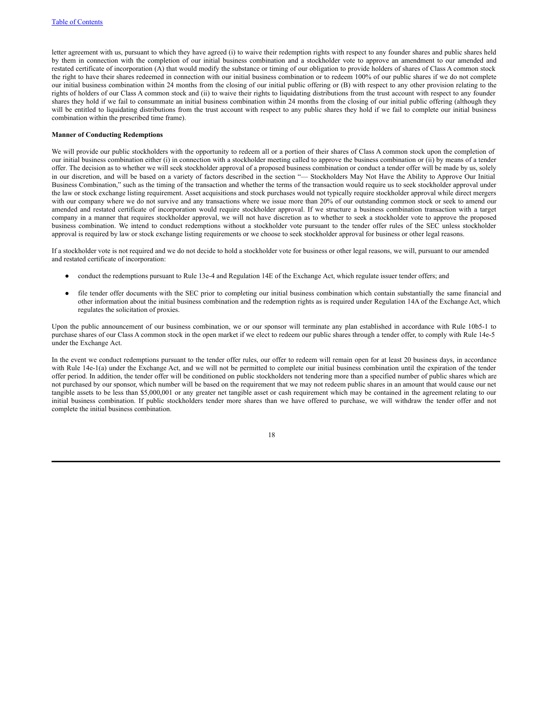letter agreement with us, pursuant to which they have agreed (i) to waive their redemption rights with respect to any founder shares and public shares held by them in connection with the completion of our initial business combination and a stockholder vote to approve an amendment to our amended and restated certificate of incorporation (A) that would modify the substance or timing of our obligation to provide holders of shares of Class A common stock the right to have their shares redeemed in connection with our initial business combination or to redeem 100% of our public shares if we do not complete our initial business combination within 24 months from the closing of our initial public offering or (B) with respect to any other provision relating to the rights of holders of our Class A common stock and (ii) to waive their rights to liquidating distributions from the trust account with respect to any founder shares they hold if we fail to consummate an initial business combination within 24 months from the closing of our initial public offering (although they will be entitled to liquidating distributions from the trust account with respect to any public shares they hold if we fail to complete our initial business combination within the prescribed time frame).

## **Manner of Conducting Redemptions**

We will provide our public stockholders with the opportunity to redeem all or a portion of their shares of Class A common stock upon the completion of our initial business combination either (i) in connection with a stockholder meeting called to approve the business combination or (ii) by means of a tender offer. The decision as to whether we will seek stockholder approval of a proposed business combination or conduct a tender offer will be made by us, solely in our discretion, and will be based on a variety of factors described in the section "— Stockholders May Not Have the Ability to Approve Our Initial Business Combination," such as the timing of the transaction and whether the terms of the transaction would require us to seek stockholder approval under the law or stock exchange listing requirement. Asset acquisitions and stock purchases would not typically require stockholder approval while direct mergers with our company where we do not survive and any transactions where we issue more than 20% of our outstanding common stock or seek to amend our amended and restated certificate of incorporation would require stockholder approval. If we structure a business combination transaction with a target company in a manner that requires stockholder approval, we will not have discretion as to whether to seek a stockholder vote to approve the proposed business combination. We intend to conduct redemptions without a stockholder vote pursuant to the tender offer rules of the SEC unless stockholder approval is required by law or stock exchange listing requirements or we choose to seek stockholder approval for business or other legal reasons.

If a stockholder vote is not required and we do not decide to hold a stockholder vote for business or other legal reasons, we will, pursuant to our amended and restated certificate of incorporation:

- conduct the redemptions pursuant to Rule 13e-4 and Regulation 14E of the Exchange Act, which regulate issuer tender offers; and
- file tender offer documents with the SEC prior to completing our initial business combination which contain substantially the same financial and other information about the initial business combination and the redemption rights as is required under Regulation 14A of the Exchange Act, which regulates the solicitation of proxies.

Upon the public announcement of our business combination, we or our sponsor will terminate any plan established in accordance with Rule 10b5-1 to purchase shares of our Class A common stock in the open market if we elect to redeem our public shares through a tender offer, to comply with Rule 14e-5 under the Exchange Act.

In the event we conduct redemptions pursuant to the tender offer rules, our offer to redeem will remain open for at least 20 business days, in accordance with Rule 14e-1(a) under the Exchange Act, and we will not be permitted to complete our initial business combination until the expiration of the tender offer period. In addition, the tender offer will be conditioned on public stockholders not tendering more than a specified number of public shares which are not purchased by our sponsor, which number will be based on the requirement that we may not redeem public shares in an amount that would cause our net tangible assets to be less than \$5,000,001 or any greater net tangible asset or cash requirement which may be contained in the agreement relating to our initial business combination. If public stockholders tender more shares than we have offered to purchase, we will withdraw the tender offer and not complete the initial business combination.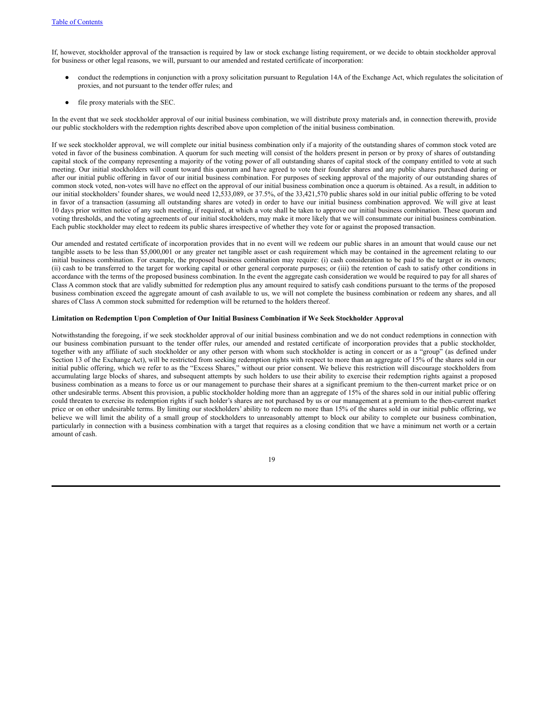If, however, stockholder approval of the transaction is required by law or stock exchange listing requirement, or we decide to obtain stockholder approval for business or other legal reasons, we will, pursuant to our amended and restated certificate of incorporation:

- conduct the redemptions in conjunction with a proxy solicitation pursuant to Regulation 14A of the Exchange Act, which regulates the solicitation of proxies, and not pursuant to the tender offer rules; and
- file proxy materials with the SEC.

In the event that we seek stockholder approval of our initial business combination, we will distribute proxy materials and, in connection therewith, provide our public stockholders with the redemption rights described above upon completion of the initial business combination.

If we seek stockholder approval, we will complete our initial business combination only if a majority of the outstanding shares of common stock voted are voted in favor of the business combination. A quorum for such meeting will consist of the holders present in person or by proxy of shares of outstanding capital stock of the company representing a majority of the voting power of all outstanding shares of capital stock of the company entitled to vote at such meeting. Our initial stockholders will count toward this quorum and have agreed to vote their founder shares and any public shares purchased during or after our initial public offering in favor of our initial business combination. For purposes of seeking approval of the majority of our outstanding shares of common stock voted, non-votes will have no effect on the approval of our initial business combination once a quorum is obtained. As a result, in addition to our initial stockholders' founder shares, we would need 12,533,089, or 37.5%, of the 33,421,570 public shares sold in our initial public offering to be voted in favor of a transaction (assuming all outstanding shares are voted) in order to have our initial business combination approved. We will give at least 10 days prior written notice of any such meeting, if required, at which a vote shall be taken to approve our initial business combination. These quorum and voting thresholds, and the voting agreements of our initial stockholders, may make it more likely that we will consummate our initial business combination. Each public stockholder may elect to redeem its public shares irrespective of whether they vote for or against the proposed transaction.

Our amended and restated certificate of incorporation provides that in no event will we redeem our public shares in an amount that would cause our net tangible assets to be less than \$5,000,001 or any greater net tangible asset or cash requirement which may be contained in the agreement relating to our initial business combination. For example, the proposed business combination may require: (i) cash consideration to be paid to the target or its owners; (ii) cash to be transferred to the target for working capital or other general corporate purposes; or (iii) the retention of cash to satisfy other conditions in accordance with the terms of the proposed business combination. In the event the aggregate cash consideration we would be required to pay for all shares of Class A common stock that are validly submitted for redemption plus any amount required to satisfy cash conditions pursuant to the terms of the proposed business combination exceed the aggregate amount of cash available to us, we will not complete the business combination or redeem any shares, and all shares of Class A common stock submitted for redemption will be returned to the holders thereof.

## **Limitation on Redemption Upon Completion of Our Initial Business Combination if We Seek Stockholder Approval**

Notwithstanding the foregoing, if we seek stockholder approval of our initial business combination and we do not conduct redemptions in connection with our business combination pursuant to the tender offer rules, our amended and restated certificate of incorporation provides that a public stockholder, together with any affiliate of such stockholder or any other person with whom such stockholder is acting in concert or as a "group" (as defined under Section 13 of the Exchange Act), will be restricted from seeking redemption rights with respect to more than an aggregate of 15% of the shares sold in our initial public offering, which we refer to as the "Excess Shares," without our prior consent. We believe this restriction will discourage stockholders from accumulating large blocks of shares, and subsequent attempts by such holders to use their ability to exercise their redemption rights against a proposed business combination as a means to force us or our management to purchase their shares at a significant premium to the then-current market price or on other undesirable terms. Absent this provision, a public stockholder holding more than an aggregate of 15% of the shares sold in our initial public offering could threaten to exercise its redemption rights if such holder's shares are not purchased by us or our management at a premium to the then-current market price or on other undesirable terms. By limiting our stockholders' ability to redeem no more than 15% of the shares sold in our initial public offering, we believe we will limit the ability of a small group of stockholders to unreasonably attempt to block our ability to complete our business combination, particularly in connection with a business combination with a target that requires as a closing condition that we have a minimum net worth or a certain amount of cash.

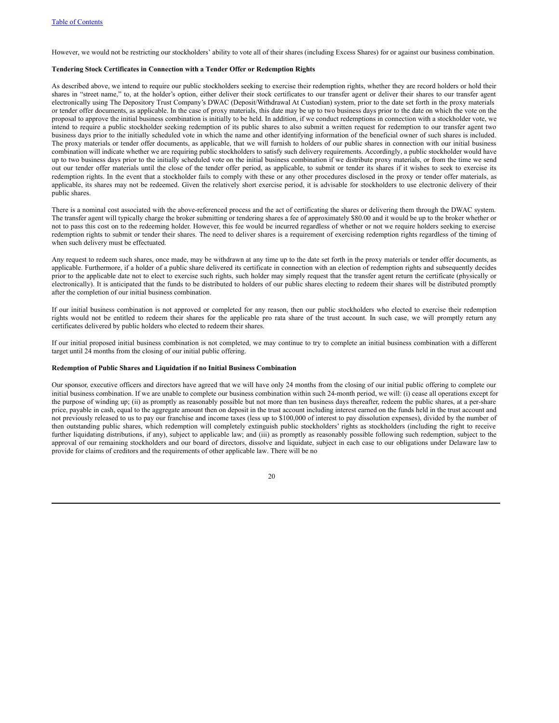However, we would not be restricting our stockholders' ability to vote all of their shares (including Excess Shares) for or against our business combination.

#### **Tendering Stock Certificates in Connection with a Tender Offer or Redemption Rights**

As described above, we intend to require our public stockholders seeking to exercise their redemption rights, whether they are record holders or hold their shares in "street name," to, at the holder's option, either deliver their stock certificates to our transfer agent or deliver their shares to our transfer agent electronically using The Depository Trust Company's DWAC (Deposit/Withdrawal At Custodian) system, prior to the date set forth in the proxy materials or tender offer documents, as applicable. In the case of proxy materials, this date may be up to two business days prior to the date on which the vote on the proposal to approve the initial business combination is initially to be held. In addition, if we conduct redemptions in connection with a stockholder vote, we intend to require a public stockholder seeking redemption of its public shares to also submit a written request for redemption to our transfer agent two business days prior to the initially scheduled vote in which the name and other identifying information of the beneficial owner of such shares is included. The proxy materials or tender offer documents, as applicable, that we will furnish to holders of our public shares in connection with our initial business combination will indicate whether we are requiring public stockholders to satisfy such delivery requirements. Accordingly, a public stockholder would have up to two business days prior to the initially scheduled vote on the initial business combination if we distribute proxy materials, or from the time we send out our tender offer materials until the close of the tender offer period, as applicable, to submit or tender its shares if it wishes to seek to exercise its redemption rights. In the event that a stockholder fails to comply with these or any other procedures disclosed in the proxy or tender offer materials, as applicable, its shares may not be redeemed. Given the relatively short exercise period, it is advisable for stockholders to use electronic delivery of their public shares.

There is a nominal cost associated with the above-referenced process and the act of certificating the shares or delivering them through the DWAC system. The transfer agent will typically charge the broker submitting or tendering shares a fee of approximately \$80.00 and it would be up to the broker whether or not to pass this cost on to the redeeming holder. However, this fee would be incurred regardless of whether or not we require holders seeking to exercise redemption rights to submit or tender their shares. The need to deliver shares is a requirement of exercising redemption rights regardless of the timing of when such delivery must be effectuated.

Any request to redeem such shares, once made, may be withdrawn at any time up to the date set forth in the proxy materials or tender offer documents, as applicable. Furthermore, if a holder of a public share delivered its certificate in connection with an election of redemption rights and subsequently decides prior to the applicable date not to elect to exercise such rights, such holder may simply request that the transfer agent return the certificate (physically or electronically). It is anticipated that the funds to be distributed to holders of our public shares electing to redeem their shares will be distributed promptly after the completion of our initial business combination.

If our initial business combination is not approved or completed for any reason, then our public stockholders who elected to exercise their redemption rights would not be entitled to redeem their shares for the applicable pro rata share of the trust account. In such case, we will promptly return any certificates delivered by public holders who elected to redeem their shares.

If our initial proposed initial business combination is not completed, we may continue to try to complete an initial business combination with a different target until 24 months from the closing of our initial public offering.

#### **Redemption of Public Shares and Liquidation if no Initial Business Combination**

Our sponsor, executive officers and directors have agreed that we will have only 24 months from the closing of our initial public offering to complete our initial business combination. If we are unable to complete our business combination within such 24-month period, we will: (i) cease all operations except for the purpose of winding up; (ii) as promptly as reasonably possible but not more than ten business days thereafter, redeem the public shares, at a per-share price, payable in cash, equal to the aggregate amount then on deposit in the trust account including interest earned on the funds held in the trust account and not previously released to us to pay our franchise and income taxes (less up to \$100,000 of interest to pay dissolution expenses), divided by the number of then outstanding public shares, which redemption will completely extinguish public stockholders' rights as stockholders (including the right to receive further liquidating distributions, if any), subject to applicable law; and (iii) as promptly as reasonably possible following such redemption, subject to the approval of our remaining stockholders and our board of directors, dissolve and liquidate, subject in each case to our obligations under Delaware law to provide for claims of creditors and the requirements of other applicable law. There will be no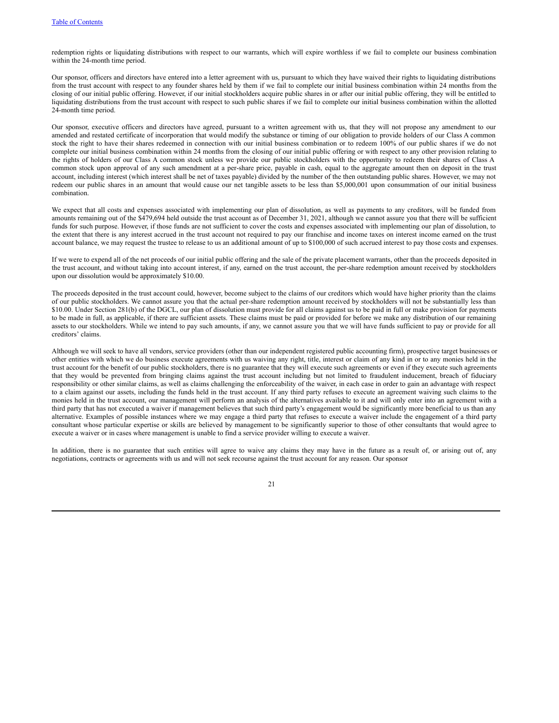redemption rights or liquidating distributions with respect to our warrants, which will expire worthless if we fail to complete our business combination within the 24-month time period.

Our sponsor, officers and directors have entered into a letter agreement with us, pursuant to which they have waived their rights to liquidating distributions from the trust account with respect to any founder shares held by them if we fail to complete our initial business combination within 24 months from the closing of our initial public offering. However, if our initial stockholders acquire public shares in or after our initial public offering, they will be entitled to liquidating distributions from the trust account with respect to such public shares if we fail to complete our initial business combination within the allotted 24-month time period.

Our sponsor, executive officers and directors have agreed, pursuant to a written agreement with us, that they will not propose any amendment to our amended and restated certificate of incorporation that would modify the substance or timing of our obligation to provide holders of our Class A common stock the right to have their shares redeemed in connection with our initial business combination or to redeem 100% of our public shares if we do not complete our initial business combination within 24 months from the closing of our initial public offering or with respect to any other provision relating to the rights of holders of our Class A common stock unless we provide our public stockholders with the opportunity to redeem their shares of Class A common stock upon approval of any such amendment at a per-share price, payable in cash, equal to the aggregate amount then on deposit in the trust account, including interest (which interest shall be net of taxes payable) divided by the number of the then outstanding public shares. However, we may not redeem our public shares in an amount that would cause our net tangible assets to be less than \$5,000,001 upon consummation of our initial business combination.

We expect that all costs and expenses associated with implementing our plan of dissolution, as well as payments to any creditors, will be funded from amounts remaining out of the \$479,694 held outside the trust account as of December 31, 2021, although we cannot assure you that there will be sufficient funds for such purpose. However, if those funds are not sufficient to cover the costs and expenses associated with implementing our plan of dissolution, to the extent that there is any interest accrued in the trust account not required to pay our franchise and income taxes on interest income earned on the trust account balance, we may request the trustee to release to us an additional amount of up to \$100,000 of such accrued interest to pay those costs and expenses.

If we were to expend all of the net proceeds of our initial public offering and the sale of the private placement warrants, other than the proceeds deposited in the trust account, and without taking into account interest, if any, earned on the trust account, the per-share redemption amount received by stockholders upon our dissolution would be approximately \$10.00.

The proceeds deposited in the trust account could, however, become subject to the claims of our creditors which would have higher priority than the claims of our public stockholders. We cannot assure you that the actual per-share redemption amount received by stockholders will not be substantially less than \$10.00. Under Section 281(b) of the DGCL, our plan of dissolution must provide for all claims against us to be paid in full or make provision for payments to be made in full, as applicable, if there are sufficient assets. These claims must be paid or provided for before we make any distribution of our remaining assets to our stockholders. While we intend to pay such amounts, if any, we cannot assure you that we will have funds sufficient to pay or provide for all creditors' claims.

Although we will seek to have all vendors, service providers (other than our independent registered public accounting firm), prospective target businesses or other entities with which we do business execute agreements with us waiving any right, title, interest or claim of any kind in or to any monies held in the trust account for the benefit of our public stockholders, there is no guarantee that they will execute such agreements or even if they execute such agreements that they would be prevented from bringing claims against the trust account including but not limited to fraudulent inducement, breach of fiduciary responsibility or other similar claims, as well as claims challenging the enforceability of the waiver, in each case in order to gain an advantage with respect to a claim against our assets, including the funds held in the trust account. If any third party refuses to execute an agreement waiving such claims to the monies held in the trust account, our management will perform an analysis of the alternatives available to it and will only enter into an agreement with a third party that has not executed a waiver if management believes that such third party's engagement would be significantly more beneficial to us than any alternative. Examples of possible instances where we may engage a third party that refuses to execute a waiver include the engagement of a third party consultant whose particular expertise or skills are believed by management to be significantly superior to those of other consultants that would agree to execute a waiver or in cases where management is unable to find a service provider willing to execute a waiver.

In addition, there is no guarantee that such entities will agree to waive any claims they may have in the future as a result of, or arising out of, any negotiations, contracts or agreements with us and will not seek recourse against the trust account for any reason. Our sponsor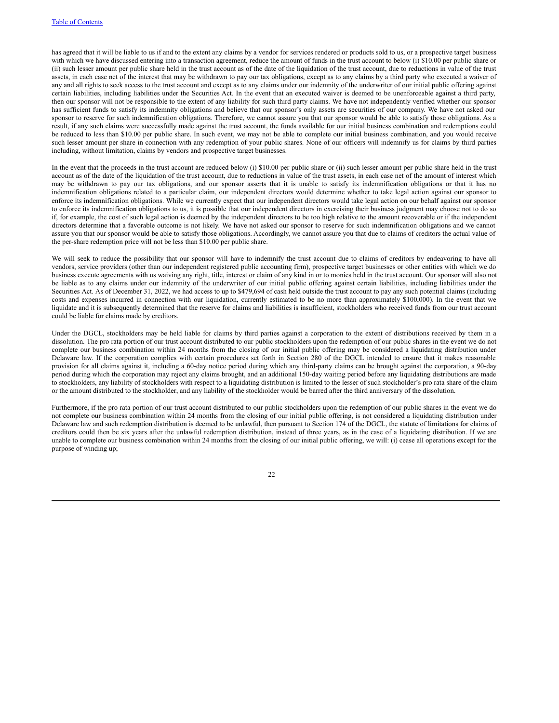has agreed that it will be liable to us if and to the extent any claims by a vendor for services rendered or products sold to us, or a prospective target business with which we have discussed entering into a transaction agreement, reduce the amount of funds in the trust account to below (i) \$10.00 per public share or (ii) such lesser amount per public share held in the trust account as of the date of the liquidation of the trust account, due to reductions in value of the trust assets, in each case net of the interest that may be withdrawn to pay our tax obligations, except as to any claims by a third party who executed a waiver of any and all rights to seek access to the trust account and except as to any claims under our indemnity of the underwriter of our initial public offering against certain liabilities, including liabilities under the Securities Act. In the event that an executed waiver is deemed to be unenforceable against a third party, then our sponsor will not be responsible to the extent of any liability for such third party claims. We have not independently verified whether our sponsor has sufficient funds to satisfy its indemnity obligations and believe that our sponsor's only assets are securities of our company. We have not asked our sponsor to reserve for such indemnification obligations. Therefore, we cannot assure you that our sponsor would be able to satisfy those obligations. As a result, if any such claims were successfully made against the trust account, the funds available for our initial business combination and redemptions could be reduced to less than \$10.00 per public share. In such event, we may not be able to complete our initial business combination, and you would receive such lesser amount per share in connection with any redemption of your public shares. None of our officers will indemnify us for claims by third parties including, without limitation, claims by vendors and prospective target businesses.

In the event that the proceeds in the trust account are reduced below (i) \$10.00 per public share or (ii) such lesser amount per public share held in the trust account as of the date of the liquidation of the trust account, due to reductions in value of the trust assets, in each case net of the amount of interest which may be withdrawn to pay our tax obligations, and our sponsor asserts that it is unable to satisfy its indemnification obligations or that it has no indemnification obligations related to a particular claim, our independent directors would determine whether to take legal action against our sponsor to enforce its indemnification obligations. While we currently expect that our independent directors would take legal action on our behalf against our sponsor to enforce its indemnification obligations to us, it is possible that our independent directors in exercising their business judgment may choose not to do so if, for example, the cost of such legal action is deemed by the independent directors to be too high relative to the amount recoverable or if the independent directors determine that a favorable outcome is not likely. We have not asked our sponsor to reserve for such indemnification obligations and we cannot assure you that our sponsor would be able to satisfy those obligations. Accordingly, we cannot assure you that due to claims of creditors the actual value of the per-share redemption price will not be less than \$10.00 per public share.

We will seek to reduce the possibility that our sponsor will have to indemnify the trust account due to claims of creditors by endeavoring to have all vendors, service providers (other than our independent registered public accounting firm), prospective target businesses or other entities with which we do business execute agreements with us waiving any right, title, interest or claim of any kind in or to monies held in the trust account. Our sponsor will also not be liable as to any claims under our indemnity of the underwriter of our initial public offering against certain liabilities, including liabilities under the Securities Act. As of December 31, 2022, we had access to up to \$479,694 of cash held outside the trust account to pay any such potential claims (including costs and expenses incurred in connection with our liquidation, currently estimated to be no more than approximately \$100,000). In the event that we liquidate and it is subsequently determined that the reserve for claims and liabilities is insufficient, stockholders who received funds from our trust account could be liable for claims made by creditors.

Under the DGCL, stockholders may be held liable for claims by third parties against a corporation to the extent of distributions received by them in a dissolution. The pro rata portion of our trust account distributed to our public stockholders upon the redemption of our public shares in the event we do not complete our business combination within 24 months from the closing of our initial public offering may be considered a liquidating distribution under Delaware law. If the corporation complies with certain procedures set forth in Section 280 of the DGCL intended to ensure that it makes reasonable provision for all claims against it, including a 60-day notice period during which any third-party claims can be brought against the corporation, a 90-day period during which the corporation may reject any claims brought, and an additional 150-day waiting period before any liquidating distributions are made to stockholders, any liability of stockholders with respect to a liquidating distribution is limited to the lesser of such stockholder's pro rata share of the claim or the amount distributed to the stockholder, and any liability of the stockholder would be barred after the third anniversary of the dissolution.

Furthermore, if the pro rata portion of our trust account distributed to our public stockholders upon the redemption of our public shares in the event we do not complete our business combination within 24 months from the closing of our initial public offering, is not considered a liquidating distribution under Delaware law and such redemption distribution is deemed to be unlawful, then pursuant to Section 174 of the DGCL, the statute of limitations for claims of creditors could then be six years after the unlawful redemption distribution, instead of three years, as in the case of a liquidating distribution. If we are unable to complete our business combination within 24 months from the closing of our initial public offering, we will: (i) cease all operations except for the purpose of winding up;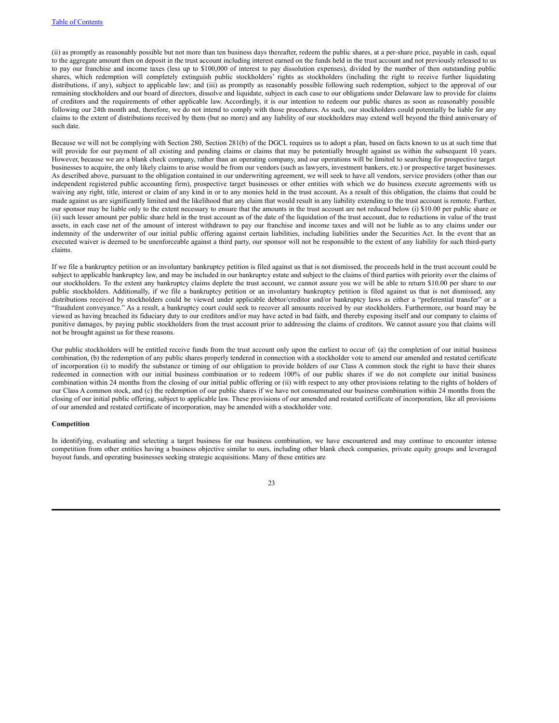(ii) as promptly as reasonably possible but not more than ten business days thereafter, redeem the public shares, at a per-share price, payable in cash, equal to the aggregate amount then on deposit in the trust account including interest earned on the funds held in the trust account and not previously released to us to pay our franchise and income taxes (less up to \$100,000 of interest to pay dissolution expenses), divided by the number of then outstanding public shares, which redemption will completely extinguish public stockholders' rights as stockholders (including the right to receive further liquidating distributions, if any), subject to applicable law; and (iii) as promptly as reasonably possible following such redemption, subject to the approval of our remaining stockholders and our board of directors, dissolve and liquidate, subject in each case to our obligations under Delaware law to provide for claims of creditors and the requirements of other applicable law. Accordingly, it is our intention to redeem our public shares as soon as reasonably possible following our 24th month and, therefore, we do not intend to comply with those procedures. As such, our stockholders could potentially be liable for any claims to the extent of distributions received by them (but no more) and any liability of our stockholders may extend well beyond the third anniversary of such date.

Because we will not be complying with Section 280, Section 281(b) of the DGCL requires us to adopt a plan, based on facts known to us at such time that will provide for our payment of all existing and pending claims or claims that may be potentially brought against us within the subsequent 10 years. However, because we are a blank check company, rather than an operating company, and our operations will be limited to searching for prospective target businesses to acquire, the only likely claims to arise would be from our vendors (such as lawyers, investment bankers, etc.) or prospective target businesses. As described above, pursuant to the obligation contained in our underwriting agreement, we will seek to have all vendors, service providers (other than our independent registered public accounting firm), prospective target businesses or other entities with which we do business execute agreements with us waiving any right, title, interest or claim of any kind in or to any monies held in the trust account. As a result of this obligation, the claims that could be made against us are significantly limited and the likelihood that any claim that would result in any liability extending to the trust account is remote. Further, our sponsor may be liable only to the extent necessary to ensure that the amounts in the trust account are not reduced below (i) \$10.00 per public share or (ii) such lesser amount per public share held in the trust account as of the date of the liquidation of the trust account, due to reductions in value of the trust assets, in each case net of the amount of interest withdrawn to pay our franchise and income taxes and will not be liable as to any claims under our indemnity of the underwriter of our initial public offering against certain liabilities, including liabilities under the Securities Act. In the event that an executed waiver is deemed to be unenforceable against a third party, our sponsor will not be responsible to the extent of any liability for such third-party claims.

If we file a bankruptcy petition or an involuntary bankruptcy petition is filed against us that is not dismissed, the proceeds held in the trust account could be subject to applicable bankruptcy law, and may be included in our bankruptcy estate and subject to the claims of third parties with priority over the claims of our stockholders. To the extent any bankruptcy claims deplete the trust account, we cannot assure you we will be able to return \$10.00 per share to our public stockholders. Additionally, if we file a bankruptcy petition or an involuntary bankruptcy petition is filed against us that is not dismissed, any distributions received by stockholders could be viewed under applicable debtor/creditor and/or bankruptcy laws as either a "preferential transfer" or a "fraudulent conveyance." As a result, a bankruptcy court could seek to recover all amounts received by our stockholders. Furthermore, our board may be viewed as having breached its fiduciary duty to our creditors and/or may have acted in bad faith, and thereby exposing itself and our company to claims of punitive damages, by paying public stockholders from the trust account prior to addressing the claims of creditors. We cannot assure you that claims will not be brought against us for these reasons.

Our public stockholders will be entitled receive funds from the trust account only upon the earliest to occur of: (a) the completion of our initial business combination, (b) the redemption of any public shares properly tendered in connection with a stockholder vote to amend our amended and restated certificate of incorporation (i) to modify the substance or timing of our obligation to provide holders of our Class A common stock the right to have their shares redeemed in connection with our initial business combination or to redeem 100% of our public shares if we do not complete our initial business combination within 24 months from the closing of our initial public offering or (ii) with respect to any other provisions relating to the rights of holders of our Class A common stock, and (c) the redemption of our public shares if we have not consummated our business combination within 24 months from the closing of our initial public offering, subject to applicable law. These provisions of our amended and restated certificate of incorporation, like all provisions of our amended and restated certificate of incorporation, may be amended with a stockholder vote.

#### **Competition**

In identifying, evaluating and selecting a target business for our business combination, we have encountered and may continue to encounter intense competition from other entities having a business objective similar to ours, including other blank check companies, private equity groups and leveraged buyout funds, and operating businesses seeking strategic acquisitions. Many of these entities are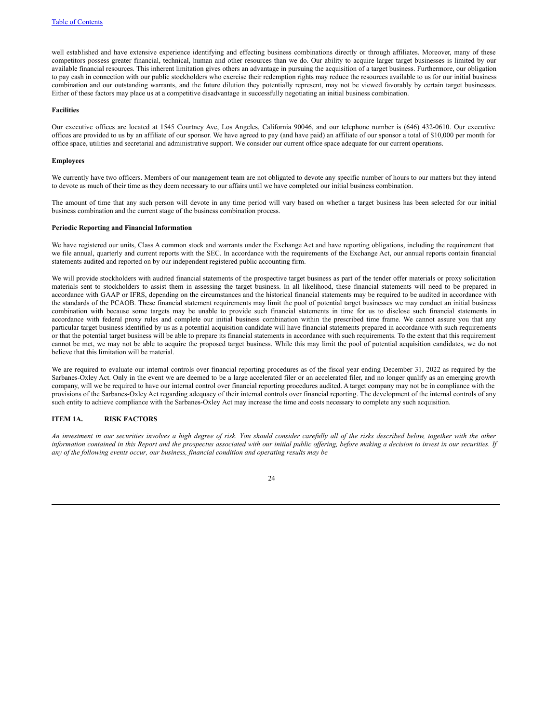well established and have extensive experience identifying and effecting business combinations directly or through affiliates. Moreover, many of these competitors possess greater financial, technical, human and other resources than we do. Our ability to acquire larger target businesses is limited by our available financial resources. This inherent limitation gives others an advantage in pursuing the acquisition of a target business. Furthermore, our obligation to pay cash in connection with our public stockholders who exercise their redemption rights may reduce the resources available to us for our initial business combination and our outstanding warrants, and the future dilution they potentially represent, may not be viewed favorably by certain target businesses. Either of these factors may place us at a competitive disadvantage in successfully negotiating an initial business combination.

## **Facilities**

Our executive offices are located at 1545 Courtney Ave, Los Angeles, California 90046, and our telephone number is (646) 432-0610. Our executive offices are provided to us by an affiliate of our sponsor. We have agreed to pay (and have paid) an affiliate of our sponsor a total of \$10,000 per month for office space, utilities and secretarial and administrative support. We consider our current office space adequate for our current operations.

#### **Employees**

We currently have two officers. Members of our management team are not obligated to devote any specific number of hours to our matters but they intend to devote as much of their time as they deem necessary to our affairs until we have completed our initial business combination.

The amount of time that any such person will devote in any time period will vary based on whether a target business has been selected for our initial business combination and the current stage of the business combination process.

#### **Periodic Reporting and Financial Information**

We have registered our units, Class A common stock and warrants under the Exchange Act and have reporting obligations, including the requirement that we file annual, quarterly and current reports with the SEC. In accordance with the requirements of the Exchange Act, our annual reports contain financial statements audited and reported on by our independent registered public accounting firm.

We will provide stockholders with audited financial statements of the prospective target business as part of the tender offer materials or proxy solicitation materials sent to stockholders to assist them in assessing the target business. In all likelihood, these financial statements will need to be prepared in accordance with GAAP or IFRS, depending on the circumstances and the historical financial statements may be required to be audited in accordance with the standards of the PCAOB. These financial statement requirements may limit the pool of potential target businesses we may conduct an initial business combination with because some targets may be unable to provide such financial statements in time for us to disclose such financial statements in accordance with federal proxy rules and complete our initial business combination within the prescribed time frame. We cannot assure you that any particular target business identified by us as a potential acquisition candidate will have financial statements prepared in accordance with such requirements or that the potential target business will be able to prepare its financial statements in accordance with such requirements. To the extent that this requirement cannot be met, we may not be able to acquire the proposed target business. While this may limit the pool of potential acquisition candidates, we do not believe that this limitation will be material.

We are required to evaluate our internal controls over financial reporting procedures as of the fiscal year ending December 31, 2022 as required by the Sarbanes-Oxley Act. Only in the event we are deemed to be a large accelerated filer or an accelerated filer, and no longer qualify as an emerging growth company, will we be required to have our internal control over financial reporting procedures audited. A target company may not be in compliance with the provisions of the Sarbanes-Oxley Act regarding adequacy of their internal controls over financial reporting. The development of the internal controls of any such entity to achieve compliance with the Sarbanes-Oxley Act may increase the time and costs necessary to complete any such acquisition.

## **ITEM 1A. RISK FACTORS**

An investment in our securities involves a high degree of risk. You should consider carefully all of the risks described below, together with the other information contained in this Report and the prospectus associated with our initial public offering, before making a decision to invest in our securities. If *any of the following events occur, our business, financial condition and operating results may be*

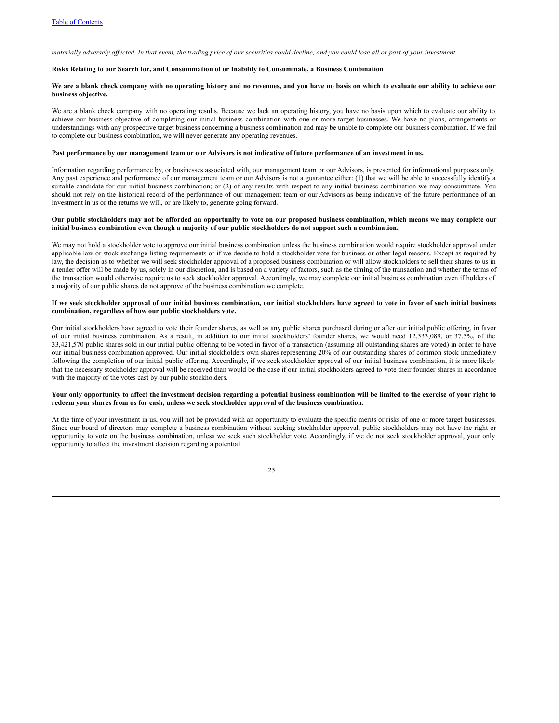materially adversely affected. In that event, the trading price of our securities could decline, and you could lose all or part of your investment.

#### **Risks Relating to our Search for, and Consummation of or Inability to Consummate, a Business Combination**

#### We are a blank check company with no operating history and no revenues, and you have no basis on which to evaluate our ability to achieve our **business objective.**

We are a blank check company with no operating results. Because we lack an operating history, you have no basis upon which to evaluate our ability to achieve our business objective of completing our initial business combination with one or more target businesses. We have no plans, arrangements or understandings with any prospective target business concerning a business combination and may be unable to complete our business combination. If we fail to complete our business combination, we will never generate any operating revenues.

## Past performance by our management team or our Advisors is not indicative of future performance of an investment in us.

Information regarding performance by, or businesses associated with, our management team or our Advisors, is presented for informational purposes only. Any past experience and performance of our management team or our Advisors is not a guarantee either: (1) that we will be able to successfully identify a suitable candidate for our initial business combination; or (2) of any results with respect to any initial business combination we may consummate. You should not rely on the historical record of the performance of our management team or our Advisors as being indicative of the future performance of an investment in us or the returns we will, or are likely to, generate going forward.

## Our public stockholders may not be afforded an opportunity to vote on our proposed business combination, which means we may complete our initial business combination even though a majority of our public stockholders do not support such a combination.

We may not hold a stockholder vote to approve our initial business combination unless the business combination would require stockholder approval under applicable law or stock exchange listing requirements or if we decide to hold a stockholder vote for business or other legal reasons. Except as required by law, the decision as to whether we will seek stockholder approval of a proposed business combination or will allow stockholders to sell their shares to us in a tender offer will be made by us, solely in our discretion, and is based on a variety of factors, such as the timing of the transaction and whether the terms of the transaction would otherwise require us to seek stockholder approval. Accordingly, we may complete our initial business combination even if holders of a majority of our public shares do not approve of the business combination we complete.

## If we seek stockholder approval of our initial business combination, our initial stockholders have agreed to vote in favor of such initial business **combination, regardless of how our public stockholders vote.**

Our initial stockholders have agreed to vote their founder shares, as well as any public shares purchased during or after our initial public offering, in favor of our initial business combination. As a result, in addition to our initial stockholders' founder shares, we would need 12,533,089, or 37.5%, of the 33,421,570 public shares sold in our initial public offering to be voted in favor of a transaction (assuming all outstanding shares are voted) in order to have our initial business combination approved. Our initial stockholders own shares representing 20% of our outstanding shares of common stock immediately following the completion of our initial public offering. Accordingly, if we seek stockholder approval of our initial business combination, it is more likely that the necessary stockholder approval will be received than would be the case if our initial stockholders agreed to vote their founder shares in accordance with the majority of the votes cast by our public stockholders.

## Your only opportunity to affect the investment decision regarding a potential business combination will be limited to the exercise of your right to **redeem your shares from us for cash, unless we seek stockholder approval of the business combination.**

At the time of your investment in us, you will not be provided with an opportunity to evaluate the specific merits or risks of one or more target businesses. Since our board of directors may complete a business combination without seeking stockholder approval, public stockholders may not have the right or opportunity to vote on the business combination, unless we seek such stockholder vote. Accordingly, if we do not seek stockholder approval, your only opportunity to affect the investment decision regarding a potential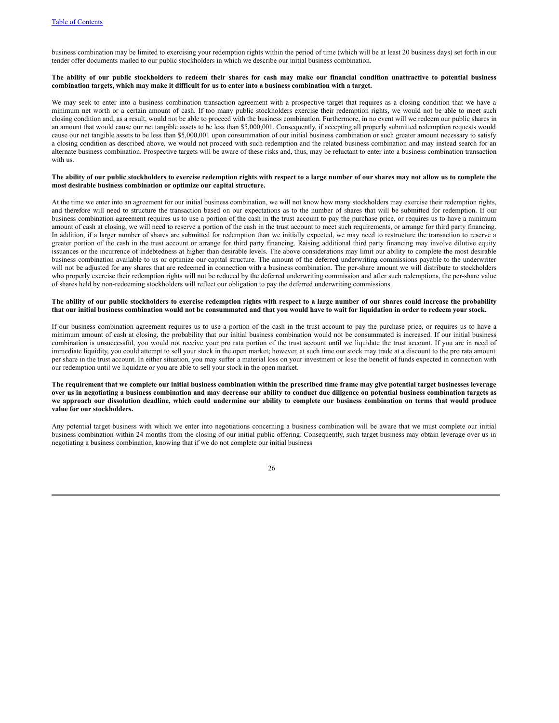business combination may be limited to exercising your redemption rights within the period of time (which will be at least 20 business days) set forth in our tender offer documents mailed to our public stockholders in which we describe our initial business combination.

#### The ability of our public stockholders to redeem their shares for cash may make our financial condition unattractive to potential business combination targets, which may make it difficult for us to enter into a business combination with a target.

We may seek to enter into a business combination transaction agreement with a prospective target that requires as a closing condition that we have a minimum net worth or a certain amount of cash. If too many public stockholders exercise their redemption rights, we would not be able to meet such closing condition and, as a result, would not be able to proceed with the business combination. Furthermore, in no event will we redeem our public shares in an amount that would cause our net tangible assets to be less than \$5,000,001. Consequently, if accepting all properly submitted redemption requests would cause our net tangible assets to be less than \$5,000,001 upon consummation of our initial business combination or such greater amount necessary to satisfy a closing condition as described above, we would not proceed with such redemption and the related business combination and may instead search for an alternate business combination. Prospective targets will be aware of these risks and, thus, may be reluctant to enter into a business combination transaction with us.

#### The ability of our public stockholders to exercise redemption rights with respect to a large number of our shares may not allow us to complete the **most desirable business combination or optimize our capital structure.**

At the time we enter into an agreement for our initial business combination, we will not know how many stockholders may exercise their redemption rights, and therefore will need to structure the transaction based on our expectations as to the number of shares that will be submitted for redemption. If our business combination agreement requires us to use a portion of the cash in the trust account to pay the purchase price, or requires us to have a minimum amount of cash at closing, we will need to reserve a portion of the cash in the trust account to meet such requirements, or arrange for third party financing. In addition, if a larger number of shares are submitted for redemption than we initially expected, we may need to restructure the transaction to reserve a greater portion of the cash in the trust account or arrange for third party financing. Raising additional third party financing may involve dilutive equity issuances or the incurrence of indebtedness at higher than desirable levels. The above considerations may limit our ability to complete the most desirable business combination available to us or optimize our capital structure. The amount of the deferred underwriting commissions payable to the underwriter will not be adjusted for any shares that are redeemed in connection with a business combination. The per-share amount we will distribute to stockholders who properly exercise their redemption rights will not be reduced by the deferred underwriting commission and after such redemptions, the per-share value of shares held by non-redeeming stockholders will reflect our obligation to pay the deferred underwriting commissions.

## The ability of our public stockholders to exercise redemption rights with respect to a large number of our shares could increase the probability that our initial business combination would not be consummated and that you would have to wait for liquidation in order to redeem your stock.

If our business combination agreement requires us to use a portion of the cash in the trust account to pay the purchase price, or requires us to have a minimum amount of cash at closing, the probability that our initial business combination would not be consummated is increased. If our initial business combination is unsuccessful, you would not receive your pro rata portion of the trust account until we liquidate the trust account. If you are in need of immediate liquidity, you could attempt to sell your stock in the open market; however, at such time our stock may trade at a discount to the pro rata amount per share in the trust account. In either situation, you may suffer a material loss on your investment or lose the benefit of funds expected in connection with our redemption until we liquidate or you are able to sell your stock in the open market.

## The requirement that we complete our initial business combination within the prescribed time frame may give potential target businesses leverage over us in negotiating a business combination and may decrease our ability to conduct due diligence on potential business combination targets as we approach our dissolution deadline, which could undermine our ability to complete our business combination on terms that would produce **value for our stockholders.**

Any potential target business with which we enter into negotiations concerning a business combination will be aware that we must complete our initial business combination within 24 months from the closing of our initial public offering. Consequently, such target business may obtain leverage over us in negotiating a business combination, knowing that if we do not complete our initial business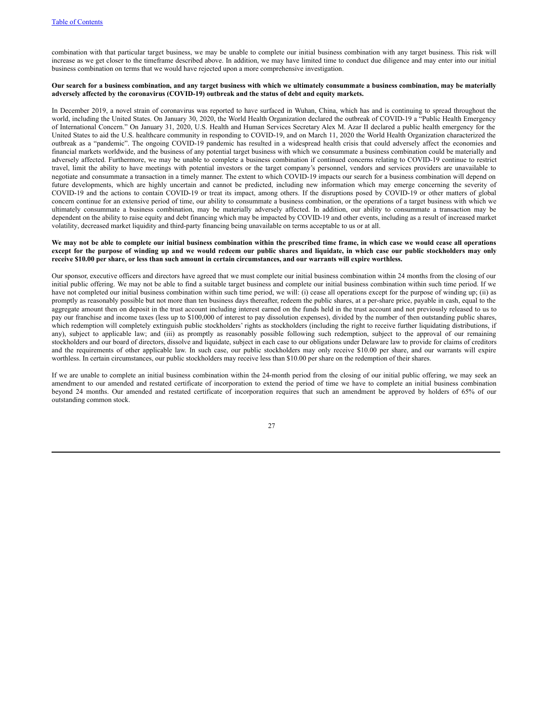combination with that particular target business, we may be unable to complete our initial business combination with any target business. This risk will increase as we get closer to the timeframe described above. In addition, we may have limited time to conduct due diligence and may enter into our initial business combination on terms that we would have rejected upon a more comprehensive investigation.

## Our search for a business combination, and any target business with which we ultimately consummate a business combination, may be materially **adversely affected by the coronavirus (COVID-19) outbreak and the status of debt and equity markets.**

In December 2019, a novel strain of coronavirus was reported to have surfaced in Wuhan, China, which has and is continuing to spread throughout the world, including the United States. On January 30, 2020, the World Health Organization declared the outbreak of COVID-19 a "Public Health Emergency of International Concern." On January 31, 2020, U.S. Health and Human Services Secretary Alex M. Azar II declared a public health emergency for the United States to aid the U.S. healthcare community in responding to COVID-19, and on March 11, 2020 the World Health Organization characterized the outbreak as a "pandemic". The ongoing COVID-19 pandemic has resulted in a widespread health crisis that could adversely affect the economies and financial markets worldwide, and the business of any potential target business with which we consummate a business combination could be materially and adversely affected. Furthermore, we may be unable to complete a business combination if continued concerns relating to COVID-19 continue to restrict travel, limit the ability to have meetings with potential investors or the target company's personnel, vendors and services providers are unavailable to negotiate and consummate a transaction in a timely manner. The extent to which COVID-19 impacts our search for a business combination will depend on future developments, which are highly uncertain and cannot be predicted, including new information which may emerge concerning the severity of COVID-19 and the actions to contain COVID-19 or treat its impact, among others. If the disruptions posed by COVID-19 or other matters of global concern continue for an extensive period of time, our ability to consummate a business combination, or the operations of a target business with which we ultimately consummate a business combination, may be materially adversely affected. In addition, our ability to consummate a transaction may be dependent on the ability to raise equity and debt financing which may be impacted by COVID-19 and other events, including as a result of increased market volatility, decreased market liquidity and third-party financing being unavailable on terms acceptable to us or at all.

## We may not be able to complete our initial business combination within the prescribed time frame, in which case we would cease all operations except for the purpose of winding up and we would redeem our public shares and liquidate, in which case our public stockholders may only receive \$10.00 per share, or less than such amount in certain circumstances, and our warrants will expire worthless.

Our sponsor, executive officers and directors have agreed that we must complete our initial business combination within 24 months from the closing of our initial public offering. We may not be able to find a suitable target business and complete our initial business combination within such time period. If we have not completed our initial business combination within such time period, we will: (i) cease all operations except for the purpose of winding up; (ii) as promptly as reasonably possible but not more than ten business days thereafter, redeem the public shares, at a per-share price, payable in cash, equal to the aggregate amount then on deposit in the trust account including interest earned on the funds held in the trust account and not previously released to us to pay our franchise and income taxes (less up to \$100,000 of interest to pay dissolution expenses), divided by the number of then outstanding public shares, which redemption will completely extinguish public stockholders' rights as stockholders (including the right to receive further liquidating distributions, if any), subject to applicable law; and (iii) as promptly as reasonably possible following such redemption, subject to the approval of our remaining stockholders and our board of directors, dissolve and liquidate, subject in each case to our obligations under Delaware law to provide for claims of creditors and the requirements of other applicable law. In such case, our public stockholders may only receive \$10.00 per share, and our warrants will expire worthless. In certain circumstances, our public stockholders may receive less than \$10.00 per share on the redemption of their shares.

If we are unable to complete an initial business combination within the 24-month period from the closing of our initial public offering, we may seek an amendment to our amended and restated certificate of incorporation to extend the period of time we have to complete an initial business combination beyond 24 months. Our amended and restated certificate of incorporation requires that such an amendment be approved by holders of 65% of our outstanding common stock.

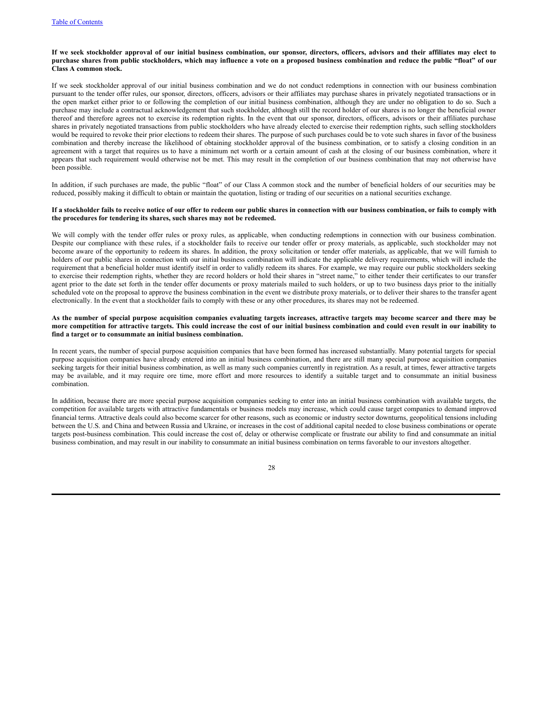## If we seek stockholder approval of our initial business combination, our sponsor, directors, officers, advisors and their affiliates may elect to purchase shares from public stockholders, which may influence a vote on a proposed business combination and reduce the public "float" of our **Class A common stock.**

If we seek stockholder approval of our initial business combination and we do not conduct redemptions in connection with our business combination pursuant to the tender offer rules, our sponsor, directors, officers, advisors or their affiliates may purchase shares in privately negotiated transactions or in the open market either prior to or following the completion of our initial business combination, although they are under no obligation to do so. Such a purchase may include a contractual acknowledgement that such stockholder, although still the record holder of our shares is no longer the beneficial owner thereof and therefore agrees not to exercise its redemption rights. In the event that our sponsor, directors, officers, advisors or their affiliates purchase shares in privately negotiated transactions from public stockholders who have already elected to exercise their redemption rights, such selling stockholders would be required to revoke their prior elections to redeem their shares. The purpose of such purchases could be to vote such shares in favor of the business combination and thereby increase the likelihood of obtaining stockholder approval of the business combination, or to satisfy a closing condition in an agreement with a target that requires us to have a minimum net worth or a certain amount of cash at the closing of our business combination, where it appears that such requirement would otherwise not be met. This may result in the completion of our business combination that may not otherwise have been possible.

In addition, if such purchases are made, the public "float" of our Class A common stock and the number of beneficial holders of our securities may be reduced, possibly making it difficult to obtain or maintain the quotation, listing or trading of our securities on a national securities exchange.

## If a stockholder fails to receive notice of our offer to redeem our public shares in connection with our business combination, or fails to comply with **the procedures for tendering its shares, such shares may not be redeemed.**

We will comply with the tender offer rules or proxy rules, as applicable, when conducting redemptions in connection with our business combination. Despite our compliance with these rules, if a stockholder fails to receive our tender offer or proxy materials, as applicable, such stockholder may not become aware of the opportunity to redeem its shares. In addition, the proxy solicitation or tender offer materials, as applicable, that we will furnish to holders of our public shares in connection with our initial business combination will indicate the applicable delivery requirements, which will include the requirement that a beneficial holder must identify itself in order to validly redeem its shares. For example, we may require our public stockholders seeking to exercise their redemption rights, whether they are record holders or hold their shares in "street name," to either tender their certificates to our transfer agent prior to the date set forth in the tender offer documents or proxy materials mailed to such holders, or up to two business days prior to the initially scheduled vote on the proposal to approve the business combination in the event we distribute proxy materials, or to deliver their shares to the transfer agent electronically. In the event that a stockholder fails to comply with these or any other procedures, its shares may not be redeemed.

## As the number of special purpose acquisition companies evaluating targets increases, attractive targets may become scarcer and there may be more competition for attractive targets. This could increase the cost of our initial business combination and could even result in our inability to **find a target or to consummate an initial business combination.**

In recent years, the number of special purpose acquisition companies that have been formed has increased substantially. Many potential targets for special purpose acquisition companies have already entered into an initial business combination, and there are still many special purpose acquisition companies seeking targets for their initial business combination, as well as many such companies currently in registration. As a result, at times, fewer attractive targets may be available, and it may require ore time, more effort and more resources to identify a suitable target and to consummate an initial business combination.

In addition, because there are more special purpose acquisition companies seeking to enter into an initial business combination with available targets, the competition for available targets with attractive fundamentals or business models may increase, which could cause target companies to demand improved financial terms. Attractive deals could also become scarcer for other reasons, such as economic or industry sector downturns, geopolitical tensions including between the U.S. and China and between Russia and Ukraine, or increases in the cost of additional capital needed to close business combinations or operate targets post-business combination. This could increase the cost of, delay or otherwise complicate or frustrate our ability to find and consummate an initial business combination, and may result in our inability to consummate an initial business combination on terms favorable to our investors altogether.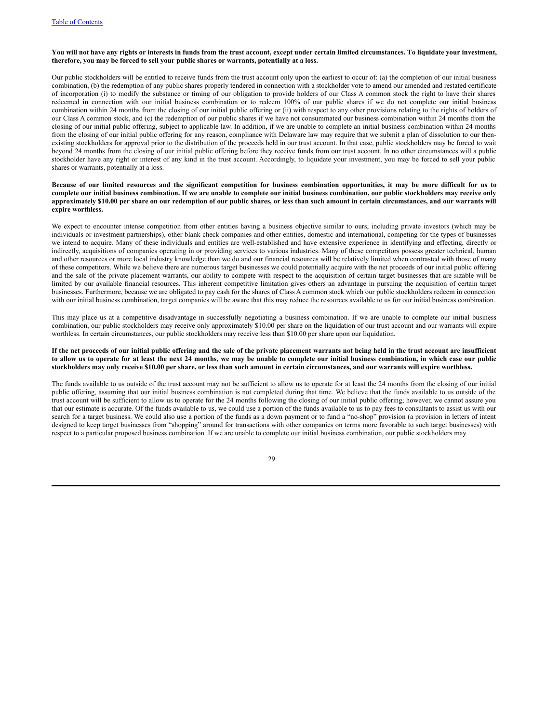## You will not have any rights or interests in funds from the trust account, except under certain limited circumstances. To liquidate your investment, **therefore, you may be forced to sell your public shares or warrants, potentially at a loss.**

Our public stockholders will be entitled to receive funds from the trust account only upon the earliest to occur of: (a) the completion of our initial business combination, (b) the redemption of any public shares properly tendered in connection with a stockholder vote to amend our amended and restated certificate of incorporation (i) to modify the substance or timing of our obligation to provide holders of our Class A common stock the right to have their shares redeemed in connection with our initial business combination or to redeem 100% of our public shares if we do not complete our initial business combination within 24 months from the closing of our initial public offering or (ii) with respect to any other provisions relating to the rights of holders of our Class A common stock, and (c) the redemption of our public shares if we have not consummated our business combination within 24 months from the closing of our initial public offering, subject to applicable law. In addition, if we are unable to complete an initial business combination within 24 months from the closing of our initial public offering for any reason, compliance with Delaware law may require that we submit a plan of dissolution to our thenexisting stockholders for approval prior to the distribution of the proceeds held in our trust account. In that case, public stockholders may be forced to wait beyond 24 months from the closing of our initial public offering before they receive funds from our trust account. In no other circumstances will a public stockholder have any right or interest of any kind in the trust account. Accordingly, to liquidate your investment, you may be forced to sell your public shares or warrants, potentially at a loss.

## Because of our limited resources and the significant competition for business combination opportunities, it may be more difficult for us to complete our initial business combination. If we are unable to complete our initial business combination, our public stockholders may receive only approximately \$10.00 per share on our redemption of our public shares, or less than such amount in certain circumstances, and our warrants will **expire worthless.**

We expect to encounter intense competition from other entities having a business objective similar to ours, including private investors (which may be individuals or investment partnerships), other blank check companies and other entities, domestic and international, competing for the types of businesses we intend to acquire. Many of these individuals and entities are well-established and have extensive experience in identifying and effecting, directly or indirectly, acquisitions of companies operating in or providing services to various industries. Many of these competitors possess greater technical, human and other resources or more local industry knowledge than we do and our financial resources will be relatively limited when contrasted with those of many of these competitors. While we believe there are numerous target businesses we could potentially acquire with the net proceeds of our initial public offering and the sale of the private placement warrants, our ability to compete with respect to the acquisition of certain target businesses that are sizable will be limited by our available financial resources. This inherent competitive limitation gives others an advantage in pursuing the acquisition of certain target businesses. Furthermore, because we are obligated to pay cash for the shares of Class A common stock which our public stockholders redeem in connection with our initial business combination, target companies will be aware that this may reduce the resources available to us for our initial business combination.

This may place us at a competitive disadvantage in successfully negotiating a business combination. If we are unable to complete our initial business combination, our public stockholders may receive only approximately \$10.00 per share on the liquidation of our trust account and our warrants will expire worthless. In certain circumstances, our public stockholders may receive less than \$10.00 per share upon our liquidation.

## If the net proceeds of our initial public offering and the sale of the private placement warrants not being held in the trust account are insufficient to allow us to operate for at least the next 24 months, we may be unable to complete our initial business combination, in which case our public stockholders may only receive \$10.00 per share, or less than such amount in certain circumstances, and our warrants will expire worthless.

The funds available to us outside of the trust account may not be sufficient to allow us to operate for at least the 24 months from the closing of our initial public offering, assuming that our initial business combination is not completed during that time. We believe that the funds available to us outside of the trust account will be sufficient to allow us to operate for the 24 months following the closing of our initial public offering; however, we cannot assure you that our estimate is accurate. Of the funds available to us, we could use a portion of the funds available to us to pay fees to consultants to assist us with our search for a target business. We could also use a portion of the funds as a down payment or to fund a "no-shop" provision (a provision in letters of intent designed to keep target businesses from "shopping" around for transactions with other companies on terms more favorable to such target businesses) with respect to a particular proposed business combination. If we are unable to complete our initial business combination, our public stockholders may

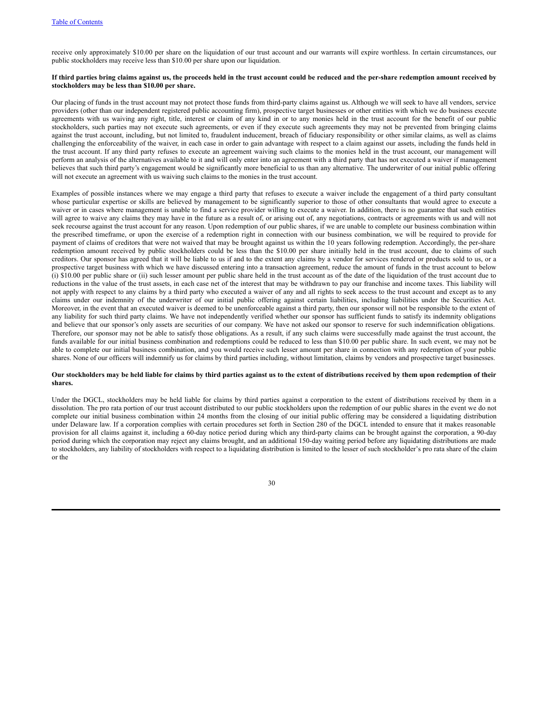receive only approximately \$10.00 per share on the liquidation of our trust account and our warrants will expire worthless. In certain circumstances, our public stockholders may receive less than \$10.00 per share upon our liquidation.

## If third parties bring claims against us, the proceeds held in the trust account could be reduced and the per-share redemption amount received by **stockholders may be less than \$10.00 per share.**

Our placing of funds in the trust account may not protect those funds from third-party claims against us. Although we will seek to have all vendors, service providers (other than our independent registered public accounting firm), prospective target businesses or other entities with which we do business execute agreements with us waiving any right, title, interest or claim of any kind in or to any monies held in the trust account for the benefit of our public stockholders, such parties may not execute such agreements, or even if they execute such agreements they may not be prevented from bringing claims against the trust account, including, but not limited to, fraudulent inducement, breach of fiduciary responsibility or other similar claims, as well as claims challenging the enforceability of the waiver, in each case in order to gain advantage with respect to a claim against our assets, including the funds held in the trust account. If any third party refuses to execute an agreement waiving such claims to the monies held in the trust account, our management will perform an analysis of the alternatives available to it and will only enter into an agreement with a third party that has not executed a waiver if management believes that such third party's engagement would be significantly more beneficial to us than any alternative. The underwriter of our initial public offering will not execute an agreement with us waiving such claims to the monies in the trust account.

Examples of possible instances where we may engage a third party that refuses to execute a waiver include the engagement of a third party consultant whose particular expertise or skills are believed by management to be significantly superior to those of other consultants that would agree to execute a waiver or in cases where management is unable to find a service provider willing to execute a waiver. In addition, there is no guarantee that such entities will agree to waive any claims they may have in the future as a result of, or arising out of, any negotiations, contracts or agreements with us and will not seek recourse against the trust account for any reason. Upon redemption of our public shares, if we are unable to complete our business combination within the prescribed timeframe, or upon the exercise of a redemption right in connection with our business combination, we will be required to provide for payment of claims of creditors that were not waived that may be brought against us within the 10 years following redemption. Accordingly, the per-share redemption amount received by public stockholders could be less than the \$10.00 per share initially held in the trust account, due to claims of such creditors. Our sponsor has agreed that it will be liable to us if and to the extent any claims by a vendor for services rendered or products sold to us, or a prospective target business with which we have discussed entering into a transaction agreement, reduce the amount of funds in the trust account to below (i) \$10.00 per public share or (ii) such lesser amount per public share held in the trust account as of the date of the liquidation of the trust account due to reductions in the value of the trust assets, in each case net of the interest that may be withdrawn to pay our franchise and income taxes. This liability will not apply with respect to any claims by a third party who executed a waiver of any and all rights to seek access to the trust account and except as to any claims under our indemnity of the underwriter of our initial public offering against certain liabilities, including liabilities under the Securities Act. Moreover, in the event that an executed waiver is deemed to be unenforceable against a third party, then our sponsor will not be responsible to the extent of any liability for such third party claims. We have not independently verified whether our sponsor has sufficient funds to satisfy its indemnity obligations and believe that our sponsor's only assets are securities of our company. We have not asked our sponsor to reserve for such indemnification obligations. Therefore, our sponsor may not be able to satisfy those obligations. As a result, if any such claims were successfully made against the trust account, the funds available for our initial business combination and redemptions could be reduced to less than \$10.00 per public share. In such event, we may not be able to complete our initial business combination, and you would receive such lesser amount per share in connection with any redemption of your public shares. None of our officers will indemnify us for claims by third parties including, without limitation, claims by vendors and prospective target businesses.

#### Our stockholders may be held liable for claims by third parties against us to the extent of distributions received by them upon redemption of their **shares.**

Under the DGCL, stockholders may be held liable for claims by third parties against a corporation to the extent of distributions received by them in a dissolution. The pro rata portion of our trust account distributed to our public stockholders upon the redemption of our public shares in the event we do not complete our initial business combination within 24 months from the closing of our initial public offering may be considered a liquidating distribution under Delaware law. If a corporation complies with certain procedures set forth in Section 280 of the DGCL intended to ensure that it makes reasonable provision for all claims against it, including a 60-day notice period during which any third-party claims can be brought against the corporation, a 90-day period during which the corporation may reject any claims brought, and an additional 150-day waiting period before any liquidating distributions are made to stockholders, any liability of stockholders with respect to a liquidating distribution is limited to the lesser of such stockholder's pro rata share of the claim or the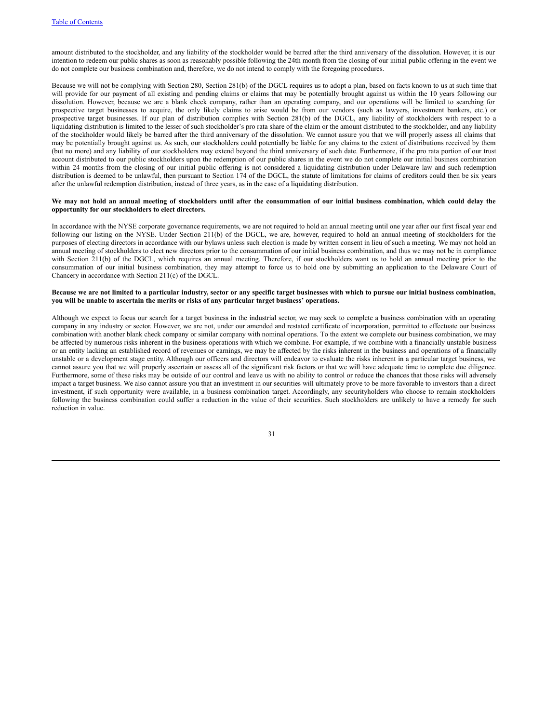amount distributed to the stockholder, and any liability of the stockholder would be barred after the third anniversary of the dissolution. However, it is our intention to redeem our public shares as soon as reasonably possible following the 24th month from the closing of our initial public offering in the event we do not complete our business combination and, therefore, we do not intend to comply with the foregoing procedures.

Because we will not be complying with Section 280, Section 281(b) of the DGCL requires us to adopt a plan, based on facts known to us at such time that will provide for our payment of all existing and pending claims or claims that may be potentially brought against us within the 10 years following our dissolution. However, because we are a blank check company, rather than an operating company, and our operations will be limited to searching for prospective target businesses to acquire, the only likely claims to arise would be from our vendors (such as lawyers, investment bankers, etc.) or prospective target businesses. If our plan of distribution complies with Section 281(b) of the DGCL, any liability of stockholders with respect to a liquidating distribution is limited to the lesser of such stockholder's pro rata share of the claim or the amount distributed to the stockholder, and any liability of the stockholder would likely be barred after the third anniversary of the dissolution. We cannot assure you that we will properly assess all claims that may be potentially brought against us. As such, our stockholders could potentially be liable for any claims to the extent of distributions received by them (but no more) and any liability of our stockholders may extend beyond the third anniversary of such date. Furthermore, if the pro rata portion of our trust account distributed to our public stockholders upon the redemption of our public shares in the event we do not complete our initial business combination within 24 months from the closing of our initial public offering is not considered a liquidating distribution under Delaware law and such redemption distribution is deemed to be unlawful, then pursuant to Section 174 of the DGCL, the statute of limitations for claims of creditors could then be six years after the unlawful redemption distribution, instead of three years, as in the case of a liquidating distribution.

## We may not hold an annual meeting of stockholders until after the consummation of our initial business combination, which could delay the **opportunity for our stockholders to elect directors.**

In accordance with the NYSE corporate governance requirements, we are not required to hold an annual meeting until one year after our first fiscal year end following our listing on the NYSE. Under Section 211(b) of the DGCL, we are, however, required to hold an annual meeting of stockholders for the purposes of electing directors in accordance with our bylaws unless such election is made by written consent in lieu of such a meeting. We may not hold an annual meeting of stockholders to elect new directors prior to the consummation of our initial business combination, and thus we may not be in compliance with Section 211(b) of the DGCL, which requires an annual meeting. Therefore, if our stockholders want us to hold an annual meeting prior to the consummation of our initial business combination, they may attempt to force us to hold one by submitting an application to the Delaware Court of Chancery in accordance with Section 211(c) of the DGCL.

#### Because we are not limited to a particular industry, sector or any specific target businesses with which to pursue our initial business combination, **you will be unable to ascertain the merits or risks of any particular target business' operations.**

Although we expect to focus our search for a target business in the industrial sector, we may seek to complete a business combination with an operating company in any industry or sector. However, we are not, under our amended and restated certificate of incorporation, permitted to effectuate our business combination with another blank check company or similar company with nominal operations. To the extent we complete our business combination, we may be affected by numerous risks inherent in the business operations with which we combine. For example, if we combine with a financially unstable business or an entity lacking an established record of revenues or earnings, we may be affected by the risks inherent in the business and operations of a financially unstable or a development stage entity. Although our officers and directors will endeavor to evaluate the risks inherent in a particular target business, we cannot assure you that we will properly ascertain or assess all of the significant risk factors or that we will have adequate time to complete due diligence. Furthermore, some of these risks may be outside of our control and leave us with no ability to control or reduce the chances that those risks will adversely impact a target business. We also cannot assure you that an investment in our securities will ultimately prove to be more favorable to investors than a direct investment, if such opportunity were available, in a business combination target. Accordingly, any securityholders who choose to remain stockholders following the business combination could suffer a reduction in the value of their securities. Such stockholders are unlikely to have a remedy for such reduction in value.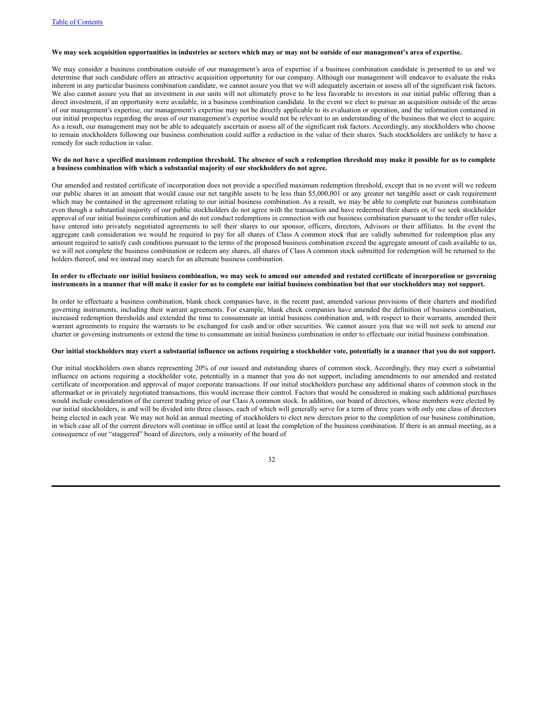#### We may seek acquisition opportunities in industries or sectors which may or may not be outside of our management's area of expertise.

We may consider a business combination outside of our management's area of expertise if a business combination candidate is presented to us and we determine that such candidate offers an attractive acquisition opportunity for our company. Although our management will endeavor to evaluate the risks inherent in any particular business combination candidate, we cannot assure you that we will adequately ascertain or assess all of the significant risk factors. We also cannot assure you that an investment in our units will not ultimately prove to be less favorable to investors in our initial public offering than a direct investment, if an opportunity were available, in a business combination candidate. In the event we elect to pursue an acquisition outside of the areas of our management's expertise, our management's expertise may not be directly applicable to its evaluation or operation, and the information contained in our initial prospectus regarding the areas of our management's expertise would not be relevant to an understanding of the business that we elect to acquire. As a result, our management may not be able to adequately ascertain or assess all of the significant risk factors. Accordingly, any stockholders who choose to remain stockholders following our business combination could suffer a reduction in the value of their shares. Such stockholders are unlikely to have a remedy for such reduction in value.

## We do not have a specified maximum redemption threshold. The absence of such a redemption threshold may make it possible for us to complete **a business combination with which a substantial majority of our stockholders do not agree.**

Our amended and restated certificate of incorporation does not provide a specified maximum redemption threshold, except that in no event will we redeem our public shares in an amount that would cause our net tangible assets to be less than \$5,000,001 or any greater net tangible asset or cash requirement which may be contained in the agreement relating to our initial business combination. As a result, we may be able to complete our business combination even though a substantial majority of our public stockholders do not agree with the transaction and have redeemed their shares or, if we seek stockholder approval of our initial business combination and do not conduct redemptions in connection with our business combination pursuant to the tender offer rules, have entered into privately negotiated agreements to sell their shares to our sponsor, officers, directors, Advisors or their affiliates. In the event the aggregate cash consideration we would be required to pay for all shares of Class A common stock that are validly submitted for redemption plus any amount required to satisfy cash conditions pursuant to the terms of the proposed business combination exceed the aggregate amount of cash available to us, we will not complete the business combination or redeem any shares, all shares of Class A common stock submitted for redemption will be returned to the holders thereof, and we instead may search for an alternate business combination.

### In order to effectuate our initial business combination, we may seek to amend our amended and restated certificate of incorporation or governing instruments in a manner that will make it easier for us to complete our initial business combination but that our stockholders may not support.

In order to effectuate a business combination, blank check companies have, in the recent past, amended various provisions of their charters and modified governing instruments, including their warrant agreements. For example, blank check companies have amended the definition of business combination, increased redemption thresholds and extended the time to consummate an initial business combination and, with respect to their warrants, amended their warrant agreements to require the warrants to be exchanged for cash and/or other securities. We cannot assure you that we will not seek to amend our charter or governing instruments or extend the time to consummate an initial business combination in order to effectuate our initial business combination.

#### Our initial stockholders may exert a substantial influence on actions requiring a stockholder vote, potentially in a manner that you do not support.

Our initial stockholders own shares representing 20% of our issued and outstanding shares of common stock. Accordingly, they may exert a substantial influence on actions requiring a stockholder vote, potentially in a manner that you do not support, including amendments to our amended and restated certificate of incorporation and approval of major corporate transactions. If our initial stockholders purchase any additional shares of common stock in the aftermarket or in privately negotiated transactions, this would increase their control. Factors that would be considered in making such additional purchases would include consideration of the current trading price of our Class A common stock. In addition, our board of directors, whose members were elected by our initial stockholders, is and will be divided into three classes, each of which will generally serve for a term of three years with only one class of directors being elected in each year. We may not hold an annual meeting of stockholders to elect new directors prior to the completion of our business combination, in which case all of the current directors will continue in office until at least the completion of the business combination. If there is an annual meeting, as a consequence of our "staggered" board of directors, only a minority of the board of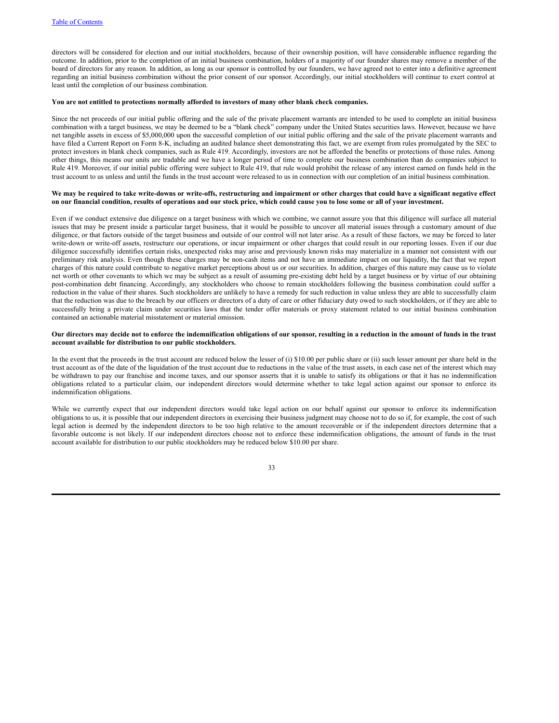directors will be considered for election and our initial stockholders, because of their ownership position, will have considerable influence regarding the outcome. In addition, prior to the completion of an initial business combination, holders of a majority of our founder shares may remove a member of the board of directors for any reason. In addition, as long as our sponsor is controlled by our founders, we have agreed not to enter into a definitive agreement regarding an initial business combination without the prior consent of our sponsor. Accordingly, our initial stockholders will continue to exert control at least until the completion of our business combination.

## **You are not entitled to protections normally afforded to investors of many other blank check companies.**

Since the net proceeds of our initial public offering and the sale of the private placement warrants are intended to be used to complete an initial business combination with a target business, we may be deemed to be a "blank check" company under the United States securities laws. However, because we have net tangible assets in excess of \$5,000,000 upon the successful completion of our initial public offering and the sale of the private placement warrants and have filed a Current Report on Form 8-K, including an audited balance sheet demonstrating this fact, we are exempt from rules promulgated by the SEC to protect investors in blank check companies, such as Rule 419. Accordingly, investors are not be afforded the benefits or protections of those rules. Among other things, this means our units are tradable and we have a longer period of time to complete our business combination than do companies subject to Rule 419. Moreover, if our initial public offering were subject to Rule 419, that rule would prohibit the release of any interest earned on funds held in the trust account to us unless and until the funds in the trust account were released to us in connection with our completion of an initial business combination.

#### We may be required to take write-downs or write-offs, restructuring and impairment or other charges that could have a significant negative effect on our financial condition, results of operations and our stock price, which could cause you to lose some or all of your investment.

Even if we conduct extensive due diligence on a target business with which we combine, we cannot assure you that this diligence will surface all material issues that may be present inside a particular target business, that it would be possible to uncover all material issues through a customary amount of due diligence, or that factors outside of the target business and outside of our control will not later arise. As a result of these factors, we may be forced to later write-down or write-off assets, restructure our operations, or incur impairment or other charges that could result in our reporting losses. Even if our due diligence successfully identifies certain risks, unexpected risks may arise and previously known risks may materialize in a manner not consistent with our preliminary risk analysis. Even though these charges may be non-cash items and not have an immediate impact on our liquidity, the fact that we report charges of this nature could contribute to negative market perceptions about us or our securities. In addition, charges of this nature may cause us to violate net worth or other covenants to which we may be subject as a result of assuming pre-existing debt held by a target business or by virtue of our obtaining post-combination debt financing. Accordingly, any stockholders who choose to remain stockholders following the business combination could suffer a reduction in the value of their shares. Such stockholders are unlikely to have a remedy for such reduction in value unless they are able to successfully claim that the reduction was due to the breach by our officers or directors of a duty of care or other fiduciary duty owed to such stockholders, or if they are able to successfully bring a private claim under securities laws that the tender offer materials or proxy statement related to our initial business combination contained an actionable material misstatement or material omission.

#### Our directors may decide not to enforce the indemnification obligations of our sponsor, resulting in a reduction in the amount of funds in the trust **account available for distribution to our public stockholders.**

In the event that the proceeds in the trust account are reduced below the lesser of (i) \$10.00 per public share or (ii) such lesser amount per share held in the trust account as of the date of the liquidation of the trust account due to reductions in the value of the trust assets, in each case net of the interest which may be withdrawn to pay our franchise and income taxes, and our sponsor asserts that it is unable to satisfy its obligations or that it has no indemnification obligations related to a particular claim, our independent directors would determine whether to take legal action against our sponsor to enforce its indemnification obligations.

While we currently expect that our independent directors would take legal action on our behalf against our sponsor to enforce its indemnification obligations to us, it is possible that our independent directors in exercising their business judgment may choose not to do so if, for example, the cost of such legal action is deemed by the independent directors to be too high relative to the amount recoverable or if the independent directors determine that a favorable outcome is not likely. If our independent directors choose not to enforce these indemnification obligations, the amount of funds in the trust account available for distribution to our public stockholders may be reduced below \$10.00 per share.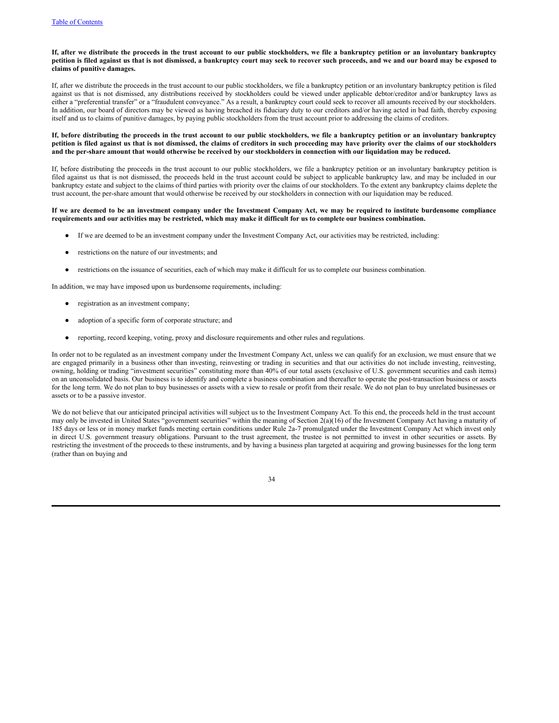## If, after we distribute the proceeds in the trust account to our public stockholders, we file a bankruptcy petition or an involuntary bankruptcy petition is filed against us that is not dismissed, a bankruptcy court may seek to recover such proceeds, and we and our board may be exposed to **claims of punitive damages.**

If, after we distribute the proceeds in the trust account to our public stockholders, we file a bankruptcy petition or an involuntary bankruptcy petition is filed against us that is not dismissed, any distributions received by stockholders could be viewed under applicable debtor/creditor and/or bankruptcy laws as either a "preferential transfer" or a "fraudulent conveyance." As a result, a bankruptcy court could seek to recover all amounts received by our stockholders. In addition, our board of directors may be viewed as having breached its fiduciary duty to our creditors and/or having acted in bad faith, thereby exposing itself and us to claims of punitive damages, by paying public stockholders from the trust account prior to addressing the claims of creditors.

## If, before distributing the proceeds in the trust account to our public stockholders, we file a bankruptcy petition or an involuntary bankruptcy petition is filed against us that is not dismissed, the claims of creditors in such proceeding may have priority over the claims of our stockholders and the per-share amount that would otherwise be received by our stockholders in connection with our liquidation may be reduced.

If, before distributing the proceeds in the trust account to our public stockholders, we file a bankruptcy petition or an involuntary bankruptcy petition is filed against us that is not dismissed, the proceeds held in the trust account could be subject to applicable bankruptcy law, and may be included in our bankruptcy estate and subject to the claims of third parties with priority over the claims of our stockholders. To the extent any bankruptcy claims deplete the trust account, the per-share amount that would otherwise be received by our stockholders in connection with our liquidation may be reduced.

## If we are deemed to be an investment company under the Investment Company Act, we may be required to institute burdensome compliance requirements and our activities may be restricted, which may make it difficult for us to complete our business combination.

- If we are deemed to be an investment company under the Investment Company Act, our activities may be restricted, including:
- restrictions on the nature of our investments; and
- restrictions on the issuance of securities, each of which may make it difficult for us to complete our business combination.

In addition, we may have imposed upon us burdensome requirements, including:

- registration as an investment company;
- adoption of a specific form of corporate structure; and
- reporting, record keeping, voting, proxy and disclosure requirements and other rules and regulations.

In order not to be regulated as an investment company under the Investment Company Act, unless we can qualify for an exclusion, we must ensure that we are engaged primarily in a business other than investing, reinvesting or trading in securities and that our activities do not include investing, reinvesting, owning, holding or trading "investment securities" constituting more than 40% of our total assets (exclusive of U.S. government securities and cash items) on an unconsolidated basis. Our business is to identify and complete a business combination and thereafter to operate the post-transaction business or assets for the long term. We do not plan to buy businesses or assets with a view to resale or profit from their resale. We do not plan to buy unrelated businesses or assets or to be a passive investor.

We do not believe that our anticipated principal activities will subject us to the Investment Company Act. To this end, the proceeds held in the trust account may only be invested in United States "government securities" within the meaning of Section 2(a)(16) of the Investment Company Act having a maturity of 185 days or less or in money market funds meeting certain conditions under Rule 2a-7 promulgated under the Investment Company Act which invest only in direct U.S. government treasury obligations. Pursuant to the trust agreement, the trustee is not permitted to invest in other securities or assets. By restricting the investment of the proceeds to these instruments, and by having a business plan targeted at acquiring and growing businesses for the long term (rather than on buying and

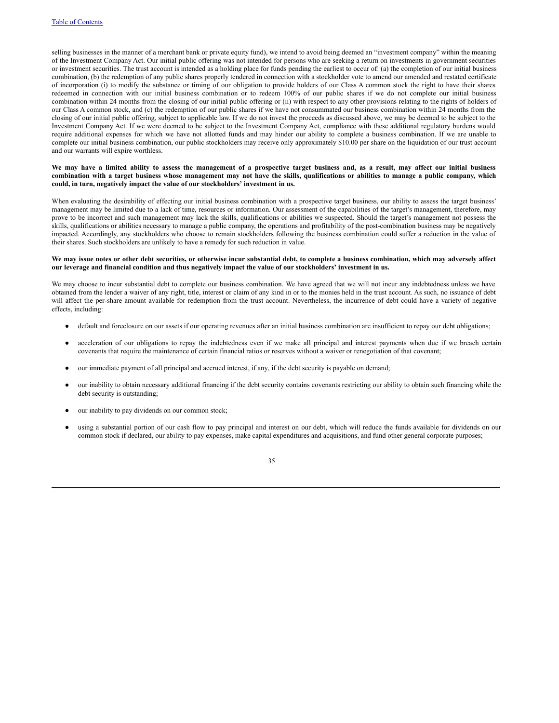selling businesses in the manner of a merchant bank or private equity fund), we intend to avoid being deemed an "investment company" within the meaning of the Investment Company Act. Our initial public offering was not intended for persons who are seeking a return on investments in government securities or investment securities. The trust account is intended as a holding place for funds pending the earliest to occur of: (a) the completion of our initial business combination, (b) the redemption of any public shares properly tendered in connection with a stockholder vote to amend our amended and restated certificate of incorporation (i) to modify the substance or timing of our obligation to provide holders of our Class A common stock the right to have their shares redeemed in connection with our initial business combination or to redeem 100% of our public shares if we do not complete our initial business combination within 24 months from the closing of our initial public offering or (ii) with respect to any other provisions relating to the rights of holders of our Class A common stock, and (c) the redemption of our public shares if we have not consummated our business combination within 24 months from the closing of our initial public offering, subject to applicable law. If we do not invest the proceeds as discussed above, we may be deemed to be subject to the Investment Company Act. If we were deemed to be subject to the Investment Company Act, compliance with these additional regulatory burdens would require additional expenses for which we have not allotted funds and may hinder our ability to complete a business combination. If we are unable to complete our initial business combination, our public stockholders may receive only approximately \$10.00 per share on the liquidation of our trust account and our warrants will expire worthless.

## We may have a limited ability to assess the management of a prospective target business and, as a result, may affect our initial business combination with a target business whose management may not have the skills, qualifications or abilities to manage a public company, which **could, in turn, negatively impact the value of our stockholders' investment in us.**

When evaluating the desirability of effecting our initial business combination with a prospective target business, our ability to assess the target business' management may be limited due to a lack of time, resources or information. Our assessment of the capabilities of the target's management, therefore, may prove to be incorrect and such management may lack the skills, qualifications or abilities we suspected. Should the target's management not possess the skills, qualifications or abilities necessary to manage a public company, the operations and profitability of the post-combination business may be negatively impacted. Accordingly, any stockholders who choose to remain stockholders following the business combination could suffer a reduction in the value of their shares. Such stockholders are unlikely to have a remedy for such reduction in value.

## We may issue notes or other debt securities, or otherwise incur substantial debt, to complete a business combination, which may adversely affect our leverage and financial condition and thus negatively impact the value of our stockholders' investment in us.

We may choose to incur substantial debt to complete our business combination. We have agreed that we will not incur any indebtedness unless we have obtained from the lender a waiver of any right, title, interest or claim of any kind in or to the monies held in the trust account. As such, no issuance of debt will affect the per-share amount available for redemption from the trust account. Nevertheless, the incurrence of debt could have a variety of negative effects, including:

- default and foreclosure on our assets if our operating revenues after an initial business combination are insufficient to repay our debt obligations;
- acceleration of our obligations to repay the indebtedness even if we make all principal and interest payments when due if we breach certain covenants that require the maintenance of certain financial ratios or reserves without a waiver or renegotiation of that covenant;
- our immediate payment of all principal and accrued interest, if any, if the debt security is payable on demand;
- our inability to obtain necessary additional financing if the debt security contains covenants restricting our ability to obtain such financing while the debt security is outstanding;
- our inability to pay dividends on our common stock;
- using a substantial portion of our cash flow to pay principal and interest on our debt, which will reduce the funds available for dividends on our common stock if declared, our ability to pay expenses, make capital expenditures and acquisitions, and fund other general corporate purposes;

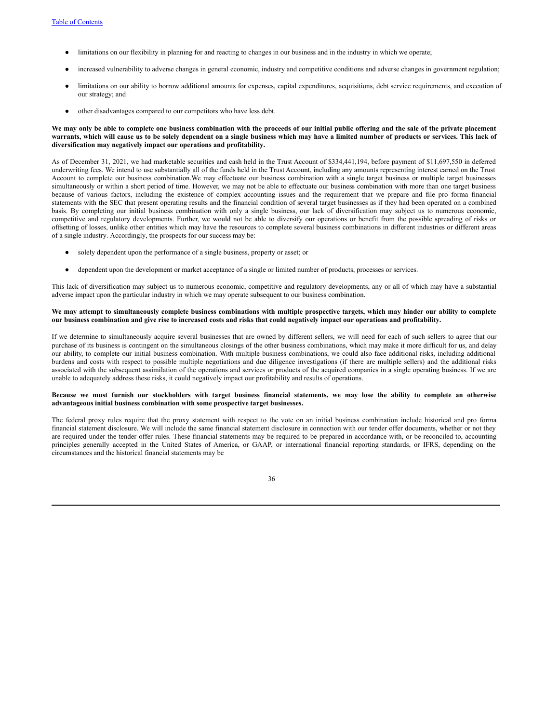- limitations on our flexibility in planning for and reacting to changes in our business and in the industry in which we operate;
- increased vulnerability to adverse changes in general economic, industry and competitive conditions and adverse changes in government regulation;
- limitations on our ability to borrow additional amounts for expenses, capital expenditures, acquisitions, debt service requirements, and execution of our strategy; and
- other disadvantages compared to our competitors who have less debt.

## We may only be able to complete one business combination with the proceeds of our initial public offering and the sale of the private placement warrants, which will cause us to be solely dependent on a single business which may have a limited number of products or services. This lack of **diversification may negatively impact our operations and profitability.**

As of December 31, 2021, we had marketable securities and cash held in the Trust Account of \$334,441,194, before payment of \$11,697,550 in deferred underwriting fees. We intend to use substantially all of the funds held in the Trust Account, including any amounts representing interest earned on the Trust Account to complete our business combination.We may effectuate our business combination with a single target business or multiple target businesses simultaneously or within a short period of time. However, we may not be able to effectuate our business combination with more than one target business because of various factors, including the existence of complex accounting issues and the requirement that we prepare and file pro forma financial statements with the SEC that present operating results and the financial condition of several target businesses as if they had been operated on a combined basis. By completing our initial business combination with only a single business, our lack of diversification may subject us to numerous economic, competitive and regulatory developments. Further, we would not be able to diversify our operations or benefit from the possible spreading of risks or offsetting of losses, unlike other entities which may have the resources to complete several business combinations in different industries or different areas of a single industry. Accordingly, the prospects for our success may be:

- solely dependent upon the performance of a single business, property or asset; or
- dependent upon the development or market acceptance of a single or limited number of products, processes or services.

This lack of diversification may subject us to numerous economic, competitive and regulatory developments, any or all of which may have a substantial adverse impact upon the particular industry in which we may operate subsequent to our business combination.

## We may attempt to simultaneously complete business combinations with multiple prospective targets, which may hinder our ability to complete our business combination and give rise to increased costs and risks that could negatively impact our operations and profitability.

If we determine to simultaneously acquire several businesses that are owned by different sellers, we will need for each of such sellers to agree that our purchase of its business is contingent on the simultaneous closings of the other business combinations, which may make it more difficult for us, and delay our ability, to complete our initial business combination. With multiple business combinations, we could also face additional risks, including additional burdens and costs with respect to possible multiple negotiations and due diligence investigations (if there are multiple sellers) and the additional risks associated with the subsequent assimilation of the operations and services or products of the acquired companies in a single operating business. If we are unable to adequately address these risks, it could negatively impact our profitability and results of operations.

# Because we must furnish our stockholders with target business financial statements, we may lose the ability to complete an otherwise **advantageous initial business combination with some prospective target businesses.**

The federal proxy rules require that the proxy statement with respect to the vote on an initial business combination include historical and pro forma financial statement disclosure. We will include the same financial statement disclosure in connection with our tender offer documents, whether or not they are required under the tender offer rules. These financial statements may be required to be prepared in accordance with, or be reconciled to, accounting principles generally accepted in the United States of America, or GAAP, or international financial reporting standards, or IFRS, depending on the circumstances and the historical financial statements may be

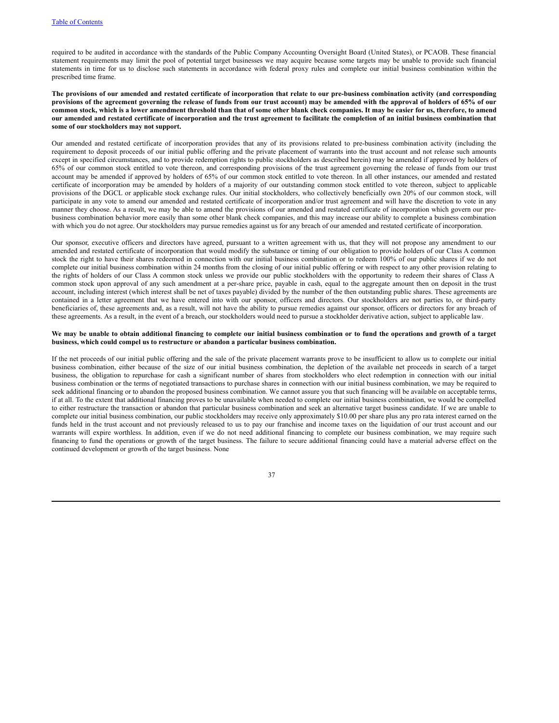required to be audited in accordance with the standards of the Public Company Accounting Oversight Board (United States), or PCAOB. These financial statement requirements may limit the pool of potential target businesses we may acquire because some targets may be unable to provide such financial statements in time for us to disclose such statements in accordance with federal proxy rules and complete our initial business combination within the prescribed time frame.

The provisions of our amended and restated certificate of incorporation that relate to our pre-business combination activity (and corresponding provisions of the agreement governing the release of funds from our trust account) may be amended with the approval of holders of 65% of our common stock, which is a lower amendment threshold than that of some other blank check companies. It may be easier for us, therefore, to amend our amended and restated certificate of incorporation and the trust agreement to facilitate the completion of an initial business combination that **some of our stockholders may not support.**

Our amended and restated certificate of incorporation provides that any of its provisions related to pre-business combination activity (including the requirement to deposit proceeds of our initial public offering and the private placement of warrants into the trust account and not release such amounts except in specified circumstances, and to provide redemption rights to public stockholders as described herein) may be amended if approved by holders of 65% of our common stock entitled to vote thereon, and corresponding provisions of the trust agreement governing the release of funds from our trust account may be amended if approved by holders of 65% of our common stock entitled to vote thereon. In all other instances, our amended and restated certificate of incorporation may be amended by holders of a majority of our outstanding common stock entitled to vote thereon, subject to applicable provisions of the DGCL or applicable stock exchange rules. Our initial stockholders, who collectively beneficially own 20% of our common stock, will participate in any vote to amend our amended and restated certificate of incorporation and/or trust agreement and will have the discretion to vote in any manner they choose. As a result, we may be able to amend the provisions of our amended and restated certificate of incorporation which govern our prebusiness combination behavior more easily than some other blank check companies, and this may increase our ability to complete a business combination with which you do not agree. Our stockholders may pursue remedies against us for any breach of our amended and restated certificate of incorporation.

Our sponsor, executive officers and directors have agreed, pursuant to a written agreement with us, that they will not propose any amendment to our amended and restated certificate of incorporation that would modify the substance or timing of our obligation to provide holders of our Class A common stock the right to have their shares redeemed in connection with our initial business combination or to redeem 100% of our public shares if we do not complete our initial business combination within 24 months from the closing of our initial public offering or with respect to any other provision relating to the rights of holders of our Class A common stock unless we provide our public stockholders with the opportunity to redeem their shares of Class A common stock upon approval of any such amendment at a per-share price, payable in cash, equal to the aggregate amount then on deposit in the trust account, including interest (which interest shall be net of taxes payable) divided by the number of the then outstanding public shares. These agreements are contained in a letter agreement that we have entered into with our sponsor, officers and directors. Our stockholders are not parties to, or third-party beneficiaries of, these agreements and, as a result, will not have the ability to pursue remedies against our sponsor, officers or directors for any breach of these agreements. As a result, in the event of a breach, our stockholders would need to pursue a stockholder derivative action, subject to applicable law.

## We may be unable to obtain additional financing to complete our initial business combination or to fund the operations and growth of a target **business, which could compel us to restructure or abandon a particular business combination.**

If the net proceeds of our initial public offering and the sale of the private placement warrants prove to be insufficient to allow us to complete our initial business combination, either because of the size of our initial business combination, the depletion of the available net proceeds in search of a target business, the obligation to repurchase for cash a significant number of shares from stockholders who elect redemption in connection with our initial business combination or the terms of negotiated transactions to purchase shares in connection with our initial business combination, we may be required to seek additional financing or to abandon the proposed business combination. We cannot assure you that such financing will be available on acceptable terms, if at all. To the extent that additional financing proves to be unavailable when needed to complete our initial business combination, we would be compelled to either restructure the transaction or abandon that particular business combination and seek an alternative target business candidate. If we are unable to complete our initial business combination, our public stockholders may receive only approximately \$10.00 per share plus any pro rata interest earned on the funds held in the trust account and not previously released to us to pay our franchise and income taxes on the liquidation of our trust account and our warrants will expire worthless. In addition, even if we do not need additional financing to complete our business combination, we may require such financing to fund the operations or growth of the target business. The failure to secure additional financing could have a material adverse effect on the continued development or growth of the target business. None

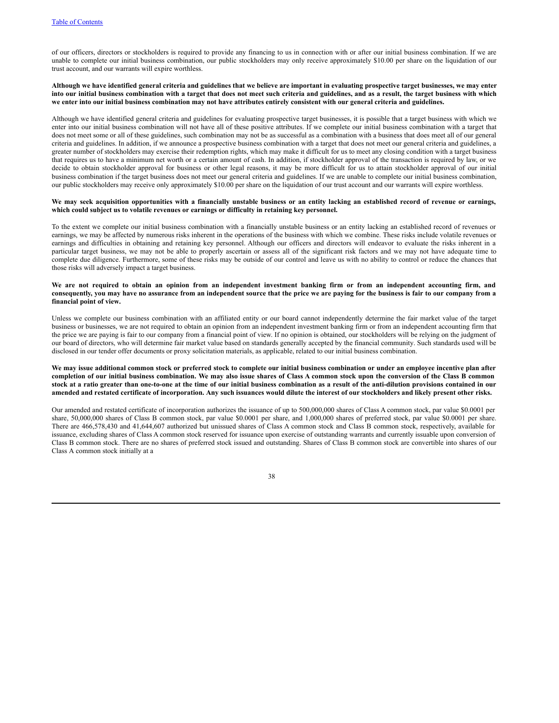of our officers, directors or stockholders is required to provide any financing to us in connection with or after our initial business combination. If we are unable to complete our initial business combination, our public stockholders may only receive approximately \$10.00 per share on the liquidation of our trust account, and our warrants will expire worthless.

## Although we have identified general criteria and guidelines that we believe are important in evaluating prospective target businesses, we may enter into our initial business combination with a target that does not meet such criteria and guidelines, and as a result, the target business with which we enter into our initial business combination may not have attributes entirely consistent with our general criteria and guidelines.

Although we have identified general criteria and guidelines for evaluating prospective target businesses, it is possible that a target business with which we enter into our initial business combination will not have all of these positive attributes. If we complete our initial business combination with a target that does not meet some or all of these guidelines, such combination may not be as successful as a combination with a business that does meet all of our general criteria and guidelines. In addition, if we announce a prospective business combination with a target that does not meet our general criteria and guidelines, a greater number of stockholders may exercise their redemption rights, which may make it difficult for us to meet any closing condition with a target business that requires us to have a minimum net worth or a certain amount of cash. In addition, if stockholder approval of the transaction is required by law, or we decide to obtain stockholder approval for business or other legal reasons, it may be more difficult for us to attain stockholder approval of our initial business combination if the target business does not meet our general criteria and guidelines. If we are unable to complete our initial business combination, our public stockholders may receive only approximately \$10.00 per share on the liquidation of our trust account and our warrants will expire worthless.

## We may seek acquisition opportunities with a financially unstable business or an entity lacking an established record of revenue or earnings, **which could subject us to volatile revenues or earnings or difficulty in retaining key personnel.**

To the extent we complete our initial business combination with a financially unstable business or an entity lacking an established record of revenues or earnings, we may be affected by numerous risks inherent in the operations of the business with which we combine. These risks include volatile revenues or earnings and difficulties in obtaining and retaining key personnel. Although our officers and directors will endeavor to evaluate the risks inherent in a particular target business, we may not be able to properly ascertain or assess all of the significant risk factors and we may not have adequate time to complete due diligence. Furthermore, some of these risks may be outside of our control and leave us with no ability to control or reduce the chances that those risks will adversely impact a target business.

# We are not required to obtain an opinion from an independent investment banking firm or from an independent accounting firm, and consequently, you may have no assurance from an independent source that the price we are paying for the business is fair to our company from a **financial point of view.**

Unless we complete our business combination with an affiliated entity or our board cannot independently determine the fair market value of the target business or businesses, we are not required to obtain an opinion from an independent investment banking firm or from an independent accounting firm that the price we are paying is fair to our company from a financial point of view. If no opinion is obtained, our stockholders will be relying on the judgment of our board of directors, who will determine fair market value based on standards generally accepted by the financial community. Such standards used will be disclosed in our tender offer documents or proxy solicitation materials, as applicable, related to our initial business combination.

## We may issue additional common stock or preferred stock to complete our initial business combination or under an employee incentive plan after completion of our initial business combination. We may also issue shares of Class A common stock upon the conversion of the Class B common stock at a ratio greater than one-to-one at the time of our initial business combination as a result of the anti-dilution provisions contained in our amended and restated certificate of incorporation. Any such issuances would dilute the interest of our stockholders and likely present other risks.

Our amended and restated certificate of incorporation authorizes the issuance of up to 500,000,000 shares of Class A common stock, par value \$0.0001 per share, 50,000,000 shares of Class B common stock, par value \$0.0001 per share, and 1,000,000 shares of preferred stock, par value \$0.0001 per share. There are 466,578,430 and 41,644,607 authorized but unissued shares of Class A common stock and Class B common stock, respectively, available for issuance, excluding shares of Class A common stock reserved for issuance upon exercise of outstanding warrants and currently issuable upon conversion of Class B common stock. There are no shares of preferred stock issued and outstanding. Shares of Class B common stock are convertible into shares of our Class A common stock initially at a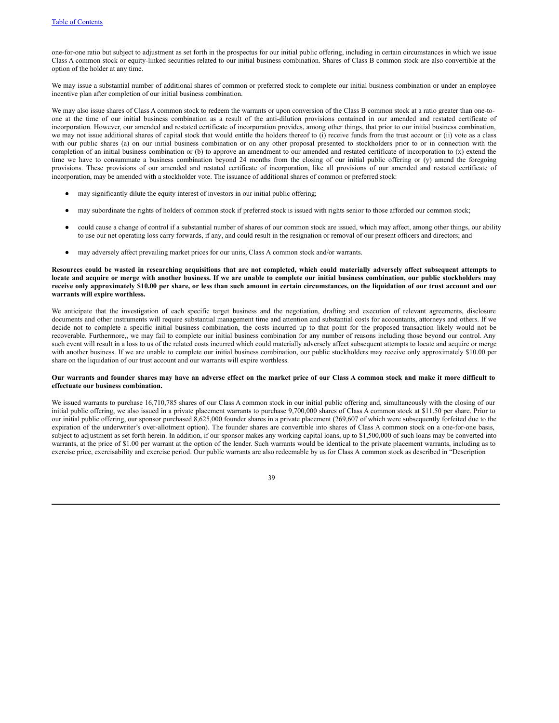one-for-one ratio but subject to adjustment as set forth in the prospectus for our initial public offering, including in certain circumstances in which we issue Class A common stock or equity-linked securities related to our initial business combination. Shares of Class B common stock are also convertible at the option of the holder at any time.

We may issue a substantial number of additional shares of common or preferred stock to complete our initial business combination or under an employee incentive plan after completion of our initial business combination.

We may also issue shares of Class A common stock to redeem the warrants or upon conversion of the Class B common stock at a ratio greater than one-toone at the time of our initial business combination as a result of the anti-dilution provisions contained in our amended and restated certificate of incorporation. However, our amended and restated certificate of incorporation provides, among other things, that prior to our initial business combination, we may not issue additional shares of capital stock that would entitle the holders thereof to (i) receive funds from the trust account or (ii) vote as a class with our public shares (a) on our initial business combination or on any other proposal presented to stockholders prior to or in connection with the completion of an initial business combination or (b) to approve an amendment to our amended and restated certificate of incorporation to (x) extend the time we have to consummate a business combination beyond 24 months from the closing of our initial public offering or (y) amend the foregoing provisions. These provisions of our amended and restated certificate of incorporation, like all provisions of our amended and restated certificate of incorporation, may be amended with a stockholder vote. The issuance of additional shares of common or preferred stock:

- may significantly dilute the equity interest of investors in our initial public offering;
- may subordinate the rights of holders of common stock if preferred stock is issued with rights senior to those afforded our common stock;
- could cause a change of control if a substantial number of shares of our common stock are issued, which may affect, among other things, our ability to use our net operating loss carry forwards, if any, and could result in the resignation or removal of our present officers and directors; and
- may adversely affect prevailing market prices for our units, Class A common stock and/or warrants.

# Resources could be wasted in researching acquisitions that are not completed, which could materially adversely affect subsequent attempts to locate and acquire or merge with another business. If we are unable to complete our initial business combination, our public stockholders may receive only approximately \$10.00 per share, or less than such amount in certain circumstances, on the liquidation of our trust account and our **warrants will expire worthless.**

We anticipate that the investigation of each specific target business and the negotiation, drafting and execution of relevant agreements, disclosure documents and other instruments will require substantial management time and attention and substantial costs for accountants, attorneys and others. If we decide not to complete a specific initial business combination, the costs incurred up to that point for the proposed transaction likely would not be recoverable. Furthermore,, we may fail to complete our initial business combination for any number of reasons including those beyond our control. Any such event will result in a loss to us of the related costs incurred which could materially adversely affect subsequent attempts to locate and acquire or merge with another business. If we are unable to complete our initial business combination, our public stockholders may receive only approximately \$10.00 per share on the liquidation of our trust account and our warrants will expire worthless.

## Our warrants and founder shares may have an adverse effect on the market price of our Class A common stock and make it more difficult to **effectuate our business combination.**

We issued warrants to purchase 16,710,785 shares of our Class A common stock in our initial public offering and, simultaneously with the closing of our initial public offering, we also issued in a private placement warrants to purchase 9,700,000 shares of Class A common stock at \$11.50 per share. Prior to our initial public offering, our sponsor purchased 8,625,000 founder shares in a private placement (269,607 of which were subsequently forfeited due to the expiration of the underwriter's over-allotment option). The founder shares are convertible into shares of Class A common stock on a one-for-one basis, subject to adjustment as set forth herein. In addition, if our sponsor makes any working capital loans, up to \$1,500,000 of such loans may be converted into warrants, at the price of \$1.00 per warrant at the option of the lender. Such warrants would be identical to the private placement warrants, including as to exercise price, exercisability and exercise period. Our public warrants are also redeemable by us for Class A common stock as described in "Description

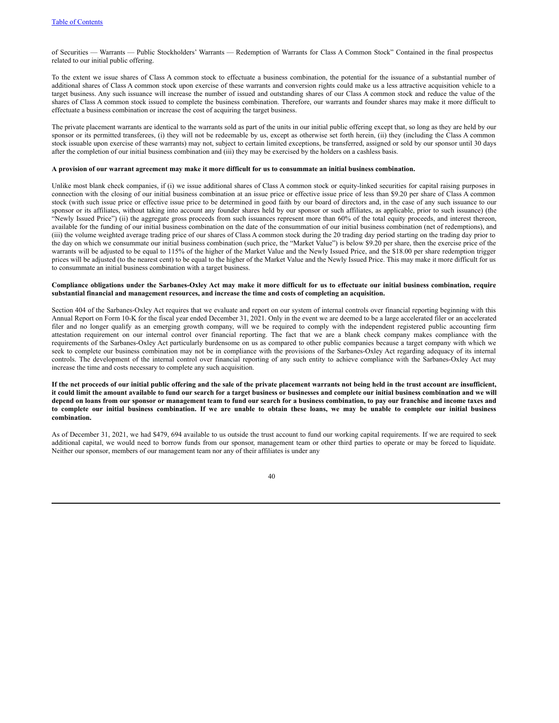of Securities — Warrants — Public Stockholders' Warrants — Redemption of Warrants for Class A Common Stock" Contained in the final prospectus related to our initial public offering.

To the extent we issue shares of Class A common stock to effectuate a business combination, the potential for the issuance of a substantial number of additional shares of Class A common stock upon exercise of these warrants and conversion rights could make us a less attractive acquisition vehicle to a target business. Any such issuance will increase the number of issued and outstanding shares of our Class A common stock and reduce the value of the shares of Class A common stock issued to complete the business combination. Therefore, our warrants and founder shares may make it more difficult to effectuate a business combination or increase the cost of acquiring the target business.

The private placement warrants are identical to the warrants sold as part of the units in our initial public offering except that, so long as they are held by our sponsor or its permitted transferees, (i) they will not be redeemable by us, except as otherwise set forth herein, (ii) they (including the Class A common stock issuable upon exercise of these warrants) may not, subject to certain limited exceptions, be transferred, assigned or sold by our sponsor until 30 days after the completion of our initial business combination and (iii) they may be exercised by the holders on a cashless basis.

### A provision of our warrant agreement may make it more difficult for us to consummate an initial business combination.

Unlike most blank check companies, if (i) we issue additional shares of Class A common stock or equity-linked securities for capital raising purposes in connection with the closing of our initial business combination at an issue price or effective issue price of less than \$9.20 per share of Class A common stock (with such issue price or effective issue price to be determined in good faith by our board of directors and, in the case of any such issuance to our sponsor or its affiliates, without taking into account any founder shares held by our sponsor or such affiliates, as applicable, prior to such issuance) (the "Newly Issued Price") (ii) the aggregate gross proceeds from such issuances represent more than 60% of the total equity proceeds, and interest thereon, available for the funding of our initial business combination on the date of the consummation of our initial business combination (net of redemptions), and (iii) the volume weighted average trading price of our shares of Class A common stock during the 20 trading day period starting on the trading day prior to the day on which we consummate our initial business combination (such price, the "Market Value") is below \$9.20 per share, then the exercise price of the warrants will be adjusted to be equal to 115% of the higher of the Market Value and the Newly Issued Price, and the \$18.00 per share redemption trigger prices will be adjusted (to the nearest cent) to be equal to the higher of the Market Value and the Newly Issued Price. This may make it more difficult for us to consummate an initial business combination with a target business.

# Compliance obligations under the Sarbanes-Oxley Act may make it more difficult for us to effectuate our initial business combination, require **substantial financial and management resources, and increase the time and costs of completing an acquisition.**

Section 404 of the Sarbanes-Oxley Act requires that we evaluate and report on our system of internal controls over financial reporting beginning with this Annual Report on Form 10-K for the fiscal year ended December 31, 2021. Only in the event we are deemed to be a large accelerated filer or an accelerated filer and no longer qualify as an emerging growth company, will we be required to comply with the independent registered public accounting firm attestation requirement on our internal control over financial reporting. The fact that we are a blank check company makes compliance with the requirements of the Sarbanes-Oxley Act particularly burdensome on us as compared to other public companies because a target company with which we seek to complete our business combination may not be in compliance with the provisions of the Sarbanes-Oxley Act regarding adequacy of its internal controls. The development of the internal control over financial reporting of any such entity to achieve compliance with the Sarbanes-Oxley Act may increase the time and costs necessary to complete any such acquisition.

If the net proceeds of our initial public offering and the sale of the private placement warrants not being held in the trust account are insufficient, it could limit the amount available to fund our search for a target business or businesses and complete our initial business combination and we will depend on loans from our sponsor or management team to fund our search for a business combination, to pay our franchise and income taxes and to complete our initial business combination. If we are unable to obtain these loans, we may be unable to complete our initial business **combination.**

As of December 31, 2021, we had \$479, 694 available to us outside the trust account to fund our working capital requirements. If we are required to seek additional capital, we would need to borrow funds from our sponsor, management team or other third parties to operate or may be forced to liquidate. Neither our sponsor, members of our management team nor any of their affiliates is under any

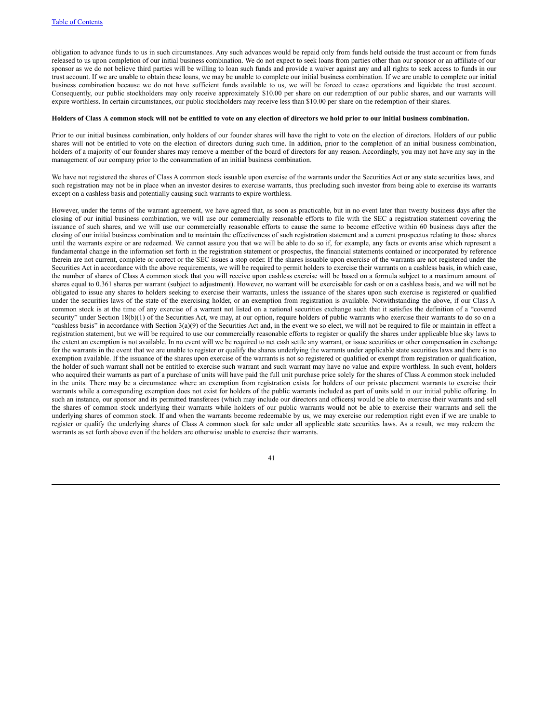obligation to advance funds to us in such circumstances. Any such advances would be repaid only from funds held outside the trust account or from funds released to us upon completion of our initial business combination. We do not expect to seek loans from parties other than our sponsor or an affiliate of our sponsor as we do not believe third parties will be willing to loan such funds and provide a waiver against any and all rights to seek access to funds in our trust account. If we are unable to obtain these loans, we may be unable to complete our initial business combination. If we are unable to complete our initial business combination because we do not have sufficient funds available to us, we will be forced to cease operations and liquidate the trust account. Consequently, our public stockholders may only receive approximately \$10.00 per share on our redemption of our public shares, and our warrants will expire worthless. In certain circumstances, our public stockholders may receive less than \$10.00 per share on the redemption of their shares.

#### Holders of Class A common stock will not be entitled to vote on any election of directors we hold prior to our initial business combination.

Prior to our initial business combination, only holders of our founder shares will have the right to vote on the election of directors. Holders of our public shares will not be entitled to vote on the election of directors during such time. In addition, prior to the completion of an initial business combination, holders of a majority of our founder shares may remove a member of the board of directors for any reason. Accordingly, you may not have any say in the management of our company prior to the consummation of an initial business combination.

We have not registered the shares of Class A common stock issuable upon exercise of the warrants under the Securities Act or any state securities laws, and such registration may not be in place when an investor desires to exercise warrants, thus precluding such investor from being able to exercise its warrants except on a cashless basis and potentially causing such warrants to expire worthless.

However, under the terms of the warrant agreement, we have agreed that, as soon as practicable, but in no event later than twenty business days after the closing of our initial business combination, we will use our commercially reasonable efforts to file with the SEC a registration statement covering the issuance of such shares, and we will use our commercially reasonable efforts to cause the same to become effective within 60 business days after the closing of our initial business combination and to maintain the effectiveness of such registration statement and a current prospectus relating to those shares until the warrants expire or are redeemed. We cannot assure you that we will be able to do so if, for example, any facts or events arise which represent a fundamental change in the information set forth in the registration statement or prospectus, the financial statements contained or incorporated by reference therein are not current, complete or correct or the SEC issues a stop order. If the shares issuable upon exercise of the warrants are not registered under the Securities Act in accordance with the above requirements, we will be required to permit holders to exercise their warrants on a cashless basis, in which case, the number of shares of Class A common stock that you will receive upon cashless exercise will be based on a formula subject to a maximum amount of shares equal to 0.361 shares per warrant (subject to adjustment). However, no warrant will be exercisable for cash or on a cashless basis, and we will not be obligated to issue any shares to holders seeking to exercise their warrants, unless the issuance of the shares upon such exercise is registered or qualified under the securities laws of the state of the exercising holder, or an exemption from registration is available. Notwithstanding the above, if our Class A common stock is at the time of any exercise of a warrant not listed on a national securities exchange such that it satisfies the definition of a "covered security" under Section 18(b)(1) of the Securities Act, we may, at our option, require holders of public warrants who exercise their warrants to do so on a "cashless basis" in accordance with Section 3(a)(9) of the Securities Act and, in the event we so elect, we will not be required to file or maintain in effect a registration statement, but we will be required to use our commercially reasonable efforts to register or qualify the shares under applicable blue sky laws to the extent an exemption is not available. In no event will we be required to net cash settle any warrant, or issue securities or other compensation in exchange for the warrants in the event that we are unable to register or qualify the shares underlying the warrants under applicable state securities laws and there is no exemption available. If the issuance of the shares upon exercise of the warrants is not so registered or qualified or exempt from registration or qualification, the holder of such warrant shall not be entitled to exercise such warrant and such warrant may have no value and expire worthless. In such event, holders who acquired their warrants as part of a purchase of units will have paid the full unit purchase price solely for the shares of Class A common stock included in the units. There may be a circumstance where an exemption from registration exists for holders of our private placement warrants to exercise their warrants while a corresponding exemption does not exist for holders of the public warrants included as part of units sold in our initial public offering. In such an instance, our sponsor and its permitted transferees (which may include our directors and officers) would be able to exercise their warrants and sell the shares of common stock underlying their warrants while holders of our public warrants would not be able to exercise their warrants and sell the underlying shares of common stock. If and when the warrants become redeemable by us, we may exercise our redemption right even if we are unable to register or qualify the underlying shares of Class A common stock for sale under all applicable state securities laws. As a result, we may redeem the warrants as set forth above even if the holders are otherwise unable to exercise their warrants.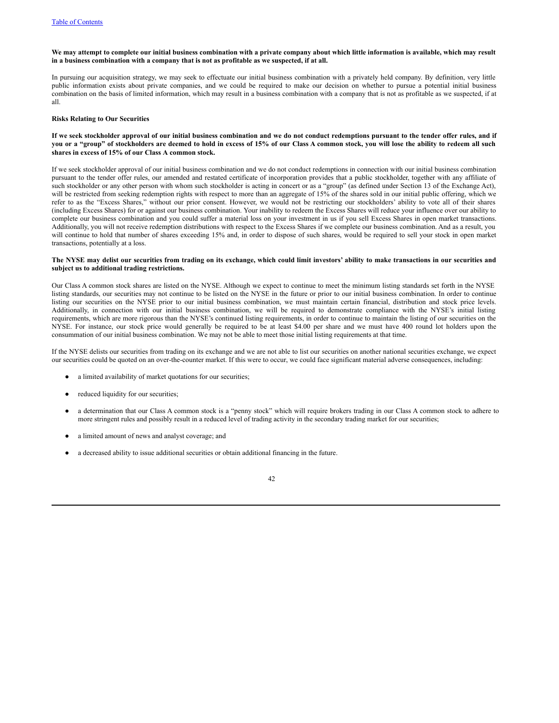## We may attempt to complete our initial business combination with a private company about which little information is available, which may result **in a business combination with a company that is not as profitable as we suspected, if at all.**

In pursuing our acquisition strategy, we may seek to effectuate our initial business combination with a privately held company. By definition, very little public information exists about private companies, and we could be required to make our decision on whether to pursue a potential initial business combination on the basis of limited information, which may result in a business combination with a company that is not as profitable as we suspected, if at all.

# **Risks Relating to Our Securities**

## If we seek stockholder approval of our initial business combination and we do not conduct redemptions pursuant to the tender offer rules, and if you or a "group" of stockholders are deemed to hold in excess of 15% of our Class A common stock, you will lose the ability to redeem all such **shares in excess of 15% of our Class A common stock.**

If we seek stockholder approval of our initial business combination and we do not conduct redemptions in connection with our initial business combination pursuant to the tender offer rules, our amended and restated certificate of incorporation provides that a public stockholder, together with any affiliate of such stockholder or any other person with whom such stockholder is acting in concert or as a "group" (as defined under Section 13 of the Exchange Act), will be restricted from seeking redemption rights with respect to more than an aggregate of 15% of the shares sold in our initial public offering, which we refer to as the "Excess Shares," without our prior consent. However, we would not be restricting our stockholders' ability to vote all of their shares (including Excess Shares) for or against our business combination. Your inability to redeem the Excess Shares will reduce your influence over our ability to complete our business combination and you could suffer a material loss on your investment in us if you sell Excess Shares in open market transactions. Additionally, you will not receive redemption distributions with respect to the Excess Shares if we complete our business combination. And as a result, you will continue to hold that number of shares exceeding 15% and, in order to dispose of such shares, would be required to sell your stock in open market transactions, potentially at a loss.

## The NYSE may delist our securities from trading on its exchange, which could limit investors' ability to make transactions in our securities and **subject us to additional trading restrictions.**

Our Class A common stock shares are listed on the NYSE. Although we expect to continue to meet the minimum listing standards set forth in the NYSE listing standards, our securities may not continue to be listed on the NYSE in the future or prior to our initial business combination. In order to continue listing our securities on the NYSE prior to our initial business combination, we must maintain certain financial, distribution and stock price levels. Additionally, in connection with our initial business combination, we will be required to demonstrate compliance with the NYSE's initial listing requirements, which are more rigorous than the NYSE's continued listing requirements, in order to continue to maintain the listing of our securities on the NYSE. For instance, our stock price would generally be required to be at least \$4.00 per share and we must have 400 round lot holders upon the consummation of our initial business combination. We may not be able to meet those initial listing requirements at that time.

If the NYSE delists our securities from trading on its exchange and we are not able to list our securities on another national securities exchange, we expect our securities could be quoted on an over-the-counter market. If this were to occur, we could face significant material adverse consequences, including:

- a limited availability of market quotations for our securities;
- reduced liquidity for our securities;
- a determination that our Class A common stock is a "penny stock" which will require brokers trading in our Class A common stock to adhere to more stringent rules and possibly result in a reduced level of trading activity in the secondary trading market for our securities;
- a limited amount of news and analyst coverage; and
- a decreased ability to issue additional securities or obtain additional financing in the future.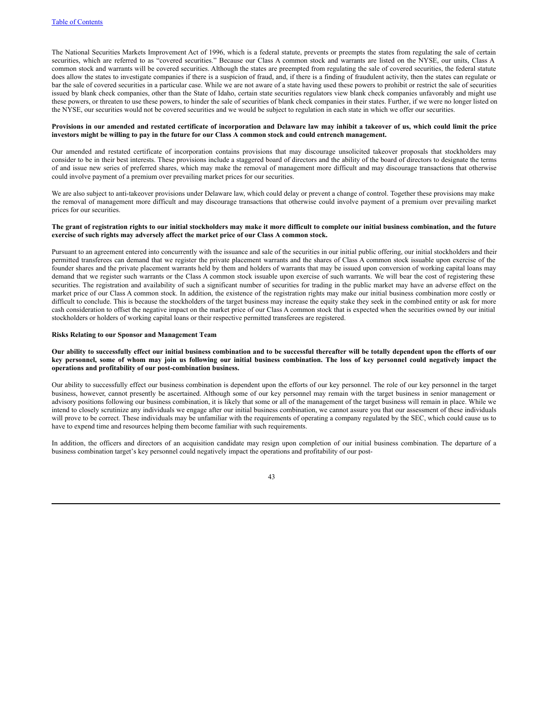The National Securities Markets Improvement Act of 1996, which is a federal statute, prevents or preempts the states from regulating the sale of certain securities, which are referred to as "covered securities." Because our Class A common stock and warrants are listed on the NYSE, our units, Class A common stock and warrants will be covered securities. Although the states are preempted from regulating the sale of covered securities, the federal statute does allow the states to investigate companies if there is a suspicion of fraud, and, if there is a finding of fraudulent activity, then the states can regulate or bar the sale of covered securities in a particular case. While we are not aware of a state having used these powers to prohibit or restrict the sale of securities issued by blank check companies, other than the State of Idaho, certain state securities regulators view blank check companies unfavorably and might use these powers, or threaten to use these powers, to hinder the sale of securities of blank check companies in their states. Further, if we were no longer listed on the NYSE, our securities would not be covered securities and we would be subject to regulation in each state in which we offer our securities.

## Provisions in our amended and restated certificate of incorporation and Delaware law may inhibit a takeover of us, which could limit the price investors might be willing to pay in the future for our Class A common stock and could entrench management.

Our amended and restated certificate of incorporation contains provisions that may discourage unsolicited takeover proposals that stockholders may consider to be in their best interests. These provisions include a staggered board of directors and the ability of the board of directors to designate the terms of and issue new series of preferred shares, which may make the removal of management more difficult and may discourage transactions that otherwise could involve payment of a premium over prevailing market prices for our securities.

We are also subject to anti-takeover provisions under Delaware law, which could delay or prevent a change of control. Together these provisions may make the removal of management more difficult and may discourage transactions that otherwise could involve payment of a premium over prevailing market prices for our securities.

## The grant of registration rights to our initial stockholders may make it more difficult to complete our initial business combination, and the future **exercise of such rights may adversely affect the market price of our Class A common stock.**

Pursuant to an agreement entered into concurrently with the issuance and sale of the securities in our initial public offering, our initial stockholders and their permitted transferees can demand that we register the private placement warrants and the shares of Class A common stock issuable upon exercise of the founder shares and the private placement warrants held by them and holders of warrants that may be issued upon conversion of working capital loans may demand that we register such warrants or the Class A common stock issuable upon exercise of such warrants. We will bear the cost of registering these securities. The registration and availability of such a significant number of securities for trading in the public market may have an adverse effect on the market price of our Class A common stock. In addition, the existence of the registration rights may make our initial business combination more costly or difficult to conclude. This is because the stockholders of the target business may increase the equity stake they seek in the combined entity or ask for more cash consideration to offset the negative impact on the market price of our Class A common stock that is expected when the securities owned by our initial stockholders or holders of working capital loans or their respective permitted transferees are registered.

### **Risks Relating to our Sponsor and Management Team**

# Our ability to successfully effect our initial business combination and to be successful thereafter will be totally dependent upon the efforts of our key personnel, some of whom may join us following our initial business combination. The loss of key personnel could negatively impact the **operations and profitability of our post-combination business.**

Our ability to successfully effect our business combination is dependent upon the efforts of our key personnel. The role of our key personnel in the target business, however, cannot presently be ascertained. Although some of our key personnel may remain with the target business in senior management or advisory positions following our business combination, it is likely that some or all of the management of the target business will remain in place. While we intend to closely scrutinize any individuals we engage after our initial business combination, we cannot assure you that our assessment of these individuals will prove to be correct. These individuals may be unfamiliar with the requirements of operating a company regulated by the SEC, which could cause us to have to expend time and resources helping them become familiar with such requirements.

In addition, the officers and directors of an acquisition candidate may resign upon completion of our initial business combination. The departure of a business combination target's key personnel could negatively impact the operations and profitability of our post-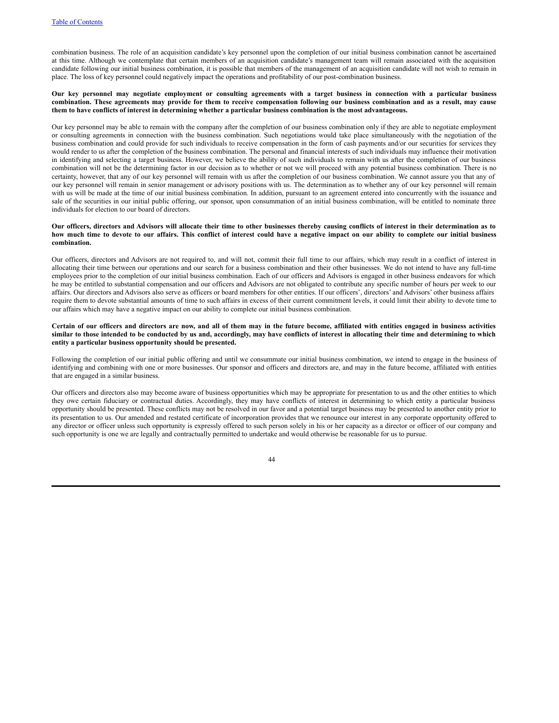combination business. The role of an acquisition candidate's key personnel upon the completion of our initial business combination cannot be ascertained at this time. Although we contemplate that certain members of an acquisition candidate's management team will remain associated with the acquisition candidate following our initial business combination, it is possible that members of the management of an acquisition candidate will not wish to remain in place. The loss of key personnel could negatively impact the operations and profitability of our post-combination business.

# Our key personnel may negotiate employment or consulting agreements with a target business in connection with a particular business combination. These agreements may provide for them to receive compensation following our business combination and as a result, may cause them to have conflicts of interest in determining whether a particular business combination is the most advantageous.

Our key personnel may be able to remain with the company after the completion of our business combination only if they are able to negotiate employment or consulting agreements in connection with the business combination. Such negotiations would take place simultaneously with the negotiation of the business combination and could provide for such individuals to receive compensation in the form of cash payments and/or our securities for services they would render to us after the completion of the business combination. The personal and financial interests of such individuals may influence their motivation in identifying and selecting a target business. However, we believe the ability of such individuals to remain with us after the completion of our business combination will not be the determining factor in our decision as to whether or not we will proceed with any potential business combination. There is no certainty, however, that any of our key personnel will remain with us after the completion of our business combination. We cannot assure you that any of our key personnel will remain in senior management or advisory positions with us. The determination as to whether any of our key personnel will remain with us will be made at the time of our initial business combination. In addition, pursuant to an agreement entered into concurrently with the issuance and sale of the securities in our initial public offering, our sponsor, upon consummation of an initial business combination, will be entitled to nominate three individuals for election to our board of directors.

## Our officers, directors and Advisors will allocate their time to other businesses thereby causing conflicts of interest in their determination as to how much time to devote to our affairs. This conflict of interest could have a negative impact on our ability to complete our initial business **combination.**

Our officers, directors and Advisors are not required to, and will not, commit their full time to our affairs, which may result in a conflict of interest in allocating their time between our operations and our search for a business combination and their other businesses. We do not intend to have any full-time employees prior to the completion of our initial business combination. Each of our officers and Advisors is engaged in other business endeavors for which he may be entitled to substantial compensation and our officers and Advisors are not obligated to contribute any specific number of hours per week to our affairs. Our directors and Advisors also serve as officers or board members for other entities. If our officers', directors' and Advisors' other business affairs require them to devote substantial amounts of time to such affairs in excess of their current commitment levels, it could limit their ability to devote time to our affairs which may have a negative impact on our ability to complete our initial business combination.

# Certain of our officers and directors are now, and all of them may in the future become, affiliated with entities engaged in business activities similar to those intended to be conducted by us and, accordingly, may have conflicts of interest in allocating their time and determining to which **entity a particular business opportunity should be presented.**

Following the completion of our initial public offering and until we consummate our initial business combination, we intend to engage in the business of identifying and combining with one or more businesses. Our sponsor and officers and directors are, and may in the future become, affiliated with entities that are engaged in a similar business.

Our officers and directors also may become aware of business opportunities which may be appropriate for presentation to us and the other entities to which they owe certain fiduciary or contractual duties. Accordingly, they may have conflicts of interest in determining to which entity a particular business opportunity should be presented. These conflicts may not be resolved in our favor and a potential target business may be presented to another entity prior to its presentation to us. Our amended and restated certificate of incorporation provides that we renounce our interest in any corporate opportunity offered to any director or officer unless such opportunity is expressly offered to such person solely in his or her capacity as a director or officer of our company and such opportunity is one we are legally and contractually permitted to undertake and would otherwise be reasonable for us to pursue.

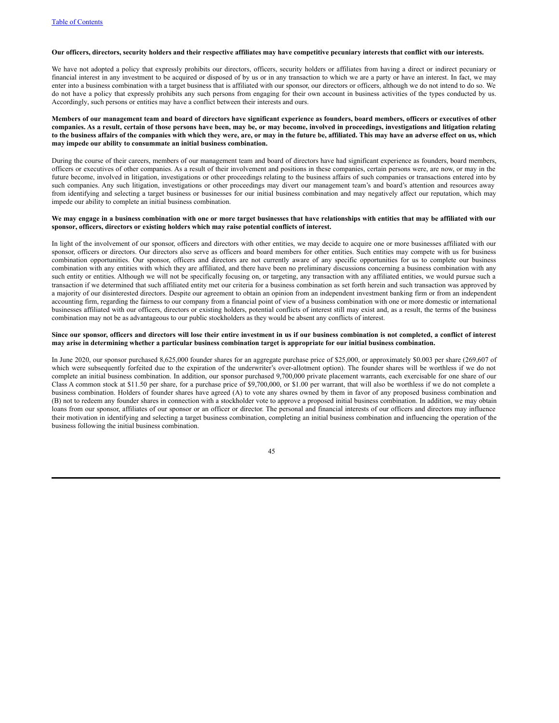### Our officers, directors, security holders and their respective affiliates may have competitive pecuniary interests that conflict with our interests.

We have not adopted a policy that expressly prohibits our directors, officers, security holders or affiliates from having a direct or indirect pecuniary or financial interest in any investment to be acquired or disposed of by us or in any transaction to which we are a party or have an interest. In fact, we may enter into a business combination with a target business that is affiliated with our sponsor, our directors or officers, although we do not intend to do so. We do not have a policy that expressly prohibits any such persons from engaging for their own account in business activities of the types conducted by us. Accordingly, such persons or entities may have a conflict between their interests and ours.

# Members of our management team and board of directors have significant experience as founders, board members, officers or executives of other companies. As a result, certain of those persons have been, may be, or may become, involved in proceedings, investigations and litigation relating to the business affairs of the companies with which they were, are, or may in the future be, affiliated. This may have an adverse effect on us, which **may impede our ability to consummate an initial business combination.**

During the course of their careers, members of our management team and board of directors have had significant experience as founders, board members, officers or executives of other companies. As a result of their involvement and positions in these companies, certain persons were, are now, or may in the future become, involved in litigation, investigations or other proceedings relating to the business affairs of such companies or transactions entered into by such companies. Any such litigation, investigations or other proceedings may divert our management team's and board's attention and resources away from identifying and selecting a target business or businesses for our initial business combination and may negatively affect our reputation, which may impede our ability to complete an initial business combination.

## We may engage in a business combination with one or more target businesses that have relationships with entities that may be affiliated with our **sponsor, officers, directors or existing holders which may raise potential conflicts of interest.**

In light of the involvement of our sponsor, officers and directors with other entities, we may decide to acquire one or more businesses affiliated with our sponsor, officers or directors. Our directors also serve as officers and board members for other entities. Such entities may compete with us for business combination opportunities. Our sponsor, officers and directors are not currently aware of any specific opportunities for us to complete our business combination with any entities with which they are affiliated, and there have been no preliminary discussions concerning a business combination with any such entity or entities. Although we will not be specifically focusing on, or targeting, any transaction with any affiliated entities, we would pursue such a transaction if we determined that such affiliated entity met our criteria for a business combination as set forth herein and such transaction was approved by a majority of our disinterested directors. Despite our agreement to obtain an opinion from an independent investment banking firm or from an independent accounting firm, regarding the fairness to our company from a financial point of view of a business combination with one or more domestic or international businesses affiliated with our officers, directors or existing holders, potential conflicts of interest still may exist and, as a result, the terms of the business combination may not be as advantageous to our public stockholders as they would be absent any conflicts of interest.

### Since our sponsor, officers and directors will lose their entire investment in us if our business combination is not completed, a conflict of interest may arise in determining whether a particular business combination target is appropriate for our initial business combination.

In June 2020, our sponsor purchased 8,625,000 founder shares for an aggregate purchase price of \$25,000, or approximately \$0.003 per share (269,607 of which were subsequently forfeited due to the expiration of the underwriter's over-allotment option). The founder shares will be worthless if we do not complete an initial business combination. In addition, our sponsor purchased 9,700,000 private placement warrants, each exercisable for one share of our Class A common stock at \$11.50 per share, for a purchase price of \$9,700,000, or \$1.00 per warrant, that will also be worthless if we do not complete a business combination. Holders of founder shares have agreed (A) to vote any shares owned by them in favor of any proposed business combination and (B) not to redeem any founder shares in connection with a stockholder vote to approve a proposed initial business combination. In addition, we may obtain loans from our sponsor, affiliates of our sponsor or an officer or director. The personal and financial interests of our officers and directors may influence their motivation in identifying and selecting a target business combination, completing an initial business combination and influencing the operation of the business following the initial business combination.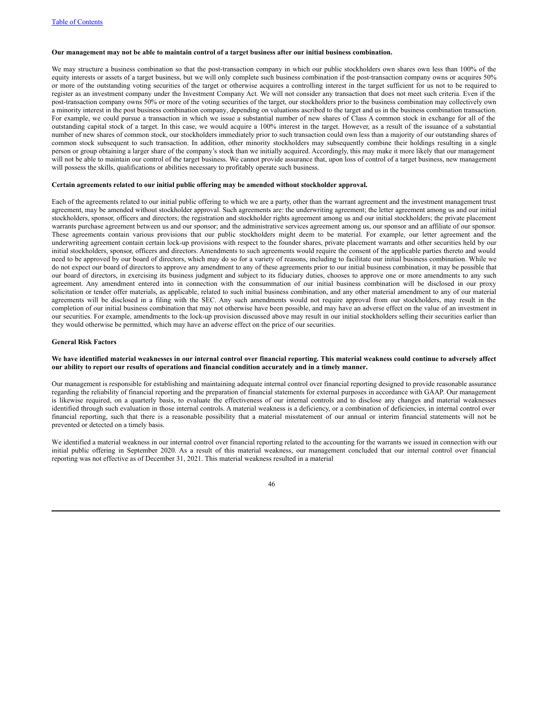### Our management may not be able to maintain control of a target business after our initial business combination.

We may structure a business combination so that the post-transaction company in which our public stockholders own shares own less than 100% of the equity interests or assets of a target business, but we will only complete such business combination if the post-transaction company owns or acquires 50% or more of the outstanding voting securities of the target or otherwise acquires a controlling interest in the target sufficient for us not to be required to register as an investment company under the Investment Company Act. We will not consider any transaction that does not meet such criteria. Even if the post-transaction company owns 50% or more of the voting securities of the target, our stockholders prior to the business combination may collectively own a minority interest in the post business combination company, depending on valuations ascribed to the target and us in the business combination transaction. For example, we could pursue a transaction in which we issue a substantial number of new shares of Class A common stock in exchange for all of the outstanding capital stock of a target. In this case, we would acquire a 100% interest in the target. However, as a result of the issuance of a substantial number of new shares of common stock, our stockholders immediately prior to such transaction could own less than a majority of our outstanding shares of common stock subsequent to such transaction. In addition, other minority stockholders may subsequently combine their holdings resulting in a single person or group obtaining a larger share of the company's stock than we initially acquired. Accordingly, this may make it more likely that our management will not be able to maintain our control of the target business. We cannot provide assurance that, upon loss of control of a target business, new management will possess the skills, qualifications or abilities necessary to profitably operate such business.

### **Certain agreements related to our initial public offering may be amended without stockholder approval.**

Each of the agreements related to our initial public offering to which we are a party, other than the warrant agreement and the investment management trust agreement, may be amended without stockholder approval. Such agreements are: the underwriting agreement; the letter agreement among us and our initial stockholders, sponsor, officers and directors; the registration and stockholder rights agreement among us and our initial stockholders; the private placement warrants purchase agreement between us and our sponsor; and the administrative services agreement among us, our sponsor and an affiliate of our sponsor. These agreements contain various provisions that our public stockholders might deem to be material. For example, our letter agreement and the underwriting agreement contain certain lock-up provisions with respect to the founder shares, private placement warrants and other securities held by our initial stockholders, sponsor, officers and directors. Amendments to such agreements would require the consent of the applicable parties thereto and would need to be approved by our board of directors, which may do so for a variety of reasons, including to facilitate our initial business combination. While we do not expect our board of directors to approve any amendment to any of these agreements prior to our initial business combination, it may be possible that our board of directors, in exercising its business judgment and subject to its fiduciary duties, chooses to approve one or more amendments to any such agreement. Any amendment entered into in connection with the consummation of our initial business combination will be disclosed in our proxy solicitation or tender offer materials, as applicable, related to such initial business combination, and any other material amendment to any of our material agreements will be disclosed in a filing with the SEC. Any such amendments would not require approval from our stockholders, may result in the completion of our initial business combination that may not otherwise have been possible, and may have an adverse effect on the value of an investment in our securities. For example, amendments to the lock-up provision discussed above may result in our initial stockholders selling their securities earlier than they would otherwise be permitted, which may have an adverse effect on the price of our securities.

# **General Risk Factors**

## We have identified material weaknesses in our internal control over financial reporting. This material weakness could continue to adversely affect our ability to report our results of operations and financial condition accurately and in a timely manner.

Our management is responsible for establishing and maintaining adequate internal control over financial reporting designed to provide reasonable assurance regarding the reliability of financial reporting and the preparation of financial statements for external purposes in accordance with GAAP. Our management is likewise required, on a quarterly basis, to evaluate the effectiveness of our internal controls and to disclose any changes and material weaknesses identified through such evaluation in those internal controls. A material weakness is a deficiency, or a combination of deficiencies, in internal control over financial reporting, such that there is a reasonable possibility that a material misstatement of our annual or interim financial statements will not be prevented or detected on a timely basis.

We identified a material weakness in our internal control over financial reporting related to the accounting for the warrants we issued in connection with our initial public offering in September 2020. As a result of this material weakness, our management concluded that our internal control over financial reporting was not effective as of December 31, 2021. This material weakness resulted in a material

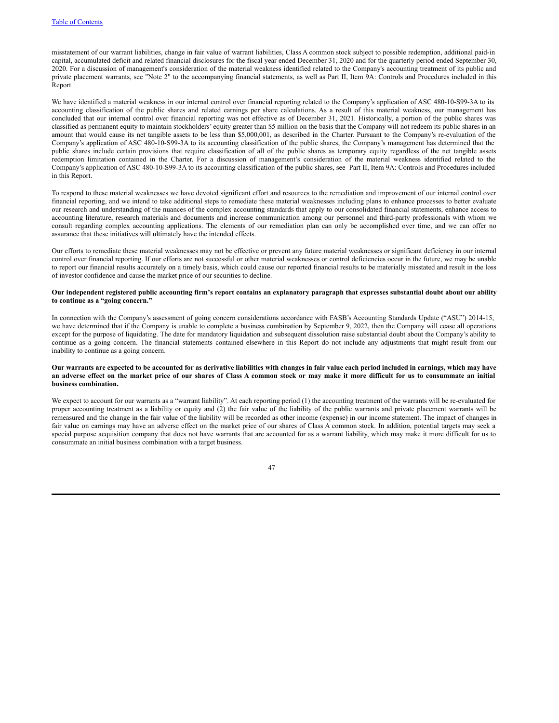misstatement of our warrant liabilities, change in fair value of warrant liabilities, Class A common stock subject to possible redemption, additional paid-in capital, accumulated deficit and related financial disclosures for the fiscal year ended December 31, 2020 and for the quarterly period ended September 30, 2020. For a discussion of management's consideration of the material weakness identified related to the Company's accounting treatment of its public and private placement warrants, see "Note 2" to the accompanying financial statements, as well as Part II, Item 9A: Controls and Procedures included in this Report.

We have identified a material weakness in our internal control over financial reporting related to the Company's application of ASC 480-10-S99-3A to its accounting classification of the public shares and related earnings per share calculations. As a result of this material weakness, our management has concluded that our internal control over financial reporting was not effective as of December 31, 2021. Historically, a portion of the public shares was classified as permanent equity to maintain stockholders' equity greater than \$5 million on the basis that the Company will not redeem its public shares in an amount that would cause its net tangible assets to be less than \$5,000,001, as described in the Charter. Pursuant to the Company's re-evaluation of the Company's application of ASC 480-10-S99-3A to its accounting classification of the public shares, the Company's management has determined that the public shares include certain provisions that require classification of all of the public shares as temporary equity regardless of the net tangible assets redemption limitation contained in the Charter. For a discussion of management's consideration of the material weakness identified related to the Company's application of ASC 480-10-S99-3A to its accounting classification of the public shares, see Part II, Item 9A: Controls and Procedures included in this Report.

To respond to these material weaknesses we have devoted significant effort and resources to the remediation and improvement of our internal control over financial reporting, and we intend to take additional steps to remediate these material weaknesses including plans to enhance processes to better evaluate our research and understanding of the nuances of the complex accounting standards that apply to our consolidated financial statements, enhance access to accounting literature, research materials and documents and increase communication among our personnel and third-party professionals with whom we consult regarding complex accounting applications. The elements of our remediation plan can only be accomplished over time, and we can offer no assurance that these initiatives will ultimately have the intended effects.

Our efforts to remediate these material weaknesses may not be effective or prevent any future material weaknesses or significant deficiency in our internal control over financial reporting. If our efforts are not successful or other material weaknesses or control deficiencies occur in the future, we may be unable to report our financial results accurately on a timely basis, which could cause our reported financial results to be materially misstated and result in the loss of investor confidence and cause the market price of our securities to decline.

## Our independent registered public accounting firm's report contains an explanatory paragraph that expresses substantial doubt about our ability **to continue as a "going concern."**

In connection with the Company's assessment of going concern considerations accordance with FASB's Accounting Standards Update ("ASU") 2014-15, we have determined that if the Company is unable to complete a business combination by September 9, 2022, then the Company will cease all operations except for the purpose of liquidating. The date for mandatory liquidation and subsequent dissolution raise substantial doubt about the Company's ability to continue as a going concern. The financial statements contained elsewhere in this Report do not include any adjustments that might result from our inability to continue as a going concern.

## Our warrants are expected to be accounted for as derivative liabilities with changes in fair value each period included in earnings, which may have an adverse effect on the market price of our shares of Class A common stock or may make it more difficult for us to consummate an initial **business combination.**

We expect to account for our warrants as a "warrant liability". At each reporting period (1) the accounting treatment of the warrants will be re-evaluated for proper accounting treatment as a liability or equity and (2) the fair value of the liability of the public warrants and private placement warrants will be remeasured and the change in the fair value of the liability will be recorded as other income (expense) in our income statement. The impact of changes in fair value on earnings may have an adverse effect on the market price of our shares of Class A common stock. In addition, potential targets may seek a special purpose acquisition company that does not have warrants that are accounted for as a warrant liability, which may make it more difficult for us to consummate an initial business combination with a target business.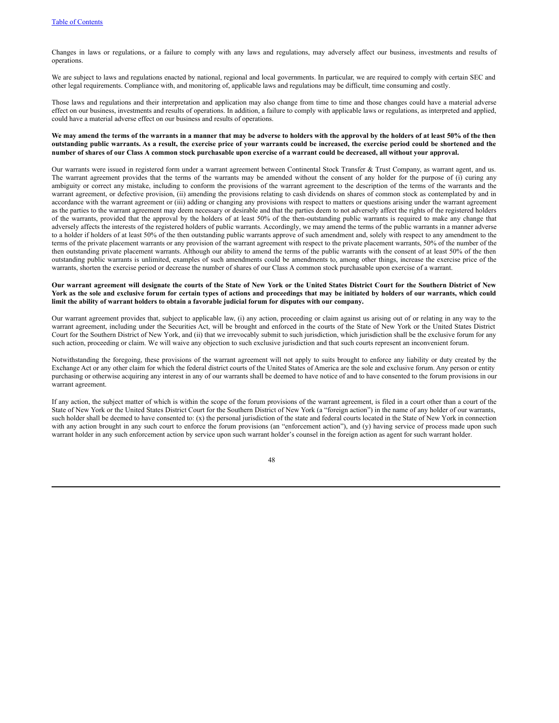Changes in laws or regulations, or a failure to comply with any laws and regulations, may adversely affect our business, investments and results of operations.

We are subject to laws and regulations enacted by national, regional and local governments. In particular, we are required to comply with certain SEC and other legal requirements. Compliance with, and monitoring of, applicable laws and regulations may be difficult, time consuming and costly.

Those laws and regulations and their interpretation and application may also change from time to time and those changes could have a material adverse effect on our business, investments and results of operations. In addition, a failure to comply with applicable laws or regulations, as interpreted and applied, could have a material adverse effect on our business and results of operations.

## We may amend the terms of the warrants in a manner that may be adverse to holders with the approval by the holders of at least 50% of the then outstanding public warrants. As a result, the exercise price of your warrants could be increased, the exercise period could be shortened and the number of shares of our Class A common stock purchasable upon exercise of a warrant could be decreased, all without your approval.

Our warrants were issued in registered form under a warrant agreement between Continental Stock Transfer & Trust Company, as warrant agent, and us. The warrant agreement provides that the terms of the warrants may be amended without the consent of any holder for the purpose of (i) curing any ambiguity or correct any mistake, including to conform the provisions of the warrant agreement to the description of the terms of the warrants and the warrant agreement, or defective provision, (ii) amending the provisions relating to cash dividends on shares of common stock as contemplated by and in accordance with the warrant agreement or (iii) adding or changing any provisions with respect to matters or questions arising under the warrant agreement as the parties to the warrant agreement may deem necessary or desirable and that the parties deem to not adversely affect the rights of the registered holders of the warrants, provided that the approval by the holders of at least 50% of the then-outstanding public warrants is required to make any change that adversely affects the interests of the registered holders of public warrants. Accordingly, we may amend the terms of the public warrants in a manner adverse to a holder if holders of at least 50% of the then outstanding public warrants approve of such amendment and, solely with respect to any amendment to the terms of the private placement warrants or any provision of the warrant agreement with respect to the private placement warrants, 50% of the number of the then outstanding private placement warrants. Although our ability to amend the terms of the public warrants with the consent of at least 50% of the then outstanding public warrants is unlimited, examples of such amendments could be amendments to, among other things, increase the exercise price of the warrants, shorten the exercise period or decrease the number of shares of our Class A common stock purchasable upon exercise of a warrant.

# Our warrant agreement will designate the courts of the State of New York or the United States District Court for the Southern District of New York as the sole and exclusive forum for certain types of actions and proceedings that may be initiated by holders of our warrants, which could **limit the ability of warrant holders to obtain a favorable judicial forum for disputes with our company.**

Our warrant agreement provides that, subject to applicable law, (i) any action, proceeding or claim against us arising out of or relating in any way to the warrant agreement, including under the Securities Act, will be brought and enforced in the courts of the State of New York or the United States District Court for the Southern District of New York, and (ii) that we irrevocably submit to such jurisdiction, which jurisdiction shall be the exclusive forum for any such action, proceeding or claim. We will waive any objection to such exclusive jurisdiction and that such courts represent an inconvenient forum.

Notwithstanding the foregoing, these provisions of the warrant agreement will not apply to suits brought to enforce any liability or duty created by the Exchange Act or any other claim for which the federal district courts of the United States of America are the sole and exclusive forum. Any person or entity purchasing or otherwise acquiring any interest in any of our warrants shall be deemed to have notice of and to have consented to the forum provisions in our warrant agreement.

If any action, the subject matter of which is within the scope of the forum provisions of the warrant agreement, is filed in a court other than a court of the State of New York or the United States District Court for the Southern District of New York (a "foreign action") in the name of any holder of our warrants, such holder shall be deemed to have consented to:  $(x)$  the personal jurisdiction of the state and federal courts located in the State of New York in connection with any action brought in any such court to enforce the forum provisions (an "enforcement action"), and (y) having service of process made upon such warrant holder in any such enforcement action by service upon such warrant holder's counsel in the foreign action as agent for such warrant holder.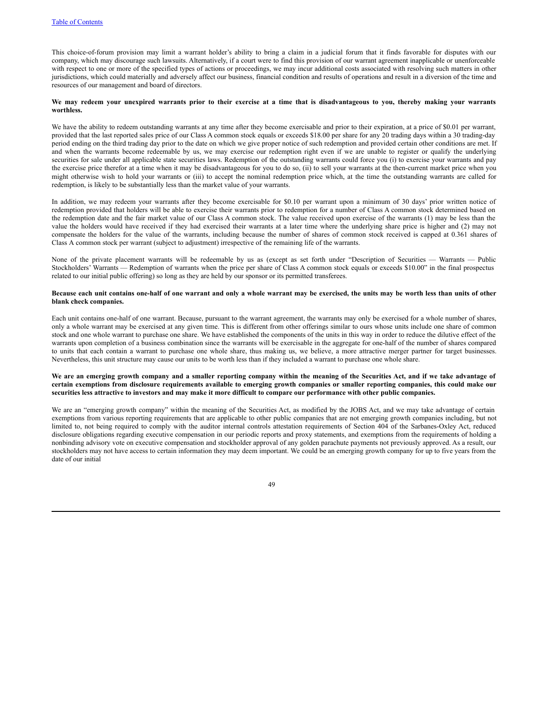This choice-of-forum provision may limit a warrant holder's ability to bring a claim in a judicial forum that it finds favorable for disputes with our company, which may discourage such lawsuits. Alternatively, if a court were to find this provision of our warrant agreement inapplicable or unenforceable with respect to one or more of the specified types of actions or proceedings, we may incur additional costs associated with resolving such matters in other jurisdictions, which could materially and adversely affect our business, financial condition and results of operations and result in a diversion of the time and resources of our management and board of directors.

### We may redeem your unexpired warrants prior to their exercise at a time that is disadvantageous to you, thereby making your warrants **worthless.**

We have the ability to redeem outstanding warrants at any time after they become exercisable and prior to their expiration, at a price of \$0.01 per warrant, provided that the last reported sales price of our Class A common stock equals or exceeds \$18.00 per share for any 20 trading days within a 30 trading-day period ending on the third trading day prior to the date on which we give proper notice of such redemption and provided certain other conditions are met. If and when the warrants become redeemable by us, we may exercise our redemption right even if we are unable to register or qualify the underlying securities for sale under all applicable state securities laws. Redemption of the outstanding warrants could force you (i) to exercise your warrants and pay the exercise price therefor at a time when it may be disadvantageous for you to do so, (ii) to sell your warrants at the then-current market price when you might otherwise wish to hold your warrants or (iii) to accept the nominal redemption price which, at the time the outstanding warrants are called for redemption, is likely to be substantially less than the market value of your warrants.

In addition, we may redeem your warrants after they become exercisable for \$0.10 per warrant upon a minimum of 30 days' prior written notice of redemption provided that holders will be able to exercise their warrants prior to redemption for a number of Class A common stock determined based on the redemption date and the fair market value of our Class A common stock. The value received upon exercise of the warrants (1) may be less than the value the holders would have received if they had exercised their warrants at a later time where the underlying share price is higher and (2) may not compensate the holders for the value of the warrants, including because the number of shares of common stock received is capped at 0.361 shares of Class A common stock per warrant (subject to adjustment) irrespective of the remaining life of the warrants.

None of the private placement warrants will be redeemable by us as (except as set forth under "Description of Securities - Warrants - Public Stockholders' Warrants — Redemption of warrants when the price per share of Class A common stock equals or exceeds \$10.00" in the final prospectus related to our initial public offering) so long as they are held by our sponsor or its permitted transferees.

### Because each unit contains one-half of one warrant and only a whole warrant may be exercised, the units may be worth less than units of other **blank check companies.**

Each unit contains one-half of one warrant. Because, pursuant to the warrant agreement, the warrants may only be exercised for a whole number of shares, only a whole warrant may be exercised at any given time. This is different from other offerings similar to ours whose units include one share of common stock and one whole warrant to purchase one share. We have established the components of the units in this way in order to reduce the dilutive effect of the warrants upon completion of a business combination since the warrants will be exercisable in the aggregate for one-half of the number of shares compared to units that each contain a warrant to purchase one whole share, thus making us, we believe, a more attractive merger partner for target businesses. Nevertheless, this unit structure may cause our units to be worth less than if they included a warrant to purchase one whole share.

# We are an emerging growth company and a smaller reporting company within the meaning of the Securities Act, and if we take advantage of certain exemptions from disclosure requirements available to emerging growth companies or smaller reporting companies, this could make our securities less attractive to investors and may make it more difficult to compare our performance with other public companies.

We are an "emerging growth company" within the meaning of the Securities Act, as modified by the JOBS Act, and we may take advantage of certain exemptions from various reporting requirements that are applicable to other public companies that are not emerging growth companies including, but not limited to, not being required to comply with the auditor internal controls attestation requirements of Section 404 of the Sarbanes-Oxley Act, reduced disclosure obligations regarding executive compensation in our periodic reports and proxy statements, and exemptions from the requirements of holding a nonbinding advisory vote on executive compensation and stockholder approval of any golden parachute payments not previously approved. As a result, our stockholders may not have access to certain information they may deem important. We could be an emerging growth company for up to five years from the date of our initial

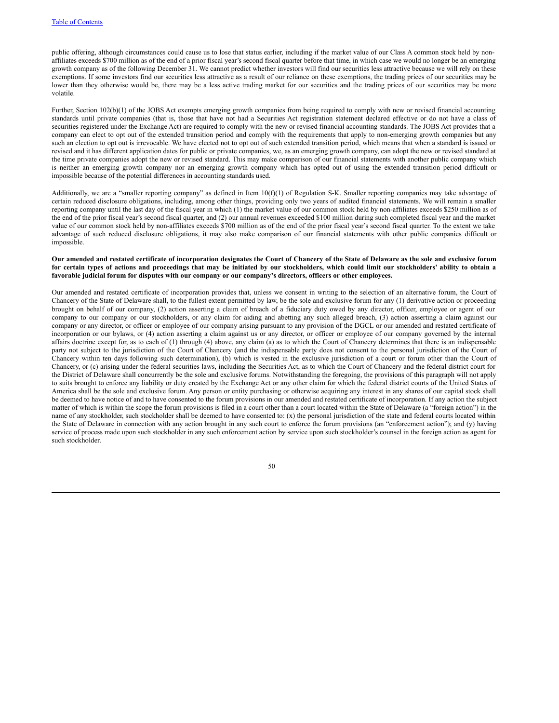public offering, although circumstances could cause us to lose that status earlier, including if the market value of our Class A common stock held by nonaffiliates exceeds \$700 million as of the end of a prior fiscal year's second fiscal quarter before that time, in which case we would no longer be an emerging growth company as of the following December 31. We cannot predict whether investors will find our securities less attractive because we will rely on these exemptions. If some investors find our securities less attractive as a result of our reliance on these exemptions, the trading prices of our securities may be lower than they otherwise would be, there may be a less active trading market for our securities and the trading prices of our securities may be more volatile.

Further, Section 102(b)(1) of the JOBS Act exempts emerging growth companies from being required to comply with new or revised financial accounting standards until private companies (that is, those that have not had a Securities Act registration statement declared effective or do not have a class of securities registered under the Exchange Act) are required to comply with the new or revised financial accounting standards. The JOBS Act provides that a company can elect to opt out of the extended transition period and comply with the requirements that apply to non-emerging growth companies but any such an election to opt out is irrevocable. We have elected not to opt out of such extended transition period, which means that when a standard is issued or revised and it has different application dates for public or private companies, we, as an emerging growth company, can adopt the new or revised standard at the time private companies adopt the new or revised standard. This may make comparison of our financial statements with another public company which is neither an emerging growth company nor an emerging growth company which has opted out of using the extended transition period difficult or impossible because of the potential differences in accounting standards used.

Additionally, we are a "smaller reporting company" as defined in Item  $10(f)(1)$  of Regulation S-K. Smaller reporting companies may take advantage of certain reduced disclosure obligations, including, among other things, providing only two years of audited financial statements. We will remain a smaller reporting company until the last day of the fiscal year in which (1) the market value of our common stock held by non-affiliates exceeds \$250 million as of the end of the prior fiscal year's second fiscal quarter, and (2) our annual revenues exceeded \$100 million during such completed fiscal year and the market value of our common stock held by non-affiliates exceeds \$700 million as of the end of the prior fiscal year's second fiscal quarter. To the extent we take advantage of such reduced disclosure obligations, it may also make comparison of our financial statements with other public companies difficult or impossible.

## Our amended and restated certificate of incorporation designates the Court of Chancery of the State of Delaware as the sole and exclusive forum for certain types of actions and proceedings that may be initiated by our stockholders, which could limit our stockholders' ability to obtain a **favorable judicial forum for disputes with our company or our company's directors, officers or other employees.**

Our amended and restated certificate of incorporation provides that, unless we consent in writing to the selection of an alternative forum, the Court of Chancery of the State of Delaware shall, to the fullest extent permitted by law, be the sole and exclusive forum for any (1) derivative action or proceeding brought on behalf of our company, (2) action asserting a claim of breach of a fiduciary duty owed by any director, officer, employee or agent of our company to our company or our stockholders, or any claim for aiding and abetting any such alleged breach, (3) action asserting a claim against our company or any director, or officer or employee of our company arising pursuant to any provision of the DGCL or our amended and restated certificate of incorporation or our bylaws, or (4) action asserting a claim against us or any director, or officer or employee of our company governed by the internal affairs doctrine except for, as to each of (1) through (4) above, any claim (a) as to which the Court of Chancery determines that there is an indispensable party not subject to the jurisdiction of the Court of Chancery (and the indispensable party does not consent to the personal jurisdiction of the Court of Chancery within ten days following such determination), (b) which is vested in the exclusive jurisdiction of a court or forum other than the Court of Chancery, or (c) arising under the federal securities laws, including the Securities Act, as to which the Court of Chancery and the federal district court for the District of Delaware shall concurrently be the sole and exclusive forums. Notwithstanding the foregoing, the provisions of this paragraph will not apply to suits brought to enforce any liability or duty created by the Exchange Act or any other claim for which the federal district courts of the United States of America shall be the sole and exclusive forum. Any person or entity purchasing or otherwise acquiring any interest in any shares of our capital stock shall be deemed to have notice of and to have consented to the forum provisions in our amended and restated certificate of incorporation. If any action the subject matter of which is within the scope the forum provisions is filed in a court other than a court located within the State of Delaware (a "foreign action") in the name of any stockholder, such stockholder shall be deemed to have consented to: (x) the personal jurisdiction of the state and federal courts located within the State of Delaware in connection with any action brought in any such court to enforce the forum provisions (an "enforcement action"); and (y) having service of process made upon such stockholder in any such enforcement action by service upon such stockholder's counsel in the foreign action as agent for such stockholder.

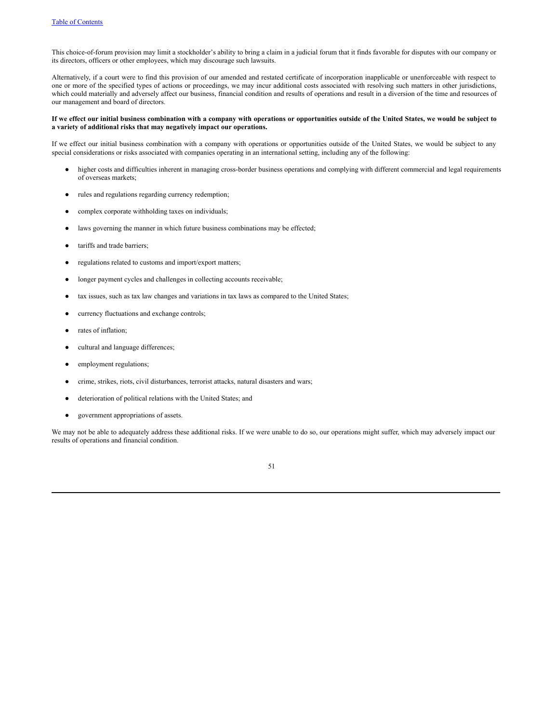This choice-of-forum provision may limit a stockholder's ability to bring a claim in a judicial forum that it finds favorable for disputes with our company or its directors, officers or other employees, which may discourage such lawsuits.

Alternatively, if a court were to find this provision of our amended and restated certificate of incorporation inapplicable or unenforceable with respect to one or more of the specified types of actions or proceedings, we may incur additional costs associated with resolving such matters in other jurisdictions, which could materially and adversely affect our business, financial condition and results of operations and result in a diversion of the time and resources of our management and board of directors.

# If we effect our initial business combination with a company with operations or opportunities outside of the United States, we would be subject to **a variety of additional risks that may negatively impact our operations.**

If we effect our initial business combination with a company with operations or opportunities outside of the United States, we would be subject to any special considerations or risks associated with companies operating in an international setting, including any of the following:

- higher costs and difficulties inherent in managing cross-border business operations and complying with different commercial and legal requirements of overseas markets;
- rules and regulations regarding currency redemption;
- complex corporate withholding taxes on individuals;
- laws governing the manner in which future business combinations may be effected;
- tariffs and trade barriers;
- regulations related to customs and import/export matters;
- longer payment cycles and challenges in collecting accounts receivable;
- tax issues, such as tax law changes and variations in tax laws as compared to the United States;
- currency fluctuations and exchange controls;
- rates of inflation;
- cultural and language differences;
- employment regulations;
- crime, strikes, riots, civil disturbances, terrorist attacks, natural disasters and wars;
- deterioration of political relations with the United States; and
- government appropriations of assets.

We may not be able to adequately address these additional risks. If we were unable to do so, our operations might suffer, which may adversely impact our results of operations and financial condition.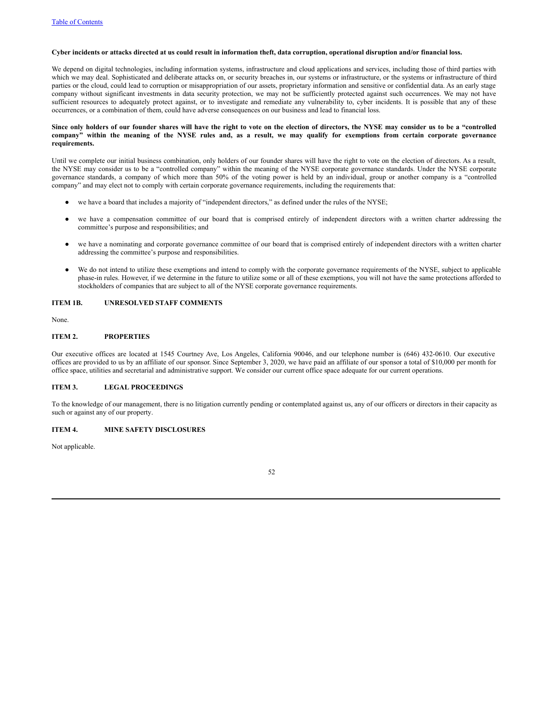# Cyber incidents or attacks directed at us could result in information theft, data corruption, operational disruption and/or financial loss.

We depend on digital technologies, including information systems, infrastructure and cloud applications and services, including those of third parties with which we may deal. Sophisticated and deliberate attacks on, or security breaches in, our systems or infrastructure, or the systems or infrastructure of third parties or the cloud, could lead to corruption or misappropriation of our assets, proprietary information and sensitive or confidential data. As an early stage company without significant investments in data security protection, we may not be sufficiently protected against such occurrences. We may not have sufficient resources to adequately protect against, or to investigate and remediate any vulnerability to, cyber incidents. It is possible that any of these occurrences, or a combination of them, could have adverse consequences on our business and lead to financial loss.

## Since only holders of our founder shares will have the right to vote on the election of directors, the NYSE may consider us to be a "controlled company" within the meaning of the NYSE rules and, as a result, we may qualify for exemptions from certain corporate governance **requirements.**

Until we complete our initial business combination, only holders of our founder shares will have the right to vote on the election of directors. As a result, the NYSE may consider us to be a "controlled company" within the meaning of the NYSE corporate governance standards. Under the NYSE corporate governance standards, a company of which more than 50% of the voting power is held by an individual, group or another company is a "controlled company" and may elect not to comply with certain corporate governance requirements, including the requirements that:

- we have a board that includes a majority of "independent directors," as defined under the rules of the NYSE;
- we have a compensation committee of our board that is comprised entirely of independent directors with a written charter addressing the committee's purpose and responsibilities; and
- we have a nominating and corporate governance committee of our board that is comprised entirely of independent directors with a written charter addressing the committee's purpose and responsibilities.
- We do not intend to utilize these exemptions and intend to comply with the corporate governance requirements of the NYSE, subject to applicable phase-in rules. However, if we determine in the future to utilize some or all of these exemptions, you will not have the same protections afforded to stockholders of companies that are subject to all of the NYSE corporate governance requirements.

## **ITEM 1B. UNRESOLVED STAFF COMMENTS**

None.

# **ITEM 2. PROPERTIES**

Our executive offices are located at 1545 Courtney Ave, Los Angeles, California 90046, and our telephone number is (646) 432-0610. Our executive offices are provided to us by an affiliate of our sponsor. Since September 3, 2020, we have paid an affiliate of our sponsor a total of \$10,000 per month for office space, utilities and secretarial and administrative support. We consider our current office space adequate for our current operations.

# **ITEM 3. LEGAL PROCEEDINGS**

To the knowledge of our management, there is no litigation currently pending or contemplated against us, any of our officers or directors in their capacity as such or against any of our property.

# **ITEM 4. MINE SAFETY DISCLOSURES**

Not applicable.

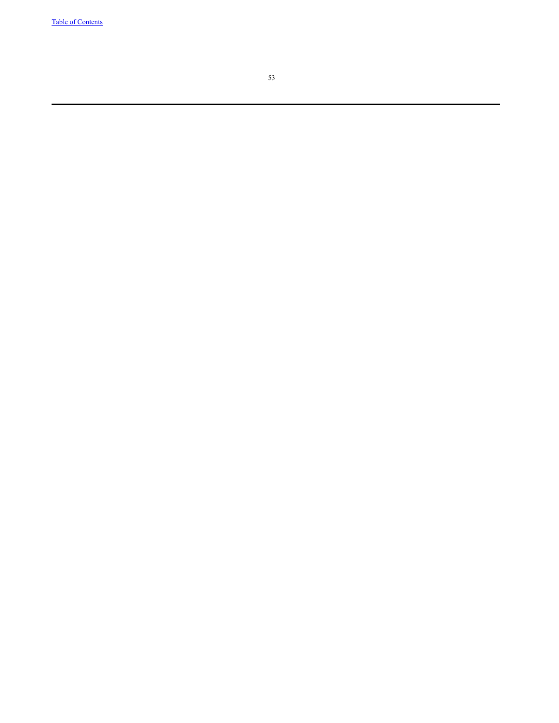Table of [Contents](#page-0-0)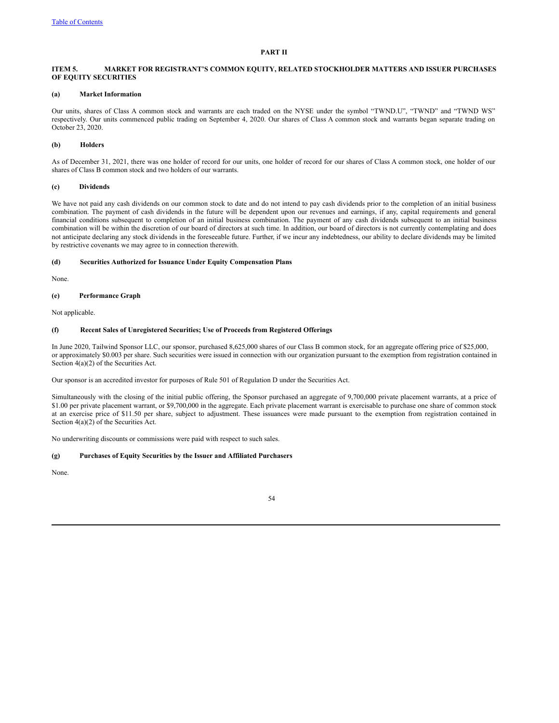# **PART II**

# **ITEM 5. MARKET FOR REGISTRANT'S COMMON EQUITY, RELATED STOCKHOLDER MATTERS AND ISSUER PURCHASES OF EQUITY SECURITIES**

# **(a) Market Information**

Our units, shares of Class A common stock and warrants are each traded on the NYSE under the symbol "TWND.U", "TWND" and "TWND WS" respectively. Our units commenced public trading on September 4, 2020. Our shares of Class A common stock and warrants began separate trading on October 23, 2020.

# **(b) Holders**

As of December 31, 2021, there was one holder of record for our units, one holder of record for our shares of Class A common stock, one holder of our shares of Class B common stock and two holders of our warrants.

## **(c) Dividends**

We have not paid any cash dividends on our common stock to date and do not intend to pay cash dividends prior to the completion of an initial business combination. The payment of cash dividends in the future will be dependent upon our revenues and earnings, if any, capital requirements and general financial conditions subsequent to completion of an initial business combination. The payment of any cash dividends subsequent to an initial business combination will be within the discretion of our board of directors at such time. In addition, our board of directors is not currently contemplating and does not anticipate declaring any stock dividends in the foreseeable future. Further, if we incur any indebtedness, our ability to declare dividends may be limited by restrictive covenants we may agree to in connection therewith.

## **(d) Securities Authorized for Issuance Under Equity Compensation Plans**

None.

# **(e) Performance Graph**

Not applicable.

# **(f) Recent Sales of Unregistered Securities; Use of Proceeds from Registered Offerings**

In June 2020, Tailwind Sponsor LLC, our sponsor, purchased 8,625,000 shares of our Class B common stock, for an aggregate offering price of \$25,000, or approximately \$0.003 per share. Such securities were issued in connection with our organization pursuant to the exemption from registration contained in Section 4(a)(2) of the Securities Act.

Our sponsor is an accredited investor for purposes of Rule 501 of Regulation D under the Securities Act.

Simultaneously with the closing of the initial public offering, the Sponsor purchased an aggregate of 9,700,000 private placement warrants, at a price of \$1.00 per private placement warrant, or \$9,700,000 in the aggregate. Each private placement warrant is exercisable to purchase one share of common stock at an exercise price of \$11.50 per share, subject to adjustment. These issuances were made pursuant to the exemption from registration contained in Section 4(a)(2) of the Securities Act.

No underwriting discounts or commissions were paid with respect to such sales.

# **(g) Purchases of Equity Securities by the Issuer and Affiliated Purchasers**

None.

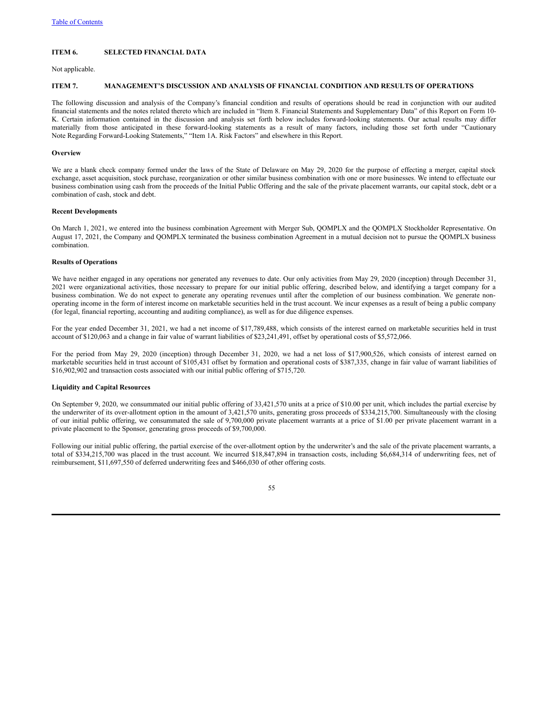## **ITEM 6. SELECTED FINANCIAL DATA**

Not applicable.

# **ITEM 7. MANAGEMENT'S DISCUSSION AND ANALYSIS OF FINANCIAL CONDITION AND RESULTS OF OPERATIONS**

The following discussion and analysis of the Company's financial condition and results of operations should be read in conjunction with our audited financial statements and the notes related thereto which are included in "Item 8. Financial Statements and Supplementary Data" of this Report on Form 10-K. Certain information contained in the discussion and analysis set forth below includes forward-looking statements. Our actual results may differ materially from those anticipated in these forward-looking statements as a result of many factors, including those set forth under "Cautionary Note Regarding Forward-Looking Statements," "Item 1A. Risk Factors" and elsewhere in this Report.

#### **Overview**

We are a blank check company formed under the laws of the State of Delaware on May 29, 2020 for the purpose of effecting a merger, capital stock exchange, asset acquisition, stock purchase, reorganization or other similar business combination with one or more businesses. We intend to effectuate our business combination using cash from the proceeds of the Initial Public Offering and the sale of the private placement warrants, our capital stock, debt or a combination of cash, stock and debt.

### **Recent Developments**

On March 1, 2021, we entered into the business combination Agreement with Merger Sub, QOMPLX and the QOMPLX Stockholder Representative. On August 17, 2021, the Company and QOMPLX terminated the business combination Agreement in a mutual decision not to pursue the QOMPLX business combination.

### **Results of Operations**

We have neither engaged in any operations nor generated any revenues to date. Our only activities from May 29, 2020 (inception) through December 31, 2021 were organizational activities, those necessary to prepare for our initial public offering, described below, and identifying a target company for a business combination. We do not expect to generate any operating revenues until after the completion of our business combination. We generate nonoperating income in the form of interest income on marketable securities held in the trust account. We incur expenses as a result of being a public company (for legal, financial reporting, accounting and auditing compliance), as well as for due diligence expenses.

For the year ended December 31, 2021, we had a net income of \$17,789,488, which consists of the interest earned on marketable securities held in trust account of \$120,063 and a change in fair value of warrant liabilities of \$23,241,491, offset by operational costs of \$5,572,066.

For the period from May 29, 2020 (inception) through December 31, 2020, we had a net loss of \$17,900,526, which consists of interest earned on marketable securities held in trust account of \$105,431 offset by formation and operational costs of \$387,335, change in fair value of warrant liabilities of \$16,902,902 and transaction costs associated with our initial public offering of \$715,720.

## **Liquidity and Capital Resources**

On September 9, 2020, we consummated our initial public offering of 33,421,570 units at a price of \$10.00 per unit, which includes the partial exercise by the underwriter of its over-allotment option in the amount of 3,421,570 units, generating gross proceeds of \$334,215,700. Simultaneously with the closing of our initial public offering, we consummated the sale of 9,700,000 private placement warrants at a price of \$1.00 per private placement warrant in a private placement to the Sponsor, generating gross proceeds of \$9,700,000.

Following our initial public offering, the partial exercise of the over-allotment option by the underwriter's and the sale of the private placement warrants, a total of \$334,215,700 was placed in the trust account. We incurred \$18,847,894 in transaction costs, including \$6,684,314 of underwriting fees, net of reimbursement, \$11,697,550 of deferred underwriting fees and \$466,030 of other offering costs.

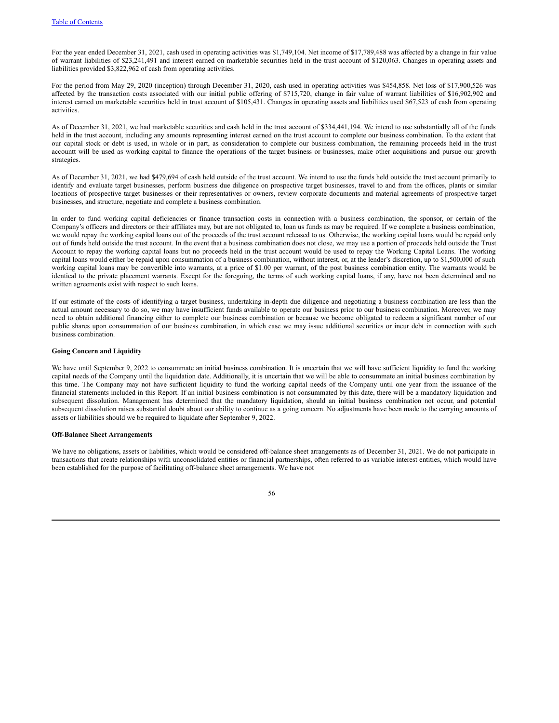For the year ended December 31, 2021, cash used in operating activities was \$1,749,104. Net income of \$17,789,488 was affected by a change in fair value of warrant liabilities of \$23,241,491 and interest earned on marketable securities held in the trust account of \$120,063. Changes in operating assets and liabilities provided \$3,822,962 of cash from operating activities.

For the period from May 29, 2020 (inception) through December 31, 2020, cash used in operating activities was \$454,858. Net loss of \$17,900,526 was affected by the transaction costs associated with our initial public offering of \$715,720, change in fair value of warrant liabilities of \$16,902,902 and interest earned on marketable securities held in trust account of \$105,431. Changes in operating assets and liabilities used \$67,523 of cash from operating activities.

As of December 31, 2021, we had marketable securities and cash held in the trust account of \$334,441,194. We intend to use substantially all of the funds held in the trust account, including any amounts representing interest earned on the trust account to complete our business combination. To the extent that our capital stock or debt is used, in whole or in part, as consideration to complete our business combination, the remaining proceeds held in the trust accountt will be used as working capital to finance the operations of the target business or businesses, make other acquisitions and pursue our growth strategies.

As of December 31, 2021, we had \$479,694 of cash held outside of the trust account. We intend to use the funds held outside the trust account primarily to identify and evaluate target businesses, perform business due diligence on prospective target businesses, travel to and from the offices, plants or similar locations of prospective target businesses or their representatives or owners, review corporate documents and material agreements of prospective target businesses, and structure, negotiate and complete a business combination.

In order to fund working capital deficiencies or finance transaction costs in connection with a business combination, the sponsor, or certain of the Company's officers and directors or their affiliates may, but are not obligated to, loan us funds as may be required. If we complete a business combination, we would repay the working capital loans out of the proceeds of the trust account released to us. Otherwise, the working capital loans would be repaid only out of funds held outside the trust account. In the event that a business combination does not close, we may use a portion of proceeds held outside the Trust Account to repay the working capital loans but no proceeds held in the trust account would be used to repay the Working Capital Loans. The working capital loans would either be repaid upon consummation of a business combination, without interest, or, at the lender's discretion, up to \$1,500,000 of such working capital loans may be convertible into warrants, at a price of \$1.00 per warrant, of the post business combination entity. The warrants would be identical to the private placement warrants. Except for the foregoing, the terms of such working capital loans, if any, have not been determined and no written agreements exist with respect to such loans.

If our estimate of the costs of identifying a target business, undertaking in-depth due diligence and negotiating a business combination are less than the actual amount necessary to do so, we may have insufficient funds available to operate our business prior to our business combination. Moreover, we may need to obtain additional financing either to complete our business combination or because we become obligated to redeem a significant number of our public shares upon consummation of our business combination, in which case we may issue additional securities or incur debt in connection with such business combination.

### **Going Concern and Liquidity**

We have until September 9, 2022 to consummate an initial business combination. It is uncertain that we will have sufficient liquidity to fund the working capital needs of the Company until the liquidation date. Additionally, it is uncertain that we will be able to consummate an initial business combination by this time. The Company may not have sufficient liquidity to fund the working capital needs of the Company until one year from the issuance of the financial statements included in this Report. If an initial business combination is not consummated by this date, there will be a mandatory liquidation and subsequent dissolution. Management has determined that the mandatory liquidation, should an initial business combination not occur, and potential subsequent dissolution raises substantial doubt about our ability to continue as a going concern. No adjustments have been made to the carrying amounts of assets or liabilities should we be required to liquidate after September 9, 2022.

### **Off-Balance Sheet Arrangements**

We have no obligations, assets or liabilities, which would be considered off-balance sheet arrangements as of December 31, 2021. We do not participate in transactions that create relationships with unconsolidated entities or financial partnerships, often referred to as variable interest entities, which would have been established for the purpose of facilitating off-balance sheet arrangements. We have not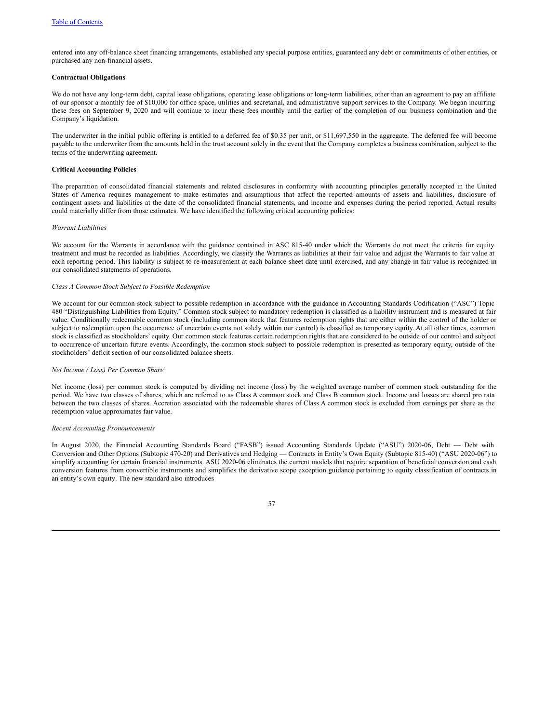entered into any off-balance sheet financing arrangements, established any special purpose entities, guaranteed any debt or commitments of other entities, or purchased any non-financial assets.

## **Contractual Obligations**

We do not have any long-term debt, capital lease obligations, operating lease obligations or long-term liabilities, other than an agreement to pay an affiliate of our sponsor a monthly fee of \$10,000 for office space, utilities and secretarial, and administrative support services to the Company. We began incurring these fees on September 9, 2020 and will continue to incur these fees monthly until the earlier of the completion of our business combination and the Company's liquidation.

The underwriter in the initial public offering is entitled to a deferred fee of \$0.35 per unit, or \$11,697,550 in the aggregate. The deferred fee will become payable to the underwriter from the amounts held in the trust account solely in the event that the Company completes a business combination, subject to the terms of the underwriting agreement.

# **Critical Accounting Policies**

The preparation of consolidated financial statements and related disclosures in conformity with accounting principles generally accepted in the United States of America requires management to make estimates and assumptions that affect the reported amounts of assets and liabilities, disclosure of contingent assets and liabilities at the date of the consolidated financial statements, and income and expenses during the period reported. Actual results could materially differ from those estimates. We have identified the following critical accounting policies:

### *Warrant Liabilities*

We account for the Warrants in accordance with the guidance contained in ASC 815-40 under which the Warrants do not meet the criteria for equity treatment and must be recorded as liabilities. Accordingly, we classify the Warrants as liabilities at their fair value and adjust the Warrants to fair value at each reporting period. This liability is subject to re-measurement at each balance sheet date until exercised, and any change in fair value is recognized in our consolidated statements of operations.

## *Class A Common Stock Subject to Possible Redemption*

We account for our common stock subject to possible redemption in accordance with the guidance in Accounting Standards Codification ("ASC") Topic 480 "Distinguishing Liabilities from Equity." Common stock subject to mandatory redemption is classified as a liability instrument and is measured at fair value. Conditionally redeemable common stock (including common stock that features redemption rights that are either within the control of the holder or subject to redemption upon the occurrence of uncertain events not solely within our control) is classified as temporary equity. At all other times, common stock is classified as stockholders' equity. Our common stock features certain redemption rights that are considered to be outside of our control and subject to occurrence of uncertain future events. Accordingly, the common stock subject to possible redemption is presented as temporary equity, outside of the stockholders' deficit section of our consolidated balance sheets.

#### *Net Income ( Loss) Per Common Share*

Net income (loss) per common stock is computed by dividing net income (loss) by the weighted average number of common stock outstanding for the period. We have two classes of shares, which are referred to as Class A common stock and Class B common stock. Income and losses are shared pro rata between the two classes of shares. Accretion associated with the redeemable shares of Class A common stock is excluded from earnings per share as the redemption value approximates fair value.

#### *Recent Accounting Pronouncements*

In August 2020, the Financial Accounting Standards Board ("FASB") issued Accounting Standards Update ("ASU") 2020-06, Debt — Debt with Conversion and Other Options (Subtopic 470-20) and Derivatives and Hedging — Contracts in Entity's Own Equity (Subtopic 815-40) ("ASU 2020-06") to simplify accounting for certain financial instruments. ASU 2020-06 eliminates the current models that require separation of beneficial conversion and cash conversion features from convertible instruments and simplifies the derivative scope exception guidance pertaining to equity classification of contracts in an entity's own equity. The new standard also introduces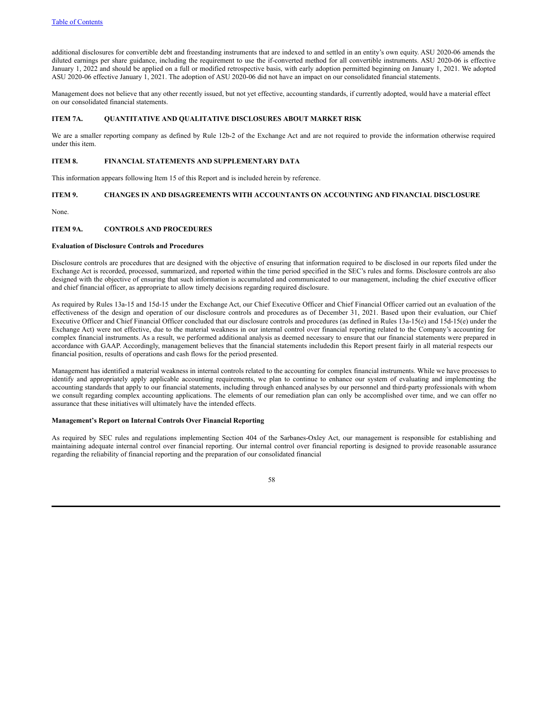additional disclosures for convertible debt and freestanding instruments that are indexed to and settled in an entity's own equity. ASU 2020-06 amends the diluted earnings per share guidance, including the requirement to use the if-converted method for all convertible instruments. ASU 2020-06 is effective January 1, 2022 and should be applied on a full or modified retrospective basis, with early adoption permitted beginning on January 1, 2021. We adopted ASU 2020-06 effective January 1, 2021. The adoption of ASU 2020-06 did not have an impact on our consolidated financial statements.

Management does not believe that any other recently issued, but not yet effective, accounting standards, if currently adopted, would have a material effect on our consolidated financial statements.

# **ITEM 7A. QUANTITATIVE AND QUALITATIVE DISCLOSURES ABOUT MARKET RISK**

We are a smaller reporting company as defined by Rule 12b-2 of the Exchange Act and are not required to provide the information otherwise required under this item.

# **ITEM 8. FINANCIAL STATEMENTS AND SUPPLEMENTARY DATA**

This information appears following Item 15 of this Report and is included herein by reference.

# **ITEM 9. CHANGES IN AND DISAGREEMENTS WITH ACCOUNTANTS ON ACCOUNTING AND FINANCIAL DISCLOSURE**

None.

# **ITEM 9A. CONTROLS AND PROCEDURES**

# **Evaluation of Disclosure Controls and Procedures**

Disclosure controls are procedures that are designed with the objective of ensuring that information required to be disclosed in our reports filed under the Exchange Act is recorded, processed, summarized, and reported within the time period specified in the SEC's rules and forms. Disclosure controls are also designed with the objective of ensuring that such information is accumulated and communicated to our management, including the chief executive officer and chief financial officer, as appropriate to allow timely decisions regarding required disclosure.

As required by Rules 13a-15 and 15d-15 under the Exchange Act, our Chief Executive Officer and Chief Financial Officer carried out an evaluation of the effectiveness of the design and operation of our disclosure controls and procedures as of December 31, 2021. Based upon their evaluation, our Chief Executive Officer and Chief Financial Officer concluded that our disclosure controls and procedures (as defined in Rules 13a-15(e) and 15d-15(e) under the Exchange Act) were not effective, due to the material weakness in our internal control over financial reporting related to the Company's accounting for complex financial instruments. As a result, we performed additional analysis as deemed necessary to ensure that our financial statements were prepared in accordance with GAAP. Accordingly, management believes that the financial statements includedin this Report present fairly in all material respects our financial position, results of operations and cash flows for the period presented.

Management has identified a material weakness in internal controls related to the accounting for complex financial instruments. While we have processes to identify and appropriately apply applicable accounting requirements, we plan to continue to enhance our system of evaluating and implementing the accounting standards that apply to our financial statements, including through enhanced analyses by our personnel and third-party professionals with whom we consult regarding complex accounting applications. The elements of our remediation plan can only be accomplished over time, and we can offer no assurance that these initiatives will ultimately have the intended effects.

### **Management's Report on Internal Controls Over Financial Reporting**

As required by SEC rules and regulations implementing Section 404 of the Sarbanes-Oxley Act, our management is responsible for establishing and maintaining adequate internal control over financial reporting. Our internal control over financial reporting is designed to provide reasonable assurance regarding the reliability of financial reporting and the preparation of our consolidated financial

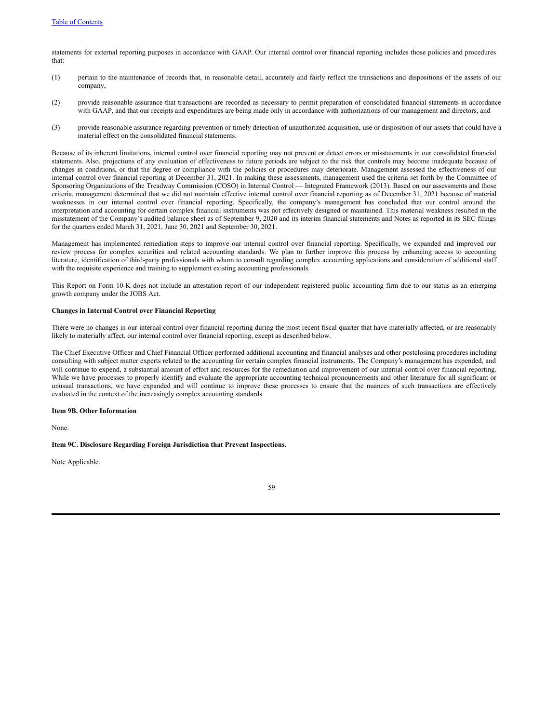statements for external reporting purposes in accordance with GAAP. Our internal control over financial reporting includes those policies and procedures that:

- (1) pertain to the maintenance of records that, in reasonable detail, accurately and fairly reflect the transactions and dispositions of the assets of our company,
- (2) provide reasonable assurance that transactions are recorded as necessary to permit preparation of consolidated financial statements in accordance with GAAP, and that our receipts and expenditures are being made only in accordance with authorizations of our management and directors, and
- (3) provide reasonable assurance regarding prevention or timely detection of unauthorized acquisition, use or disposition of our assets that could have a material effect on the consolidated financial statements.

Because of its inherent limitations, internal control over financial reporting may not prevent or detect errors or misstatements in our consolidated financial statements. Also, projections of any evaluation of effectiveness to future periods are subject to the risk that controls may become inadequate because of changes in conditions, or that the degree or compliance with the policies or procedures may deteriorate. Management assessed the effectiveness of our internal control over financial reporting at December 31, 2021. In making these assessments, management used the criteria set forth by the Committee of Sponsoring Organizations of the Treadway Commission (COSO) in Internal Control — Integrated Framework (2013). Based on our assessments and those criteria, management determined that we did not maintain effective internal control over financial reporting as of December 31, 2021 because of material weaknesses in our internal control over financial reporting. Specifically, the company's management has concluded that our control around the interpretation and accounting for certain complex financial instruments was not effectively designed or maintained. This material weakness resulted in the misstatement of the Company's audited balance sheet as of September 9, 2020 and its interim financial statements and Notes as reported in its SEC filings for the quarters ended March 31, 2021, June 30, 2021 and September 30, 2021.

Management has implemented remediation steps to improve our internal control over financial reporting. Specifically, we expanded and improved our review process for complex securities and related accounting standards. We plan to further improve this process by enhancing access to accounting literature, identification of third-party professionals with whom to consult regarding complex accounting applications and consideration of additional staff with the requisite experience and training to supplement existing accounting professionals.

This Report on Form 10-K does not include an attestation report of our independent registered public accounting firm due to our status as an emerging growth company under the JOBS Act.

# **Changes in Internal Control over Financial Reporting**

There were no changes in our internal control over financial reporting during the most recent fiscal quarter that have materially affected, or are reasonably likely to materially affect, our internal control over financial reporting, except as described below.

The Chief Executive Officer and Chief Financial Officer performed additional accounting and financial analyses and other postclosing procedures including consulting with subject matter experts related to the accounting for certain complex financial instruments. The Company's management has expended, and will continue to expend, a substantial amount of effort and resources for the remediation and improvement of our internal control over financial reporting. While we have processes to properly identify and evaluate the appropriate accounting technical pronouncements and other literature for all significant or unusual transactions, we have expanded and will continue to improve these processes to ensure that the nuances of such transactions are effectively evaluated in the context of the increasingly complex accounting standards

# **Item 9B. Other Information**

None.

# **Item 9C. Disclosure Regarding Foreign Jurisdiction that Prevent Inspections.**

Note Applicable.

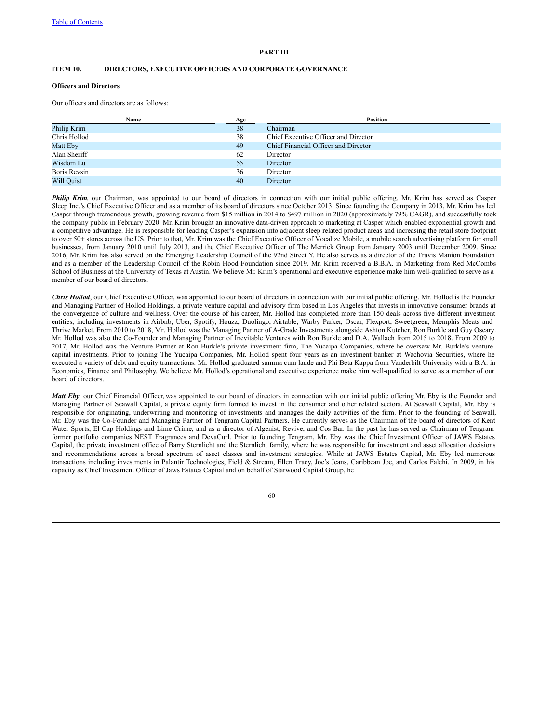## **PART III**

# **ITEM 10. DIRECTORS, EXECUTIVE OFFICERS AND CORPORATE GOVERNANCE**

## **Officers and Directors**

Our officers and directors are as follows:

| Name         | Age | Position                             |  |
|--------------|-----|--------------------------------------|--|
| Philip Krim  | 38  | Chairman                             |  |
| Chris Hollod | 38  | Chief Executive Officer and Director |  |
| Matt Eby     | 49  | Chief Financial Officer and Director |  |
| Alan Sheriff | 62  | Director                             |  |
| Wisdom Lu    | 55  | Director                             |  |
| Boris Revsin | 36  | Director                             |  |
| Will Ouist   | 40  | Director                             |  |

*Philip Krim*, our Chairman, was appointed to our board of directors in connection with our initial public offering. Mr. Krim has served as Casper Sleep Inc.'s Chief Executive Officer and as a member of its board of directors since October 2013. Since founding the Company in 2013, Mr. Krim has led Casper through tremendous growth, growing revenue from \$15 million in 2014 to \$497 million in 2020 (approximately 79% CAGR), and successfully took the company public in February 2020. Mr. Krim brought an innovative data-driven approach to marketing at Casper which enabled exponential growth and a competitive advantage. He is responsible for leading Casper's expansion into adjacent sleep related product areas and increasing the retail store footprint to over 50+ stores across the US. Prior to that, Mr. Krim was the Chief Executive Officer of Vocalize Mobile, a mobile search advertising platform for small businesses, from January 2010 until July 2013, and the Chief Executive Officer of The Merrick Group from January 2003 until December 2009. Since 2016, Mr. Krim has also served on the Emerging Leadership Council of the 92nd Street Y. He also serves as a director of the Travis Manion Foundation and as a member of the Leadership Council of the Robin Hood Foundation since 2019. Mr. Krim received a B.B.A. in Marketing from Red McCombs School of Business at the University of Texas at Austin. We believe Mr. Krim's operational and executive experience make him well-qualified to serve as a member of our board of directors.

*Chris Hollod*, our Chief Executive Officer, was appointed to our board of directors in connection with our initial public offering. Mr. Hollod is the Founder and Managing Partner of Hollod Holdings, a private venture capital and advisory firm based in Los Angeles that invests in innovative consumer brands at the convergence of culture and wellness. Over the course of his career, Mr. Hollod has completed more than 150 deals across five different investment entities, including investments in Airbnb, Uber, Spotify, Houzz, Duolingo, Airtable, Warby Parker, Oscar, Flexport, Sweetgreen, Memphis Meats and Thrive Market. From 2010 to 2018, Mr. Hollod was the Managing Partner of A-Grade Investments alongside Ashton Kutcher, Ron Burkle and Guy Oseary. Mr. Hollod was also the Co-Founder and Managing Partner of Inevitable Ventures with Ron Burkle and D.A. Wallach from 2015 to 2018. From 2009 to 2017, Mr. Hollod was the Venture Partner at Ron Burkle's private investment firm, The Yucaipa Companies, where he oversaw Mr. Burkle's venture capital investments. Prior to joining The Yucaipa Companies, Mr. Hollod spent four years as an investment banker at Wachovia Securities, where he executed a variety of debt and equity transactions. Mr. Hollod graduated summa cum laude and Phi Beta Kappa from Vanderbilt University with a B.A. in Economics, Finance and Philosophy. We believe Mr. Hollod's operational and executive experience make him well-qualified to serve as a member of our board of directors.

Matt Eby, our Chief Financial Officer, was appointed to our board of directors in connection with our initial public offering Mr. Eby is the Founder and Managing Partner of Seawall Capital, a private equity firm formed to invest in the consumer and other related sectors. At Seawall Capital, Mr. Eby is responsible for originating, underwriting and monitoring of investments and manages the daily activities of the firm. Prior to the founding of Seawall, Mr. Eby was the Co-Founder and Managing Partner of Tengram Capital Partners. He currently serves as the Chairman of the board of directors of Kent Water Sports, El Cap Holdings and Lime Crime, and as a director of Algenist, Revive, and Cos Bar. In the past he has served as Chairman of Tengram former portfolio companies NEST Fragrances and DevaCurl. Prior to founding Tengram, Mr. Eby was the Chief Investment Officer of JAWS Estates Capital, the private investment office of Barry Sternlicht and the Sternlicht family, where he was responsible for investment and asset allocation decisions and recommendations across a broad spectrum of asset classes and investment strategies. While at JAWS Estates Capital, Mr. Eby led numerous transactions including investments in Palantir Technologies, Field & Stream, Ellen Tracy, Joe's Jeans, Caribbean Joe, and Carlos Falchi. In 2009, in his capacity as Chief Investment Officer of Jaws Estates Capital and on behalf of Starwood Capital Group, he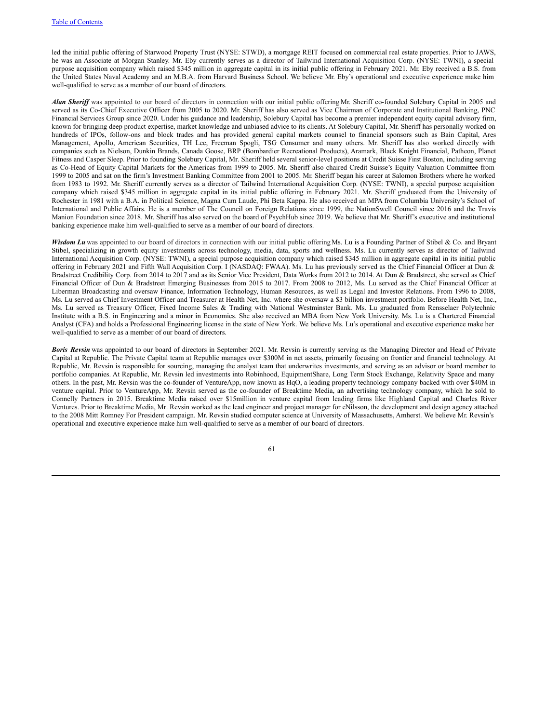led the initial public offering of Starwood Property Trust (NYSE: STWD), a mortgage REIT focused on commercial real estate properties. Prior to JAWS, he was an Associate at Morgan Stanley. Mr. Eby currently serves as a director of Tailwind International Acquisition Corp. (NYSE: TWNI), a special purpose acquisition company which raised \$345 million in aggregate capital in its initial public offering in February 2021. Mr. Eby received a B.S. from the United States Naval Academy and an M.B.A. from Harvard Business School. We believe Mr. Eby's operational and executive experience make him well-qualified to serve as a member of our board of directors.

*Alan Sherif* was appointed to our board of directors in connection with our initial public offering. Mr. Sheriff co-founded Solebury Capital in 2005 and served as its Co-Chief Executive Officer from 2005 to 2020. Mr. Sheriff has also served as Vice Chairman of Corporate and Institutional Banking, PNC Financial Services Group since 2020. Under his guidance and leadership, Solebury Capital has become a premier independent equity capital advisory firm, known for bringing deep product expertise, market knowledge and unbiased advice to its clients. At Solebury Capital, Mr. Sheriff has personally worked on hundreds of IPOs, follow-ons and block trades and has provided general capital markets counsel to financial sponsors such as Bain Capital, Ares Management, Apollo, American Securities, TH Lee, Freeman Spogli, TSG Consumer and many others. Mr. Sheriff has also worked directly with companies such as Nielson, Dunkin Brands, Canada Goose, BRP (Bombardier Recreational Products), Aramark, Black Knight Financial, Patheon, Planet Fitness and Casper Sleep. Prior to founding Solebury Capital, Mr. Sheriff held several senior-level positions at Credit Suisse First Boston, including serving as Co-Head of Equity Capital Markets for the Americas from 1999 to 2005. Mr. Sheriff also chaired Credit Suisse's Equity Valuation Committee from 1999 to 2005 and sat on the firm's Investment Banking Committee from 2001 to 2005. Mr. Sheriff began his career at Salomon Brothers where he worked from 1983 to 1992. Mr. Sheriff currently serves as a director of Tailwind International Acquisition Corp. (NYSE: TWNI), a special purpose acquisition company which raised \$345 million in aggregate capital in its initial public offering in February 2021. Mr. Sheriff graduated from the University of Rochester in 1981 with a B.A. in Political Science, Magna Cum Laude, Phi Beta Kappa. He also received an MPA from Columbia University's School of International and Public Affairs. He is a member of The Council on Foreign Relations since 1999, the NationSwell Council since 2016 and the Travis Manion Foundation since 2018. Mr. Sheriff has also served on the board of PsychHub since 2019. We believe that Mr. Sheriff's executive and institutional banking experience make him well-qualified to serve as a member of our board of directors.

Wisdom Lu was appointed to our board of directors in connection with our initial public offering Ms. Lu is a Founding Partner of Stibel & Co. and Bryant Stibel, specializing in growth equity investments across technology, media, data, sports and wellness. Ms. Lu currently serves as director of Tailwind International Acquisition Corp. (NYSE: TWNI), a special purpose acquisition company which raised \$345 million in aggregate capital in its initial public offering in February 2021 and Fifth Wall Acquisition Corp. I (NASDAQ: FWAA). Ms. Lu has previously served as the Chief Financial Officer at Dun & Bradstreet Credibility Corp. from 2014 to 2017 and as its Senior Vice President, Data Works from 2012 to 2014. At Dun & Bradstreet, she served as Chief Financial Officer of Dun & Bradstreet Emerging Businesses from 2015 to 2017. From 2008 to 2012, Ms. Lu served as the Chief Financial Officer at Liberman Broadcasting and oversaw Finance, Information Technology, Human Resources, as well as Legal and Investor Relations. From 1996 to 2008, Ms. Lu served as Chief Investment Officer and Treasurer at Health Net, Inc. where she oversaw a \$3 billion investment portfolio. Before Health Net, Inc., Ms. Lu served as Treasury Officer, Fixed Income Sales & Trading with National Westminster Bank. Ms. Lu graduated from Rensselaer Polytechnic Institute with a B.S. in Engineering and a minor in Economics. She also received an MBA from New York University. Ms. Lu is a Chartered Financial Analyst (CFA) and holds a Professional Engineering license in the state of New York. We believe Ms. Lu's operational and executive experience make her well-qualified to serve as a member of our board of directors.

*Boris Revsin* was appointed to our board of directors in September 2021. Mr. Revsin is currently serving as the Managing Director and Head of Private Capital at Republic. The Private Capital team at Republic manages over \$300M in net assets, primarily focusing on frontier and financial technology. At Republic, Mr. Revsin is responsible for sourcing, managing the analyst team that underwrites investments, and serving as an advisor or board member to portfolio companies. At Republic, Mr. Revsin led investments into Robinhood, EquipmentShare, Long Term Stock Exchange, Relativity Space and many others. In the past, Mr. Revsin was the co-founder of VentureApp, now known as HqO, a leading property technology company backed with over \$40M in venture capital. Prior to VentureApp, Mr. Revsin served as the co-founder of Breaktime Media, an advertising technology company, which he sold to Connelly Partners in 2015. Breaktime Media raised over \$15million in venture capital from leading firms like Highland Capital and Charles River Ventures. Prior to Breaktime Media, Mr. Revsin worked as the lead engineer and project manager for eNilsson, the development and design agency attached to the 2008 Mitt Romney For President campaign. Mr. Revsin studied computer science at University of Massachusetts, Amherst. We believe Mr. Revsin's operational and executive experience make him well-qualified to serve as a member of our board of directors.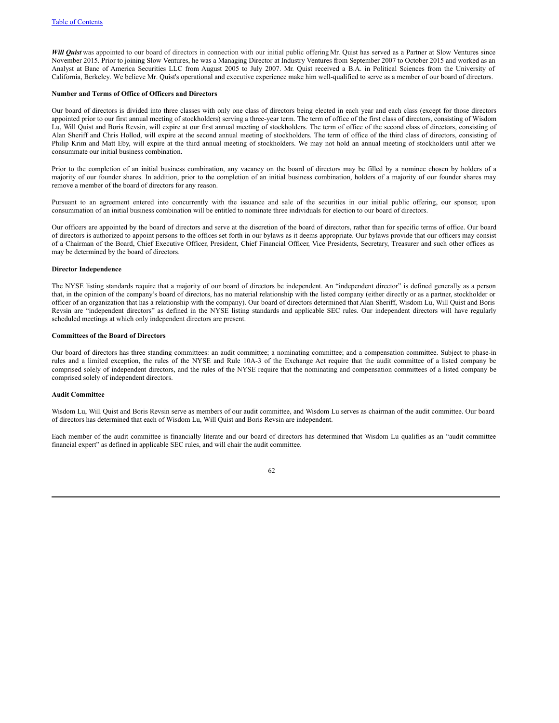Will *Quist* was appointed to our board of directors in connection with our initial public offering Mr. Quist has served as a Partner at Slow Ventures since November 2015. Prior to joining Slow Ventures, he was a Managing Director at Industry Ventures from September 2007 to October 2015 and worked as an Analyst at Banc of America Securities LLC from August 2005 to July 2007. Mr. Quist received a B.A. in Political Sciences from the University of California, Berkeley. We believe Mr. Quist's operational and executive experience make him well-qualified to serve as a member of our board of directors.

## **Number and Terms of Office of Officers and Directors**

Our board of directors is divided into three classes with only one class of directors being elected in each year and each class (except for those directors appointed prior to our first annual meeting of stockholders) serving a three-year term. The term of office of the first class of directors, consisting of Wisdom Lu, Will Quist and Boris Revsin, will expire at our first annual meeting of stockholders. The term of office of the second class of directors, consisting of Alan Sheriff and Chris Hollod, will expire at the second annual meeting of stockholders. The term of office of the third class of directors, consisting of Philip Krim and Matt Eby, will expire at the third annual meeting of stockholders. We may not hold an annual meeting of stockholders until after we consummate our initial business combination.

Prior to the completion of an initial business combination, any vacancy on the board of directors may be filled by a nominee chosen by holders of a majority of our founder shares. In addition, prior to the completion of an initial business combination, holders of a majority of our founder shares may remove a member of the board of directors for any reason.

Pursuant to an agreement entered into concurrently with the issuance and sale of the securities in our initial public offering, our sponsor, upon consummation of an initial business combination will be entitled to nominate three individuals for election to our board of directors.

Our officers are appointed by the board of directors and serve at the discretion of the board of directors, rather than for specific terms of office. Our board of directors is authorized to appoint persons to the offices set forth in our bylaws as it deems appropriate. Our bylaws provide that our officers may consist of a Chairman of the Board, Chief Executive Officer, President, Chief Financial Officer, Vice Presidents, Secretary, Treasurer and such other offices as may be determined by the board of directors.

#### **Director Independence**

The NYSE listing standards require that a majority of our board of directors be independent. An "independent director" is defined generally as a person that, in the opinion of the company's board of directors, has no material relationship with the listed company (either directly or as a partner, stockholder or officer of an organization that has a relationship with the company). Our board of directors determined that Alan Sheriff, Wisdom Lu, Will Quist and Boris Revsin are "independent directors" as defined in the NYSE listing standards and applicable SEC rules. Our independent directors will have regularly scheduled meetings at which only independent directors are present.

## **Committees of the Board of Directors**

Our board of directors has three standing committees: an audit committee; a nominating committee; and a compensation committee. Subject to phase-in rules and a limited exception, the rules of the NYSE and Rule 10A-3 of the Exchange Act require that the audit committee of a listed company be comprised solely of independent directors, and the rules of the NYSE require that the nominating and compensation committees of a listed company be comprised solely of independent directors.

#### **Audit Committee**

Wisdom Lu, Will Quist and Boris Revsin serve as members of our audit committee, and Wisdom Lu serves as chairman of the audit committee. Our board of directors has determined that each of Wisdom Lu, Will Quist and Boris Revsin are independent.

Each member of the audit committee is financially literate and our board of directors has determined that Wisdom Lu qualifies as an "audit committee financial expert" as defined in applicable SEC rules, and will chair the audit committee.

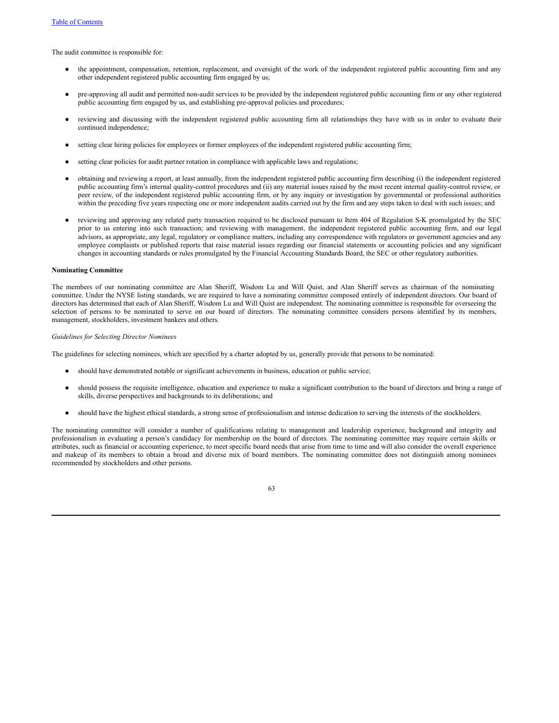The audit committee is responsible for:

- the appointment, compensation, retention, replacement, and oversight of the work of the independent registered public accounting firm and any other independent registered public accounting firm engaged by us;
- pre-approving all audit and permitted non-audit services to be provided by the independent registered public accounting firm or any other registered public accounting firm engaged by us, and establishing pre-approval policies and procedures;
- reviewing and discussing with the independent registered public accounting firm all relationships they have with us in order to evaluate their continued independence;
- setting clear hiring policies for employees or former employees of the independent registered public accounting firm;
- setting clear policies for audit partner rotation in compliance with applicable laws and regulations;
- obtaining and reviewing a report, at least annually, from the independent registered public accounting firm describing (i) the independent registered public accounting firm's internal quality-control procedures and (ii) any material issues raised by the most recent internal quality-control review, or peer review, of the independent registered public accounting firm, or by any inquiry or investigation by governmental or professional authorities within the preceding five years respecting one or more independent audits carried out by the firm and any steps taken to deal with such issues; and
- reviewing and approving any related party transaction required to be disclosed pursuant to Item 404 of Regulation S-K promulgated by the SEC prior to us entering into such transaction; and reviewing with management, the independent registered public accounting firm, and our legal advisors, as appropriate, any legal, regulatory or compliance matters, including any correspondence with regulators or government agencies and any employee complaints or published reports that raise material issues regarding our financial statements or accounting policies and any significant changes in accounting standards or rules promulgated by the Financial Accounting Standards Board, the SEC or other regulatory authorities.

# **Nominating Committee**

The members of our nominating committee are Alan Sheriff, Wisdom Lu and Will Quist, and Alan Sheriff serves as chairman of the nominating committee. Under the NYSE listing standards, we are required to have a nominating committee composed entirely of independent directors. Our board of directors has determined that each of Alan Sheriff, Wisdom Lu and Will Quist are independent. The nominating committee is responsible for overseeing the selection of persons to be nominated to serve on our board of directors. The nominating committee considers persons identified by its members, management, stockholders, investment bankers and others.

# *Guidelines for Selecting Director Nominees*

The guidelines for selecting nominees, which are specified by a charter adopted by us, generally provide that persons to be nominated:

- should have demonstrated notable or significant achievements in business, education or public service;
- should possess the requisite intelligence, education and experience to make a significant contribution to the board of directors and bring a range of skills, diverse perspectives and backgrounds to its deliberations; and
- should have the highest ethical standards, a strong sense of professionalism and intense dedication to serving the interests of the stockholders.

The nominating committee will consider a number of qualifications relating to management and leadership experience, background and integrity and professionalism in evaluating a person's candidacy for membership on the board of directors. The nominating committee may require certain skills or attributes, such as financial or accounting experience, to meet specific board needs that arise from time to time and will also consider the overall experience and makeup of its members to obtain a broad and diverse mix of board members. The nominating committee does not distinguish among nominees recommended by stockholders and other persons.

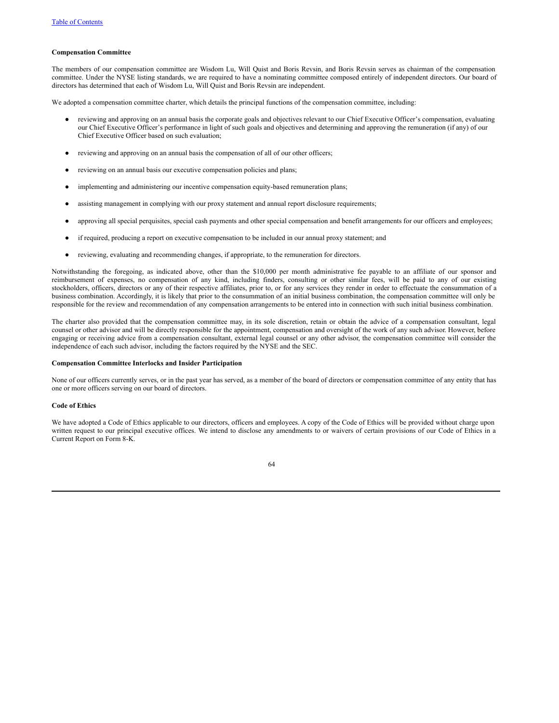### **Compensation Committee**

The members of our compensation committee are Wisdom Lu, Will Quist and Boris Revsin, and Boris Revsin serves as chairman of the compensation committee. Under the NYSE listing standards, we are required to have a nominating committee composed entirely of independent directors. Our board of directors has determined that each of Wisdom Lu, Will Quist and Boris Revsin are independent.

We adopted a compensation committee charter, which details the principal functions of the compensation committee, including:

- reviewing and approving on an annual basis the corporate goals and objectives relevant to our Chief Executive Officer's compensation, evaluating our Chief Executive Officer's performance in light of such goals and objectives and determining and approving the remuneration (if any) of our Chief Executive Officer based on such evaluation;
- reviewing and approving on an annual basis the compensation of all of our other officers;
- reviewing on an annual basis our executive compensation policies and plans;
- implementing and administering our incentive compensation equity-based remuneration plans;
- assisting management in complying with our proxy statement and annual report disclosure requirements;
- approving all special perquisites, special cash payments and other special compensation and benefit arrangements for our officers and employees;
- if required, producing a report on executive compensation to be included in our annual proxy statement; and
- reviewing, evaluating and recommending changes, if appropriate, to the remuneration for directors.

Notwithstanding the foregoing, as indicated above, other than the \$10,000 per month administrative fee payable to an affiliate of our sponsor and reimbursement of expenses, no compensation of any kind, including finders, consulting or other similar fees, will be paid to any of our existing stockholders, officers, directors or any of their respective affiliates, prior to, or for any services they render in order to effectuate the consummation of a business combination. Accordingly, it is likely that prior to the consummation of an initial business combination, the compensation committee will only be responsible for the review and recommendation of any compensation arrangements to be entered into in connection with such initial business combination.

The charter also provided that the compensation committee may, in its sole discretion, retain or obtain the advice of a compensation consultant, legal counsel or other advisor and will be directly responsible for the appointment, compensation and oversight of the work of any such advisor. However, before engaging or receiving advice from a compensation consultant, external legal counsel or any other advisor, the compensation committee will consider the independence of each such advisor, including the factors required by the NYSE and the SEC.

### **Compensation Committee Interlocks and Insider Participation**

None of our officers currently serves, or in the past year has served, as a member of the board of directors or compensation committee of any entity that has one or more officers serving on our board of directors.

# **Code of Ethics**

We have adopted a Code of Ethics applicable to our directors, officers and employees. A copy of the Code of Ethics will be provided without charge upon written request to our principal executive offices. We intend to disclose any amendments to or waivers of certain provisions of our Code of Ethics in a Current Report on Form 8-K.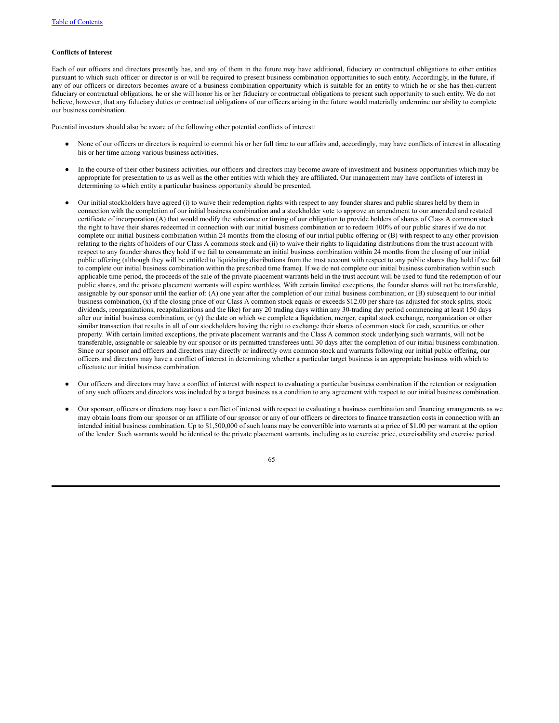## **Conflicts of Interest**

Each of our officers and directors presently has, and any of them in the future may have additional, fiduciary or contractual obligations to other entities pursuant to which such officer or director is or will be required to present business combination opportunities to such entity. Accordingly, in the future, if any of our officers or directors becomes aware of a business combination opportunity which is suitable for an entity to which he or she has then-current fiduciary or contractual obligations, he or she will honor his or her fiduciary or contractual obligations to present such opportunity to such entity. We do not believe, however, that any fiduciary duties or contractual obligations of our officers arising in the future would materially undermine our ability to complete our business combination.

Potential investors should also be aware of the following other potential conflicts of interest:

- None of our officers or directors is required to commit his or her full time to our affairs and, accordingly, may have conflicts of interest in allocating his or her time among various business activities.
- In the course of their other business activities, our officers and directors may become aware of investment and business opportunities which may be appropriate for presentation to us as well as the other entities with which they are affiliated. Our management may have conflicts of interest in determining to which entity a particular business opportunity should be presented.
- Our initial stockholders have agreed (i) to waive their redemption rights with respect to any founder shares and public shares held by them in connection with the completion of our initial business combination and a stockholder vote to approve an amendment to our amended and restated certificate of incorporation (A) that would modify the substance or timing of our obligation to provide holders of shares of Class A common stock the right to have their shares redeemed in connection with our initial business combination or to redeem 100% of our public shares if we do not complete our initial business combination within 24 months from the closing of our initial public offering or (B) with respect to any other provision relating to the rights of holders of our Class A commons stock and (ii) to waive their rights to liquidating distributions from the trust account with respect to any founder shares they hold if we fail to consummate an initial business combination within 24 months from the closing of our initial public offering (although they will be entitled to liquidating distributions from the trust account with respect to any public shares they hold if we fail to complete our initial business combination within the prescribed time frame). If we do not complete our initial business combination within such applicable time period, the proceeds of the sale of the private placement warrants held in the trust account will be used to fund the redemption of our public shares, and the private placement warrants will expire worthless. With certain limited exceptions, the founder shares will not be transferable, assignable by our sponsor until the earlier of: (A) one year after the completion of our initial business combination; or (B) subsequent to our initial business combination, (x) if the closing price of our Class A common stock equals or exceeds \$12.00 per share (as adjusted for stock splits, stock dividends, reorganizations, recapitalizations and the like) for any 20 trading days within any 30-trading day period commencing at least 150 days after our initial business combination, or (y) the date on which we complete a liquidation, merger, capital stock exchange, reorganization or other similar transaction that results in all of our stockholders having the right to exchange their shares of common stock for cash, securities or other property. With certain limited exceptions, the private placement warrants and the Class A common stock underlying such warrants, will not be transferable, assignable or saleable by our sponsor or its permitted transferees until 30 days after the completion of our initial business combination. Since our sponsor and officers and directors may directly or indirectly own common stock and warrants following our initial public offering, our officers and directors may have a conflict of interest in determining whether a particular target business is an appropriate business with which to effectuate our initial business combination.
- Our officers and directors may have a conflict of interest with respect to evaluating a particular business combination if the retention or resignation of any such officers and directors was included by a target business as a condition to any agreement with respect to our initial business combination.
- Our sponsor, officers or directors may have a conflict of interest with respect to evaluating a business combination and financing arrangements as we may obtain loans from our sponsor or an affiliate of our sponsor or any of our officers or directors to finance transaction costs in connection with an intended initial business combination. Up to \$1,500,000 of such loans may be convertible into warrants at a price of \$1.00 per warrant at the option of the lender. Such warrants would be identical to the private placement warrants, including as to exercise price, exercisability and exercise period.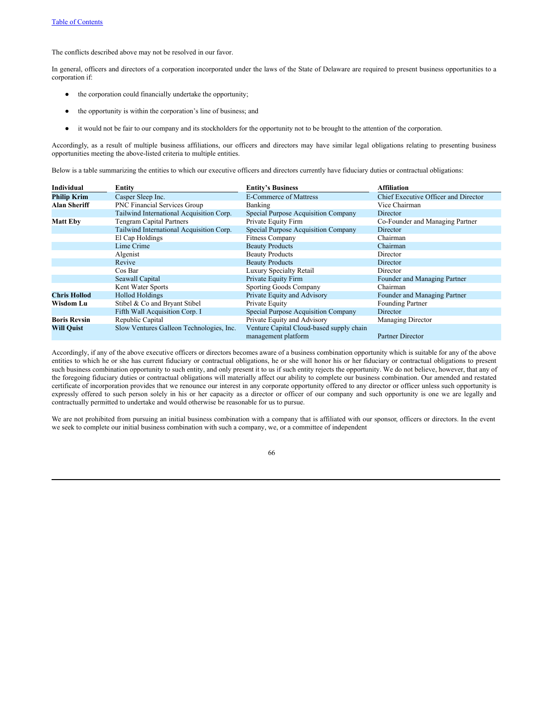The conflicts described above may not be resolved in our favor.

In general, officers and directors of a corporation incorporated under the laws of the State of Delaware are required to present business opportunities to a corporation if:

- the corporation could financially undertake the opportunity;
- the opportunity is within the corporation's line of business; and
- it would not be fair to our company and its stockholders for the opportunity not to be brought to the attention of the corporation.

Accordingly, as a result of multiple business affiliations, our officers and directors may have similar legal obligations relating to presenting business opportunities meeting the above-listed criteria to multiple entities.

Below is a table summarizing the entities to which our executive officers and directors currently have fiduciary duties or contractual obligations:

| <b>Individual</b>   | Entity                                   | <b>Entity's Business</b>                 | <b>Affiliation</b><br>Chief Executive Officer and Director |  |
|---------------------|------------------------------------------|------------------------------------------|------------------------------------------------------------|--|
| <b>Philip Krim</b>  | Casper Sleep Inc.                        | <b>E-Commerce of Mattress</b>            |                                                            |  |
| <b>Alan Sheriff</b> | PNC Financial Services Group             | Banking                                  | Vice Chairman                                              |  |
|                     | Tailwind International Acquisition Corp. | Special Purpose Acquisition Company      | Director                                                   |  |
| <b>Matt Eby</b>     | <b>Tengram Capital Partners</b>          | Private Equity Firm                      | Co-Founder and Managing Partner                            |  |
|                     | Tailwind International Acquisition Corp. | Special Purpose Acquisition Company      | Director                                                   |  |
|                     | El Cap Holdings                          | <b>Fitness Company</b>                   | Chairman                                                   |  |
|                     | Lime Crime                               | <b>Beauty Products</b>                   | Chairman                                                   |  |
|                     | Algenist                                 | <b>Beauty Products</b>                   | Director                                                   |  |
|                     | Revive                                   | <b>Beauty Products</b>                   | Director                                                   |  |
|                     | Cos Bar                                  | Luxury Specialty Retail                  | Director                                                   |  |
|                     | Seawall Capital                          | Private Equity Firm                      | Founder and Managing Partner                               |  |
|                     | Kent Water Sports                        | Sporting Goods Company                   | Chairman                                                   |  |
| <b>Chris Hollod</b> | <b>Hollod Holdings</b>                   | Private Equity and Advisory              | Founder and Managing Partner                               |  |
| Wisdom Lu           | Stibel & Co and Bryant Stibel            | Private Equity                           | <b>Founding Partner</b>                                    |  |
|                     | Fifth Wall Acquisition Corp. I           | Special Purpose Acquisition Company      | Director                                                   |  |
| <b>Boris Revsin</b> | Republic Capital                         | Private Equity and Advisory              | <b>Managing Director</b>                                   |  |
| <b>Will Quist</b>   | Slow Ventures Galleon Technologies, Inc. | Venture Capital Cloud-based supply chain |                                                            |  |
|                     |                                          | management platform                      | <b>Partner Director</b>                                    |  |

Accordingly, if any of the above executive officers or directors becomes aware of a business combination opportunity which is suitable for any of the above entities to which he or she has current fiduciary or contractual obligations, he or she will honor his or her fiduciary or contractual obligations to present such business combination opportunity to such entity, and only present it to us if such entity rejects the opportunity. We do not believe, however, that any of the foregoing fiduciary duties or contractual obligations will materially affect our ability to complete our business combination. Our amended and restated certificate of incorporation provides that we renounce our interest in any corporate opportunity offered to any director or officer unless such opportunity is expressly offered to such person solely in his or her capacity as a director or officer of our company and such opportunity is one we are legally and contractually permitted to undertake and would otherwise be reasonable for us to pursue.

We are not prohibited from pursuing an initial business combination with a company that is affiliated with our sponsor, officers or directors. In the event we seek to complete our initial business combination with such a company, we, or a committee of independent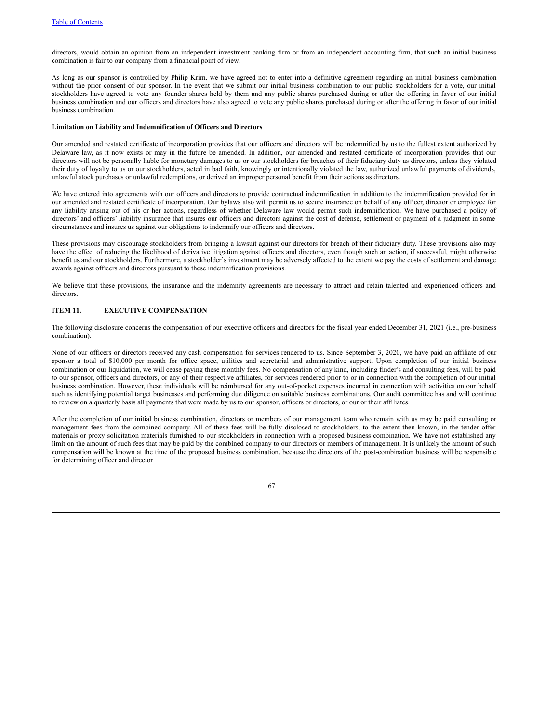directors, would obtain an opinion from an independent investment banking firm or from an independent accounting firm, that such an initial business combination is fair to our company from a financial point of view.

As long as our sponsor is controlled by Philip Krim, we have agreed not to enter into a definitive agreement regarding an initial business combination without the prior consent of our sponsor. In the event that we submit our initial business combination to our public stockholders for a vote, our initial stockholders have agreed to vote any founder shares held by them and any public shares purchased during or after the offering in favor of our initial business combination and our officers and directors have also agreed to vote any public shares purchased during or after the offering in favor of our initial business combination.

### **Limitation on Liability and Indemnification of Officers and Directors**

Our amended and restated certificate of incorporation provides that our officers and directors will be indemnified by us to the fullest extent authorized by Delaware law, as it now exists or may in the future be amended. In addition, our amended and restated certificate of incorporation provides that our directors will not be personally liable for monetary damages to us or our stockholders for breaches of their fiduciary duty as directors, unless they violated their duty of loyalty to us or our stockholders, acted in bad faith, knowingly or intentionally violated the law, authorized unlawful payments of dividends, unlawful stock purchases or unlawful redemptions, or derived an improper personal benefit from their actions as directors.

We have entered into agreements with our officers and directors to provide contractual indemnification in addition to the indemnification provided for in our amended and restated certificate of incorporation. Our bylaws also will permit us to secure insurance on behalf of any officer, director or employee for any liability arising out of his or her actions, regardless of whether Delaware law would permit such indemnification. We have purchased a policy of directors' and officers' liability insurance that insures our officers and directors against the cost of defense, settlement or payment of a judgment in some circumstances and insures us against our obligations to indemnify our officers and directors.

These provisions may discourage stockholders from bringing a lawsuit against our directors for breach of their fiduciary duty. These provisions also may have the effect of reducing the likelihood of derivative litigation against officers and directors, even though such an action, if successful, might otherwise benefit us and our stockholders. Furthermore, a stockholder's investment may be adversely affected to the extent we pay the costs of settlement and damage awards against officers and directors pursuant to these indemnification provisions.

We believe that these provisions, the insurance and the indemnity agreements are necessary to attract and retain talented and experienced officers and directors.

# **ITEM 11. EXECUTIVE COMPENSATION**

The following disclosure concerns the compensation of our executive officers and directors for the fiscal year ended December 31, 2021 (i.e., pre-business combination).

None of our officers or directors received any cash compensation for services rendered to us. Since September 3, 2020, we have paid an affiliate of our sponsor a total of \$10,000 per month for office space, utilities and secretarial and administrative support. Upon completion of our initial business combination or our liquidation, we will cease paying these monthly fees. No compensation of any kind, including finder's and consulting fees, will be paid to our sponsor, officers and directors, or any of their respective affiliates, for services rendered prior to or in connection with the completion of our initial business combination. However, these individuals will be reimbursed for any out-of-pocket expenses incurred in connection with activities on our behalf such as identifying potential target businesses and performing due diligence on suitable business combinations. Our audit committee has and will continue to review on a quarterly basis all payments that were made by us to our sponsor, officers or directors, or our or their affiliates.

After the completion of our initial business combination, directors or members of our management team who remain with us may be paid consulting or management fees from the combined company. All of these fees will be fully disclosed to stockholders, to the extent then known, in the tender offer materials or proxy solicitation materials furnished to our stockholders in connection with a proposed business combination. We have not established any limit on the amount of such fees that may be paid by the combined company to our directors or members of management. It is unlikely the amount of such compensation will be known at the time of the proposed business combination, because the directors of the post-combination business will be responsible for determining officer and director

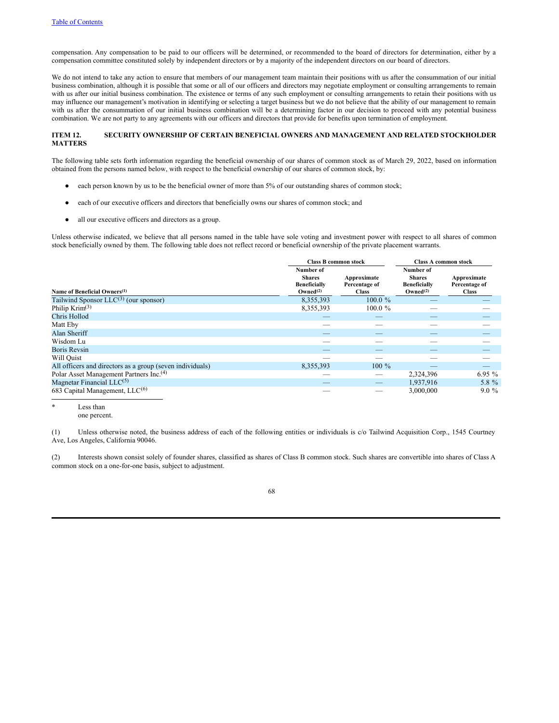compensation. Any compensation to be paid to our officers will be determined, or recommended to the board of directors for determination, either by a compensation committee constituted solely by independent directors or by a majority of the independent directors on our board of directors.

We do not intend to take any action to ensure that members of our management team maintain their positions with us after the consummation of our initial business combination, although it is possible that some or all of our officers and directors may negotiate employment or consulting arrangements to remain with us after our initial business combination. The existence or terms of any such employment or consulting arrangements to retain their positions with us may influence our management's motivation in identifying or selecting a target business but we do not believe that the ability of our management to remain with us after the consummation of our initial business combination will be a determining factor in our decision to proceed with any potential business combination. We are not party to any agreements with our officers and directors that provide for benefits upon termination of employment.

# **ITEM 12. SECURITY OWNERSHIP OF CERTAIN BENEFICIAL OWNERS AND MANAGEMENT AND RELATED STOCKHOLDER MATTERS**

The following table sets forth information regarding the beneficial ownership of our shares of common stock as of March 29, 2022, based on information obtained from the persons named below, with respect to the beneficial ownership of our shares of common stock, by:

- each person known by us to be the beneficial owner of more than 5% of our outstanding shares of common stock;
- each of our executive officers and directors that beneficially owns our shares of common stock; and
- all our executive officers and directors as a group.

Unless otherwise indicated, we believe that all persons named in the table have sole voting and investment power with respect to all shares of common stock beneficially owned by them. The following table does not reflect record or beneficial ownership of the private placement warrants.

|                                                           | <b>Class B common stock</b>                                  |                                              | <b>Class A common stock</b>                                  |                                              |
|-----------------------------------------------------------|--------------------------------------------------------------|----------------------------------------------|--------------------------------------------------------------|----------------------------------------------|
|                                                           | Number of                                                    |                                              | Number of                                                    |                                              |
| Name of Beneficial Owners <sup>(1)</sup>                  | <b>Shares</b><br><b>Beneficially</b><br>Owned <sup>(2)</sup> | Approximate<br>Percentage of<br><b>Class</b> | <b>Shares</b><br><b>Beneficially</b><br>Owned <sup>(2)</sup> | Approximate<br>Percentage of<br><b>Class</b> |
| Tailwind Sponsor $LLC^{(3)}$ (our sponsor)                | 8,355,393                                                    | $100.0 \%$                                   |                                                              |                                              |
| Philip Krim $(3)$                                         | 8,355,393                                                    | $100.0 \%$                                   |                                                              |                                              |
| Chris Hollod                                              |                                                              | $\overline{\phantom{a}}$                     |                                                              |                                              |
| Matt Eby                                                  |                                                              |                                              |                                                              |                                              |
| Alan Sheriff                                              |                                                              |                                              |                                                              |                                              |
| Wisdom Lu                                                 |                                                              |                                              |                                                              |                                              |
| <b>Boris Revsin</b>                                       |                                                              | $\overline{\phantom{a}}$                     |                                                              |                                              |
| Will Ouist                                                |                                                              |                                              |                                                              |                                              |
| All officers and directors as a group (seven individuals) | 8,355,393                                                    | $100\%$                                      |                                                              |                                              |
| Polar Asset Management Partners Inc. <sup>(4)</sup>       |                                                              |                                              | 2,324,396                                                    | 6.95 $%$                                     |
| Magnetar Financial $LLC^{(5)}$                            |                                                              |                                              | 1,937,916                                                    | 5.8 $%$                                      |
| 683 Capital Management, LLC <sup>(6)</sup>                |                                                              |                                              | 3,000,000                                                    | $9.0\%$                                      |

Less than one percent.

(1) Unless otherwise noted, the business address of each of the following entities or individuals is c/o Tailwind Acquisition Corp., 1545 Courtney Ave, Los Angeles, California 90046.

(2) Interests shown consist solely of founder shares, classified as shares of Class B common stock. Such shares are convertible into shares of Class A common stock on a one-for-one basis, subject to adjustment.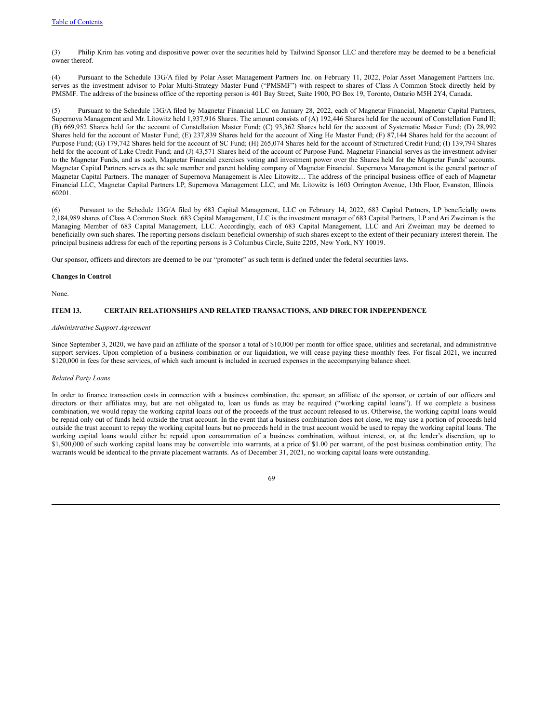(3) Philip Krim has voting and dispositive power over the securities held by Tailwind Sponsor LLC and therefore may be deemed to be a beneficial owner thereof.

(4) Pursuant to the Schedule 13G/A filed by Polar Asset Management Partners Inc. on February 11, 2022, Polar Asset Management Partners Inc. serves as the investment advisor to Polar Multi-Strategy Master Fund ("PMSMF") with respect to shares of Class A Common Stock directly held by PMSMF. The address of the business office of the reporting person is 401 Bay Street, Suite 1900, PO Box 19, Toronto, Ontario M5H 2Y4, Canada.

(5) Pursuant to the Schedule 13G/A filed by Magnetar Financial LLC on January 28, 2022, each of Magnetar Financial, Magnetar Capital Partners, Supernova Management and Mr. Litowitz held 1,937,916 Shares. The amount consists of (A) 192,446 Shares held for the account of Constellation Fund II; (B) 669,952 Shares held for the account of Constellation Master Fund; (C) 93,362 Shares held for the account of Systematic Master Fund; (D) 28,992 Shares held for the account of Master Fund; (E) 237,839 Shares held for the account of Xing He Master Fund; (F) 87,144 Shares held for the account of Purpose Fund; (G) 179,742 Shares held for the account of SC Fund; (H) 265,074 Shares held for the account of Structured Credit Fund; (I) 139,794 Shares held for the account of Lake Credit Fund; and (J) 43,571 Shares held of the account of Purpose Fund. Magnetar Financial serves as the investment adviser to the Magnetar Funds, and as such, Magnetar Financial exercises voting and investment power over the Shares held for the Magnetar Funds' accounts. Magnetar Capital Partners serves as the sole member and parent holding company of Magnetar Financial. Supernova Management is the general partner of Magnetar Capital Partners. The manager of Supernova Management is Alec Litowitz.... The address of the principal business office of each of Magnetar Financial LLC, Magnetar Capital Partners LP, Supernova Management LLC, and Mr. Litowitz is 1603 Orrington Avenue, 13th Floor, Evanston, Illinois 60201.

(6) Pursuant to the Schedule 13G/A filed by 683 Capital Management, LLC on February 14, 2022, 683 Capital Partners, LP beneficially owns 2,184,989 shares of Class A Common Stock. 683 Capital Management, LLC is the investment manager of 683 Capital Partners, LP and Ari Zweiman is the Managing Member of 683 Capital Management, LLC. Accordingly, each of 683 Capital Management, LLC and Ari Zweiman may be deemed to beneficially own such shares. The reporting persons disclaim beneficial ownership of such shares except to the extent of their pecuniary interest therein. The principal business address for each of the reporting persons is 3 Columbus Circle, Suite 2205, New York, NY 10019.

Our sponsor, officers and directors are deemed to be our "promoter" as such term is defined under the federal securities laws.

# **Changes in Control**

None.

# **ITEM 13. CERTAIN RELATIONSHIPS AND RELATED TRANSACTIONS, AND DIRECTOR INDEPENDENCE**

## *Administrative Support Agreement*

Since September 3, 2020, we have paid an affiliate of the sponsor a total of \$10,000 per month for office space, utilities and secretarial, and administrative support services. Upon completion of a business combination or our liquidation, we will cease paying these monthly fees. For fiscal 2021, we incurred \$120,000 in fees for these services, of which such amount is included in accrued expenses in the accompanying balance sheet.

### *Related Party Loans*

In order to finance transaction costs in connection with a business combination, the sponsor, an affiliate of the sponsor, or certain of our officers and directors or their affiliates may, but are not obligated to, loan us funds as may be required ("working capital loans"). If we complete a business combination, we would repay the working capital loans out of the proceeds of the trust account released to us. Otherwise, the working capital loans would be repaid only out of funds held outside the trust account. In the event that a business combination does not close, we may use a portion of proceeds held outside the trust account to repay the working capital loans but no proceeds held in the trust account would be used to repay the working capital loans. The working capital loans would either be repaid upon consummation of a business combination, without interest, or, at the lender's discretion, up to \$1,500,000 of such working capital loans may be convertible into warrants, at a price of \$1.00 per warrant, of the post business combination entity. The warrants would be identical to the private placement warrants. As of December 31, 2021, no working capital loans were outstanding.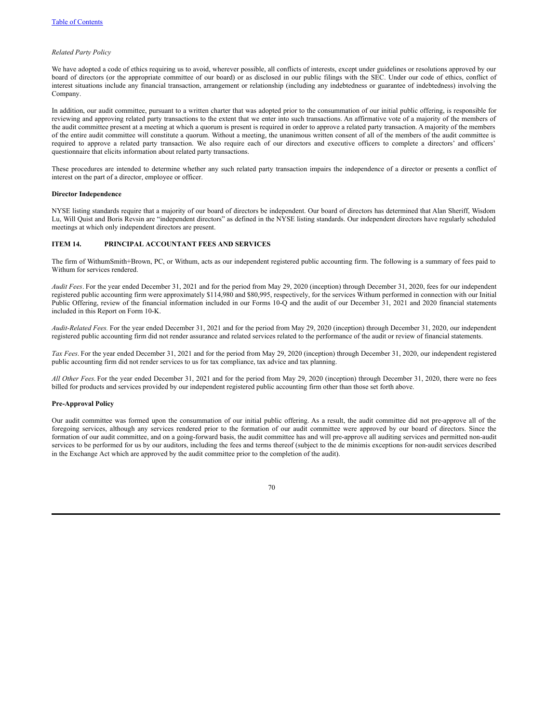# *Related Party Policy*

We have adopted a code of ethics requiring us to avoid, wherever possible, all conflicts of interests, except under guidelines or resolutions approved by our board of directors (or the appropriate committee of our board) or as disclosed in our public filings with the SEC. Under our code of ethics, conflict of interest situations include any financial transaction, arrangement or relationship (including any indebtedness or guarantee of indebtedness) involving the Company.

In addition, our audit committee, pursuant to a written charter that was adopted prior to the consummation of our initial public offering, is responsible for reviewing and approving related party transactions to the extent that we enter into such transactions. An affirmative vote of a majority of the members of the audit committee present at a meeting at which a quorum is present is required in order to approve a related party transaction. A majority of the members of the entire audit committee will constitute a quorum. Without a meeting, the unanimous written consent of all of the members of the audit committee is required to approve a related party transaction. We also require each of our directors and executive officers to complete a directors' and officers' questionnaire that elicits information about related party transactions.

These procedures are intended to determine whether any such related party transaction impairs the independence of a director or presents a conflict of interest on the part of a director, employee or officer.

### **Director Independence**

NYSE listing standards require that a majority of our board of directors be independent. Our board of directors has determined that Alan Sheriff, Wisdom Lu, Will Quist and Boris Revsin are "independent directors" as defined in the NYSE listing standards. Our independent directors have regularly scheduled meetings at which only independent directors are present.

## **ITEM 14. PRINCIPAL ACCOUNTANT FEES AND SERVICES**

The firm of WithumSmith+Brown, PC, or Withum, acts as our independent registered public accounting firm. The following is a summary of fees paid to Withum for services rendered.

*Audit Fees*. For the year ended December 31, 2021 and for the period from May 29, 2020 (inception) through December 31, 2020, fees for our independent registered public accounting firm were approximately \$114,980 and \$80,995, respectively, for the services Withum performed in connection with our Initial Public Offering, review of the financial information included in our Forms 10-Q and the audit of our December 31, 2021 and 2020 financial statements included in this Report on Form 10-K.

*Audit-Related Fees.* For the year ended December 31, 2021 and for the period from May 29, 2020 (inception) through December 31, 2020, our independent registered public accounting firm did not render assurance and related services related to the performance of the audit or review of financial statements.

*Tax Fees*. For the year ended December 31, 2021 and for the period from May 29, 2020 (inception) through December 31, 2020, our independent registered public accounting firm did not render services to us for tax compliance, tax advice and tax planning.

*All Other Fees*. For the year ended December 31, 2021 and for the period from May 29, 2020 (inception) through December 31, 2020, there were no fees billed for products and services provided by our independent registered public accounting firm other than those set forth above.

# **Pre-Approval Policy**

Our audit committee was formed upon the consummation of our initial public offering. As a result, the audit committee did not pre-approve all of the foregoing services, although any services rendered prior to the formation of our audit committee were approved by our board of directors. Since the formation of our audit committee, and on a going-forward basis, the audit committee has and will pre-approve all auditing services and permitted non-audit services to be performed for us by our auditors, including the fees and terms thereof (subject to the de minimis exceptions for non-audit services described in the Exchange Act which are approved by the audit committee prior to the completion of the audit).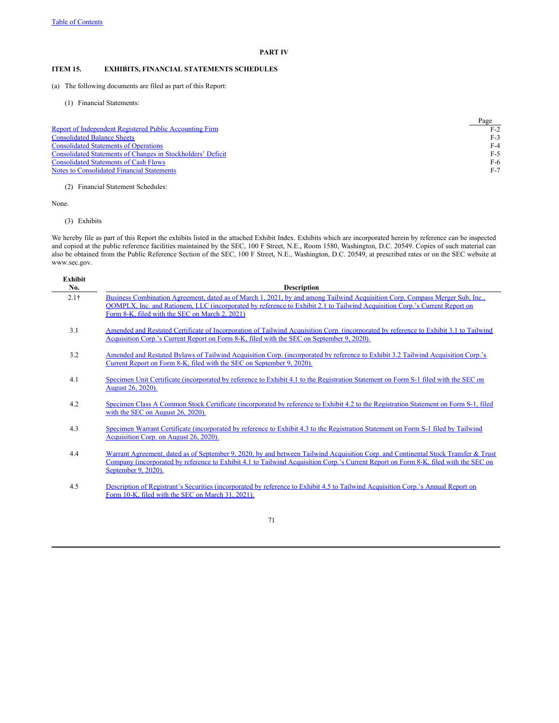# **PART IV**

# **ITEM 15. EXHIBITS, FINANCIAL STATEMENTS SCHEDULES**

(a) The following documents are filed as part of this Report:

(1) Financial Statements:

|                                                             | Page  |
|-------------------------------------------------------------|-------|
| Report of Independent Registered Public Accounting Firm     | $F-2$ |
| <b>Consolidated Balance Sheets</b>                          | $F-3$ |
| <b>Consolidated Statements of Operations</b>                | $F-4$ |
| Consolidated Statements of Changes in Stockholders' Deficit | $F-5$ |
| <b>Consolidated Statements of Cash Flows</b>                | F-6   |
| Notes to Consolidated Financial Statements                  | $F-7$ |

(2) Financial Statement Schedules:

None.

(3) Exhibits

We hereby file as part of this Report the exhibits listed in the attached Exhibit Index. Exhibits which are incorporated herein by reference can be inspected and copied at the public reference facilities maintained by the SEC, 100 F Street, N.E., Room 1580, Washington, D.C. 20549. Copies of such material can also be obtained from the Public Reference Section of the SEC, 100 F Street, N.E., Washington, D.C. 20549, at prescribed rates or on the SEC website at www.sec.gov.

| xhibit |
|--------|
|--------|

| No.          | <b>Description</b>                                                                                                                                                                                                                                                                                           |
|--------------|--------------------------------------------------------------------------------------------------------------------------------------------------------------------------------------------------------------------------------------------------------------------------------------------------------------|
| $2.1\dagger$ | Business Combination Agreement, dated as of March 1, 2021, by and among Tailwind Acquisition Corp, Compass Merger Sub, Inc.,<br>QOMPLX, Inc. and Rationem, LLC (incorporated by reference to Exhibit 2.1 to Tailwind Acquisition Corp.'s Current Report on<br>Form 8-K, filed with the SEC on March 2, 2021) |
| 3.1          | Amended and Restated Certificate of Incorporation of Tailwind Acquisition Corp. (incorporated by reference to Exhibit 3.1 to Tailwind<br>Acquisition Corp.'s Current Report on Form 8-K, filed with the SEC on September 9, 2020).                                                                           |
| 3.2          | Amended and Restated Bylaws of Tailwind Acquisition Corp. (incorporated by reference to Exhibit 3.2 Tailwind Acquisition Corp.'s<br>Current Report on Form 8-K, filed with the SEC on September 9, 2020).                                                                                                    |
| 4.1          | Specimen Unit Certificate (incorporated by reference to Exhibit 4.1 to the Registration Statement on Form S-1 filed with the SEC on<br>August 26, 2020).                                                                                                                                                     |
| 4.2          | Specimen Class A Common Stock Certificate (incorporated by reference to Exhibit 4.2 to the Registration Statement on Form S-1, filed<br>with the SEC on August 26, 2020).                                                                                                                                    |
| 4.3          | Specimen Warrant Certificate (incorporated by reference to Exhibit 4.3 to the Registration Statement on Form S-1 filed by Tailwind<br>Acquisition Corp. on August 26, 2020).                                                                                                                                 |
| 4.4          | Warrant Agreement, dated as of September 9, 2020, by and between Tailwind Acquisition Corp. and Continental Stock Transfer & Trust<br>Company (incorporated by reference to Exhibit 4.1 to Tailwind Acquisition Corp.'s Current Report on Form 8-K, filed with the SEC on<br>September 9, 2020).             |
| 4.5          | Description of Registrant's Securities (incorporated by reference to Exhibit 4.5 to Tailwind Acquisition Corp.'s Annual Report on<br>Form 10-K, filed with the SEC on March 31, 2021).                                                                                                                       |

71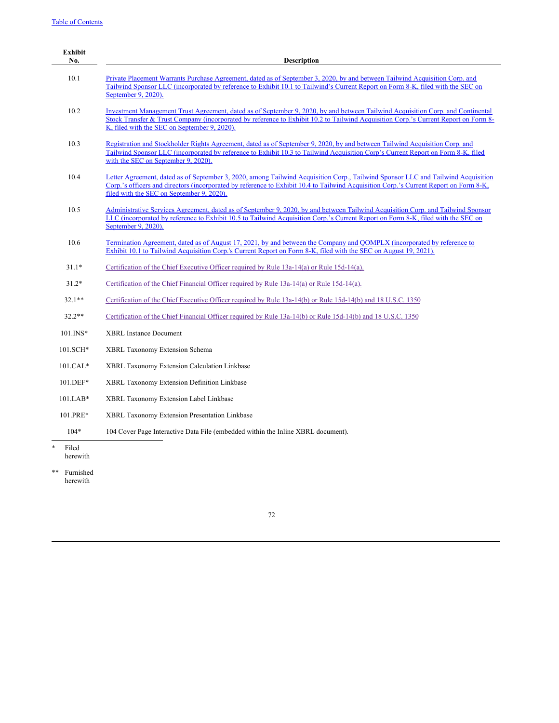| <b>Exhibit</b><br>No. | <b>Description</b>                                                                                                                                                                                                                                                                                                     |
|-----------------------|------------------------------------------------------------------------------------------------------------------------------------------------------------------------------------------------------------------------------------------------------------------------------------------------------------------------|
| 10.1                  | Private Placement Warrants Purchase Agreement, dated as of September 3, 2020, by and between Tailwind Acquisition Corp. and<br>Tailwind Sponsor LLC (incorporated by reference to Exhibit 10.1 to Tailwind's Current Report on Form 8-K, filed with the SEC on<br>September 9, 2020).                                  |
| 10.2                  | Investment Management Trust Agreement, dated as of September 9, 2020, by and between Tailwind Acquisition Corp. and Continental<br>Stock Transfer & Trust Company (incorporated by reference to Exhibit 10.2 to Tailwind Acquisition Corp.'s Current Report on Form 8-<br>K, filed with the SEC on September 9, 2020). |
| 10.3                  | Registration and Stockholder Rights Agreement, dated as of September 9, 2020, by and between Tailwind Acquisition Corp. and<br>Tailwind Sponsor LLC (incorporated by reference to Exhibit 10.3 to Tailwind Acquisition Corp's Current Report on Form 8-K, filed<br>with the SEC on September 9, 2020).                 |
| 10.4                  | Letter Agreement, dated as of September 3, 2020, among Tailwind Acquisition Corp., Tailwind Sponsor LLC and Tailwind Acquisition<br>Corp.'s officers and directors (incorporated by reference to Exhibit 10.4 to Tailwind Acquisition Corp.'s Current Report on Form 8-K,<br>filed with the SEC on September 9, 2020). |
| 10.5                  | Administrative Services Agreement, dated as of September 9, 2020, by and between Tailwind Acquisition Corp. and Tailwind Sponsor<br>LLC (incorporated by reference to Exhibit 10.5 to Tailwind Acquisition Corp.'s Current Report on Form 8-K, filed with the SEC on<br>September 9, 2020).                            |
| 10.6                  | Termination Agreement, dated as of August 17, 2021, by and between the Company and QOMPLX (incorporated by reference to<br>Exhibit 10.1 to Tailwind Acquisition Corp.'s Current Report on Form 8-K, filed with the SEC on August 19, 2021).                                                                            |
| $31.1*$               | Certification of the Chief Executive Officer required by Rule 13a-14(a) or Rule 15d-14(a).                                                                                                                                                                                                                             |
| $31.2*$               | Certification of the Chief Financial Officer required by Rule 13a-14(a) or Rule 15d-14(a).                                                                                                                                                                                                                             |
| $32.1**$              | Certification of the Chief Executive Officer required by Rule 13a-14(b) or Rule 15d-14(b) and 18 U.S.C. 1350                                                                                                                                                                                                           |
| $32.2**$              | Certification of the Chief Financial Officer required by Rule 13a-14(b) or Rule 15d-14(b) and 18 U.S.C. 1350                                                                                                                                                                                                           |
| 101.INS*              | <b>XBRL Instance Document</b>                                                                                                                                                                                                                                                                                          |
| 101.SCH*              | XBRL Taxonomy Extension Schema                                                                                                                                                                                                                                                                                         |
| $101.CAL*$            | XBRL Taxonomy Extension Calculation Linkbase                                                                                                                                                                                                                                                                           |
| $101.DEF*$            | XBRL Taxonomy Extension Definition Linkbase                                                                                                                                                                                                                                                                            |
| $101.LAB*$            | XBRL Taxonomy Extension Label Linkbase                                                                                                                                                                                                                                                                                 |
| 101.PRE*              | XBRL Taxonomy Extension Presentation Linkbase                                                                                                                                                                                                                                                                          |
| $104*$                | 104 Cover Page Interactive Data File (embedded within the Inline XBRL document).                                                                                                                                                                                                                                       |
| $\ast$<br>Filed       |                                                                                                                                                                                                                                                                                                                        |

herewith

\*\* Furnished herewith

72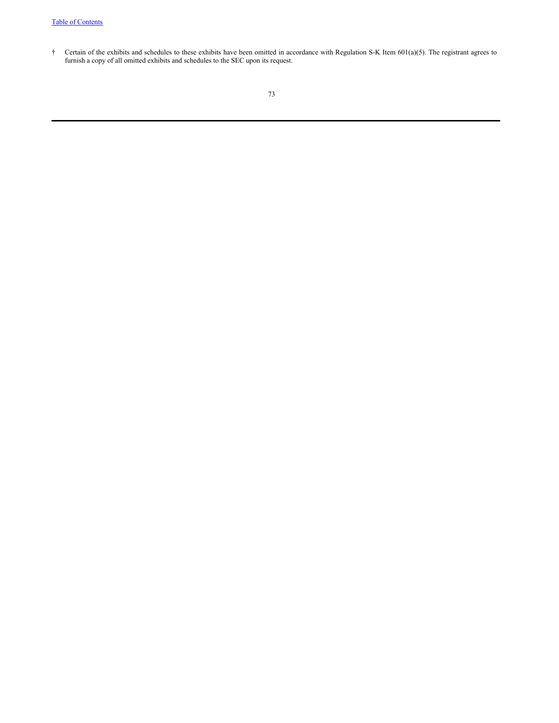<sup>†</sup> Certain of the exhibits and schedules to these exhibits have been omitted in accordance with Regulation S-K Item  $601(a)(5)$ . The registrant agrees to furnish a copy of all omitted exhibits and schedules to the SEC upon its request.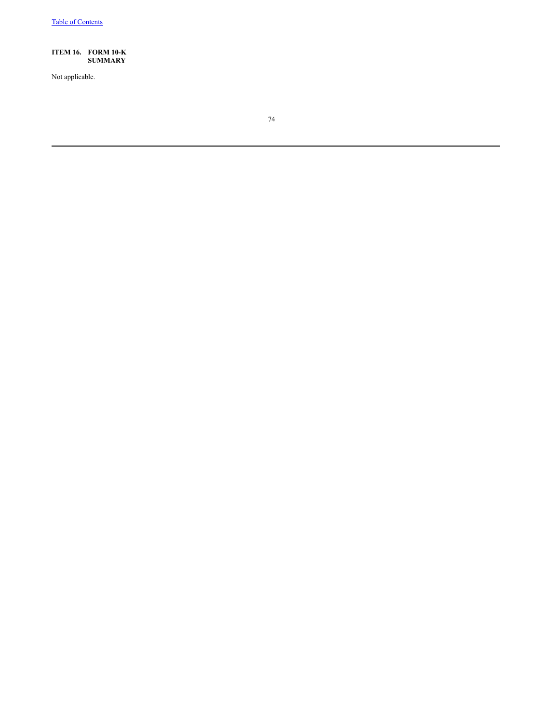# **ITEM 16. FORM 10-K SUMMARY**

Not applicable.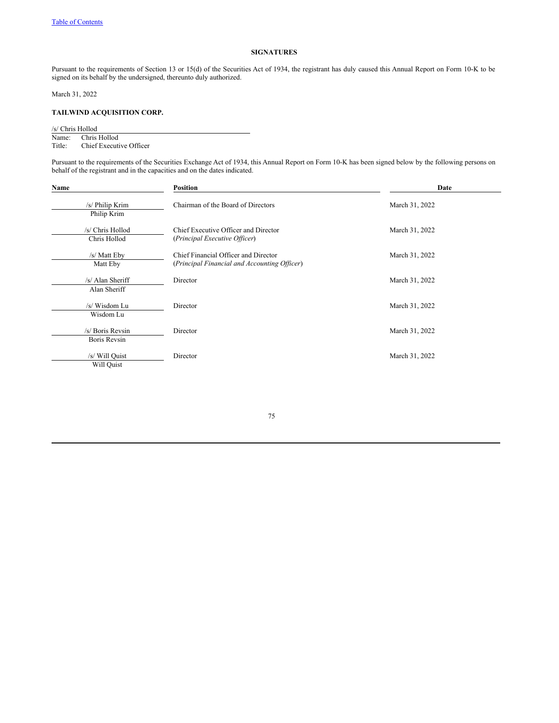# **SIGNATURES**

Pursuant to the requirements of Section 13 or 15(d) of the Securities Act of 1934, the registrant has duly caused this Annual Report on Form 10-K to be signed on its behalf by the undersigned, thereunto duly authorized.

March 31, 2022

# **TAILWIND ACQUISITION CORP.**

/s/ Chris Hollod<br>Name: Chris Name: Chris Hollod<br>Title: Chief Executi Chief Executive Officer

Pursuant to the requirements of the Securities Exchange Act of 1934, this Annual Report on Form 10-K has been signed below by the following persons on behalf of the registrant and in the capacities and on the dates indicated.

| Name                                    | <b>Position</b>                                                                      | Date           |
|-----------------------------------------|--------------------------------------------------------------------------------------|----------------|
| /s/ Philip Krim<br>Philip Krim          | Chairman of the Board of Directors                                                   | March 31, 2022 |
| /s/ Chris Hollod<br>Chris Hollod        | Chief Executive Officer and Director<br>(Principal Executive Officer)                | March 31, 2022 |
| /s/ Matt Eby<br>Matt Eby                | Chief Financial Officer and Director<br>(Principal Financial and Accounting Officer) | March 31, 2022 |
| /s/ Alan Sheriff<br>Alan Sheriff        | Director                                                                             | March 31, 2022 |
| /s/ Wisdom Lu<br>Wisdom Lu              | Director                                                                             | March 31, 2022 |
| /s/ Boris Revsin<br><b>Boris Revsin</b> | Director                                                                             | March 31, 2022 |
| /s/ Will Quist<br>Will Quist            | Director                                                                             | March 31, 2022 |

75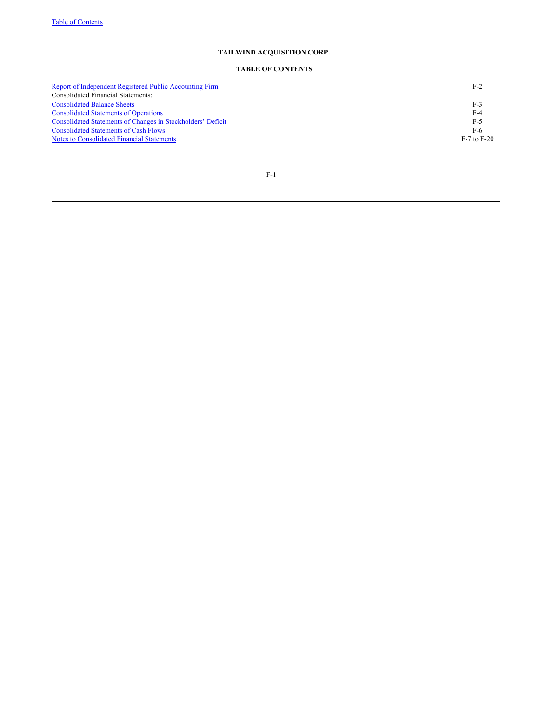# **TAILWIND ACQUISITION CORP.**

# **TABLE OF CONTENTS**

| Report of Independent Registered Public Accounting Firm     | $F-2$           |
|-------------------------------------------------------------|-----------------|
| <b>Consolidated Financial Statements:</b>                   |                 |
| <b>Consolidated Balance Sheets</b>                          | $F-3$           |
| <b>Consolidated Statements of Operations</b>                | $F-4$           |
| Consolidated Statements of Changes in Stockholders' Deficit | F-5             |
| <b>Consolidated Statements of Cash Flows</b>                | F-6             |
| <b>Notes to Consolidated Financial Statements</b>           | $F-7$ to $F-20$ |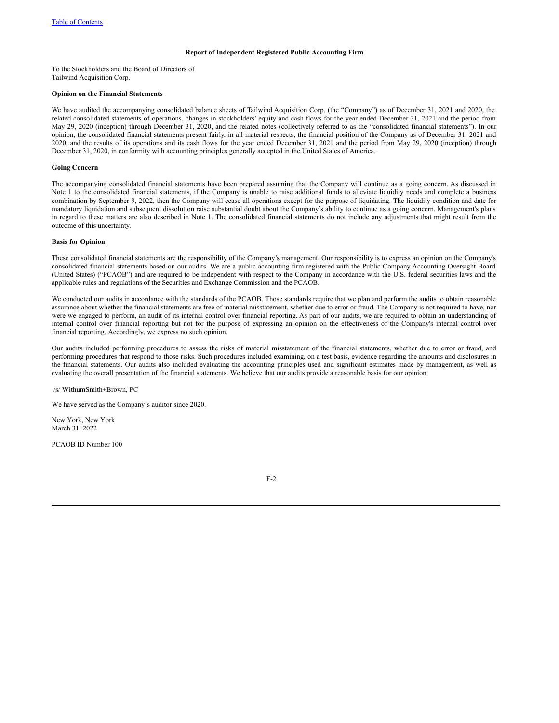### **Report of Independent Registered Public Accounting Firm**

To the Stockholders and the Board of Directors of Tailwind Acquisition Corp.

# **Opinion on the Financial Statements**

We have audited the accompanying consolidated balance sheets of Tailwind Acquisition Corp. (the "Company") as of December 31, 2021 and 2020, the related consolidated statements of operations, changes in stockholders' equity and cash flows for the year ended December 31, 2021 and the period from May 29, 2020 (inception) through December 31, 2020, and the related notes (collectively referred to as the "consolidated financial statements"). In our opinion, the consolidated financial statements present fairly, in all material respects, the financial position of the Company as of December 31, 2021 and 2020, and the results of its operations and its cash flows for the year ended December 31, 2021 and the period from May 29, 2020 (inception) through December 31, 2020, in conformity with accounting principles generally accepted in the United States of America.

#### **Going Concern**

The accompanying consolidated financial statements have been prepared assuming that the Company will continue as a going concern. As discussed in Note 1 to the consolidated financial statements, if the Company is unable to raise additional funds to alleviate liquidity needs and complete a business combination by September 9, 2022, then the Company will cease all operations except for the purpose of liquidating. The liquidity condition and date for mandatory liquidation and subsequent dissolution raise substantial doubt about the Company's ability to continue as a going concern. Management's plans in regard to these matters are also described in Note 1. The consolidated financial statements do not include any adjustments that might result from the outcome of this uncertainty.

# **Basis for Opinion**

These consolidated financial statements are the responsibility of the Company's management. Our responsibility is to express an opinion on the Company's consolidated financial statements based on our audits. We are a public accounting firm registered with the Public Company Accounting Oversight Board (United States) ("PCAOB") and are required to be independent with respect to the Company in accordance with the U.S. federal securities laws and the applicable rules and regulations of the Securities and Exchange Commission and the PCAOB.

We conducted our audits in accordance with the standards of the PCAOB. Those standards require that we plan and perform the audits to obtain reasonable assurance about whether the financial statements are free of material misstatement, whether due to error or fraud. The Company is not required to have, nor were we engaged to perform, an audit of its internal control over financial reporting. As part of our audits, we are required to obtain an understanding of internal control over financial reporting but not for the purpose of expressing an opinion on the effectiveness of the Company's internal control over financial reporting. Accordingly, we express no such opinion.

Our audits included performing procedures to assess the risks of material misstatement of the financial statements, whether due to error or fraud, and performing procedures that respond to those risks. Such procedures included examining, on a test basis, evidence regarding the amounts and disclosures in the financial statements. Our audits also included evaluating the accounting principles used and significant estimates made by management, as well as evaluating the overall presentation of the financial statements. We believe that our audits provide a reasonable basis for our opinion.

/s/ WithumSmith+Brown, PC

We have served as the Company's auditor since 2020.

New York, New York March 31, 2022

PCAOB ID Number 100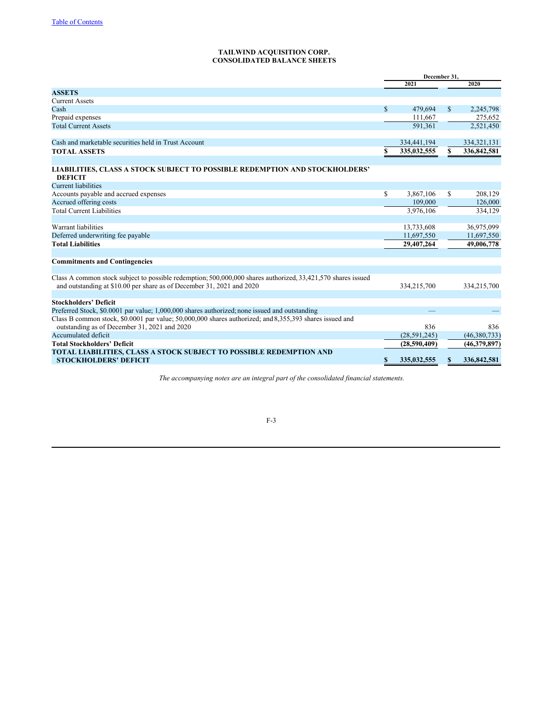## **TAILWIND ACQUISITION CORP. CONSOLIDATED BALANCE SHEETS**

|                                                                                                              | December 31, |                |              |               |  |
|--------------------------------------------------------------------------------------------------------------|--------------|----------------|--------------|---------------|--|
|                                                                                                              |              | 2021           |              | 2020          |  |
| <b>ASSETS</b>                                                                                                |              |                |              |               |  |
| <b>Current Assets</b>                                                                                        |              |                |              |               |  |
| Cash                                                                                                         | $\mathbb{S}$ | 479,694        | $\mathbb{S}$ | 2,245,798     |  |
| Prepaid expenses                                                                                             |              | 111.667        |              | 275,652       |  |
| <b>Total Current Assets</b>                                                                                  |              | 591,361        |              | 2,521,450     |  |
|                                                                                                              |              |                |              |               |  |
| Cash and marketable securities held in Trust Account                                                         |              | 334,441,194    |              | 334, 321, 131 |  |
| <b>TOTAL ASSETS</b>                                                                                          | S            | 335,032,555    | \$           | 336,842,581   |  |
|                                                                                                              |              |                |              |               |  |
| LIABILITIES, CLASS A STOCK SUBJECT TO POSSIBLE REDEMPTION AND STOCKHOLDERS'                                  |              |                |              |               |  |
| <b>DEFICIT</b>                                                                                               |              |                |              |               |  |
| <b>Current liabilities</b>                                                                                   |              |                |              |               |  |
| Accounts payable and accrued expenses                                                                        | \$           | 3,867,106      | \$           | 208,129       |  |
| Accrued offering costs                                                                                       |              | 109,000        |              | 126,000       |  |
| <b>Total Current Liabilities</b>                                                                             |              | 3,976,106      |              | 334,129       |  |
|                                                                                                              |              |                |              |               |  |
| Warrant liabilities                                                                                          |              | 13,733,608     |              | 36,975,099    |  |
| Deferred underwriting fee payable                                                                            |              | 11,697,550     |              | 11,697,550    |  |
| <b>Total Liabilities</b>                                                                                     |              | 29,407,264     |              | 49,006,778    |  |
| <b>Commitments and Contingencies</b>                                                                         |              |                |              |               |  |
|                                                                                                              |              |                |              |               |  |
| Class A common stock subject to possible redemption; 500,000,000 shares authorized, 33,421,570 shares issued |              |                |              |               |  |
| and outstanding at \$10.00 per share as of December 31, 2021 and 2020                                        |              | 334,215,700    |              | 334,215,700   |  |
|                                                                                                              |              |                |              |               |  |
| <b>Stockholders' Deficit</b>                                                                                 |              |                |              |               |  |
| Preferred Stock, \$0.0001 par value; 1,000,000 shares authorized; none issued and outstanding                |              |                |              |               |  |
| Class B common stock, \$0.0001 par value; 50,000,000 shares authorized; and 8,355,393 shares issued and      |              |                |              |               |  |
| outstanding as of December 31, 2021 and 2020                                                                 |              | 836            |              | 836           |  |
| Accumulated deficit                                                                                          |              | (28, 591, 245) |              | (46,380,733)  |  |
| <b>Total Stockholders' Deficit</b>                                                                           |              | (28,590,409)   |              | (46,379,897)  |  |
| TOTAL LIABILITIES, CLASS A STOCK SUBJECT TO POSSIBLE REDEMPTION AND                                          |              |                |              |               |  |
| <b>STOCKHOLDERS' DEFICIT</b>                                                                                 | \$           | 335,032,555    | S            | 336,842,581   |  |

*The accompanying notes are an integral part of the consolidated financial statements.*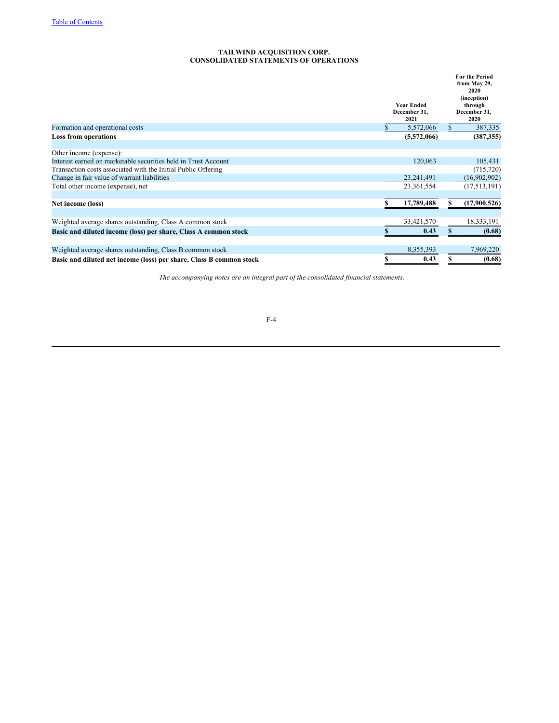### **TAILWIND ACQUISITION CORP. CONSOLIDATED STATEMENTS OF OPERATIONS**

|                                                                     | <b>Year Ended</b><br>December 31,<br>2021 | <b>For the Period</b><br>from May 29,<br>2020<br>(inception)<br>through<br>December 31,<br>2020 |
|---------------------------------------------------------------------|-------------------------------------------|-------------------------------------------------------------------------------------------------|
| Formation and operational costs                                     | 5,572,066                                 | 387,335                                                                                         |
| <b>Loss from operations</b>                                         | (5,572,066)                               | (387, 355)                                                                                      |
|                                                                     |                                           |                                                                                                 |
| Other income (expense):                                             |                                           |                                                                                                 |
| Interest earned on marketable securities held in Trust Account      | 120,063                                   | 105,431                                                                                         |
| Transaction costs associated with the Initial Public Offering       |                                           | (715, 720)                                                                                      |
| Change in fair value of warrant liabilities                         | 23,241,491                                | (16,902,902)                                                                                    |
| Total other income (expense), net                                   | 23,361,554                                | (17,513,191)                                                                                    |
|                                                                     |                                           |                                                                                                 |
| Net income (loss)                                                   | 17,789,488                                | \$<br>(17,900,526)                                                                              |
|                                                                     |                                           |                                                                                                 |
| Weighted average shares outstanding, Class A common stock           | 33,421,570                                | 18,333,191                                                                                      |
| Basic and diluted income (loss) per share, Class A common stock     | 0.43                                      | (0.68)                                                                                          |
|                                                                     |                                           |                                                                                                 |
| Weighted average shares outstanding, Class B common stock           | 8,355,393                                 | 7,969,220                                                                                       |
| Basic and diluted net income (loss) per share, Class B common stock | 0.43                                      | (0.68)                                                                                          |

*The accompanying notes are an integral part of the consolidated financial statements.*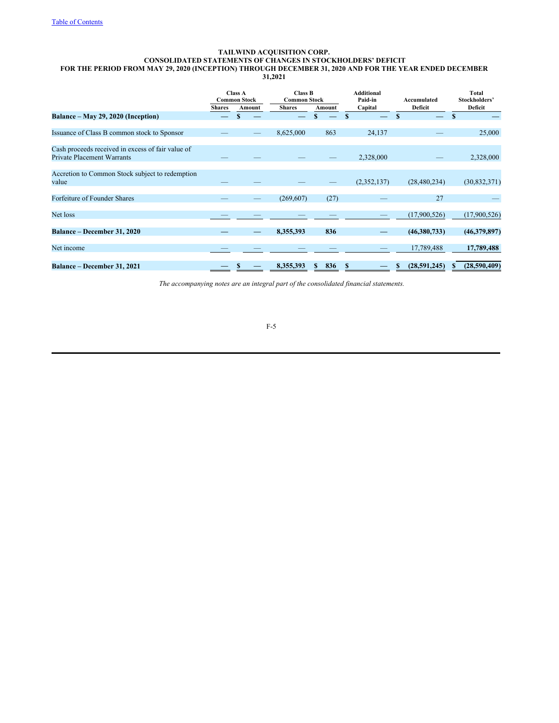# **TAILWIND ACQUISITION CORP. CONSOLIDATED STATEMENTS OF CHANGES IN STOCKHOLDERS' DEFICIT** FOR THE PERIOD FROM MAY 29, 2020 (INCEPTION) THROUGH DECEMBER 31, 2020 AND FOR THE YEAR ENDED DECEMBER **31,2021**

|                                                                                        | <b>Shares</b> | <b>Class A</b><br><b>Class B</b><br><b>Common Stock</b><br><b>Common Stock</b><br><b>Shares</b><br>Amount<br>Amount |           | <b>Additional</b><br>Paid-in<br>Capital | Accumulated<br>Deficit | <b>Total</b><br>Stockholders'<br>Deficit |                |
|----------------------------------------------------------------------------------------|---------------|---------------------------------------------------------------------------------------------------------------------|-----------|-----------------------------------------|------------------------|------------------------------------------|----------------|
| Balance – May 29, 2020 (Inception)                                                     |               | \$                                                                                                                  |           |                                         | S                      |                                          | S              |
| Issuance of Class B common stock to Sponsor                                            |               |                                                                                                                     | 8,625,000 | 863                                     | 24,137                 |                                          | 25,000         |
| Cash proceeds received in excess of fair value of<br><b>Private Placement Warrants</b> |               |                                                                                                                     |           |                                         | 2,328,000              |                                          | 2,328,000      |
| Accretion to Common Stock subject to redemption<br>value                               |               |                                                                                                                     |           |                                         | (2,352,137)            | (28, 480, 234)                           | (30, 832, 371) |
| Forfeiture of Founder Shares                                                           |               |                                                                                                                     | (269,607) | (27)                                    |                        | 27                                       |                |
| Net loss                                                                               |               |                                                                                                                     |           |                                         |                        | (17,900,526)                             | (17,900,526)   |
| Balance – December 31, 2020                                                            |               |                                                                                                                     | 8,355,393 | 836                                     |                        | (46,380,733)                             | (46,379,897)   |
| Net income                                                                             |               |                                                                                                                     |           |                                         |                        | 17,789,488                               | 17,789,488     |
| Balance - December 31, 2021                                                            |               |                                                                                                                     | 8,355,393 | 836                                     |                        | (28,591,245)                             | (28,590,409)   |

*The accompanying notes are an integral part of the consolidated financial statements.*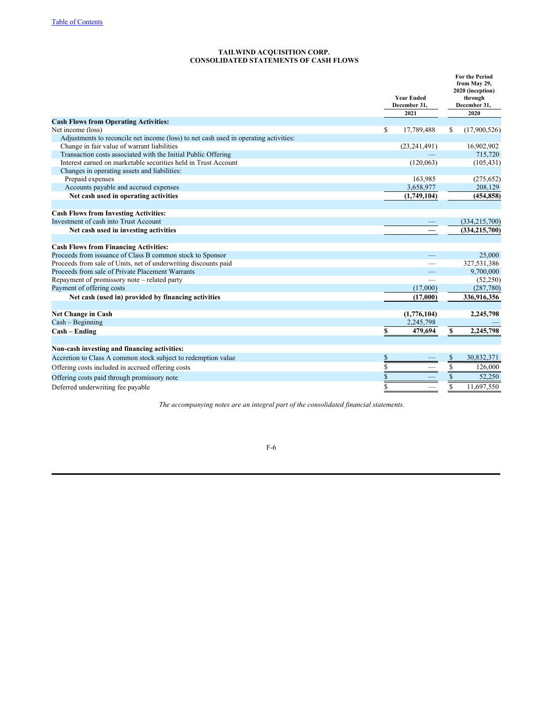## **TAILWIND ACQUISITION CORP. CONSOLIDATED STATEMENTS OF CASH FLOWS**

|                                                                                      | <b>Year Ended</b><br>December 31.<br>2021 | <b>For the Period</b><br>from May 29,<br>2020 (inception)<br>through<br>December 31,<br>2020 |                 |  |  |
|--------------------------------------------------------------------------------------|-------------------------------------------|----------------------------------------------------------------------------------------------|-----------------|--|--|
| <b>Cash Flows from Operating Activities:</b>                                         |                                           |                                                                                              |                 |  |  |
| Net income (loss)                                                                    | \$<br>17,789,488                          | \$                                                                                           | (17,900,526)    |  |  |
| Adjustments to reconcile net income (loss) to net cash used in operating activities: |                                           |                                                                                              |                 |  |  |
| Change in fair value of warrant liabilities                                          | (23, 241, 491)                            |                                                                                              | 16,902,902      |  |  |
| Transaction costs associated with the Initial Public Offering                        |                                           |                                                                                              | 715,720         |  |  |
| Interest earned on marketable securities held in Trust Account                       | (120,063)                                 |                                                                                              | (105, 431)      |  |  |
| Changes in operating assets and liabilities:                                         |                                           |                                                                                              |                 |  |  |
| Prepaid expenses                                                                     | 163,985                                   |                                                                                              | (275, 652)      |  |  |
| Accounts payable and accrued expenses                                                | 3,658,977                                 |                                                                                              | 208,129         |  |  |
| Net cash used in operating activities                                                | (1,749,104)                               |                                                                                              | (454, 858)      |  |  |
|                                                                                      |                                           |                                                                                              |                 |  |  |
| <b>Cash Flows from Investing Activities:</b>                                         |                                           |                                                                                              |                 |  |  |
| Investment of cash into Trust Account                                                |                                           |                                                                                              | (334, 215, 700) |  |  |
| Net cash used in investing activities                                                |                                           |                                                                                              | (334, 215, 700) |  |  |
|                                                                                      |                                           |                                                                                              |                 |  |  |
| <b>Cash Flows from Financing Activities:</b>                                         |                                           |                                                                                              |                 |  |  |
| Proceeds from issuance of Class B common stock to Sponsor                            |                                           |                                                                                              | 25,000          |  |  |
| Proceeds from sale of Units, net of underwriting discounts paid                      |                                           |                                                                                              | 327,531,386     |  |  |
| Proceeds from sale of Private Placement Warrants                                     |                                           |                                                                                              | 9,700,000       |  |  |
| Repayment of promissory note – related party                                         |                                           |                                                                                              | (52,250)        |  |  |
| Payment of offering costs                                                            | (17,000)                                  |                                                                                              | (287,780)       |  |  |
| Net cash (used in) provided by financing activities                                  | (17,000)                                  |                                                                                              | 336,916,356     |  |  |
|                                                                                      |                                           |                                                                                              |                 |  |  |
| <b>Net Change in Cash</b>                                                            | (1,776,104)                               |                                                                                              | 2,245,798       |  |  |
| $Cash - Beginning$                                                                   | 2,245,798                                 |                                                                                              |                 |  |  |
| $Cash - Ending$                                                                      | \$<br>479,694                             | \$                                                                                           | 2,245,798       |  |  |
| Non-cash investing and financing activities:                                         |                                           |                                                                                              |                 |  |  |
| Accretion to Class A common stock subject to redemption value                        | \$                                        | \$                                                                                           | 30,832,371      |  |  |
|                                                                                      | \$                                        | \$                                                                                           | 126,000         |  |  |
| Offering costs included in accrued offering costs                                    |                                           |                                                                                              |                 |  |  |
| Offering costs paid through promissory note                                          | \$                                        | $\frac{1}{2}$                                                                                | 52,250          |  |  |
| Deferred underwriting fee payable                                                    | \$                                        | \$                                                                                           | 11,697,550      |  |  |

*The accompanying notes are an integral part of the consolidated financial statements.*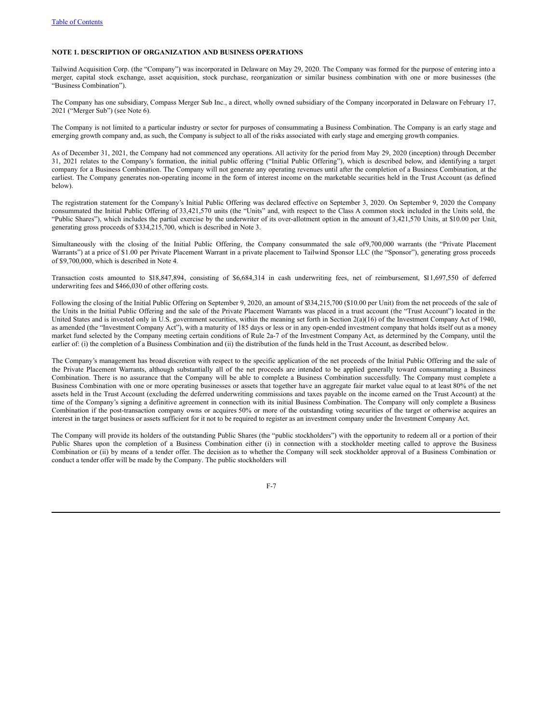### **NOTE 1. DESCRIPTION OF ORGANIZATION AND BUSINESS OPERATIONS**

Tailwind Acquisition Corp. (the "Company") was incorporated in Delaware on May 29, 2020. The Company was formed for the purpose of entering into a merger, capital stock exchange, asset acquisition, stock purchase, reorganization or similar business combination with one or more businesses (the "Business Combination").

The Company has one subsidiary, Compass Merger Sub Inc., a direct, wholly owned subsidiary of the Company incorporated in Delaware on February 17, 2021 ("Merger Sub") (see Note 6).

The Company is not limited to a particular industry or sector for purposes of consummating a Business Combination. The Company is an early stage and emerging growth company and, as such, the Company is subject to all of the risks associated with early stage and emerging growth companies.

As of December 31, 2021, the Company had not commenced any operations. All activity for the period from May 29, 2020 (inception) through December 31, 2021 relates to the Company's formation, the initial public offering ("Initial Public Offering"), which is described below, and identifying a target company for a Business Combination. The Company will not generate any operating revenues until after the completion of a Business Combination, at the earliest. The Company generates non-operating income in the form of interest income on the marketable securities held in the Trust Account (as defined below).

The registration statement for the Company's Initial Public Offering was declared effective on September 3, 2020. On September 9, 2020 the Company consummated the Initial Public Offering of 33,421,570 units (the "Units" and, with respect to the Class A common stock included in the Units sold, the "Public Shares"), which includes the partial exercise by the underwriter of its over-allotment option in the amount of 3,421,570 Units, at \$10.00 per Unit, generating gross proceeds of \$334,215,700, which is described in Note 3.

Simultaneously with the closing of the Initial Public Offering, the Company consummated the sale of9,700,000 warrants (the "Private Placement Warrants") at a price of \$1.00 per Private Placement Warrant in a private placement to Tailwind Sponsor LLC (the "Sponsor"), generating gross proceeds of \$9,700,000, which is described in Note 4.

Transaction costs amounted to \$18,847,894, consisting of \$6,684,314 in cash underwriting fees, net of reimbursement, \$11,697,550 of deferred underwriting fees and \$466,030 of other offering costs.

Following the closing of the Initial Public Offering on September 9, 2020, an amount of \$34,215,700 (\$10.00 per Unit) from the net proceeds of the sale of the Units in the Initial Public Offering and the sale of the Private Placement Warrants was placed in a trust account (the "Trust Account") located in the United States and is invested only in U.S. government securities, within the meaning set forth in Section 2(a)(16) of the Investment Company Act of 1940, as amended (the "Investment Company Act"), with a maturity of 185 days or less or in any open-ended investment company that holds itself out as a money market fund selected by the Company meeting certain conditions of Rule 2a-7 of the Investment Company Act, as determined by the Company, until the earlier of: (i) the completion of a Business Combination and (ii) the distribution of the funds held in the Trust Account, as described below.

The Company's management has broad discretion with respect to the specific application of the net proceeds of the Initial Public Offering and the sale of the Private Placement Warrants, although substantially all of the net proceeds are intended to be applied generally toward consummating a Business Combination. There is no assurance that the Company will be able to complete a Business Combination successfully. The Company must complete a Business Combination with one or more operating businesses or assets that together have an aggregate fair market value equal to at least 80% of the net assets held in the Trust Account (excluding the deferred underwriting commissions and taxes payable on the income earned on the Trust Account) at the time of the Company's signing a definitive agreement in connection with its initial Business Combination. The Company will only complete a Business Combination if the post-transaction company owns or acquires 50% or more of the outstanding voting securities of the target or otherwise acquires an interest in the target business or assets sufficient for it not to be required to register as an investment company under the Investment Company Act.

The Company will provide its holders of the outstanding Public Shares (the "public stockholders") with the opportunity to redeem all or a portion of their Public Shares upon the completion of a Business Combination either (i) in connection with a stockholder meeting called to approve the Business Combination or (ii) by means of a tender offer. The decision as to whether the Company will seek stockholder approval of a Business Combination or conduct a tender offer will be made by the Company. The public stockholders will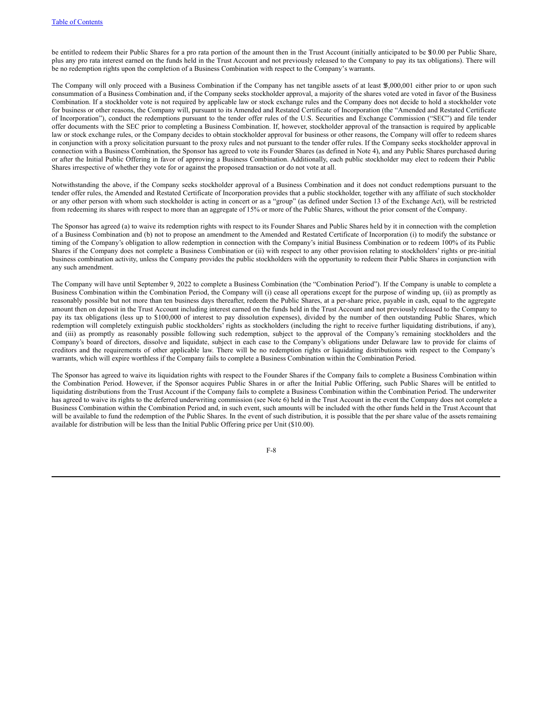be entitled to redeem their Public Shares for a pro rata portion of the amount then in the Trust Account (initially anticipated to be \$10.00 per Public Share, plus any pro rata interest earned on the funds held in the Trust Account and not previously released to the Company to pay its tax obligations). There will be no redemption rights upon the completion of a Business Combination with respect to the Company's warrants.

The Company will only proceed with a Business Combination if the Company has net tangible assets of at least \$5,000,001 either prior to or upon such consummation of a Business Combination and, if the Company seeks stockholder approval, a majority of the shares voted are voted in favor of the Business Combination. If a stockholder vote is not required by applicable law or stock exchange rules and the Company does not decide to hold a stockholder vote for business or other reasons, the Company will, pursuant to its Amended and Restated Certificate of Incorporation (the "Amended and Restated Certificate of Incorporation"), conduct the redemptions pursuant to the tender offer rules of the U.S. Securities and Exchange Commission ("SEC") and file tender offer documents with the SEC prior to completing a Business Combination. If, however, stockholder approval of the transaction is required by applicable law or stock exchange rules, or the Company decides to obtain stockholder approval for business or other reasons, the Company will offer to redeem shares in conjunction with a proxy solicitation pursuant to the proxy rules and not pursuant to the tender offer rules. If the Company seeks stockholder approval in connection with a Business Combination, the Sponsor has agreed to vote its Founder Shares (as defined in Note 4), and any Public Shares purchased during or after the Initial Public Offering in favor of approving a Business Combination. Additionally, each public stockholder may elect to redeem their Public Shares irrespective of whether they vote for or against the proposed transaction or do not vote at all.

Notwithstanding the above, if the Company seeks stockholder approval of a Business Combination and it does not conduct redemptions pursuant to the tender offer rules, the Amended and Restated Certificate of Incorporation provides that a public stockholder, together with any affiliate of such stockholder or any other person with whom such stockholder is acting in concert or as a "group" (as defined under Section 13 of the Exchange Act), will be restricted from redeeming its shares with respect to more than an aggregate of 15% or more of the Public Shares, without the prior consent of the Company.

The Sponsor has agreed (a) to waive its redemption rights with respect to its Founder Shares and Public Shares held by it in connection with the completion of a Business Combination and (b) not to propose an amendment to the Amended and Restated Certificate of Incorporation (i) to modify the substance or timing of the Company's obligation to allow redemption in connection with the Company's initial Business Combination or to redeem 100% of its Public Shares if the Company does not complete a Business Combination or (ii) with respect to any other provision relating to stockholders' rights or pre-initial business combination activity, unless the Company provides the public stockholders with the opportunity to redeem their Public Shares in conjunction with any such amendment.

The Company will have until September 9, 2022 to complete a Business Combination (the "Combination Period"). If the Company is unable to complete a Business Combination within the Combination Period, the Company will (i) cease all operations except for the purpose of winding up, (ii) as promptly as reasonably possible but not more than ten business days thereafter, redeem the Public Shares, at a per-share price, payable in cash, equal to the aggregate amount then on deposit in the Trust Account including interest earned on the funds held in the Trust Account and not previously released to the Company to pay its tax obligations (less up to \$100,000 of interest to pay dissolution expenses), divided by the number of then outstanding Public Shares, which redemption will completely extinguish public stockholders' rights as stockholders (including the right to receive further liquidating distributions, if any), and (iii) as promptly as reasonably possible following such redemption, subject to the approval of the Company's remaining stockholders and the Company's board of directors, dissolve and liquidate, subject in each case to the Company's obligations under Delaware law to provide for claims of creditors and the requirements of other applicable law. There will be no redemption rights or liquidating distributions with respect to the Company's warrants, which will expire worthless if the Company fails to complete a Business Combination within the Combination Period.

The Sponsor has agreed to waive its liquidation rights with respect to the Founder Shares if the Company fails to complete a Business Combination within the Combination Period. However, if the Sponsor acquires Public Shares in or after the Initial Public Offering, such Public Shares will be entitled to liquidating distributions from the Trust Account if the Company fails to complete a Business Combination within the Combination Period. The underwriter has agreed to waive its rights to the deferred underwriting commission (see Note 6) held in the Trust Account in the event the Company does not complete a Business Combination within the Combination Period and, in such event, such amounts will be included with the other funds held in the Trust Account that will be available to fund the redemption of the Public Shares. In the event of such distribution, it is possible that the per share value of the assets remaining available for distribution will be less than the Initial Public Offering price per Unit (\$10.00).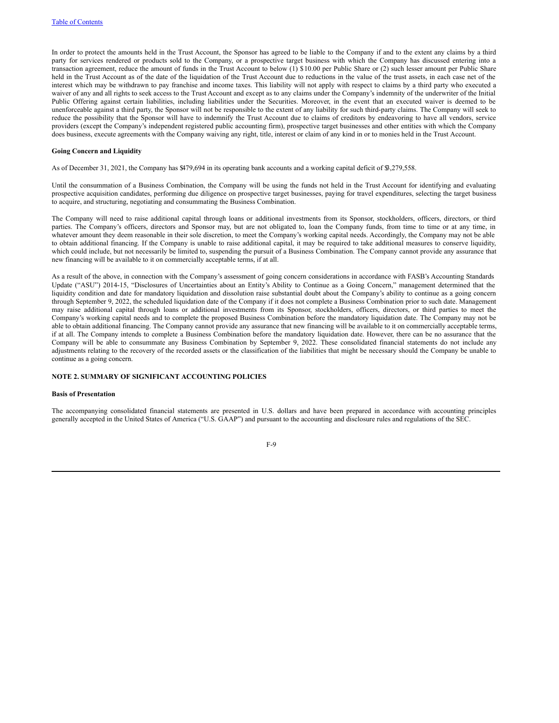In order to protect the amounts held in the Trust Account, the Sponsor has agreed to be liable to the Company if and to the extent any claims by a third party for services rendered or products sold to the Company, or a prospective target business with which the Company has discussed entering into a transaction agreement, reduce the amount of funds in the Trust Account to below (1) \$10.00 per Public Share or (2) such lesser amount per Public Share held in the Trust Account as of the date of the liquidation of the Trust Account due to reductions in the value of the trust assets, in each case net of the interest which may be withdrawn to pay franchise and income taxes. This liability will not apply with respect to claims by a third party who executed a waiver of any and all rights to seek access to the Trust Account and except as to any claims under the Company's indemnity of the underwriter of the Initial Public Offering against certain liabilities, including liabilities under the Securities. Moreover, in the event that an executed waiver is deemed to be unenforceable against a third party, the Sponsor will not be responsible to the extent of any liability for such third-party claims. The Company will seek to reduce the possibility that the Sponsor will have to indemnify the Trust Account due to claims of creditors by endeavoring to have all vendors, service providers (except the Company's independent registered public accounting firm), prospective target businesses and other entities with which the Company does business, execute agreements with the Company waiving any right, title, interest or claim of any kind in or to monies held in the Trust Account.

#### **Going Concern and Liquidity**

As of December 31, 2021, the Company has \$479,694 in its operating bank accounts and a working capital deficit of \$3,279,558.

Until the consummation of a Business Combination, the Company will be using the funds not held in the Trust Account for identifying and evaluating prospective acquisition candidates, performing due diligence on prospective target businesses, paying for travel expenditures, selecting the target business to acquire, and structuring, negotiating and consummating the Business Combination.

The Company will need to raise additional capital through loans or additional investments from its Sponsor, stockholders, officers, directors, or third parties. The Company's officers, directors and Sponsor may, but are not obligated to, loan the Company funds, from time to time or at any time, in whatever amount they deem reasonable in their sole discretion, to meet the Company's working capital needs. Accordingly, the Company may not be able to obtain additional financing. If the Company is unable to raise additional capital, it may be required to take additional measures to conserve liquidity, which could include, but not necessarily be limited to, suspending the pursuit of a Business Combination. The Company cannot provide any assurance that new financing will be available to it on commercially acceptable terms, if at all.

As a result of the above, in connection with the Company's assessment of going concern considerations in accordance with FASB's Accounting Standards Update ("ASU") 2014-15, "Disclosures of Uncertainties about an Entity's Ability to Continue as a Going Concern," management determined that the liquidity condition and date for mandatory liquidation and dissolution raise substantial doubt about the Company's ability to continue as a going concern through September 9, 2022, the scheduled liquidation date of the Company if it does not complete a Business Combination prior to such date. Management may raise additional capital through loans or additional investments from its Sponsor, stockholders, officers, directors, or third parties to meet the Company's working capital needs and to complete the proposed Business Combination before the mandatory liquidation date. The Company may not be able to obtain additional financing. The Company cannot provide any assurance that new financing will be available to it on commercially acceptable terms, if at all. The Company intends to complete a Business Combination before the mandatory liquidation date. However, there can be no assurance that the Company will be able to consummate any Business Combination by September 9, 2022. These consolidated financial statements do not include any adjustments relating to the recovery of the recorded assets or the classification of the liabilities that might be necessary should the Company be unable to continue as a going concern.

# **NOTE 2. SUMMARY OF SIGNIFICANT ACCOUNTING POLICIES**

## **Basis of Presentation**

The accompanying consolidated financial statements are presented in U.S. dollars and have been prepared in accordance with accounting principles generally accepted in the United States of America ("U.S. GAAP") and pursuant to the accounting and disclosure rules and regulations of the SEC.

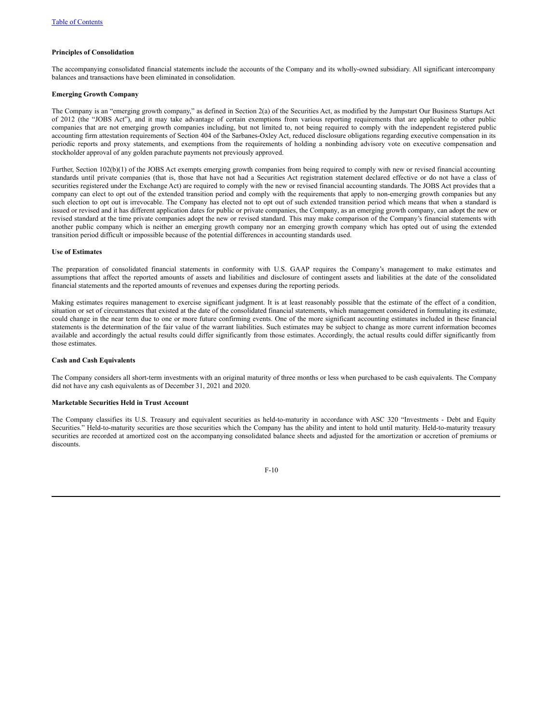#### **Principles of Consolidation**

The accompanying consolidated financial statements include the accounts of the Company and its wholly-owned subsidiary. All significant intercompany balances and transactions have been eliminated in consolidation.

# **Emerging Growth Company**

The Company is an "emerging growth company," as defined in Section 2(a) of the Securities Act, as modified by the Jumpstart Our Business Startups Act of 2012 (the "JOBS Act"), and it may take advantage of certain exemptions from various reporting requirements that are applicable to other public companies that are not emerging growth companies including, but not limited to, not being required to comply with the independent registered public accounting firm attestation requirements of Section 404 of the Sarbanes-Oxley Act, reduced disclosure obligations regarding executive compensation in its periodic reports and proxy statements, and exemptions from the requirements of holding a nonbinding advisory vote on executive compensation and stockholder approval of any golden parachute payments not previously approved.

Further, Section 102(b)(1) of the JOBS Act exempts emerging growth companies from being required to comply with new or revised financial accounting standards until private companies (that is, those that have not had a Securities Act registration statement declared effective or do not have a class of securities registered under the Exchange Act) are required to comply with the new or revised financial accounting standards. The JOBS Act provides that a company can elect to opt out of the extended transition period and comply with the requirements that apply to non-emerging growth companies but any such election to opt out is irrevocable. The Company has elected not to opt out of such extended transition period which means that when a standard is issued or revised and it has different application dates for public or private companies, the Company, as an emerging growth company, can adopt the new or revised standard at the time private companies adopt the new or revised standard. This may make comparison of the Company's financial statements with another public company which is neither an emerging growth company nor an emerging growth company which has opted out of using the extended transition period difficult or impossible because of the potential differences in accounting standards used.

#### **Use of Estimates**

The preparation of consolidated financial statements in conformity with U.S. GAAP requires the Company's management to make estimates and assumptions that affect the reported amounts of assets and liabilities and disclosure of contingent assets and liabilities at the date of the consolidated financial statements and the reported amounts of revenues and expenses during the reporting periods.

Making estimates requires management to exercise significant judgment. It is at least reasonably possible that the estimate of the effect of a condition, situation or set of circumstances that existed at the date of the consolidated financial statements, which management considered in formulating its estimate, could change in the near term due to one or more future confirming events. One of the more significant accounting estimates included in these financial statements is the determination of the fair value of the warrant liabilities. Such estimates may be subject to change as more current information becomes available and accordingly the actual results could differ significantly from those estimates. Accordingly, the actual results could differ significantly from those estimates.

#### **Cash and Cash Equivalents**

The Company considers all short-term investments with an original maturity of three months or less when purchased to be cash equivalents. The Company did not have any cash equivalents as of December 31, 2021 and 2020.

### **Marketable Securities Held in Trust Account**

The Company classifies its U.S. Treasury and equivalent securities as held-to-maturity in accordance with ASC 320 "Investments - Debt and Equity Securities." Held-to-maturity securities are those securities which the Company has the ability and intent to hold until maturity. Held-to-maturity treasury securities are recorded at amortized cost on the accompanying consolidated balance sheets and adjusted for the amortization or accretion of premiums or discounts.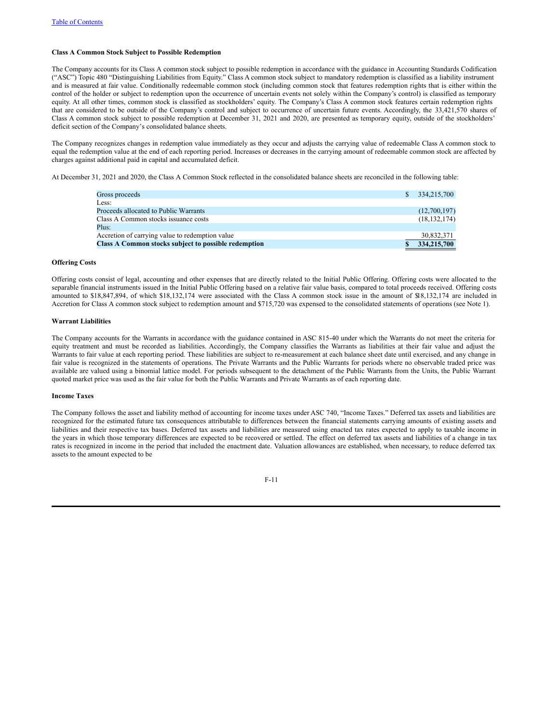## **Class A Common Stock Subject to Possible Redemption**

The Company accounts for its Class A common stock subject to possible redemption in accordance with the guidance in Accounting Standards Codification ("ASC") Topic 480 "Distinguishing Liabilities from Equity." Class A common stock subject to mandatory redemption is classified as a liability instrument and is measured at fair value. Conditionally redeemable common stock (including common stock that features redemption rights that is either within the control of the holder or subject to redemption upon the occurrence of uncertain events not solely within the Company's control) is classified as temporary equity. At all other times, common stock is classified as stockholders' equity. The Company's Class A common stock features certain redemption rights that are considered to be outside of the Company's control and subject to occurrence of uncertain future events. Accordingly, the 33,421,570 shares of Class A common stock subject to possible redemption at December 31, 2021 and 2020, are presented as temporary equity, outside of the stockholders' deficit section of the Company's consolidated balance sheets.

The Company recognizes changes in redemption value immediately as they occur and adjusts the carrying value of redeemable Class A common stock to equal the redemption value at the end of each reporting period. Increases or decreases in the carrying amount of redeemable common stock are affected by charges against additional paid in capital and accumulated deficit.

At December 31, 2021 and 2020, the Class A Common Stock reflected in the consolidated balance sheets are reconciled in the following table:

| Gross proceeds                                       | <sup>S</sup> | 334,215,700    |
|------------------------------------------------------|--------------|----------------|
| Less:                                                |              |                |
| Proceeds allocated to Public Warrants                |              | (12,700,197)   |
| Class A Common stocks issuance costs                 |              | (18, 132, 174) |
| Plus:                                                |              |                |
| Accretion of carrying value to redemption value      |              | 30,832,371     |
| Class A Common stocks subject to possible redemption |              | 334,215,700    |

### **Offering Costs**

Offering costs consist of legal, accounting and other expenses that are directly related to the Initial Public Offering. Offering costs were allocated to the separable financial instruments issued in the Initial Public Offering based on a relative fair value basis, compared to total proceeds received. Offering costs amounted to \$18,847,894, of which \$18,132,174 were associated with the Class A common stock issue in the amount of \$18,132,174 are included in Accretion for Class A common stock subject to redemption amount and \$715,720 was expensed to the consolidated statements of operations (see Note 1).

### **Warrant Liabilities**

The Company accounts for the Warrants in accordance with the guidance contained in ASC 815-40 under which the Warrants do not meet the criteria for equity treatment and must be recorded as liabilities. Accordingly, the Company classifies the Warrants as liabilities at their fair value and adjust the Warrants to fair value at each reporting period. These liabilities are subject to re-measurement at each balance sheet date until exercised, and any change in fair value is recognized in the statements of operations. The Private Warrants and the Public Warrants for periods where no observable traded price was available are valued using a binomial lattice model. For periods subsequent to the detachment of the Public Warrants from the Units, the Public Warrant quoted market price was used as the fair value for both the Public Warrants and Private Warrants as of each reporting date.

#### **Income Taxes**

The Company follows the asset and liability method of accounting for income taxes under ASC 740, "Income Taxes." Deferred tax assets and liabilities are recognized for the estimated future tax consequences attributable to differences between the financial statements carrying amounts of existing assets and liabilities and their respective tax bases. Deferred tax assets and liabilities are measured using enacted tax rates expected to apply to taxable income in the years in which those temporary differences are expected to be recovered or settled. The effect on deferred tax assets and liabilities of a change in tax rates is recognized in income in the period that included the enactment date. Valuation allowances are established, when necessary, to reduce deferred tax assets to the amount expected to be

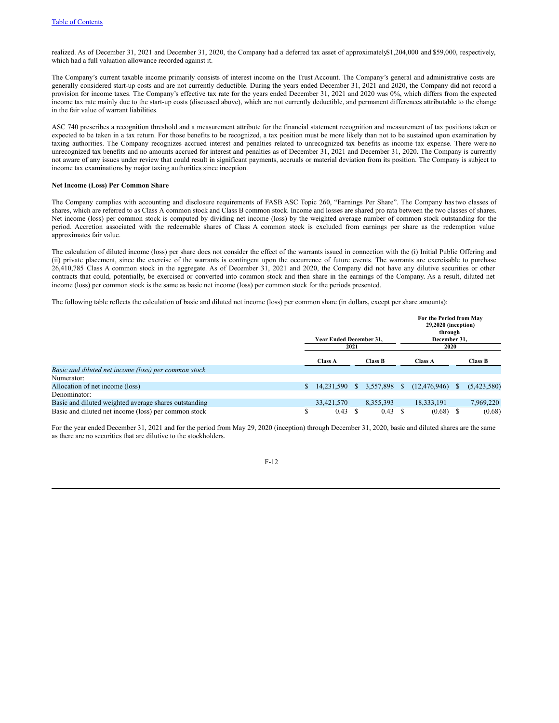realized. As of December 31, 2021 and December 31, 2020, the Company had a deferred tax asset of approximately\$1,204,000 and \$59,000, respectively, which had a full valuation allowance recorded against it.

The Company's current taxable income primarily consists of interest income on the Trust Account. The Company's general and administrative costs are generally considered start-up costs and are not currently deductible. During the years ended December 31, 2021 and 2020, the Company did not record a provision for income taxes. The Company's effective tax rate for the years ended December 31, 2021 and 2020 was 0%, which differs from the expected income tax rate mainly due to the start-up costs (discussed above), which are not currently deductible, and permanent differences attributable to the change in the fair value of warrant liabilities.

ASC 740 prescribes a recognition threshold and a measurement attribute for the financial statement recognition and measurement of tax positions taken or expected to be taken in a tax return. For those benefits to be recognized, a tax position must be more likely than not to be sustained upon examination by taxing authorities. The Company recognizes accrued interest and penalties related to unrecognized tax benefits as income tax expense. There were no unrecognized tax benefits and no amounts accrued for interest and penalties as of December 31, 2021 and December 31, 2020. The Company is currently not aware of any issues under review that could result in significant payments, accruals or material deviation from its position. The Company is subject to income tax examinations by major taxing authorities since inception.

# **Net Income (Loss) Per Common Share**

The Company complies with accounting and disclosure requirements of FASB ASC Topic 260, "Earnings Per Share". The Company hastwo classes of shares, which are referred to as Class A common stock and Class B common stock. Income and losses are shared pro rata between the two classes of shares. Net income (loss) per common stock is computed by dividing net income (loss) by the weighted average number of common stock outstanding for the period. Accretion associated with the redeemable shares of Class A common stock is excluded from earnings per share as the redemption value approximates fair value.

The calculation of diluted income (loss) per share does not consider the effect of the warrants issued in connection with the (i) Initial Public Offering and (ii) private placement, since the exercise of the warrants is contingent upon the occurrence of future events. The warrants are exercisable to purchase 26,410,785 Class A common stock in the aggregate. As of December 31, 2021 and 2020, the Company did not have any dilutive securities or other contracts that could, potentially, be exercised or converted into common stock and then share in the earnings of the Company. As a result, diluted net income (loss) per common stock is the same as basic net income (loss) per common stock for the periods presented.

The following table reflects the calculation of basic and diluted net income (loss) per common share (in dollars, except per share amounts):

|                                                       |    | <b>Year Ended December 31.</b><br>2021 |  |              |                | For the Period from May<br>29,2020 (inception)<br>December 31. |                |             |
|-------------------------------------------------------|----|----------------------------------------|--|--------------|----------------|----------------------------------------------------------------|----------------|-------------|
|                                                       |    | <b>Class A</b><br>Class B              |  |              | <b>Class A</b> |                                                                | <b>Class B</b> |             |
| Basic and diluted net income (loss) per common stock  |    |                                        |  |              |                |                                                                |                |             |
| Numerator:                                            |    |                                        |  |              |                |                                                                |                |             |
| Allocation of net income (loss)                       | S. | 14,231,590 \$                          |  | 3,557,898 \$ |                | (12, 476, 946)                                                 | S              | (5,423,580) |
| Denominator:                                          |    |                                        |  |              |                |                                                                |                |             |
| Basic and diluted weighted average shares outstanding |    | 33,421,570                             |  | 8,355,393    |                | 18,333,191                                                     |                | 7,969,220   |
| Basic and diluted net income (loss) per common stock  |    | 0.43                                   |  | 0.43         |                | (0.68)                                                         |                | (0.68)      |

For the year ended December 31, 2021 and for the period from May 29, 2020 (inception) through December 31, 2020, basic and diluted shares are the same as there are no securities that are dilutive to the stockholders.

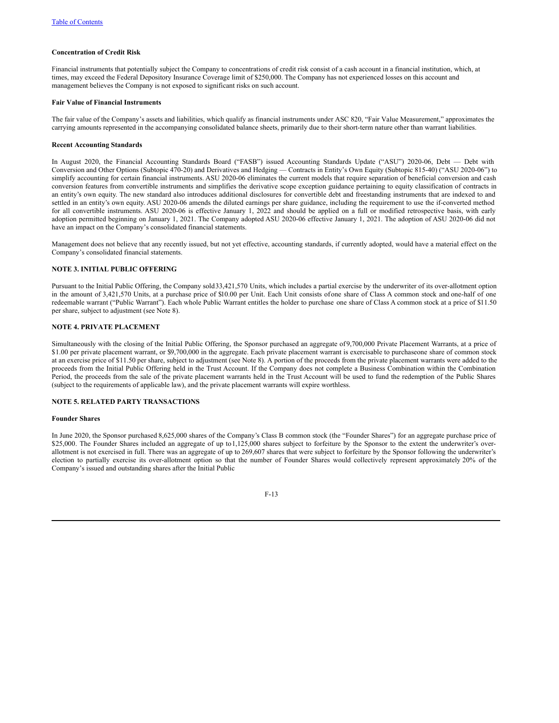# **Concentration of Credit Risk**

Financial instruments that potentially subject the Company to concentrations of credit risk consist of a cash account in a financial institution, which, at times, may exceed the Federal Depository Insurance Coverage limit of \$250,000. The Company has not experienced losses on this account and management believes the Company is not exposed to significant risks on such account.

# **Fair Value of Financial Instruments**

The fair value of the Company's assets and liabilities, which qualify as financial instruments under ASC 820, "Fair Value Measurement," approximates the carrying amounts represented in the accompanying consolidated balance sheets, primarily due to their short-term nature other than warrant liabilities.

# **Recent Accounting Standards**

In August 2020, the Financial Accounting Standards Board ("FASB") issued Accounting Standards Update ("ASU") 2020-06, Debt — Debt with Conversion and Other Options (Subtopic 470-20) and Derivatives and Hedging — Contracts in Entity's Own Equity (Subtopic 815-40) ("ASU 2020-06") to simplify accounting for certain financial instruments. ASU 2020-06 eliminates the current models that require separation of beneficial conversion and cash conversion features from convertible instruments and simplifies the derivative scope exception guidance pertaining to equity classification of contracts in an entity's own equity. The new standard also introduces additional disclosures for convertible debt and freestanding instruments that are indexed to and settled in an entity's own equity. ASU 2020-06 amends the diluted earnings per share guidance, including the requirement to use the if-converted method for all convertible instruments. ASU 2020-06 is effective January 1, 2022 and should be applied on a full or modified retrospective basis, with early adoption permitted beginning on January 1, 2021. The Company adopted ASU 2020-06 effective January 1, 2021. The adoption of ASU 2020-06 did not have an impact on the Company's consolidated financial statements.

Management does not believe that any recently issued, but not yet effective, accounting standards, if currently adopted, would have a material effect on the Company's consolidated financial statements.

# **NOTE 3. INITIAL PUBLIC OFFERING**

Pursuant to the Initial Public Offering, the Company sold33,421,570 Units, which includes a partial exercise by the underwriter of its over-allotment option in the amount of 3,421,570 Units, at a purchase price of \$10.00 per Unit. Each Unit consists ofone share of Class A common stock and one-half of one redeemable warrant ("Public Warrant"). Each whole Public Warrant entitles the holder to purchase one share of Class A common stock at a price of \$11.50 per share, subject to adjustment (see Note 8).

# **NOTE 4. PRIVATE PLACEMENT**

Simultaneously with the closing of the Initial Public Offering, the Sponsor purchased an aggregate of9,700,000 Private Placement Warrants, at a price of \$1.00 per private placement warrant, or \$9,700,000 in the aggregate. Each private placement warrant is exercisable to purchaseone share of common stock at an exercise price of \$11.50 per share, subject to adjustment (see Note 8). A portion of the proceeds from the private placement warrants were added to the proceeds from the Initial Public Offering held in the Trust Account. If the Company does not complete a Business Combination within the Combination Period, the proceeds from the sale of the private placement warrants held in the Trust Account will be used to fund the redemption of the Public Shares (subject to the requirements of applicable law), and the private placement warrants will expire worthless.

# **NOTE 5. RELATED PARTY TRANSACTIONS**

# **Founder Shares**

In June 2020, the Sponsor purchased 8,625,000 shares of the Company's Class B common stock (the "Founder Shares") for an aggregate purchase price of \$25,000. The Founder Shares included an aggregate of up to 1,125,000 shares subject to forfeiture by the Sponsor to the extent the underwriter's overallotment is not exercised in full. There was an aggregate of up to 269,607 shares that were subject to forfeiture by the Sponsor following the underwriter's election to partially exercise its over-allotment option so that the number of Founder Shares would collectively represent approximately 20% of the Company's issued and outstanding shares after the Initial Public

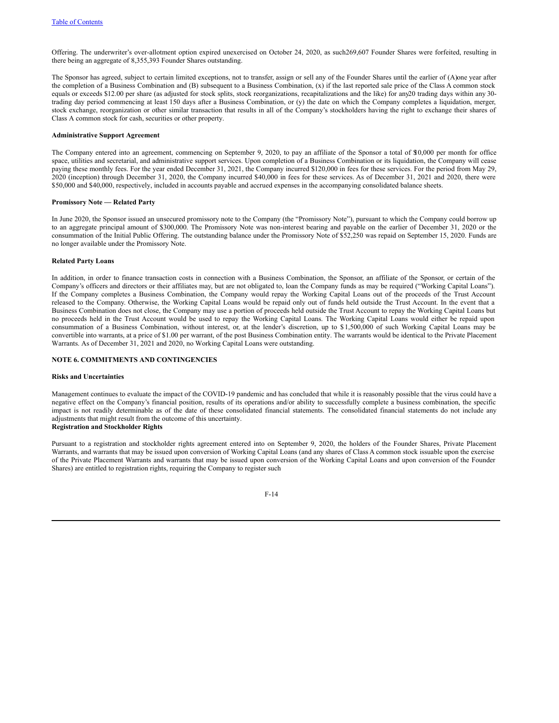Offering. The underwriter's over-allotment option expired unexercised on October 24, 2020, as such269,607 Founder Shares were forfeited, resulting in there being an aggregate of 8,355,393 Founder Shares outstanding.

The Sponsor has agreed, subject to certain limited exceptions, not to transfer, assign or sell any of the Founder Shares until the earlier of (A)one year after the completion of a Business Combination and (B) subsequent to a Business Combination, (x) if the last reported sale price of the Class A common stock equals or exceeds \$12.00 per share (as adjusted for stock splits, stock reorganizations, recapitalizations and the like) for any20 trading days within any 30trading day period commencing at least 150 days after a Business Combination, or (y) the date on which the Company completes a liquidation, merger, stock exchange, reorganization or other similar transaction that results in all of the Company's stockholders having the right to exchange their shares of Class A common stock for cash, securities or other property.

## **Administrative Support Agreement**

The Company entered into an agreement, commencing on September 9, 2020, to pay an affiliate of the Sponsor a total of \$10,000 per month for office space, utilities and secretarial, and administrative support services. Upon completion of a Business Combination or its liquidation, the Company will cease paying these monthly fees. For the year ended December 31, 2021, the Company incurred \$120,000 in fees for these services. For the period from May 29, 2020 (inception) through December 31, 2020, the Company incurred \$40,000 in fees for these services. As of December 31, 2021 and 2020, there were \$50,000 and \$40,000, respectively, included in accounts payable and accrued expenses in the accompanying consolidated balance sheets.

#### **Promissory Note — Related Party**

In June 2020, the Sponsor issued an unsecured promissory note to the Company (the "Promissory Note"), pursuant to which the Company could borrow up to an aggregate principal amount of \$300,000. The Promissory Note was non-interest bearing and payable on the earlier of December 31, 2020 or the consummation of the Initial Public Offering. The outstanding balance under the Promissory Note of \$52,250 was repaid on September 15, 2020. Funds are no longer available under the Promissory Note.

### **Related Party Loans**

In addition, in order to finance transaction costs in connection with a Business Combination, the Sponsor, an affiliate of the Sponsor, or certain of the Company's officers and directors or their affiliates may, but are not obligated to, loan the Company funds as may be required ("Working Capital Loans"). If the Company completes a Business Combination, the Company would repay the Working Capital Loans out of the proceeds of the Trust Account released to the Company. Otherwise, the Working Capital Loans would be repaid only out of funds held outside the Trust Account. In the event that a Business Combination does not close, the Company may use a portion of proceeds held outside the Trust Account to repay the Working Capital Loans but no proceeds held in the Trust Account would be used to repay the Working Capital Loans. The Working Capital Loans would either be repaid upon consummation of a Business Combination, without interest, or, at the lender's discretion, up to \$ 1,500,000 of such Working Capital Loans may be convertible into warrants, at a price of \$1.00 per warrant, of the post Business Combination entity. The warrants would be identical to the Private Placement Warrants. As of December 31, 2021 and 2020, no Working Capital Loans were outstanding.

## **NOTE 6. COMMITMENTS AND CONTINGENCIES**

#### **Risks and Uncertainties**

Management continues to evaluate the impact of the COVID-19 pandemic and has concluded that while it is reasonably possible that the virus could have a negative effect on the Company's financial position, results of its operations and/or ability to successfully complete a business combination, the specific impact is not readily determinable as of the date of these consolidated financial statements. The consolidated financial statements do not include any adjustments that might result from the outcome of this uncertainty.

# **Registration and Stockholder Rights**

Pursuant to a registration and stockholder rights agreement entered into on September 9, 2020, the holders of the Founder Shares, Private Placement Warrants, and warrants that may be issued upon conversion of Working Capital Loans (and any shares of Class A common stock issuable upon the exercise of the Private Placement Warrants and warrants that may be issued upon conversion of the Working Capital Loans and upon conversion of the Founder Shares) are entitled to registration rights, requiring the Company to register such

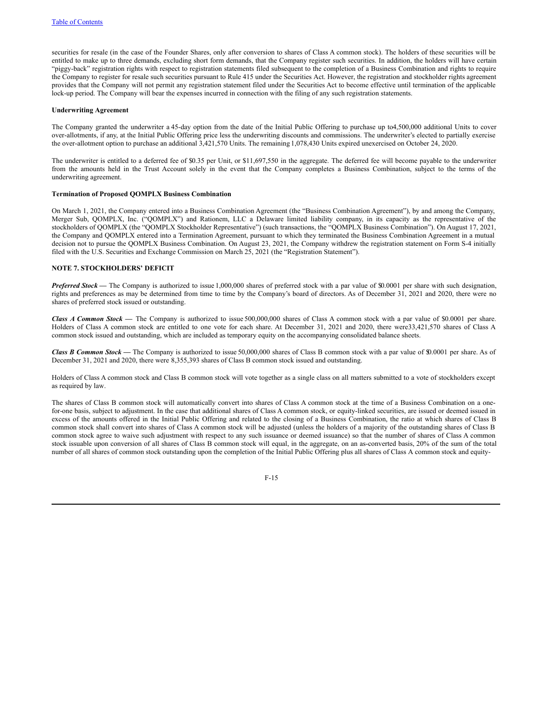securities for resale (in the case of the Founder Shares, only after conversion to shares of Class A common stock). The holders of these securities will be entitled to make up to three demands, excluding short form demands, that the Company register such securities. In addition, the holders will have certain "piggy-back" registration rights with respect to registration statements filed subsequent to the completion of a Business Combination and rights to require the Company to register for resale such securities pursuant to Rule 415 under the Securities Act. However, the registration and stockholder rights agreement provides that the Company will not permit any registration statement filed under the Securities Act to become effective until termination of the applicable lock-up period. The Company will bear the expenses incurred in connection with the filing of any such registration statements.

### **Underwriting Agreement**

The Company granted the underwriter a 45-day option from the date of the Initial Public Offering to purchase up to4,500,000 additional Units to cover over-allotments, if any, at the Initial Public Offering price less the underwriting discounts and commissions. The underwriter's elected to partially exercise the over-allotment option to purchase an additional 3,421,570 Units. The remaining 1,078,430 Units expired unexercised on October 24, 2020.

The underwriter is entitled to a deferred fee of \$0.35 per Unit, or \$11,697,550 in the aggregate. The deferred fee will become payable to the underwriter from the amounts held in the Trust Account solely in the event that the Company completes a Business Combination, subject to the terms of the underwriting agreement.

# **Termination of Proposed QOMPLX Business Combination**

On March 1, 2021, the Company entered into a Business Combination Agreement (the "Business Combination Agreement"), by and among the Company, Merger Sub, QOMPLX, Inc. ("QOMPLX") and Rationem, LLC a Delaware limited liability company, in its capacity as the representative of the stockholders of QOMPLX (the "QOMPLX Stockholder Representative") (such transactions, the "QOMPLX Business Combination"). On August 17, 2021, the Company and QOMPLX entered into a Termination Agreement, pursuant to which they terminated the Business Combination Agreement in a mutual decision not to pursue the QOMPLX Business Combination. On August 23, 2021, the Company withdrew the registration statement on Form S-4 initially filed with the U.S. Securities and Exchange Commission on March 25, 2021 (the "Registration Statement").

### **NOTE 7. STOCKHOLDERS' DEFICIT**

*Preferred Stock* — The Company is authorized to issue 1,000,000 shares of preferred stock with a par value of \$0.0001 per share with such designation, rights and preferences as may be determined from time to time by the Company's board of directors. As of December 31, 2021 and 2020, there were no shares of preferred stock issued or outstanding.

*Class A Common Stock —* The Company is authorized to issue 500,000,000 shares of Class A common stock with a par value of \$0.0001 per share. Holders of Class A common stock are entitled to one vote for each share. At December 31, 2021 and 2020, there were33,421,570 shares of Class A common stock issued and outstanding, which are included as temporary equity on the accompanying consolidated balance sheets.

*Class B Common Stock —* The Company is authorized to issue 50,000,000 shares of Class B common stock with a par value of \$0.0001 per share. As of December 31, 2021 and 2020, there were 8,355,393 shares of Class B common stock issued and outstanding.

Holders of Class A common stock and Class B common stock will vote together as a single class on all matters submitted to a vote of stockholders except as required by law.

The shares of Class B common stock will automatically convert into shares of Class A common stock at the time of a Business Combination on a onefor-one basis, subject to adjustment. In the case that additional shares of Class A common stock, or equity-linked securities, are issued or deemed issued in excess of the amounts offered in the Initial Public Offering and related to the closing of a Business Combination, the ratio at which shares of Class B common stock shall convert into shares of Class A common stock will be adjusted (unless the holders of a majority of the outstanding shares of Class B common stock agree to waive such adjustment with respect to any such issuance or deemed issuance) so that the number of shares of Class A common stock issuable upon conversion of all shares of Class B common stock will equal, in the aggregate, on an as-converted basis, 20% of the sum of the total number of all shares of common stock outstanding upon the completion of the Initial Public Offering plus all shares of Class A common stock and equity-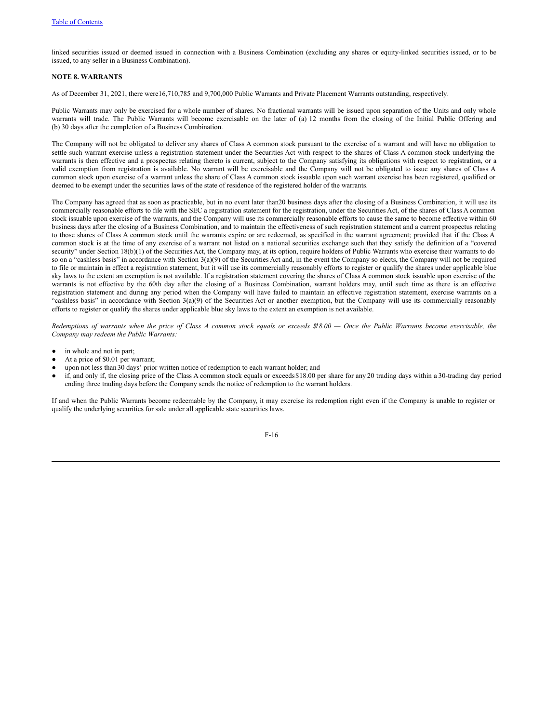linked securities issued or deemed issued in connection with a Business Combination (excluding any shares or equity-linked securities issued, or to be issued, to any seller in a Business Combination).

### **NOTE 8. WARRANTS**

As of December 31, 2021, there were16,710,785 and 9,700,000 Public Warrants and Private Placement Warrants outstanding, respectively.

Public Warrants may only be exercised for a whole number of shares. No fractional warrants will be issued upon separation of the Units and only whole warrants will trade. The Public Warrants will become exercisable on the later of (a) 12 months from the closing of the Initial Public Offering and (b) 30 days after the completion of a Business Combination.

The Company will not be obligated to deliver any shares of Class A common stock pursuant to the exercise of a warrant and will have no obligation to settle such warrant exercise unless a registration statement under the Securities Act with respect to the shares of Class A common stock underlying the warrants is then effective and a prospectus relating thereto is current, subject to the Company satisfying its obligations with respect to registration, or a valid exemption from registration is available. No warrant will be exercisable and the Company will not be obligated to issue any shares of Class A common stock upon exercise of a warrant unless the share of Class A common stock issuable upon such warrant exercise has been registered, qualified or deemed to be exempt under the securities laws of the state of residence of the registered holder of the warrants.

The Company has agreed that as soon as practicable, but in no event later than20 business days after the closing of a Business Combination, it will use its commercially reasonable efforts to file with the SEC a registration statement for the registration, under the Securities Act, of the shares of Class A common stock issuable upon exercise of the warrants, and the Company will use its commercially reasonable efforts to cause the same to become effective within 60 business days after the closing of a Business Combination, and to maintain the effectiveness of such registration statement and a current prospectus relating to those shares of Class A common stock until the warrants expire or are redeemed, as specified in the warrant agreement; provided that if the Class A common stock is at the time of any exercise of a warrant not listed on a national securities exchange such that they satisfy the definition of a "covered security" under Section 18(b)(1) of the Securities Act, the Company may, at its option, require holders of Public Warrants who exercise their warrants to do so on a "cashless basis" in accordance with Section 3(a)(9) of the Securities Act and, in the event the Company so elects, the Company will not be required to file or maintain in effect a registration statement, but it will use its commercially reasonably efforts to register or qualify the shares under applicable blue sky laws to the extent an exemption is not available. If a registration statement covering the shares of Class A common stock issuable upon exercise of the warrants is not effective by the 60th day after the closing of a Business Combination, warrant holders may, until such time as there is an effective registration statement and during any period when the Company will have failed to maintain an effective registration statement, exercise warrants on a "cashless basis" in accordance with Section 3(a)(9) of the Securities Act or another exemption, but the Company will use its commercially reasonably efforts to register or qualify the shares under applicable blue sky laws to the extent an exemption is not available.

Redemptions of warrants when the price of Class A common stock equals or exceeds \$18.00 - Once the Public Warrants become exercisable, the *Company may redeem the Public Warrants:*

- in whole and not in part;
- At a price of \$0.01 per warrant;
- upon not less than 30 days' prior written notice of redemption to each warrant holder; and
- if, and only if, the closing price of the Class A common stock equals or exceeds \$18.00 per share for any 20 trading days within a 30-trading day period ending three trading days before the Company sends the notice of redemption to the warrant holders.

If and when the Public Warrants become redeemable by the Company, it may exercise its redemption right even if the Company is unable to register or qualify the underlying securities for sale under all applicable state securities laws.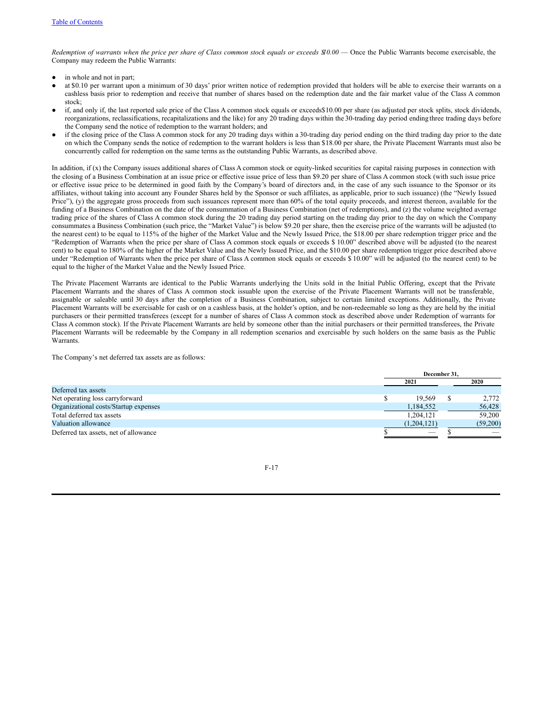Redemption of warrants when the price per share of Class common stock equals or exceeds  $$0.00$  — Once the Public Warrants become exercisable, the Company may redeem the Public Warrants:

- in whole and not in part;
- at \$0.10 per warrant upon a minimum of 30 days' prior written notice of redemption provided that holders will be able to exercise their warrants on a cashless basis prior to redemption and receive that number of shares based on the redemption date and the fair market value of the Class A common stock;
- if, and only if, the last reported sale price of the Class A common stock equals or exceeds\$10.00 per share (as adjusted per stock splits, stock dividends, reorganizations, reclassifications, recapitalizations and the like) for any 20 trading days within the 30-trading day period ending three trading days before the Company send the notice of redemption to the warrant holders; and
- if the closing price of the Class A common stock for any 20 trading days within a 30-trading day period ending on the third trading day prior to the date on which the Company sends the notice of redemption to the warrant holders is less than \$18.00 per share, the Private Placement Warrants must also be concurrently called for redemption on the same terms as the outstanding Public Warrants, as described above.

In addition, if (x) the Company issues additional shares of Class A common stock or equity-linked securities for capital raising purposes in connection with the closing of a Business Combination at an issue price or effective issue price of less than \$9.20 per share of Class A common stock (with such issue price or effective issue price to be determined in good faith by the Company's board of directors and, in the case of any such issuance to the Sponsor or its affiliates, without taking into account any Founder Shares held by the Sponsor or such affiliates, as applicable, prior to such issuance) (the "Newly Issued Price"), (y) the aggregate gross proceeds from such issuances represent more than 60% of the total equity proceeds, and interest thereon, available for the funding of a Business Combination on the date of the consummation of a Business Combination (net of redemptions), and (z) the volume weighted average trading price of the shares of Class A common stock during the 20 trading day period starting on the trading day prior to the day on which the Company consummates a Business Combination (such price, the "Market Value") is below \$9.20 per share, then the exercise price of the warrants will be adjusted (to the nearest cent) to be equal to 115% of the higher of the Market Value and the Newly Issued Price, the \$18.00 per share redemption trigger price and the "Redemption of Warrants when the price per share of Class A common stock equals or exceeds \$ 10.00" described above will be adjusted (to the nearest cent) to be equal to 180% of the higher of the Market Value and the Newly Issued Price, and the \$10.00 per share redemption trigger price described above under "Redemption of Warrants when the price per share of Class A common stock equals or exceeds \$ 10.00" will be adjusted (to the nearest cent) to be equal to the higher of the Market Value and the Newly Issued Price.

The Private Placement Warrants are identical to the Public Warrants underlying the Units sold in the Initial Public Offering, except that the Private Placement Warrants and the shares of Class A common stock issuable upon the exercise of the Private Placement Warrants will not be transferable, assignable or saleable until 30 days after the completion of a Business Combination, subject to certain limited exceptions. Additionally, the Private Placement Warrants will be exercisable for cash or on a cashless basis, at the holder's option, and be non-redeemable so long as they are held by the initial purchasers or their permitted transferees (except for a number of shares of Class A common stock as described above under Redemption of warrants for Class A common stock). If the Private Placement Warrants are held by someone other than the initial purchasers or their permitted transferees, the Private Placement Warrants will be redeemable by the Company in all redemption scenarios and exercisable by such holders on the same basis as the Public **Warrants** 

The Company's net deferred tax assets are as follows:

|                                       |  | December 31. |      |          |  |
|---------------------------------------|--|--------------|------|----------|--|
|                                       |  | 2021         | 2020 |          |  |
| Deferred tax assets                   |  |              |      |          |  |
| Net operating loss carryforward       |  | 19.569       |      | 2,772    |  |
| Organizational costs/Startup expenses |  | 1,184,552    |      | 56,428   |  |
| Total deferred tax assets             |  | 1.204.121    |      | 59,200   |  |
| Valuation allowance                   |  | (1,204,121)  |      | (59,200) |  |
| Deferred tax assets, net of allowance |  |              |      |          |  |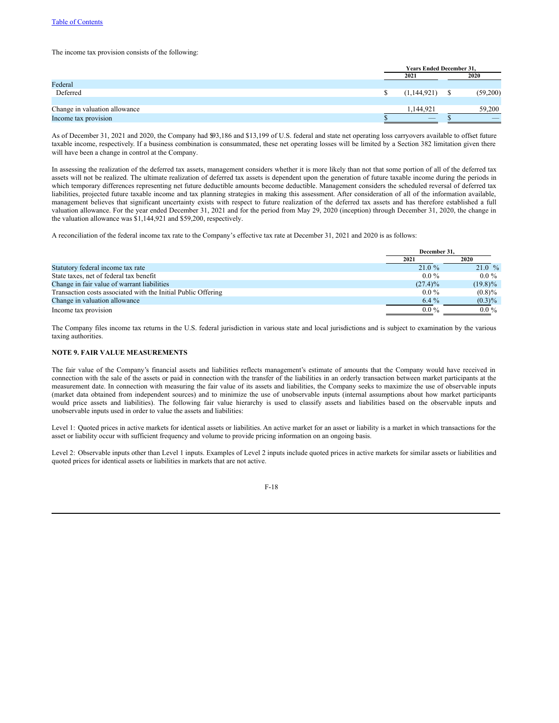The income tax provision consists of the following:

|                               |  | <b>Years Ended December 31.</b> |      |          |  |
|-------------------------------|--|---------------------------------|------|----------|--|
|                               |  | 2021                            | 2020 |          |  |
| Federal                       |  |                                 |      |          |  |
| Deferred                      |  | (1,144,921)                     | S    | (59,200) |  |
|                               |  |                                 |      |          |  |
| Change in valuation allowance |  | 1.144.921                       |      | 59,200   |  |
| Income tax provision          |  | $\overline{\phantom{a}}$        |      |          |  |

As of December 31, 2021 and 2020, the Company had \$93,186 and \$13,199 of U.S. federal and state net operating loss carryovers available to offset future taxable income, respectively. If a business combination is consummated, these net operating losses will be limited by a Section 382 limitation given there will have been a change in control at the Company.

In assessing the realization of the deferred tax assets, management considers whether it is more likely than not that some portion of all of the deferred tax assets will not be realized. The ultimate realization of deferred tax assets is dependent upon the generation of future taxable income during the periods in which temporary differences representing net future deductible amounts become deductible. Management considers the scheduled reversal of deferred tax liabilities, projected future taxable income and tax planning strategies in making this assessment. After consideration of all of the information available, management believes that significant uncertainty exists with respect to future realization of the deferred tax assets and has therefore established a full valuation allowance. For the year ended December 31, 2021 and for the period from May 29, 2020 (inception) through December 31, 2020, the change in the valuation allowance was \$1,144,921 and \$59,200, respectively.

A reconciliation of the federal income tax rate to the Company's effective tax rate at December 31, 2021 and 2020 is as follows:

|                                                               | December 31, |            |  |  |
|---------------------------------------------------------------|--------------|------------|--|--|
|                                                               | 2021         | 2020       |  |  |
| Statutory federal income tax rate                             | 21.0 %       | 21.0%      |  |  |
| State taxes, net of federal tax benefit                       | $0.0\%$      | $0.0\%$    |  |  |
| Change in fair value of warrant liabilities                   | $(27.4)\%$   | $(19.8)\%$ |  |  |
| Transaction costs associated with the Initial Public Offering | $0.0\%$      | $(0.8)\%$  |  |  |
| Change in valuation allowance                                 | $6.4\%$      | $(0.3)\%$  |  |  |
| Income tax provision                                          | $0.0\%$      | $0.0\%$    |  |  |

The Company files income tax returns in the U.S. federal jurisdiction in various state and local jurisdictions and is subject to examination by the various taxing authorities.

# **NOTE 9. FAIR VALUE MEASUREMENTS**

The fair value of the Company's financial assets and liabilities reflects management's estimate of amounts that the Company would have received in connection with the sale of the assets or paid in connection with the transfer of the liabilities in an orderly transaction between market participants at the measurement date. In connection with measuring the fair value of its assets and liabilities, the Company seeks to maximize the use of observable inputs (market data obtained from independent sources) and to minimize the use of unobservable inputs (internal assumptions about how market participants would price assets and liabilities). The following fair value hierarchy is used to classify assets and liabilities based on the observable inputs and unobservable inputs used in order to value the assets and liabilities:

Level 1: Quoted prices in active markets for identical assets or liabilities. An active market for an asset or liability is a market in which transactions for the asset or liability occur with sufficient frequency and volume to provide pricing information on an ongoing basis.

Level 2: Observable inputs other than Level 1 inputs. Examples of Level 2 inputs include quoted prices in active markets for similar assets or liabilities and quoted prices for identical assets or liabilities in markets that are not active.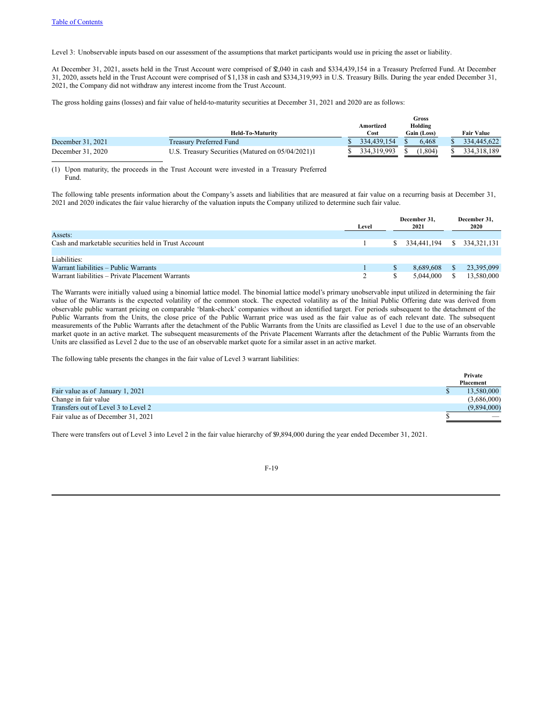Level 3: Unobservable inputs based on our assessment of the assumptions that market participants would use in pricing the asset or liability.

At December 31, 2021, assets held in the Trust Account were comprised of \$2,040 in cash and \$334,439,154 in a Treasury Preferred Fund. At December 31, 2020, assets held in the Trust Account were comprised of \$1,138 in cash and \$334,319,993 in U.S. Treasury Bills. During the year ended December 31, 2021, the Company did not withdraw any interest income from the Trust Account.

The gross holding gains (losses) and fair value of held-to-maturity securities at December 31, 2021 and 2020 are as follows:

|                   |                                                   | Gross |                   |  |                        |                   |
|-------------------|---------------------------------------------------|-------|-------------------|--|------------------------|-------------------|
|                   | Held-To-Maturity                                  |       | Amortized<br>Cost |  | Holding<br>Gain (Loss) | <b>Fair Value</b> |
| December 31, 2021 | Treasury Preferred Fund                           |       | 334,439,154       |  | 6.468                  | 334,445,622       |
| December 31, 2020 | U.S. Treasury Securities (Matured on 05/04/2021)1 |       | 334.319.993       |  | (1,804)                | 334, 318, 189     |

(1) Upon maturity, the proceeds in the Trust Account were invested in a Treasury Preferred Fund.

The following table presents information about the Company's assets and liabilities that are measured at fair value on a recurring basis at December 31, 2021 and 2020 indicates the fair value hierarchy of the valuation inputs the Company utilized to determine such fair value.

|                                                      | Level        | December 31.<br>2021 |             |  |                | December 31.<br>2020 |  |
|------------------------------------------------------|--------------|----------------------|-------------|--|----------------|----------------------|--|
| Assets:                                              |              |                      |             |  |                |                      |  |
| Cash and marketable securities held in Trust Account |              | S.                   | 334.441.194 |  | \$ 334,321,131 |                      |  |
|                                                      |              |                      |             |  |                |                      |  |
| Liabilities:                                         |              |                      |             |  |                |                      |  |
| Warrant liabilities – Public Warrants                |              |                      | 8.689.608   |  | 23.395.099     |                      |  |
| Warrant liabilities – Private Placement Warrants     | <sup>-</sup> |                      | 5.044.000   |  | 13,580,000     |                      |  |

The Warrants were initially valued using a binomial lattice model. The binomial lattice model's primary unobservable input utilized in determining the fair value of the Warrants is the expected volatility of the common stock. The expected volatility as of the Initial Public Offering date was derived from observable public warrant pricing on comparable 'blank-check' companies without an identified target. For periods subsequent to the detachment of the Public Warrants from the Units, the close price of the Public Warrant price was used as the fair value as of each relevant date. The subsequent measurements of the Public Warrants after the detachment of the Public Warrants from the Units are classified as Level 1 due to the use of an observable market quote in an active market. The subsequent measurements of the Private Placement Warrants after the detachment of the Public Warrants from the Units are classified as Level 2 due to the use of an observable market quote for a similar asset in an active market.

The following table presents the changes in the fair value of Level 3 warrant liabilities:

|                                     | Private                  |  |
|-------------------------------------|--------------------------|--|
|                                     | Placement                |  |
| Fair value as of January 1, 2021    | 13,580,000               |  |
| Change in fair value                | (3,686,000)              |  |
| Transfers out of Level 3 to Level 2 | (9.894.000)              |  |
| Fair value as of December 31, 2021  | $\overline{\phantom{a}}$ |  |

There were transfers out of Level 3 into Level 2 in the fair value hierarchy of \$9,894,000 during the year ended December 31, 2021.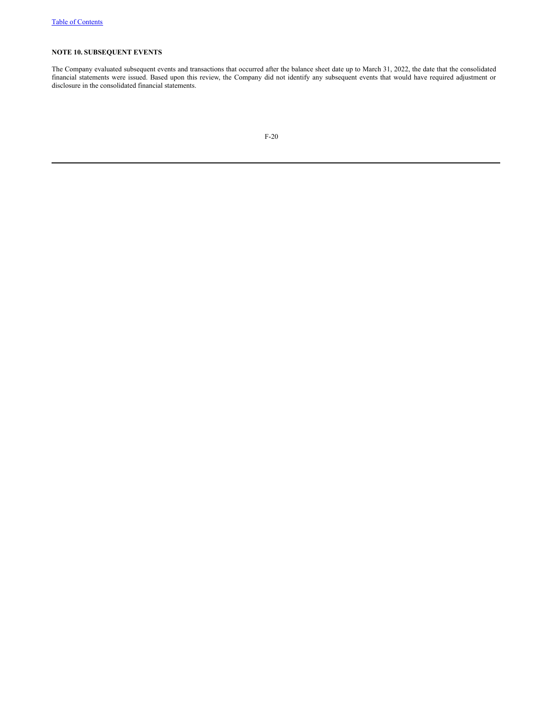# **NOTE 10. SUBSEQUENT EVENTS**

The Company evaluated subsequent events and transactions that occurred after the balance sheet date up to March 31, 2022, the date that the consolidated financial statements were issued. Based upon this review, the Company did not identify any subsequent events that would have required adjustment or disclosure in the consolidated financial statements.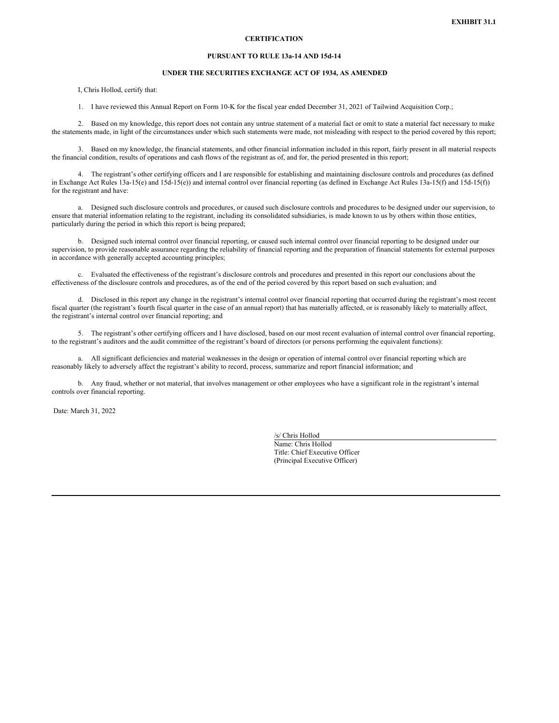#### **CERTIFICATION**

## **PURSUANT TO RULE 13a-14 AND 15d-14**

## **UNDER THE SECURITIES EXCHANGE ACT OF 1934, AS AMENDED**

<span id="page-97-0"></span>I, Chris Hollod, certify that:

1. I have reviewed this Annual Report on Form 10-K for the fiscal year ended December 31, 2021 of Tailwind Acquisition Corp.;

2. Based on my knowledge, this report does not contain any untrue statement of a material fact or omit to state a material fact necessary to make the statements made, in light of the circumstances under which such statements were made, not misleading with respect to the period covered by this report;

3. Based on my knowledge, the financial statements, and other financial information included in this report, fairly present in all material respects the financial condition, results of operations and cash flows of the registrant as of, and for, the period presented in this report;

4. The registrant's other certifying officers and I are responsible for establishing and maintaining disclosure controls and procedures (as defined in Exchange Act Rules 13a-15(e) and 15d-15(e)) and internal control over financial reporting (as defined in Exchange Act Rules 13a-15(f) and 15d-15(f)) for the registrant and have:

a. Designed such disclosure controls and procedures, or caused such disclosure controls and procedures to be designed under our supervision, to ensure that material information relating to the registrant, including its consolidated subsidiaries, is made known to us by others within those entities, particularly during the period in which this report is being prepared;

b. Designed such internal control over financial reporting, or caused such internal control over financial reporting to be designed under our supervision, to provide reasonable assurance regarding the reliability of financial reporting and the preparation of financial statements for external purposes in accordance with generally accepted accounting principles;

c. Evaluated the effectiveness of the registrant's disclosure controls and procedures and presented in this report our conclusions about the effectiveness of the disclosure controls and procedures, as of the end of the period covered by this report based on such evaluation; and

d. Disclosed in this report any change in the registrant's internal control over financial reporting that occurred during the registrant's most recent fiscal quarter (the registrant's fourth fiscal quarter in the case of an annual report) that has materially affected, or is reasonably likely to materially affect, the registrant's internal control over financial reporting; and

5. The registrant's other certifying officers and I have disclosed, based on our most recent evaluation of internal control over financial reporting, to the registrant's auditors and the audit committee of the registrant's board of directors (or persons performing the equivalent functions):

a. All significant deficiencies and material weaknesses in the design or operation of internal control over financial reporting which are reasonably likely to adversely affect the registrant's ability to record, process, summarize and report financial information; and

b. Any fraud, whether or not material, that involves management or other employees who have a significant role in the registrant's internal controls over financial reporting.

Date: March 31, 2022

/s/ Chris Hollod Name: Chris Hollod Title: Chief Executive Officer (Principal Executive Officer)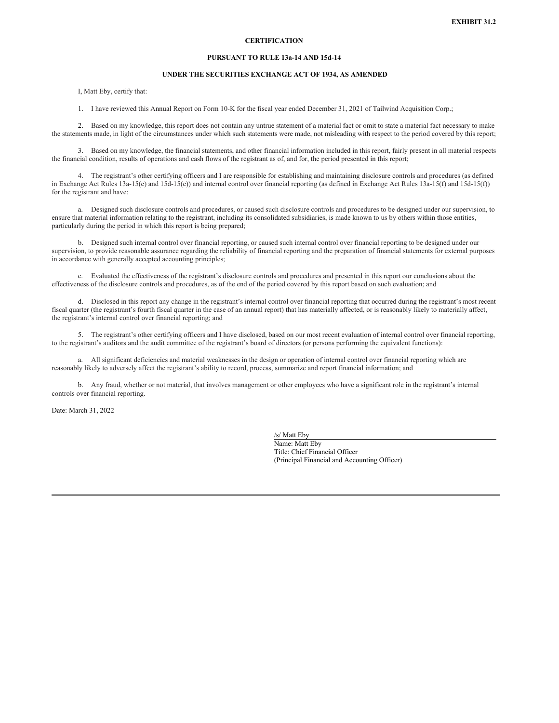#### **CERTIFICATION**

### **PURSUANT TO RULE 13a-14 AND 15d-14**

# **UNDER THE SECURITIES EXCHANGE ACT OF 1934, AS AMENDED**

<span id="page-98-0"></span>I, Matt Eby, certify that:

1. I have reviewed this Annual Report on Form 10-K for the fiscal year ended December 31, 2021 of Tailwind Acquisition Corp.;

2. Based on my knowledge, this report does not contain any untrue statement of a material fact or omit to state a material fact necessary to make the statements made, in light of the circumstances under which such statements were made, not misleading with respect to the period covered by this report;

3. Based on my knowledge, the financial statements, and other financial information included in this report, fairly present in all material respects the financial condition, results of operations and cash flows of the registrant as of, and for, the period presented in this report;

4. The registrant's other certifying officers and I are responsible for establishing and maintaining disclosure controls and procedures (as defined in Exchange Act Rules  $13a-15(e)$  and  $15d-15(e)$  and internal control over financial reporting (as defined in Exchange Act Rules  $13a-15(f)$ ) and  $15d-15(f)$ ) for the registrant and have:

a. Designed such disclosure controls and procedures, or caused such disclosure controls and procedures to be designed under our supervision, to ensure that material information relating to the registrant, including its consolidated subsidiaries, is made known to us by others within those entities, particularly during the period in which this report is being prepared;

b. Designed such internal control over financial reporting, or caused such internal control over financial reporting to be designed under our supervision, to provide reasonable assurance regarding the reliability of financial reporting and the preparation of financial statements for external purposes in accordance with generally accepted accounting principles;

c. Evaluated the effectiveness of the registrant's disclosure controls and procedures and presented in this report our conclusions about the effectiveness of the disclosure controls and procedures, as of the end of the period covered by this report based on such evaluation; and

d. Disclosed in this report any change in the registrant's internal control over financial reporting that occurred during the registrant's most recent fiscal quarter (the registrant's fourth fiscal quarter in the case of an annual report) that has materially affected, or is reasonably likely to materially affect, the registrant's internal control over financial reporting; and

5. The registrant's other certifying officers and I have disclosed, based on our most recent evaluation of internal control over financial reporting, to the registrant's auditors and the audit committee of the registrant's board of directors (or persons performing the equivalent functions):

a. All significant deficiencies and material weaknesses in the design or operation of internal control over financial reporting which are reasonably likely to adversely affect the registrant's ability to record, process, summarize and report financial information; and

b. Any fraud, whether or not material, that involves management or other employees who have a significant role in the registrant's internal controls over financial reporting.

Date: March 31, 2022

/s/ Matt Eby

Name: Matt Eby Title: Chief Financial Officer (Principal Financial and Accounting Officer)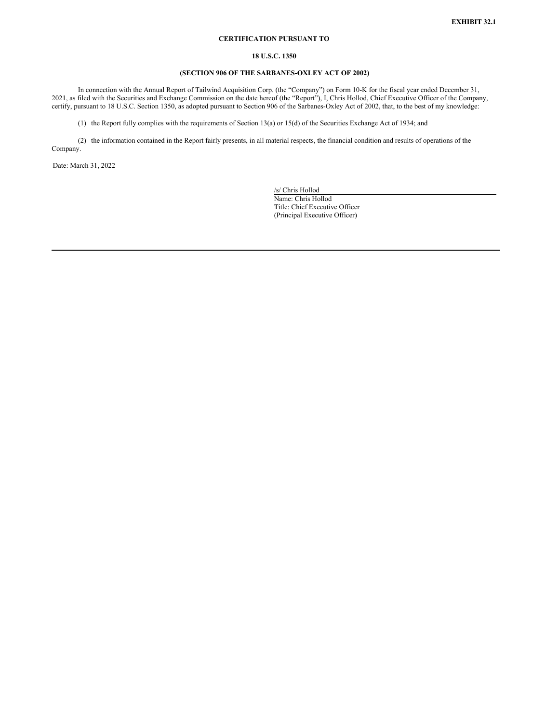### **CERTIFICATION PURSUANT TO**

# **18 U.S.C. 1350**

# **(SECTION 906 OF THE SARBANES-OXLEY ACT OF 2002)**

<span id="page-99-0"></span>In connection with the Annual Report of Tailwind Acquisition Corp. (the "Company") on Form 10-K for the fiscal year ended December 31, 2021, as filed with the Securities and Exchange Commission on the date hereof (the "Report"), I, Chris Hollod, Chief Executive Officer of the Company, certify, pursuant to 18 U.S.C. Section 1350, as adopted pursuant to Section 906 of the Sarbanes-Oxley Act of 2002, that, to the best of my knowledge:

(1) the Report fully complies with the requirements of Section 13(a) or 15(d) of the Securities Exchange Act of 1934; and

(2) the information contained in the Report fairly presents, in all material respects, the financial condition and results of operations of the Company.

Date: March 31, 2022

/s/ Chris Hollod Name: Chris Hollod Title: Chief Executive Officer (Principal Executive Officer)